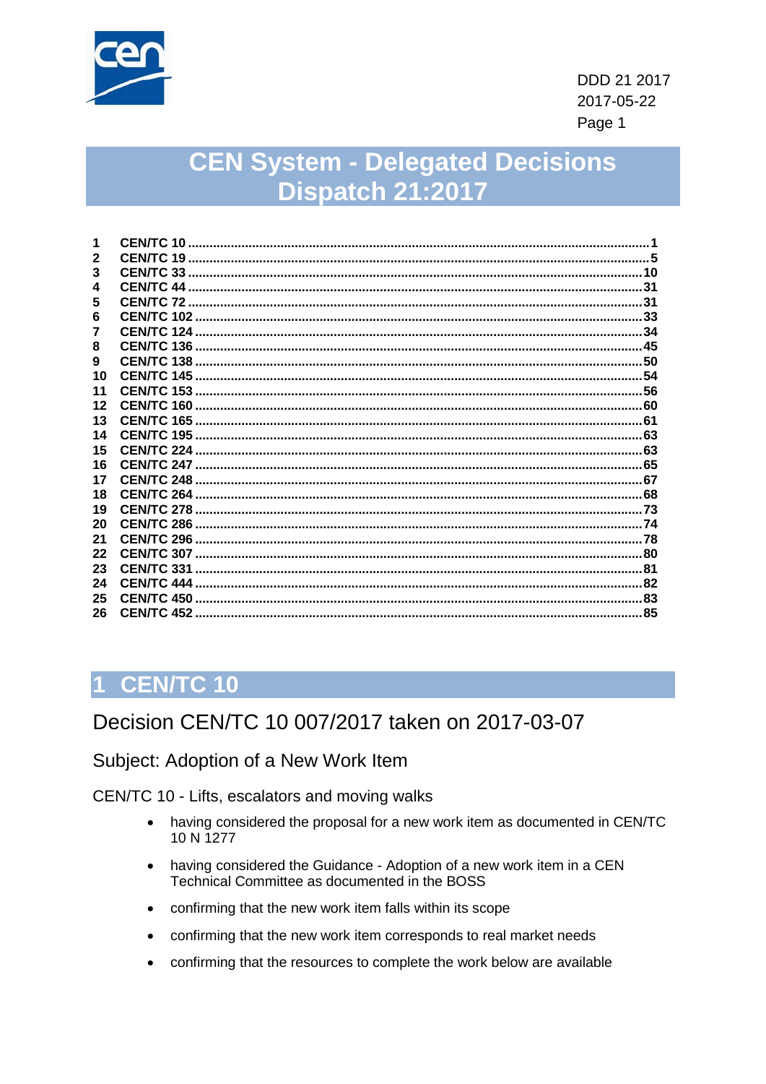

# **CEN System - Delegated Decisions Dispatch 21:2017**

|              | CEN/TC 10 |  |
|--------------|-----------|--|
| $\mathbf{2}$ |           |  |
| 3            |           |  |
| 4            |           |  |
| 5            |           |  |
| 6            |           |  |
| 7            |           |  |
| 8            |           |  |
| 9            |           |  |
| 10           |           |  |
| 11           |           |  |
| 12           |           |  |
| 13           |           |  |
| 14           |           |  |
| 15           |           |  |
| 16           |           |  |
| 17           |           |  |
| 18           |           |  |
| 19           |           |  |
| 20           |           |  |
| 21           |           |  |
| 22           |           |  |
| 23           |           |  |
| 24           |           |  |
| 25           |           |  |
| 26           |           |  |
|              |           |  |

# <span id="page-0-0"></span>1 CEN/TC 10

## Decision CEN/TC 10 007/2017 taken on 2017-03-07

Subject: Adoption of a New Work Item

CEN/TC 10 - Lifts, escalators and moving walks

- having considered the proposal for a new work item as documented in CEN/TC  $\bullet$ 10 N 1277
- having considered the Guidance Adoption of a new work item in a CEN Technical Committee as documented in the BOSS
- confirming that the new work item falls within its scope
- confirming that the new work item corresponds to real market needs
- confirming that the resources to complete the work below are available  $\bullet$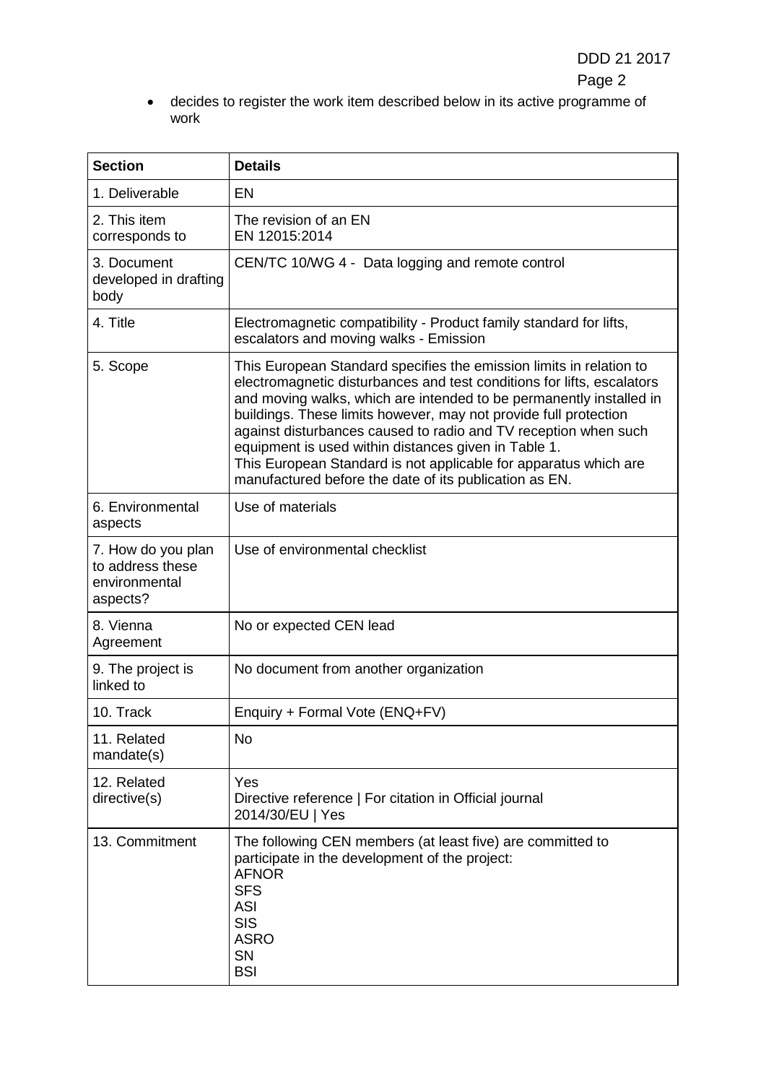• decides to register the work item described below in its active programme of work

| <b>Section</b>                                                                                                                                                                                                                                                                                                                                                                                                                                                                                                                                                | <b>Details</b>                                                                                                                                                                                     |  |
|---------------------------------------------------------------------------------------------------------------------------------------------------------------------------------------------------------------------------------------------------------------------------------------------------------------------------------------------------------------------------------------------------------------------------------------------------------------------------------------------------------------------------------------------------------------|----------------------------------------------------------------------------------------------------------------------------------------------------------------------------------------------------|--|
| 1. Deliverable                                                                                                                                                                                                                                                                                                                                                                                                                                                                                                                                                | <b>EN</b>                                                                                                                                                                                          |  |
| 2. This item<br>corresponds to                                                                                                                                                                                                                                                                                                                                                                                                                                                                                                                                | The revision of an EN<br>EN 12015:2014                                                                                                                                                             |  |
| 3. Document<br>developed in drafting<br>body                                                                                                                                                                                                                                                                                                                                                                                                                                                                                                                  | CEN/TC 10/WG 4 - Data logging and remote control                                                                                                                                                   |  |
| 4. Title                                                                                                                                                                                                                                                                                                                                                                                                                                                                                                                                                      | Electromagnetic compatibility - Product family standard for lifts,<br>escalators and moving walks - Emission                                                                                       |  |
| This European Standard specifies the emission limits in relation to<br>5. Scope<br>electromagnetic disturbances and test conditions for lifts, escalators<br>and moving walks, which are intended to be permanently installed in<br>buildings. These limits however, may not provide full protection<br>against disturbances caused to radio and TV reception when such<br>equipment is used within distances given in Table 1.<br>This European Standard is not applicable for apparatus which are<br>manufactured before the date of its publication as EN. |                                                                                                                                                                                                    |  |
| 6. Environmental<br>aspects                                                                                                                                                                                                                                                                                                                                                                                                                                                                                                                                   | Use of materials                                                                                                                                                                                   |  |
| 7. How do you plan<br>to address these<br>environmental<br>aspects?                                                                                                                                                                                                                                                                                                                                                                                                                                                                                           | Use of environmental checklist                                                                                                                                                                     |  |
| 8. Vienna<br>Agreement                                                                                                                                                                                                                                                                                                                                                                                                                                                                                                                                        | No or expected CEN lead                                                                                                                                                                            |  |
| 9. The project is<br>linked to                                                                                                                                                                                                                                                                                                                                                                                                                                                                                                                                | No document from another organization                                                                                                                                                              |  |
| 10. Track                                                                                                                                                                                                                                                                                                                                                                                                                                                                                                                                                     | Enquiry + Formal Vote (ENQ+FV)                                                                                                                                                                     |  |
| 11. Related<br>mandate(s)                                                                                                                                                                                                                                                                                                                                                                                                                                                                                                                                     | No                                                                                                                                                                                                 |  |
| 12. Related<br>directive(s)                                                                                                                                                                                                                                                                                                                                                                                                                                                                                                                                   | Yes<br>Directive reference   For citation in Official journal<br>2014/30/EU   Yes                                                                                                                  |  |
| 13. Commitment                                                                                                                                                                                                                                                                                                                                                                                                                                                                                                                                                | The following CEN members (at least five) are committed to<br>participate in the development of the project:<br><b>AFNOR</b><br><b>SFS</b><br>ASI<br><b>SIS</b><br><b>ASRO</b><br>SN<br><b>BSI</b> |  |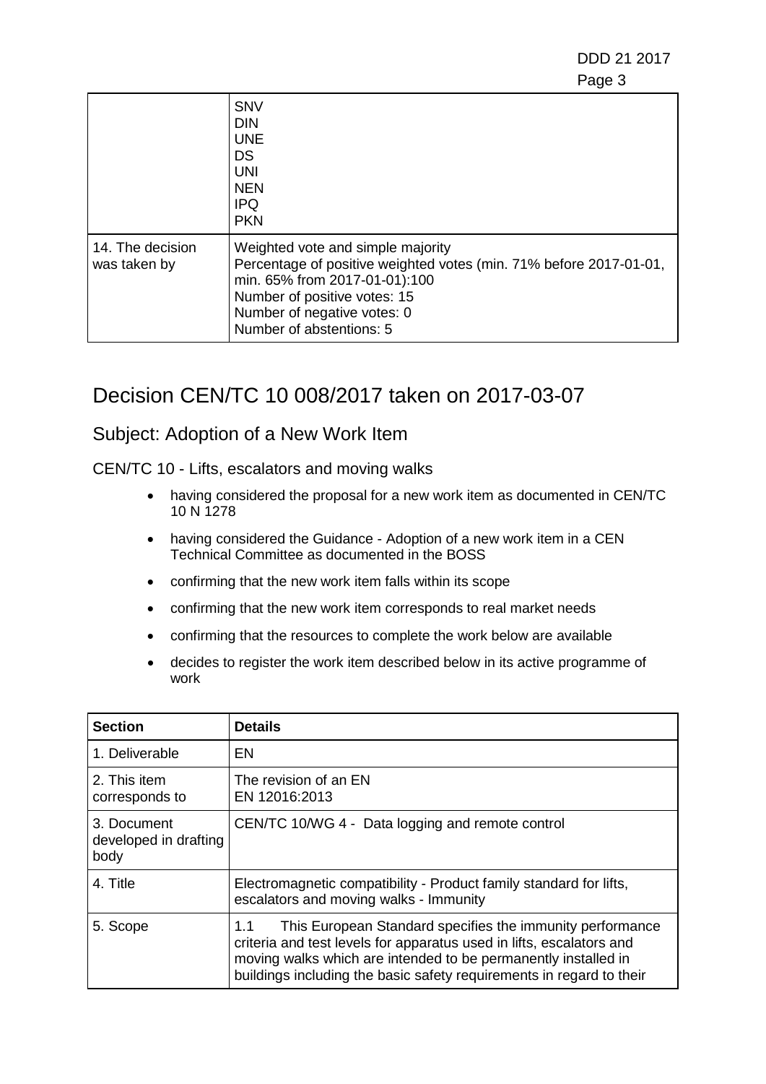DDD 21 2017 en de la provincia de la provincia de la provincia de la provincia de la provincia de la provincia de la provi

|                                  | <b>SNV</b><br><b>DIN</b><br><b>UNE</b><br><b>DS</b><br><b>UNI</b><br><b>NEN</b><br><b>IPQ</b><br><b>PKN</b>                                                                                                                         |
|----------------------------------|-------------------------------------------------------------------------------------------------------------------------------------------------------------------------------------------------------------------------------------|
| 14. The decision<br>was taken by | Weighted vote and simple majority<br>Percentage of positive weighted votes (min. 71% before 2017-01-01,<br>min. 65% from 2017-01-01):100<br>Number of positive votes: 15<br>Number of negative votes: 0<br>Number of abstentions: 5 |

## Decision CEN/TC 10 008/2017 taken on 2017-03-07

#### Subject: Adoption of a New Work Item

CEN/TC 10 - Lifts, escalators and moving walks

- having considered the proposal for a new work item as documented in CEN/TC 10 N 1278
- having considered the Guidance Adoption of a new work item in a CEN Technical Committee as documented in the BOSS
- confirming that the new work item falls within its scope
- confirming that the new work item corresponds to real market needs
- confirming that the resources to complete the work below are available
- decides to register the work item described below in its active programme of work

| <b>Section</b>                               | <b>Details</b>                                                                                                                                                                                                                                                                     |  |
|----------------------------------------------|------------------------------------------------------------------------------------------------------------------------------------------------------------------------------------------------------------------------------------------------------------------------------------|--|
| 1. Deliverable                               | EN                                                                                                                                                                                                                                                                                 |  |
| 2. This item<br>corresponds to               | The revision of an EN<br>EN 12016:2013                                                                                                                                                                                                                                             |  |
| 3. Document<br>developed in drafting<br>body | CEN/TC 10/WG 4 - Data logging and remote control                                                                                                                                                                                                                                   |  |
| 4. Title                                     | Electromagnetic compatibility - Product family standard for lifts,<br>escalators and moving walks - Immunity                                                                                                                                                                       |  |
| 5. Scope                                     | This European Standard specifies the immunity performance<br>1.1<br>criteria and test levels for apparatus used in lifts, escalators and<br>moving walks which are intended to be permanently installed in<br>buildings including the basic safety requirements in regard to their |  |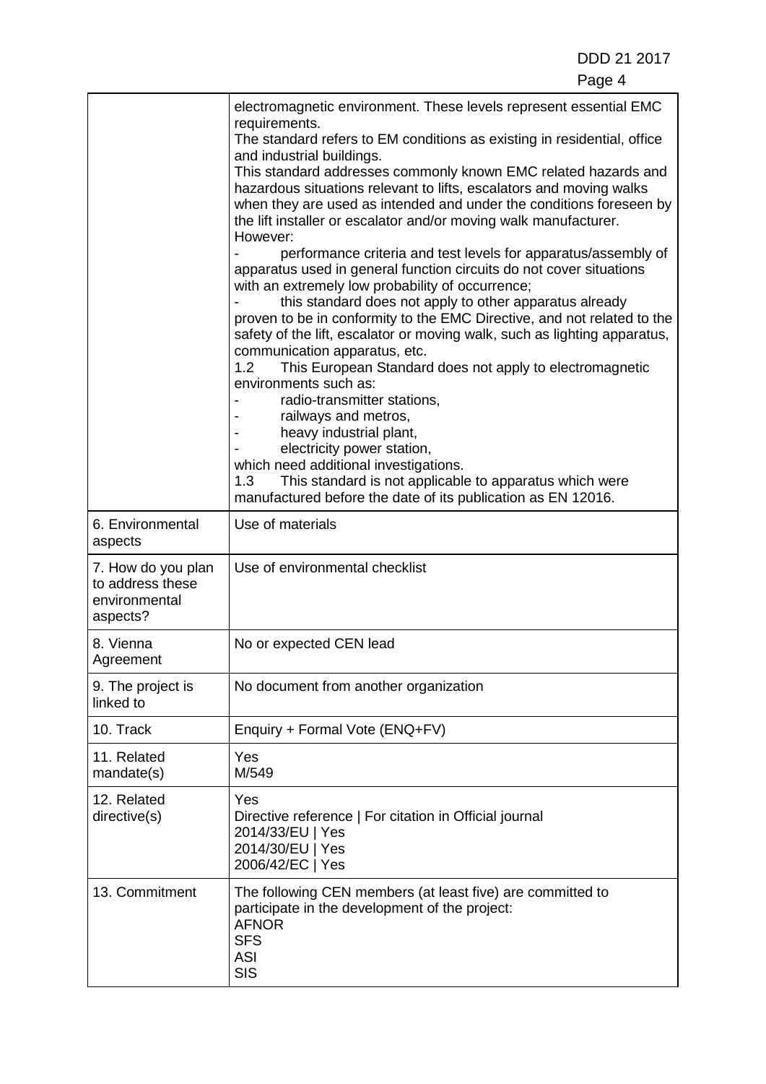|                                                                     | electromagnetic environment. These levels represent essential EMC<br>requirements.<br>The standard refers to EM conditions as existing in residential, office<br>and industrial buildings.<br>This standard addresses commonly known EMC related hazards and<br>hazardous situations relevant to lifts, escalators and moving walks<br>when they are used as intended and under the conditions foreseen by<br>the lift installer or escalator and/or moving walk manufacturer.<br>However:<br>performance criteria and test levels for apparatus/assembly of<br>apparatus used in general function circuits do not cover situations<br>with an extremely low probability of occurrence;<br>this standard does not apply to other apparatus already<br>proven to be in conformity to the EMC Directive, and not related to the<br>safety of the lift, escalator or moving walk, such as lighting apparatus,<br>communication apparatus, etc.<br>1.2 <sub>1</sub><br>This European Standard does not apply to electromagnetic<br>environments such as:<br>radio-transmitter stations,<br>railways and metros,<br>heavy industrial plant,<br>electricity power station,<br>which need additional investigations.<br>1.3<br>This standard is not applicable to apparatus which were<br>manufactured before the date of its publication as EN 12016. |  |
|---------------------------------------------------------------------|-------------------------------------------------------------------------------------------------------------------------------------------------------------------------------------------------------------------------------------------------------------------------------------------------------------------------------------------------------------------------------------------------------------------------------------------------------------------------------------------------------------------------------------------------------------------------------------------------------------------------------------------------------------------------------------------------------------------------------------------------------------------------------------------------------------------------------------------------------------------------------------------------------------------------------------------------------------------------------------------------------------------------------------------------------------------------------------------------------------------------------------------------------------------------------------------------------------------------------------------------------------------------------------------------------------------------------------------------|--|
| 6. Environmental<br>aspects                                         | Use of materials                                                                                                                                                                                                                                                                                                                                                                                                                                                                                                                                                                                                                                                                                                                                                                                                                                                                                                                                                                                                                                                                                                                                                                                                                                                                                                                                |  |
| 7. How do you plan<br>to address these<br>environmental<br>aspects? | Use of environmental checklist                                                                                                                                                                                                                                                                                                                                                                                                                                                                                                                                                                                                                                                                                                                                                                                                                                                                                                                                                                                                                                                                                                                                                                                                                                                                                                                  |  |
| 8. Vienna<br>Agreement                                              | No or expected CEN lead                                                                                                                                                                                                                                                                                                                                                                                                                                                                                                                                                                                                                                                                                                                                                                                                                                                                                                                                                                                                                                                                                                                                                                                                                                                                                                                         |  |
| 9. The project is<br>linked to                                      | No document from another organization                                                                                                                                                                                                                                                                                                                                                                                                                                                                                                                                                                                                                                                                                                                                                                                                                                                                                                                                                                                                                                                                                                                                                                                                                                                                                                           |  |
| 10. Track                                                           | Enquiry + Formal Vote (ENQ+FV)                                                                                                                                                                                                                                                                                                                                                                                                                                                                                                                                                                                                                                                                                                                                                                                                                                                                                                                                                                                                                                                                                                                                                                                                                                                                                                                  |  |
| 11. Related<br>mandate(s)                                           | Yes<br>M/549                                                                                                                                                                                                                                                                                                                                                                                                                                                                                                                                                                                                                                                                                                                                                                                                                                                                                                                                                                                                                                                                                                                                                                                                                                                                                                                                    |  |
| 12. Related<br>directive(s)                                         | Yes<br>Directive reference   For citation in Official journal<br>2014/33/EU   Yes<br>2014/30/EU   Yes<br>2006/42/EC   Yes                                                                                                                                                                                                                                                                                                                                                                                                                                                                                                                                                                                                                                                                                                                                                                                                                                                                                                                                                                                                                                                                                                                                                                                                                       |  |
| 13. Commitment                                                      | The following CEN members (at least five) are committed to<br>participate in the development of the project:<br><b>AFNOR</b><br><b>SFS</b><br><b>ASI</b><br><b>SIS</b>                                                                                                                                                                                                                                                                                                                                                                                                                                                                                                                                                                                                                                                                                                                                                                                                                                                                                                                                                                                                                                                                                                                                                                          |  |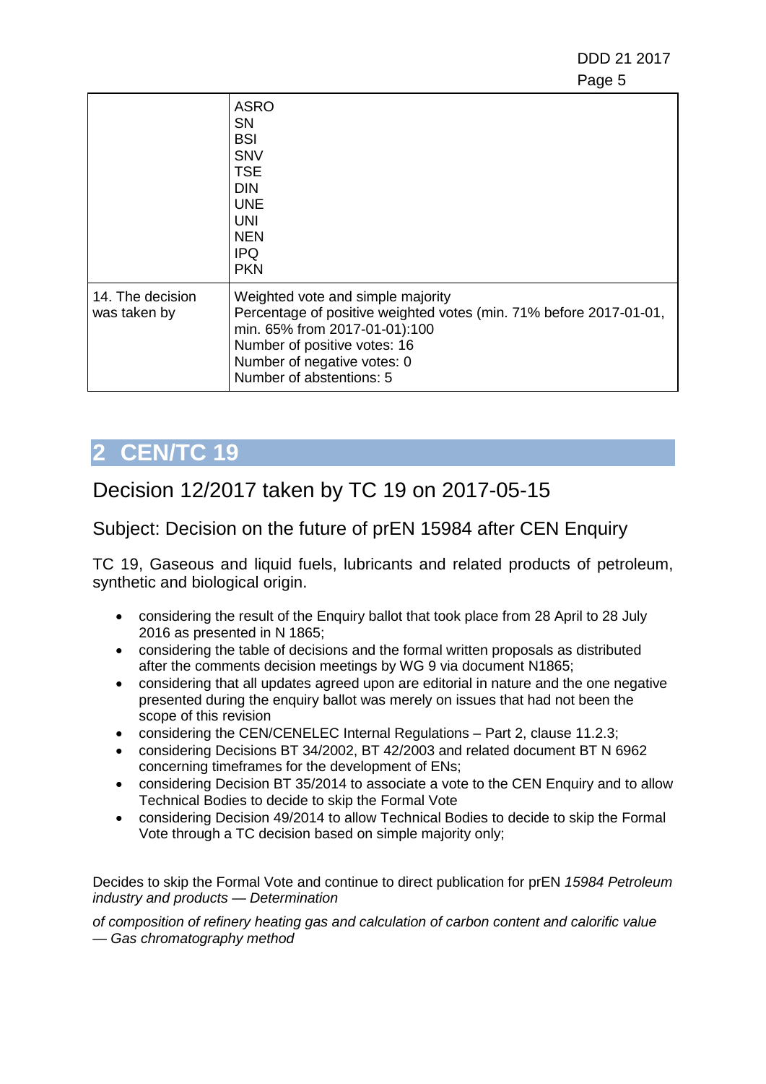DDD 21 2017 en de la provincia de la provincia de la provincia de la provincia de la provincia de la provincia de la provi

|                                  | <b>ASRO</b><br>SΝ<br><b>BSI</b><br><b>SNV</b><br><b>TSE</b><br><b>DIN</b><br><b>UNE</b><br>UNI<br><b>NEN</b><br><b>IPQ</b><br><b>PKN</b>                                                                                            |
|----------------------------------|-------------------------------------------------------------------------------------------------------------------------------------------------------------------------------------------------------------------------------------|
| 14. The decision<br>was taken by | Weighted vote and simple majority<br>Percentage of positive weighted votes (min. 71% before 2017-01-01,<br>min. 65% from 2017-01-01):100<br>Number of positive votes: 16<br>Number of negative votes: 0<br>Number of abstentions: 5 |

# <span id="page-4-0"></span>**2 CEN/TC 19**

## Decision 12/2017 taken by TC 19 on 2017-05-15

### Subject: Decision on the future of prEN 15984 after CEN Enquiry

TC 19, Gaseous and liquid fuels, lubricants and related products of petroleum, synthetic and biological origin.

- considering the result of the Enquiry ballot that took place from 28 April to 28 July 2016 as presented in N 1865;
- considering the table of decisions and the formal written proposals as distributed after the comments decision meetings by WG 9 via document N1865;
- considering that all updates agreed upon are editorial in nature and the one negative presented during the enquiry ballot was merely on issues that had not been the scope of this revision
- considering the CEN/CENELEC Internal Regulations Part 2, clause 11.2.3;
- considering Decisions BT 34/2002, BT 42/2003 and related document BT N 6962 concerning timeframes for the development of ENs;
- considering Decision BT 35/2014 to associate a vote to the CEN Enguiry and to allow Technical Bodies to decide to skip the Formal Vote
- considering Decision 49/2014 to allow Technical Bodies to decide to skip the Formal Vote through a TC decision based on simple majority only;

Decides to skip the Formal Vote and continue to direct publication for prEN *15984 Petroleum industry and products — Determination*

*of composition of refinery heating gas and calculation of carbon content and calorific value — Gas chromatography method*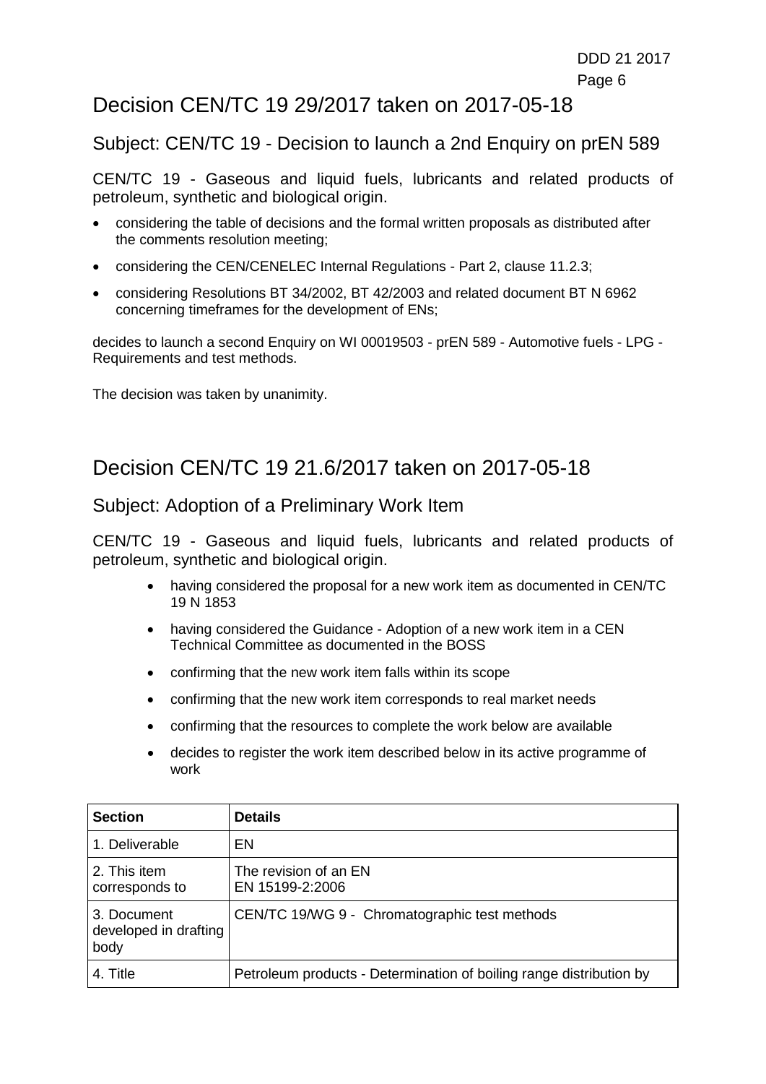### Decision CEN/TC 19 29/2017 taken on 2017-05-18

#### Subject: CEN/TC 19 - Decision to launch a 2nd Enquiry on prEN 589

CEN/TC 19 - Gaseous and liquid fuels, lubricants and related products of petroleum, synthetic and biological origin.

- considering the table of decisions and the formal written proposals as distributed after the comments resolution meeting;
- considering the CEN/CENELEC Internal Regulations Part 2, clause 11.2.3;
- considering Resolutions BT 34/2002, BT 42/2003 and related document BT N 6962 concerning timeframes for the development of ENs;

decides to launch a second Enquiry on WI 00019503 - prEN 589 - Automotive fuels - LPG - Requirements and test methods.

The decision was taken by unanimity.

### Decision CEN/TC 19 21.6/2017 taken on 2017-05-18

#### Subject: Adoption of a Preliminary Work Item

CEN/TC 19 - Gaseous and liquid fuels, lubricants and related products of petroleum, synthetic and biological origin.

- having considered the proposal for a new work item as documented in CEN/TC 19 N 1853
- having considered the Guidance Adoption of a new work item in a CEN Technical Committee as documented in the BOSS
- confirming that the new work item falls within its scope
- confirming that the new work item corresponds to real market needs
- confirming that the resources to complete the work below are available
- decides to register the work item described below in its active programme of work

| <b>Section</b>                               | <b>Details</b>                                                      |
|----------------------------------------------|---------------------------------------------------------------------|
| 1. Deliverable                               | EN                                                                  |
| 2. This item<br>corresponds to               | The revision of an EN<br>EN 15199-2:2006                            |
| 3. Document<br>developed in drafting<br>body | CEN/TC 19/WG 9 - Chromatographic test methods                       |
| 4. Title                                     | Petroleum products - Determination of boiling range distribution by |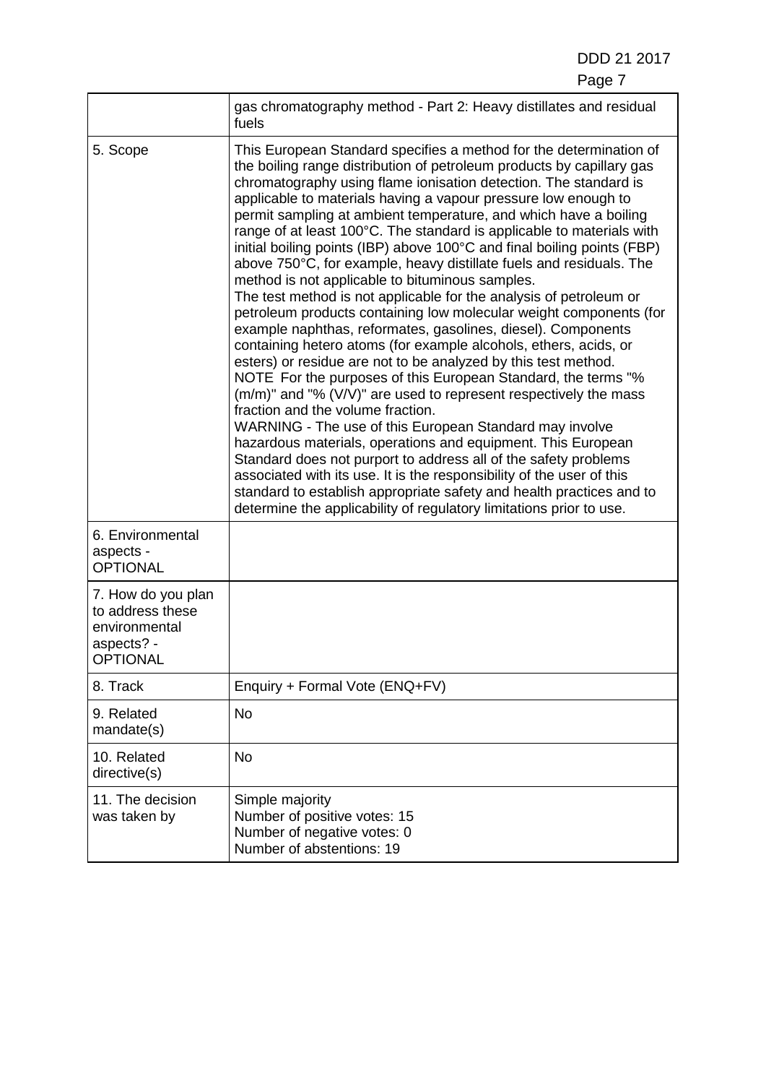DDD 21 2017 Page 7 (1999) and the contract of the contract of the Page 7 (1999) and the contract of the contract of the contract of the contract of the contract of the contract of the contract of the contract of the contract of the co

|                                                                                          | gas chromatography method - Part 2: Heavy distillates and residual<br>fuels                                                                                                                                                                                                                                                                                                                                                                                                                                                                                                                                                                                                                                                                                                                                                                                                                                                                                                                                                                                                                                                                                                                                                                                                                                                                                                                                                                                                                                                                                                              |
|------------------------------------------------------------------------------------------|------------------------------------------------------------------------------------------------------------------------------------------------------------------------------------------------------------------------------------------------------------------------------------------------------------------------------------------------------------------------------------------------------------------------------------------------------------------------------------------------------------------------------------------------------------------------------------------------------------------------------------------------------------------------------------------------------------------------------------------------------------------------------------------------------------------------------------------------------------------------------------------------------------------------------------------------------------------------------------------------------------------------------------------------------------------------------------------------------------------------------------------------------------------------------------------------------------------------------------------------------------------------------------------------------------------------------------------------------------------------------------------------------------------------------------------------------------------------------------------------------------------------------------------------------------------------------------------|
| 5. Scope                                                                                 | This European Standard specifies a method for the determination of<br>the boiling range distribution of petroleum products by capillary gas<br>chromatography using flame ionisation detection. The standard is<br>applicable to materials having a vapour pressure low enough to<br>permit sampling at ambient temperature, and which have a boiling<br>range of at least 100°C. The standard is applicable to materials with<br>initial boiling points (IBP) above 100°C and final boiling points (FBP)<br>above 750°C, for example, heavy distillate fuels and residuals. The<br>method is not applicable to bituminous samples.<br>The test method is not applicable for the analysis of petroleum or<br>petroleum products containing low molecular weight components (for<br>example naphthas, reformates, gasolines, diesel). Components<br>containing hetero atoms (for example alcohols, ethers, acids, or<br>esters) or residue are not to be analyzed by this test method.<br>NOTE For the purposes of this European Standard, the terms "%<br>$(m/m)$ " and "% (V/V)" are used to represent respectively the mass<br>fraction and the volume fraction.<br>WARNING - The use of this European Standard may involve<br>hazardous materials, operations and equipment. This European<br>Standard does not purport to address all of the safety problems<br>associated with its use. It is the responsibility of the user of this<br>standard to establish appropriate safety and health practices and to<br>determine the applicability of regulatory limitations prior to use. |
| 6. Environmental<br>aspects -<br><b>OPTIONAL</b>                                         |                                                                                                                                                                                                                                                                                                                                                                                                                                                                                                                                                                                                                                                                                                                                                                                                                                                                                                                                                                                                                                                                                                                                                                                                                                                                                                                                                                                                                                                                                                                                                                                          |
| 7. How do you plan<br>to address these<br>environmental<br>aspects? -<br><b>OPTIONAL</b> |                                                                                                                                                                                                                                                                                                                                                                                                                                                                                                                                                                                                                                                                                                                                                                                                                                                                                                                                                                                                                                                                                                                                                                                                                                                                                                                                                                                                                                                                                                                                                                                          |
| 8. Track                                                                                 | Enquiry + Formal Vote (ENQ+FV)                                                                                                                                                                                                                                                                                                                                                                                                                                                                                                                                                                                                                                                                                                                                                                                                                                                                                                                                                                                                                                                                                                                                                                                                                                                                                                                                                                                                                                                                                                                                                           |
| 9. Related<br>mandate(s)                                                                 | No                                                                                                                                                                                                                                                                                                                                                                                                                                                                                                                                                                                                                                                                                                                                                                                                                                                                                                                                                                                                                                                                                                                                                                                                                                                                                                                                                                                                                                                                                                                                                                                       |
| 10. Related<br>directive(s)                                                              | No                                                                                                                                                                                                                                                                                                                                                                                                                                                                                                                                                                                                                                                                                                                                                                                                                                                                                                                                                                                                                                                                                                                                                                                                                                                                                                                                                                                                                                                                                                                                                                                       |
| 11. The decision<br>was taken by                                                         | Simple majority<br>Number of positive votes: 15<br>Number of negative votes: 0<br>Number of abstentions: 19                                                                                                                                                                                                                                                                                                                                                                                                                                                                                                                                                                                                                                                                                                                                                                                                                                                                                                                                                                                                                                                                                                                                                                                                                                                                                                                                                                                                                                                                              |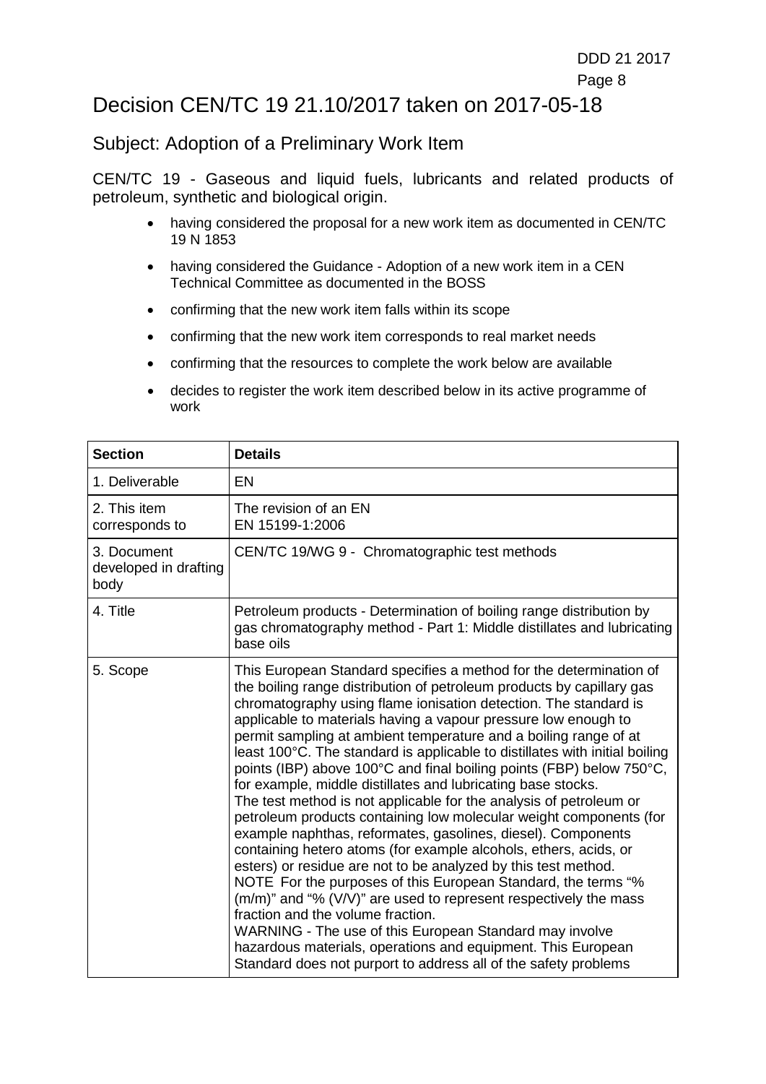### Decision CEN/TC 19 21.10/2017 taken on 2017-05-18

#### Subject: Adoption of a Preliminary Work Item

CEN/TC 19 - Gaseous and liquid fuels, lubricants and related products of petroleum, synthetic and biological origin.

- having considered the proposal for a new work item as documented in CEN/TC 19 N 1853
- having considered the Guidance Adoption of a new work item in a CEN Technical Committee as documented in the BOSS
- confirming that the new work item falls within its scope
- confirming that the new work item corresponds to real market needs
- confirming that the resources to complete the work below are available
- decides to register the work item described below in its active programme of work

| <b>Section</b>                               | <b>Details</b>                                                                                                                                                                                                                                                                                                                                                                                                                                                                                                                                                                                                                                                                                                                                                                                                                                                                                                                                                                                                                                                                                                                                                                                                                                                                                            |  |
|----------------------------------------------|-----------------------------------------------------------------------------------------------------------------------------------------------------------------------------------------------------------------------------------------------------------------------------------------------------------------------------------------------------------------------------------------------------------------------------------------------------------------------------------------------------------------------------------------------------------------------------------------------------------------------------------------------------------------------------------------------------------------------------------------------------------------------------------------------------------------------------------------------------------------------------------------------------------------------------------------------------------------------------------------------------------------------------------------------------------------------------------------------------------------------------------------------------------------------------------------------------------------------------------------------------------------------------------------------------------|--|
| 1. Deliverable                               | EN                                                                                                                                                                                                                                                                                                                                                                                                                                                                                                                                                                                                                                                                                                                                                                                                                                                                                                                                                                                                                                                                                                                                                                                                                                                                                                        |  |
| 2. This item<br>corresponds to               | The revision of an EN<br>EN 15199-1:2006                                                                                                                                                                                                                                                                                                                                                                                                                                                                                                                                                                                                                                                                                                                                                                                                                                                                                                                                                                                                                                                                                                                                                                                                                                                                  |  |
| 3. Document<br>developed in drafting<br>body | CEN/TC 19/WG 9 - Chromatographic test methods                                                                                                                                                                                                                                                                                                                                                                                                                                                                                                                                                                                                                                                                                                                                                                                                                                                                                                                                                                                                                                                                                                                                                                                                                                                             |  |
| 4. Title                                     | Petroleum products - Determination of boiling range distribution by<br>gas chromatography method - Part 1: Middle distillates and lubricating<br>base oils                                                                                                                                                                                                                                                                                                                                                                                                                                                                                                                                                                                                                                                                                                                                                                                                                                                                                                                                                                                                                                                                                                                                                |  |
| 5. Scope                                     | This European Standard specifies a method for the determination of<br>the boiling range distribution of petroleum products by capillary gas<br>chromatography using flame ionisation detection. The standard is<br>applicable to materials having a vapour pressure low enough to<br>permit sampling at ambient temperature and a boiling range of at<br>least 100°C. The standard is applicable to distillates with initial boiling<br>points (IBP) above 100°C and final boiling points (FBP) below 750°C,<br>for example, middle distillates and lubricating base stocks.<br>The test method is not applicable for the analysis of petroleum or<br>petroleum products containing low molecular weight components (for<br>example naphthas, reformates, gasolines, diesel). Components<br>containing hetero atoms (for example alcohols, ethers, acids, or<br>esters) or residue are not to be analyzed by this test method.<br>NOTE For the purposes of this European Standard, the terms "%<br>$(m/m)$ " and "% (V/V)" are used to represent respectively the mass<br>fraction and the volume fraction.<br>WARNING - The use of this European Standard may involve<br>hazardous materials, operations and equipment. This European<br>Standard does not purport to address all of the safety problems |  |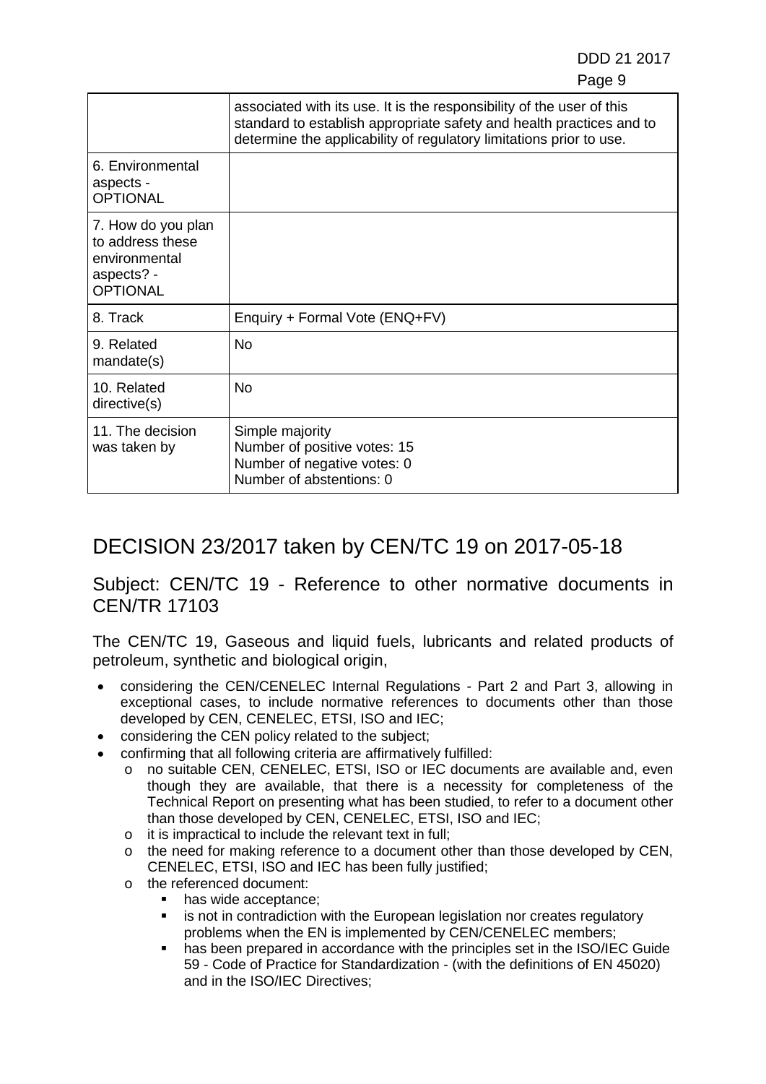DDD 21 2017 e de la provincia de la provincia de la provincia de la provincia de la provincia de la provincia de la provincia d

|                                                                                          | associated with its use. It is the responsibility of the user of this<br>standard to establish appropriate safety and health practices and to<br>determine the applicability of regulatory limitations prior to use. |
|------------------------------------------------------------------------------------------|----------------------------------------------------------------------------------------------------------------------------------------------------------------------------------------------------------------------|
| 6. Environmental<br>aspects -<br><b>OPTIONAL</b>                                         |                                                                                                                                                                                                                      |
| 7. How do you plan<br>to address these<br>environmental<br>aspects? -<br><b>OPTIONAL</b> |                                                                                                                                                                                                                      |
| 8. Track                                                                                 | Enquiry + Formal Vote (ENQ+FV)                                                                                                                                                                                       |
| 9. Related<br>mandate(s)                                                                 | No                                                                                                                                                                                                                   |
| 10. Related<br>directive(s)                                                              | No                                                                                                                                                                                                                   |
| 11. The decision<br>was taken by                                                         | Simple majority<br>Number of positive votes: 15<br>Number of negative votes: 0<br>Number of abstentions: 0                                                                                                           |

# DECISION 23/2017 taken by CEN/TC 19 on 2017-05-18

#### Subject: CEN/TC 19 - Reference to other normative documents in CEN/TR 17103

The CEN/TC 19, Gaseous and liquid fuels, lubricants and related products of petroleum, synthetic and biological origin,

- considering the CEN/CENELEC Internal Regulations Part 2 and Part 3, allowing in exceptional cases, to include normative references to documents other than those developed by CEN, CENELEC, ETSI, ISO and IEC;
- considering the CEN policy related to the subject;
- confirming that all following criteria are affirmatively fulfilled:
	- o no suitable CEN, CENELEC, ETSI, ISO or IEC documents are available and, even though they are available, that there is a necessity for completeness of the Technical Report on presenting what has been studied, to refer to a document other than those developed by CEN, CENELEC, ETSI, ISO and IEC;
	- o it is impractical to include the relevant text in full;
	- o the need for making reference to a document other than those developed by CEN, CENELEC, ETSI, ISO and IEC has been fully justified;
	- o the referenced document:
		- has wide acceptance:
		- **EXED** is not in contradiction with the European legislation nor creates regulatory problems when the EN is implemented by CEN/CENELEC members;
		- has been prepared in accordance with the principles set in the ISO/IEC Guide 59 - Code of Practice for Standardization - (with the definitions of EN 45020) and in the ISO/IEC Directives;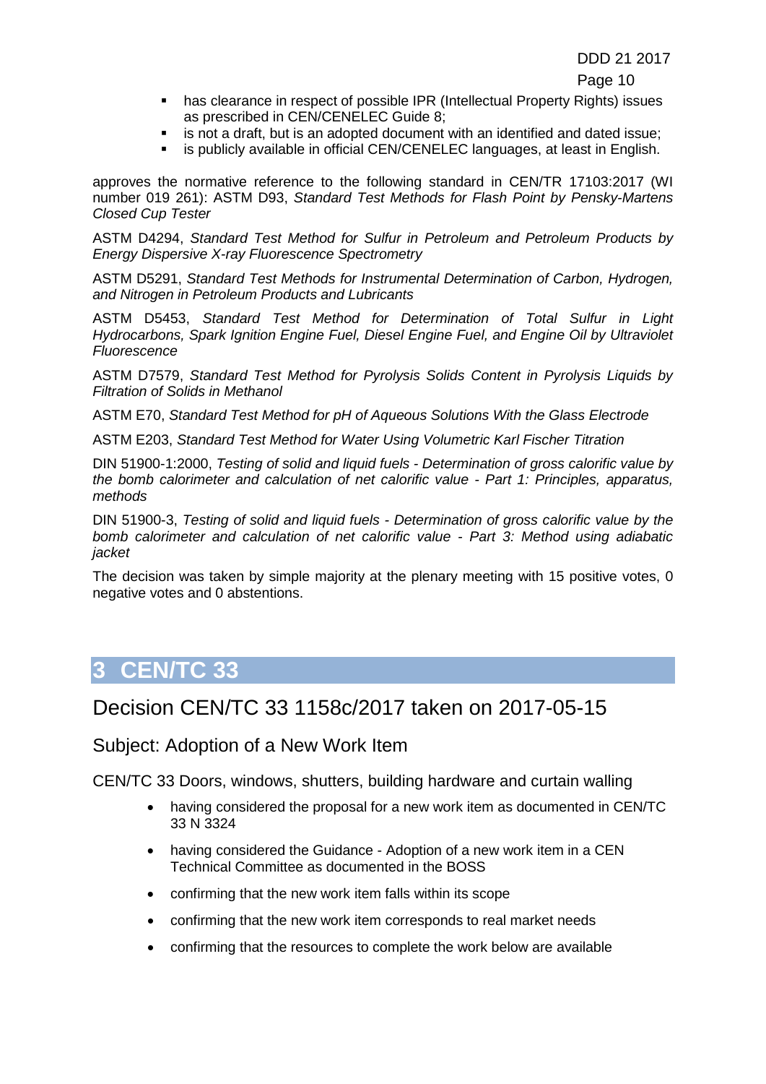e de la construction de la construction de la construction de la construction de la construction de la constru

- has clearance in respect of possible IPR (Intellectual Property Rights) issues as prescribed in CEN/CENELEC Guide 8;
- **EXECT** is not a draft, but is an adopted document with an identified and dated issue;
- **EXECT** is publicly available in official CEN/CENELEC languages, at least in English.

approves the normative reference to the following standard in CEN/TR 17103:2017 (WI number 019 261): ASTM D93, *Standard Test Methods for Flash Point by Pensky-Martens Closed Cup Tester*

ASTM D4294, *Standard Test Method for Sulfur in Petroleum and Petroleum Products by Energy Dispersive X-ray Fluorescence Spectrometry*

ASTM D5291, *Standard Test Methods for Instrumental Determination of Carbon, Hydrogen, and Nitrogen in Petroleum Products and Lubricants*

ASTM D5453, *Standard Test Method for Determination of Total Sulfur in Light Hydrocarbons, Spark Ignition Engine Fuel, Diesel Engine Fuel, and Engine Oil by Ultraviolet Fluorescence*

ASTM D7579, *Standard Test Method for Pyrolysis Solids Content in Pyrolysis Liquids by Filtration of Solids in Methanol*

ASTM E70, *Standard Test Method for pH of Aqueous Solutions With the Glass Electrode*

ASTM E203, *Standard Test Method for Water Using Volumetric Karl Fischer Titration*

DIN 51900-1:2000, *Testing of solid and liquid fuels - Determination of gross calorific value by the bomb calorimeter and calculation of net calorific value - Part 1: Principles, apparatus, methods*

DIN 51900-3, *Testing of solid and liquid fuels - Determination of gross calorific value by the bomb calorimeter and calculation of net calorific value - Part 3: Method using adiabatic jacket*

The decision was taken by simple majority at the plenary meeting with 15 positive votes, 0 negative votes and 0 abstentions.

## <span id="page-9-0"></span>**3 CEN/TC 33**

### Decision CEN/TC 33 1158c/2017 taken on 2017-05-15

#### Subject: Adoption of a New Work Item

- having considered the proposal for a new work item as documented in CEN/TC 33 N 3324
- having considered the Guidance Adoption of a new work item in a CEN Technical Committee as documented in the BOSS
- confirming that the new work item falls within its scope
- confirming that the new work item corresponds to real market needs
- confirming that the resources to complete the work below are available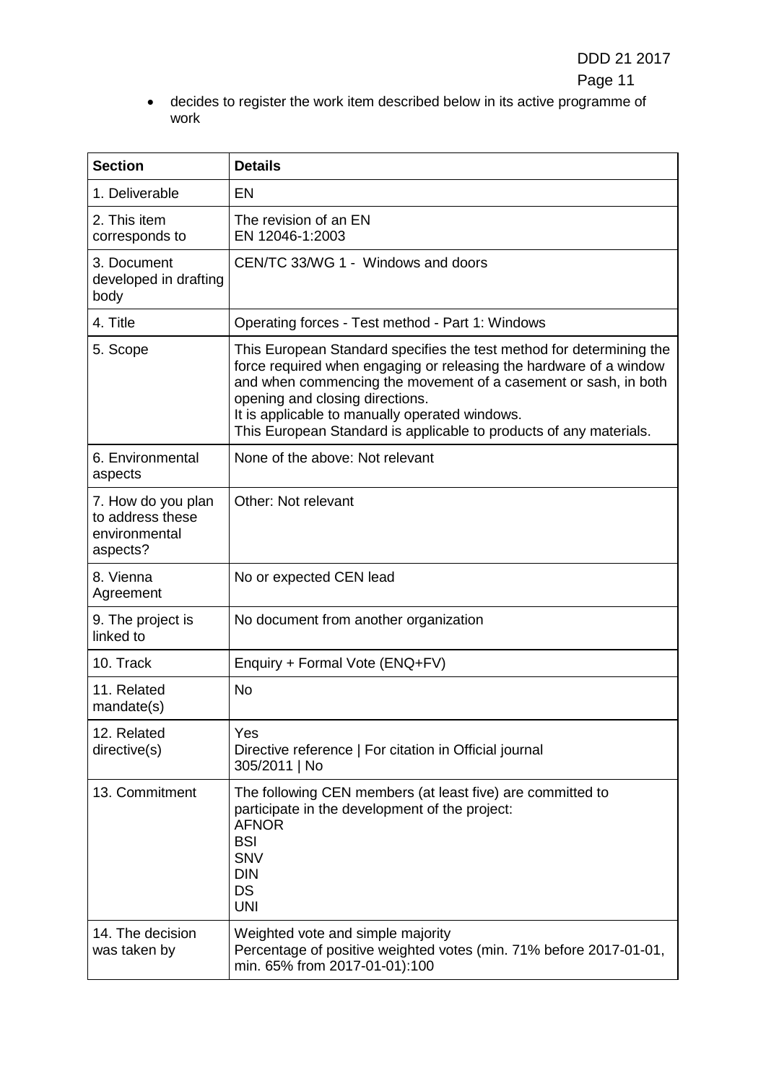• decides to register the work item described below in its active programme of work

| <b>Section</b>                                                      | <b>Details</b>                                                                                                                                                                                                                                                                                                                                                           |
|---------------------------------------------------------------------|--------------------------------------------------------------------------------------------------------------------------------------------------------------------------------------------------------------------------------------------------------------------------------------------------------------------------------------------------------------------------|
| 1. Deliverable                                                      | <b>EN</b>                                                                                                                                                                                                                                                                                                                                                                |
| 2. This item<br>corresponds to                                      | The revision of an EN<br>EN 12046-1:2003                                                                                                                                                                                                                                                                                                                                 |
| 3. Document<br>developed in drafting<br>body                        | CEN/TC 33/WG 1 - Windows and doors                                                                                                                                                                                                                                                                                                                                       |
| 4. Title                                                            | Operating forces - Test method - Part 1: Windows                                                                                                                                                                                                                                                                                                                         |
| 5. Scope                                                            | This European Standard specifies the test method for determining the<br>force required when engaging or releasing the hardware of a window<br>and when commencing the movement of a casement or sash, in both<br>opening and closing directions.<br>It is applicable to manually operated windows.<br>This European Standard is applicable to products of any materials. |
| 6. Environmental<br>aspects                                         | None of the above: Not relevant                                                                                                                                                                                                                                                                                                                                          |
| 7. How do you plan<br>to address these<br>environmental<br>aspects? | Other: Not relevant                                                                                                                                                                                                                                                                                                                                                      |
| 8. Vienna<br>Agreement                                              | No or expected CEN lead                                                                                                                                                                                                                                                                                                                                                  |
| 9. The project is<br>linked to                                      | No document from another organization                                                                                                                                                                                                                                                                                                                                    |
| 10. Track                                                           | Enquiry + Formal Vote (ENQ+FV)                                                                                                                                                                                                                                                                                                                                           |
| 11. Related<br>mandate(s)                                           | <b>No</b>                                                                                                                                                                                                                                                                                                                                                                |
| 12. Related<br>directive(s)                                         | Yes<br>Directive reference   For citation in Official journal<br>305/2011   No                                                                                                                                                                                                                                                                                           |
| 13. Commitment                                                      | The following CEN members (at least five) are committed to<br>participate in the development of the project:<br><b>AFNOR</b><br><b>BSI</b><br><b>SNV</b><br><b>DIN</b><br><b>DS</b><br><b>UNI</b>                                                                                                                                                                        |
| 14. The decision<br>was taken by                                    | Weighted vote and simple majority<br>Percentage of positive weighted votes (min. 71% before 2017-01-01,<br>min. 65% from 2017-01-01):100                                                                                                                                                                                                                                 |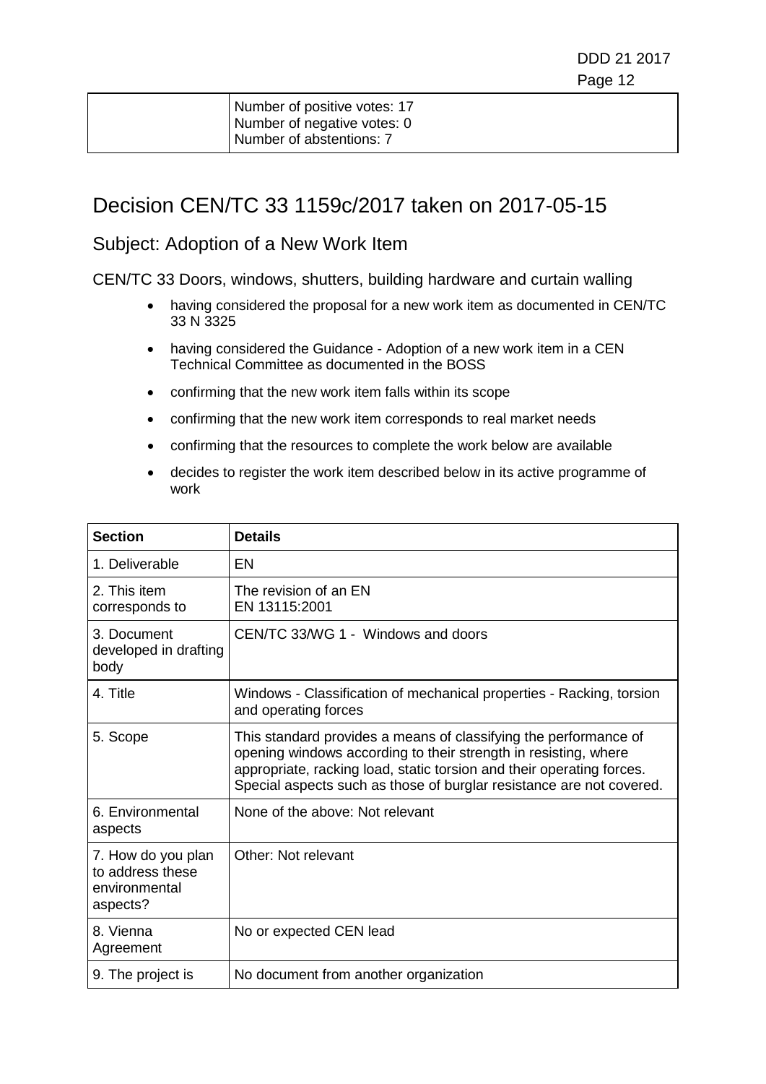| Number of positive votes: 17 |
|------------------------------|
| Number of negative votes: 0  |
| Number of abstentions: 7     |

### Decision CEN/TC 33 1159c/2017 taken on 2017-05-15

#### Subject: Adoption of a New Work Item

- having considered the proposal for a new work item as documented in CEN/TC 33 N 3325
- having considered the Guidance Adoption of a new work item in a CEN Technical Committee as documented in the BOSS
- confirming that the new work item falls within its scope
- confirming that the new work item corresponds to real market needs
- confirming that the resources to complete the work below are available
- decides to register the work item described below in its active programme of work

| <b>Section</b>                                                      | <b>Details</b>                                                                                                                                                                                                                                                                       |
|---------------------------------------------------------------------|--------------------------------------------------------------------------------------------------------------------------------------------------------------------------------------------------------------------------------------------------------------------------------------|
| 1. Deliverable                                                      | EN                                                                                                                                                                                                                                                                                   |
| 2. This item<br>corresponds to                                      | The revision of an EN<br>EN 13115:2001                                                                                                                                                                                                                                               |
| 3. Document<br>developed in drafting<br>body                        | CEN/TC 33/WG 1 - Windows and doors                                                                                                                                                                                                                                                   |
| 4. Title                                                            | Windows - Classification of mechanical properties - Racking, torsion<br>and operating forces                                                                                                                                                                                         |
| 5. Scope                                                            | This standard provides a means of classifying the performance of<br>opening windows according to their strength in resisting, where<br>appropriate, racking load, static torsion and their operating forces.<br>Special aspects such as those of burglar resistance are not covered. |
| 6. Environmental<br>aspects                                         | None of the above: Not relevant                                                                                                                                                                                                                                                      |
| 7. How do you plan<br>to address these<br>environmental<br>aspects? | Other: Not relevant                                                                                                                                                                                                                                                                  |
| 8. Vienna<br>Agreement                                              | No or expected CEN lead                                                                                                                                                                                                                                                              |
| 9. The project is                                                   | No document from another organization                                                                                                                                                                                                                                                |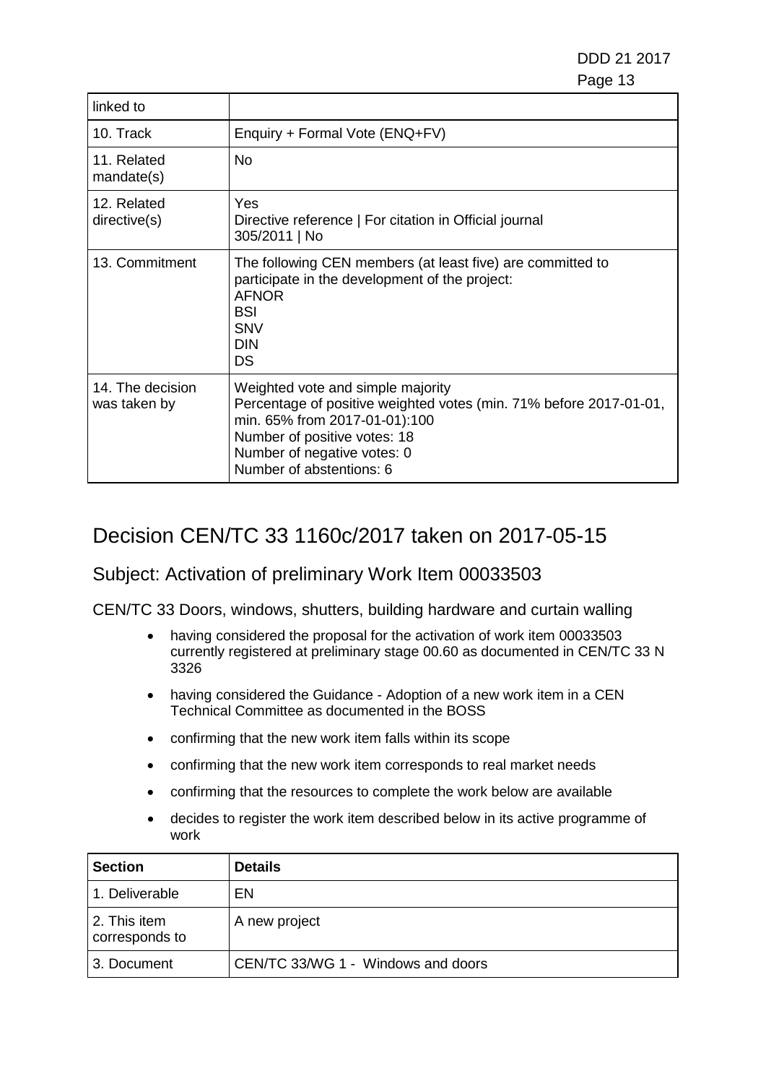| linked to                        |                                                                                                                                                                                                                                     |
|----------------------------------|-------------------------------------------------------------------------------------------------------------------------------------------------------------------------------------------------------------------------------------|
| 10. Track                        | Enquiry + Formal Vote (ENQ+FV)                                                                                                                                                                                                      |
| 11. Related<br>mandate(s)        | No.                                                                                                                                                                                                                                 |
| 12. Related<br>directive(s)      | Yes<br>Directive reference   For citation in Official journal<br>305/2011   No                                                                                                                                                      |
| 13. Commitment                   | The following CEN members (at least five) are committed to<br>participate in the development of the project:<br><b>AFNOR</b><br><b>BSI</b><br><b>SNV</b><br><b>DIN</b><br>DS                                                        |
| 14. The decision<br>was taken by | Weighted vote and simple majority<br>Percentage of positive weighted votes (min. 71% before 2017-01-01,<br>min. 65% from 2017-01-01):100<br>Number of positive votes: 18<br>Number of negative votes: 0<br>Number of abstentions: 6 |

### Decision CEN/TC 33 1160c/2017 taken on 2017-05-15

#### Subject: Activation of preliminary Work Item 00033503

- having considered the proposal for the activation of work item 00033503 currently registered at preliminary stage 00.60 as documented in CEN/TC 33 N 3326
- having considered the Guidance Adoption of a new work item in a CEN Technical Committee as documented in the BOSS
- confirming that the new work item falls within its scope
- confirming that the new work item corresponds to real market needs
- confirming that the resources to complete the work below are available
- decides to register the work item described below in its active programme of work

| <b>Section</b>                 | <b>Details</b>                     |
|--------------------------------|------------------------------------|
| 1. Deliverable                 | EN                                 |
| 2. This item<br>corresponds to | A new project                      |
| 3. Document                    | CEN/TC 33/WG 1 - Windows and doors |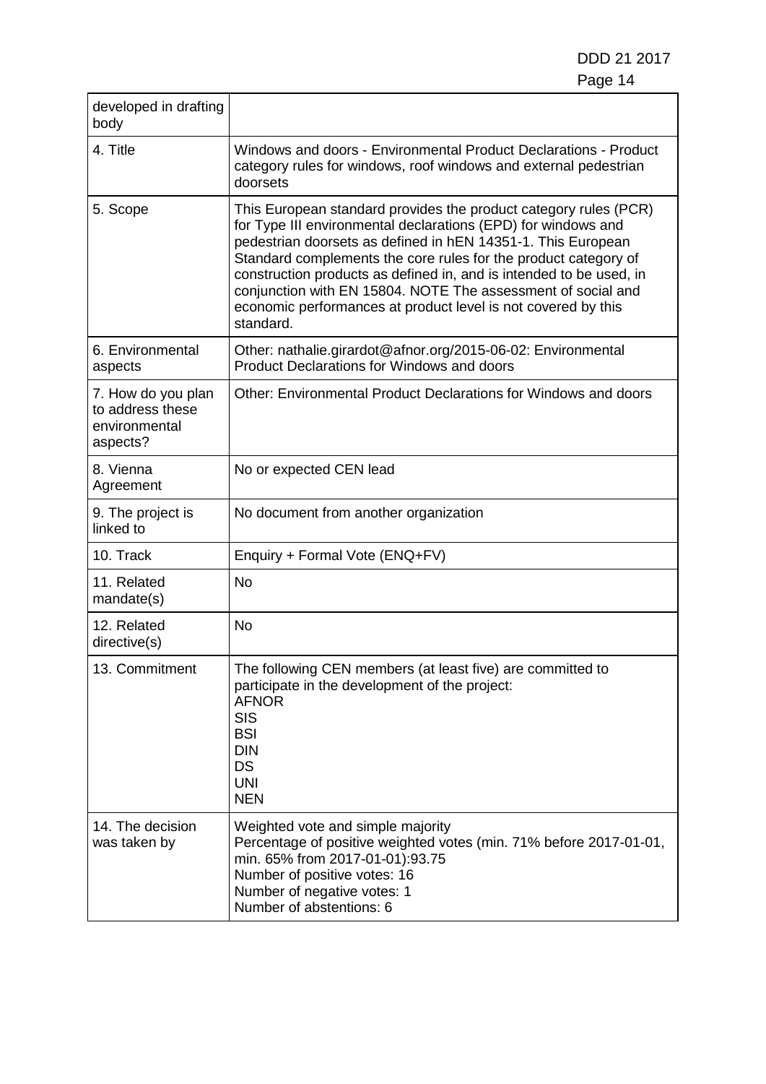| developed in drafting<br>body                                       |                                                                                                                                                                                                                                                                                                                                                                                                                                                                                           |  |
|---------------------------------------------------------------------|-------------------------------------------------------------------------------------------------------------------------------------------------------------------------------------------------------------------------------------------------------------------------------------------------------------------------------------------------------------------------------------------------------------------------------------------------------------------------------------------|--|
| 4. Title                                                            | Windows and doors - Environmental Product Declarations - Product<br>category rules for windows, roof windows and external pedestrian<br>doorsets                                                                                                                                                                                                                                                                                                                                          |  |
| 5. Scope                                                            | This European standard provides the product category rules (PCR)<br>for Type III environmental declarations (EPD) for windows and<br>pedestrian doorsets as defined in hEN 14351-1. This European<br>Standard complements the core rules for the product category of<br>construction products as defined in, and is intended to be used, in<br>conjunction with EN 15804. NOTE The assessment of social and<br>economic performances at product level is not covered by this<br>standard. |  |
| 6. Environmental<br>aspects                                         | Other: nathalie.girardot@afnor.org/2015-06-02: Environmental<br><b>Product Declarations for Windows and doors</b>                                                                                                                                                                                                                                                                                                                                                                         |  |
| 7. How do you plan<br>to address these<br>environmental<br>aspects? | Other: Environmental Product Declarations for Windows and doors                                                                                                                                                                                                                                                                                                                                                                                                                           |  |
| 8. Vienna<br>Agreement                                              | No or expected CEN lead                                                                                                                                                                                                                                                                                                                                                                                                                                                                   |  |
| 9. The project is<br>linked to                                      | No document from another organization                                                                                                                                                                                                                                                                                                                                                                                                                                                     |  |
| 10. Track                                                           | Enquiry + Formal Vote (ENQ+FV)                                                                                                                                                                                                                                                                                                                                                                                                                                                            |  |
| 11. Related<br>mandate(s)                                           | <b>No</b>                                                                                                                                                                                                                                                                                                                                                                                                                                                                                 |  |
| 12. Related<br>directive(s)                                         | <b>No</b>                                                                                                                                                                                                                                                                                                                                                                                                                                                                                 |  |
| 13. Commitment                                                      | The following CEN members (at least five) are committed to<br>participate in the development of the project:<br><b>AFNOR</b><br><b>SIS</b><br><b>BSI</b><br><b>DIN</b><br>DS<br><b>UNI</b><br><b>NEN</b>                                                                                                                                                                                                                                                                                  |  |
| 14. The decision<br>was taken by                                    | Weighted vote and simple majority<br>Percentage of positive weighted votes (min. 71% before 2017-01-01,<br>min. 65% from 2017-01-01):93.75<br>Number of positive votes: 16<br>Number of negative votes: 1<br>Number of abstentions: 6                                                                                                                                                                                                                                                     |  |

Г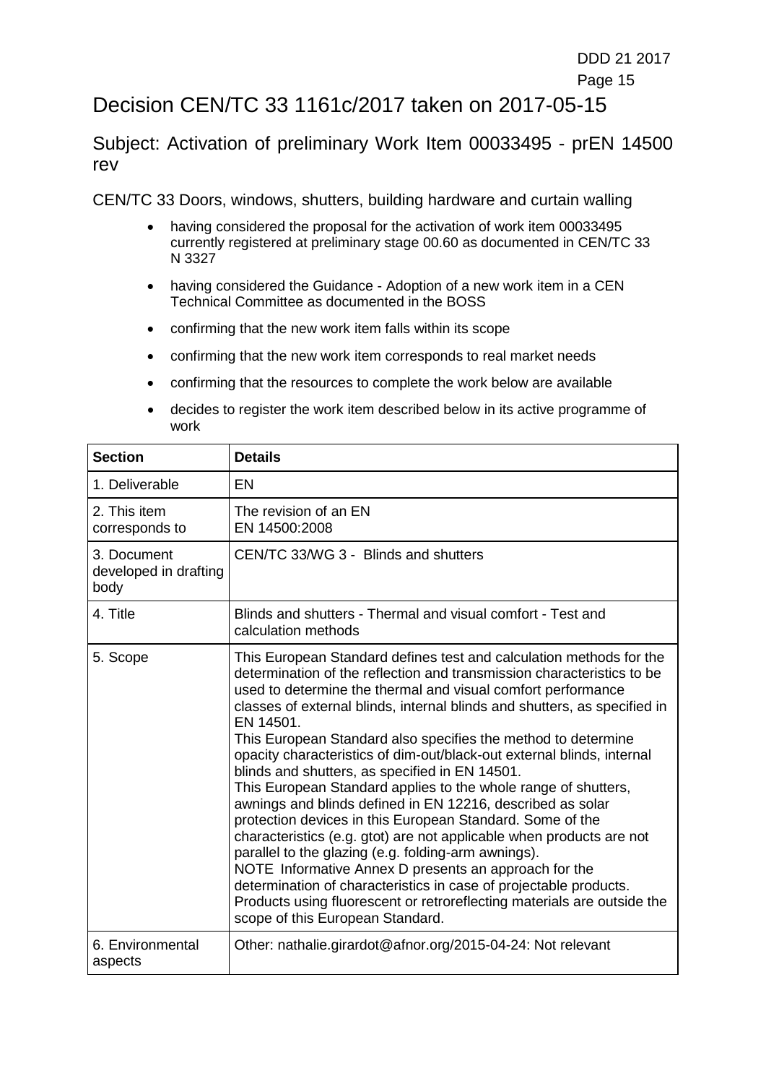#### e de la construction de la construction de la construction de la construction de la construction de la constru

## Decision CEN/TC 33 1161c/2017 taken on 2017-05-15

Subject: Activation of preliminary Work Item 00033495 - prEN 14500 rev

- having considered the proposal for the activation of work item 00033495 currently registered at preliminary stage 00.60 as documented in CEN/TC 33 N 3327
- having considered the Guidance Adoption of a new work item in a CEN Technical Committee as documented in the BOSS
- confirming that the new work item falls within its scope
- confirming that the new work item corresponds to real market needs
- confirming that the resources to complete the work below are available
- decides to register the work item described below in its active programme of work

| <b>Section</b>                               | <b>Details</b>                                                                                                                                                                                                                                                                                                                                                                                                                                                                                                                                                                                                                                                                                                                                                                                                                                                                                                                                                                                                                                                                |
|----------------------------------------------|-------------------------------------------------------------------------------------------------------------------------------------------------------------------------------------------------------------------------------------------------------------------------------------------------------------------------------------------------------------------------------------------------------------------------------------------------------------------------------------------------------------------------------------------------------------------------------------------------------------------------------------------------------------------------------------------------------------------------------------------------------------------------------------------------------------------------------------------------------------------------------------------------------------------------------------------------------------------------------------------------------------------------------------------------------------------------------|
| 1. Deliverable                               | EN                                                                                                                                                                                                                                                                                                                                                                                                                                                                                                                                                                                                                                                                                                                                                                                                                                                                                                                                                                                                                                                                            |
| 2. This item<br>corresponds to               | The revision of an EN<br>EN 14500:2008                                                                                                                                                                                                                                                                                                                                                                                                                                                                                                                                                                                                                                                                                                                                                                                                                                                                                                                                                                                                                                        |
| 3. Document<br>developed in drafting<br>body | CEN/TC 33/WG 3 - Blinds and shutters                                                                                                                                                                                                                                                                                                                                                                                                                                                                                                                                                                                                                                                                                                                                                                                                                                                                                                                                                                                                                                          |
| 4. Title                                     | Blinds and shutters - Thermal and visual comfort - Test and<br>calculation methods                                                                                                                                                                                                                                                                                                                                                                                                                                                                                                                                                                                                                                                                                                                                                                                                                                                                                                                                                                                            |
| 5. Scope                                     | This European Standard defines test and calculation methods for the<br>determination of the reflection and transmission characteristics to be<br>used to determine the thermal and visual comfort performance<br>classes of external blinds, internal blinds and shutters, as specified in<br>EN 14501.<br>This European Standard also specifies the method to determine<br>opacity characteristics of dim-out/black-out external blinds, internal<br>blinds and shutters, as specified in EN 14501.<br>This European Standard applies to the whole range of shutters,<br>awnings and blinds defined in EN 12216, described as solar<br>protection devices in this European Standard. Some of the<br>characteristics (e.g. gtot) are not applicable when products are not<br>parallel to the glazing (e.g. folding-arm awnings).<br>NOTE Informative Annex D presents an approach for the<br>determination of characteristics in case of projectable products.<br>Products using fluorescent or retroreflecting materials are outside the<br>scope of this European Standard. |
| 6. Environmental<br>aspects                  | Other: nathalie.girardot@afnor.org/2015-04-24: Not relevant                                                                                                                                                                                                                                                                                                                                                                                                                                                                                                                                                                                                                                                                                                                                                                                                                                                                                                                                                                                                                   |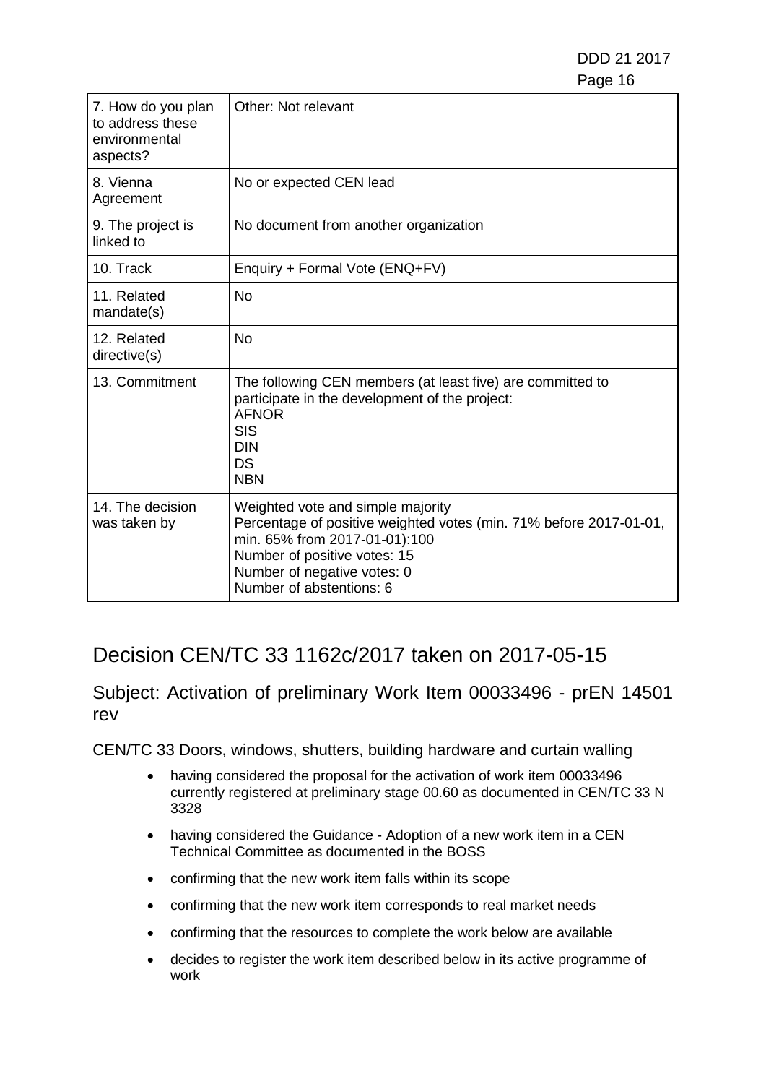| 7. How do you plan<br>to address these<br>environmental<br>aspects? | Other: Not relevant                                                                                                                                                                                                                 |
|---------------------------------------------------------------------|-------------------------------------------------------------------------------------------------------------------------------------------------------------------------------------------------------------------------------------|
| 8. Vienna<br>Agreement                                              | No or expected CEN lead                                                                                                                                                                                                             |
| 9. The project is<br>linked to                                      | No document from another organization                                                                                                                                                                                               |
| 10. Track                                                           | Enquiry + Formal Vote (ENQ+FV)                                                                                                                                                                                                      |
| 11. Related<br>mandate(s)                                           | <b>No</b>                                                                                                                                                                                                                           |
| 12. Related<br>directive(s)                                         | <b>No</b>                                                                                                                                                                                                                           |
| 13. Commitment                                                      | The following CEN members (at least five) are committed to<br>participate in the development of the project:<br><b>AFNOR</b><br><b>SIS</b><br><b>DIN</b><br>DS<br><b>NBN</b>                                                        |
| 14. The decision<br>was taken by                                    | Weighted vote and simple majority<br>Percentage of positive weighted votes (min. 71% before 2017-01-01,<br>min. 65% from 2017-01-01):100<br>Number of positive votes: 15<br>Number of negative votes: 0<br>Number of abstentions: 6 |

## Decision CEN/TC 33 1162c/2017 taken on 2017-05-15

Subject: Activation of preliminary Work Item 00033496 - prEN 14501 rev

- having considered the proposal for the activation of work item 00033496 currently registered at preliminary stage 00.60 as documented in CEN/TC 33 N 3328
- having considered the Guidance Adoption of a new work item in a CEN Technical Committee as documented in the BOSS
- confirming that the new work item falls within its scope
- confirming that the new work item corresponds to real market needs
- confirming that the resources to complete the work below are available
- decides to register the work item described below in its active programme of work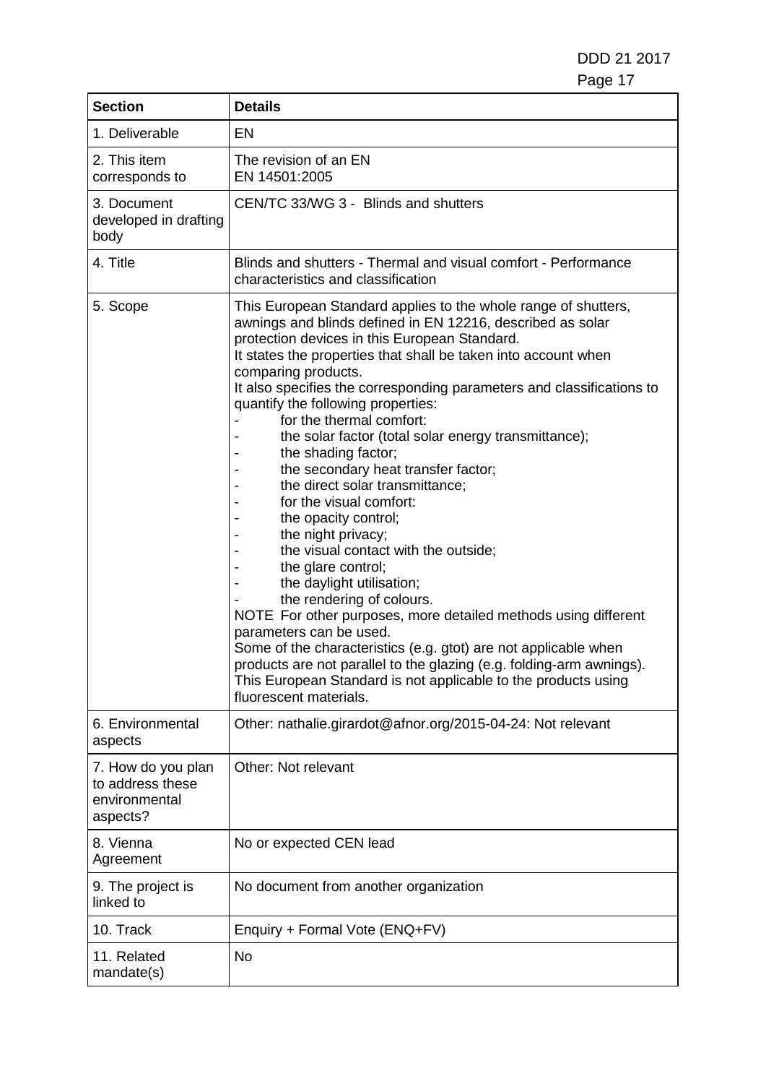DDD 21 2017 Page 17

| <b>Section</b>                                                      | <b>Details</b>                                                                                                                                                                                                                                                                                                                                                                                                                                                                                                                                                                                                                                                                                                                                                                                                                                                                                                                                                                                                                                                                                                  |  |
|---------------------------------------------------------------------|-----------------------------------------------------------------------------------------------------------------------------------------------------------------------------------------------------------------------------------------------------------------------------------------------------------------------------------------------------------------------------------------------------------------------------------------------------------------------------------------------------------------------------------------------------------------------------------------------------------------------------------------------------------------------------------------------------------------------------------------------------------------------------------------------------------------------------------------------------------------------------------------------------------------------------------------------------------------------------------------------------------------------------------------------------------------------------------------------------------------|--|
| 1. Deliverable                                                      | <b>EN</b>                                                                                                                                                                                                                                                                                                                                                                                                                                                                                                                                                                                                                                                                                                                                                                                                                                                                                                                                                                                                                                                                                                       |  |
| 2. This item<br>corresponds to                                      | The revision of an EN<br>EN 14501:2005                                                                                                                                                                                                                                                                                                                                                                                                                                                                                                                                                                                                                                                                                                                                                                                                                                                                                                                                                                                                                                                                          |  |
| 3. Document<br>developed in drafting<br>body                        | CEN/TC 33/WG 3 - Blinds and shutters                                                                                                                                                                                                                                                                                                                                                                                                                                                                                                                                                                                                                                                                                                                                                                                                                                                                                                                                                                                                                                                                            |  |
| 4. Title                                                            | Blinds and shutters - Thermal and visual comfort - Performance<br>characteristics and classification                                                                                                                                                                                                                                                                                                                                                                                                                                                                                                                                                                                                                                                                                                                                                                                                                                                                                                                                                                                                            |  |
| 5. Scope                                                            | This European Standard applies to the whole range of shutters,<br>awnings and blinds defined in EN 12216, described as solar<br>protection devices in this European Standard.<br>It states the properties that shall be taken into account when<br>comparing products.<br>It also specifies the corresponding parameters and classifications to<br>quantify the following properties:<br>for the thermal comfort:<br>the solar factor (total solar energy transmittance);<br>the shading factor;<br>the secondary heat transfer factor;<br>the direct solar transmittance;<br>for the visual comfort:<br>the opacity control;<br>the night privacy;<br>the visual contact with the outside;<br>the glare control;<br>the daylight utilisation;<br>the rendering of colours.<br>NOTE For other purposes, more detailed methods using different<br>parameters can be used.<br>Some of the characteristics (e.g. gtot) are not applicable when<br>products are not parallel to the glazing (e.g. folding-arm awnings).<br>This European Standard is not applicable to the products using<br>fluorescent materials. |  |
| 6. Environmental<br>aspects                                         | Other: nathalie.girardot@afnor.org/2015-04-24: Not relevant                                                                                                                                                                                                                                                                                                                                                                                                                                                                                                                                                                                                                                                                                                                                                                                                                                                                                                                                                                                                                                                     |  |
| 7. How do you plan<br>to address these<br>environmental<br>aspects? | Other: Not relevant                                                                                                                                                                                                                                                                                                                                                                                                                                                                                                                                                                                                                                                                                                                                                                                                                                                                                                                                                                                                                                                                                             |  |
| 8. Vienna<br>Agreement                                              | No or expected CEN lead                                                                                                                                                                                                                                                                                                                                                                                                                                                                                                                                                                                                                                                                                                                                                                                                                                                                                                                                                                                                                                                                                         |  |
| 9. The project is<br>linked to                                      | No document from another organization                                                                                                                                                                                                                                                                                                                                                                                                                                                                                                                                                                                                                                                                                                                                                                                                                                                                                                                                                                                                                                                                           |  |
| 10. Track                                                           | Enquiry + Formal Vote (ENQ+FV)                                                                                                                                                                                                                                                                                                                                                                                                                                                                                                                                                                                                                                                                                                                                                                                                                                                                                                                                                                                                                                                                                  |  |
| 11. Related<br>mandate(s)                                           | <b>No</b>                                                                                                                                                                                                                                                                                                                                                                                                                                                                                                                                                                                                                                                                                                                                                                                                                                                                                                                                                                                                                                                                                                       |  |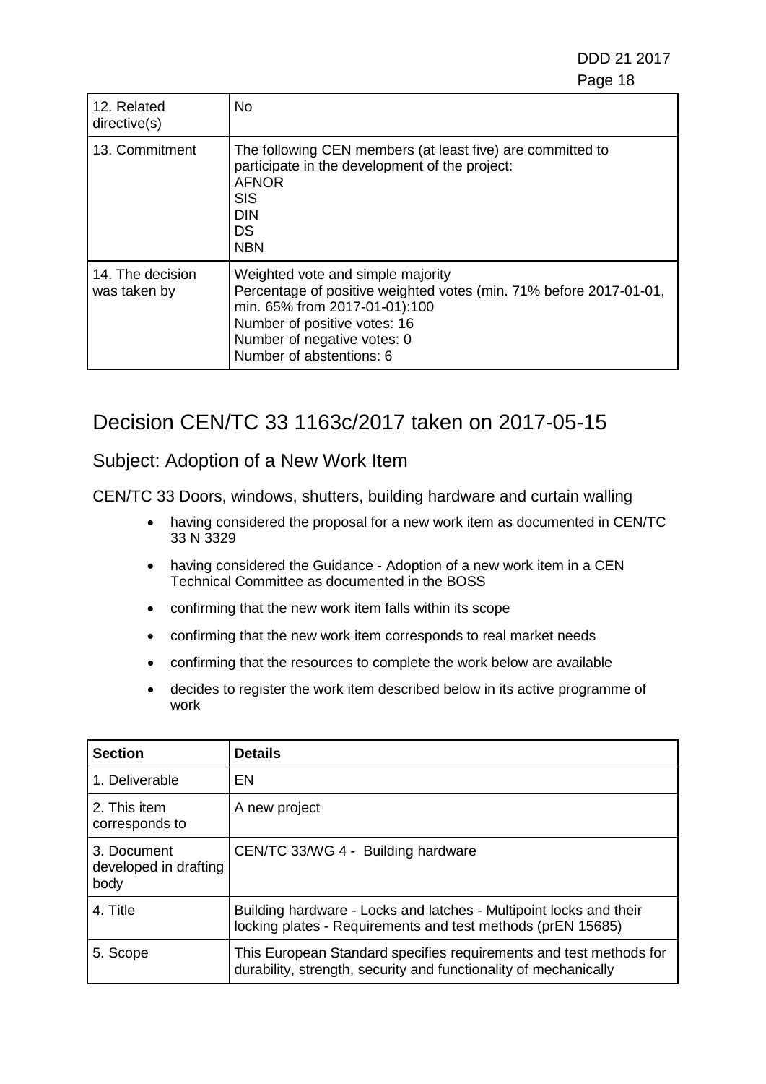DDD 21 2017 e de la construction de la construction de la construction de la construction de la construction de la constru

| 12. Related<br>directive(s)      | <b>No</b>                                                                                                                                                                                                                           |
|----------------------------------|-------------------------------------------------------------------------------------------------------------------------------------------------------------------------------------------------------------------------------------|
| 13. Commitment                   | The following CEN members (at least five) are committed to<br>participate in the development of the project:<br><b>AFNOR</b><br><b>SIS</b><br><b>DIN</b><br><b>DS</b><br><b>NBN</b>                                                 |
| 14. The decision<br>was taken by | Weighted vote and simple majority<br>Percentage of positive weighted votes (min. 71% before 2017-01-01,<br>min. 65% from 2017-01-01):100<br>Number of positive votes: 16<br>Number of negative votes: 0<br>Number of abstentions: 6 |

## Decision CEN/TC 33 1163c/2017 taken on 2017-05-15

#### Subject: Adoption of a New Work Item

- having considered the proposal for a new work item as documented in CEN/TC 33 N 3329
- having considered the Guidance Adoption of a new work item in a CEN Technical Committee as documented in the BOSS
- confirming that the new work item falls within its scope
- confirming that the new work item corresponds to real market needs
- confirming that the resources to complete the work below are available
- decides to register the work item described below in its active programme of work

| <b>Section</b>                               | <b>Details</b>                                                                                                                         |
|----------------------------------------------|----------------------------------------------------------------------------------------------------------------------------------------|
| 1. Deliverable                               | EN                                                                                                                                     |
| 2. This item<br>corresponds to               | A new project                                                                                                                          |
| 3. Document<br>developed in drafting<br>body | CEN/TC 33/WG 4 - Building hardware                                                                                                     |
| 4. Title                                     | Building hardware - Locks and latches - Multipoint locks and their<br>locking plates - Requirements and test methods (prEN 15685)      |
| 5. Scope                                     | This European Standard specifies requirements and test methods for<br>durability, strength, security and functionality of mechanically |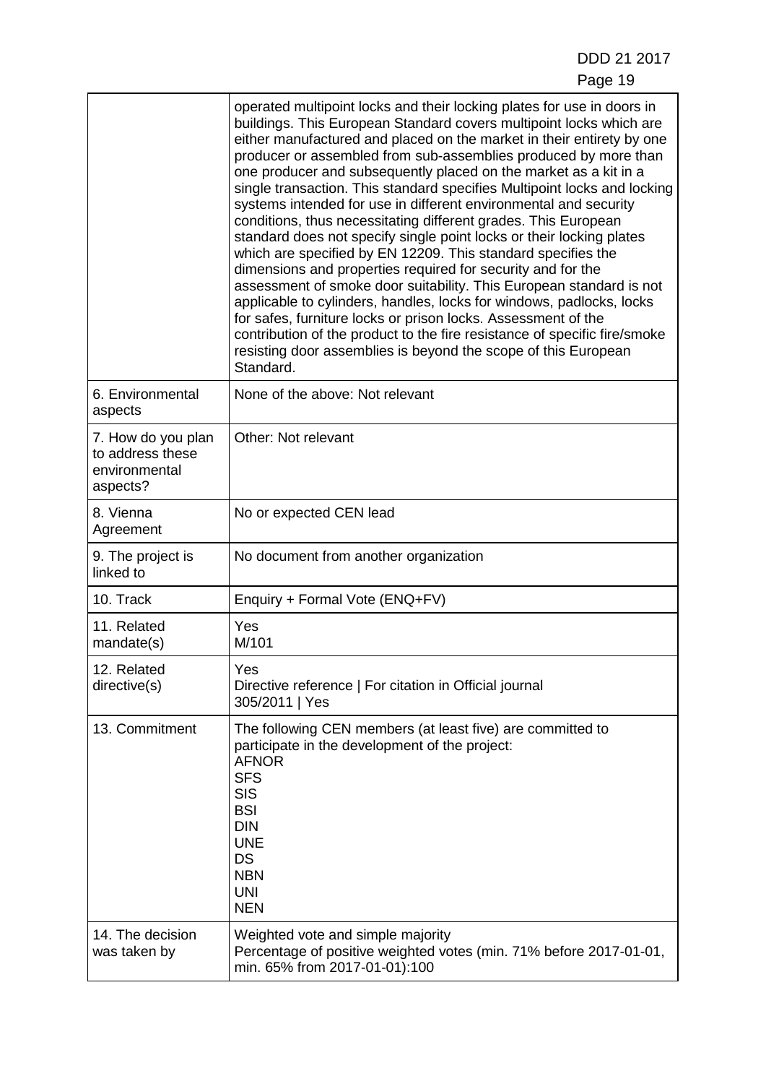|                                                                     | operated multipoint locks and their locking plates for use in doors in<br>buildings. This European Standard covers multipoint locks which are<br>either manufactured and placed on the market in their entirety by one<br>producer or assembled from sub-assemblies produced by more than<br>one producer and subsequently placed on the market as a kit in a<br>single transaction. This standard specifies Multipoint locks and locking<br>systems intended for use in different environmental and security<br>conditions, thus necessitating different grades. This European<br>standard does not specify single point locks or their locking plates<br>which are specified by EN 12209. This standard specifies the<br>dimensions and properties required for security and for the<br>assessment of smoke door suitability. This European standard is not<br>applicable to cylinders, handles, locks for windows, padlocks, locks<br>for safes, furniture locks or prison locks. Assessment of the<br>contribution of the product to the fire resistance of specific fire/smoke<br>resisting door assemblies is beyond the scope of this European<br>Standard. |  |
|---------------------------------------------------------------------|--------------------------------------------------------------------------------------------------------------------------------------------------------------------------------------------------------------------------------------------------------------------------------------------------------------------------------------------------------------------------------------------------------------------------------------------------------------------------------------------------------------------------------------------------------------------------------------------------------------------------------------------------------------------------------------------------------------------------------------------------------------------------------------------------------------------------------------------------------------------------------------------------------------------------------------------------------------------------------------------------------------------------------------------------------------------------------------------------------------------------------------------------------------------|--|
| 6. Environmental<br>aspects                                         | None of the above: Not relevant                                                                                                                                                                                                                                                                                                                                                                                                                                                                                                                                                                                                                                                                                                                                                                                                                                                                                                                                                                                                                                                                                                                                    |  |
| 7. How do you plan<br>to address these<br>environmental<br>aspects? | Other: Not relevant                                                                                                                                                                                                                                                                                                                                                                                                                                                                                                                                                                                                                                                                                                                                                                                                                                                                                                                                                                                                                                                                                                                                                |  |
| 8. Vienna<br>Agreement                                              | No or expected CEN lead                                                                                                                                                                                                                                                                                                                                                                                                                                                                                                                                                                                                                                                                                                                                                                                                                                                                                                                                                                                                                                                                                                                                            |  |
| 9. The project is<br>linked to                                      | No document from another organization                                                                                                                                                                                                                                                                                                                                                                                                                                                                                                                                                                                                                                                                                                                                                                                                                                                                                                                                                                                                                                                                                                                              |  |
| 10. Track                                                           | Enquiry + Formal Vote (ENQ+FV)                                                                                                                                                                                                                                                                                                                                                                                                                                                                                                                                                                                                                                                                                                                                                                                                                                                                                                                                                                                                                                                                                                                                     |  |
| 11. Related<br>mandate(s)                                           | Yes<br>M/101                                                                                                                                                                                                                                                                                                                                                                                                                                                                                                                                                                                                                                                                                                                                                                                                                                                                                                                                                                                                                                                                                                                                                       |  |
| 12. Related<br>directive(s)                                         | Yes<br>Directive reference   For citation in Official journal<br>305/2011   Yes                                                                                                                                                                                                                                                                                                                                                                                                                                                                                                                                                                                                                                                                                                                                                                                                                                                                                                                                                                                                                                                                                    |  |
| 13. Commitment                                                      | The following CEN members (at least five) are committed to<br>participate in the development of the project:<br><b>AFNOR</b><br><b>SFS</b><br><b>SIS</b><br><b>BSI</b><br><b>DIN</b><br><b>UNE</b><br><b>DS</b><br><b>NBN</b><br><b>UNI</b><br><b>NEN</b>                                                                                                                                                                                                                                                                                                                                                                                                                                                                                                                                                                                                                                                                                                                                                                                                                                                                                                          |  |
| 14. The decision<br>was taken by                                    | Weighted vote and simple majority<br>Percentage of positive weighted votes (min. 71% before 2017-01-01,<br>min. 65% from 2017-01-01):100                                                                                                                                                                                                                                                                                                                                                                                                                                                                                                                                                                                                                                                                                                                                                                                                                                                                                                                                                                                                                           |  |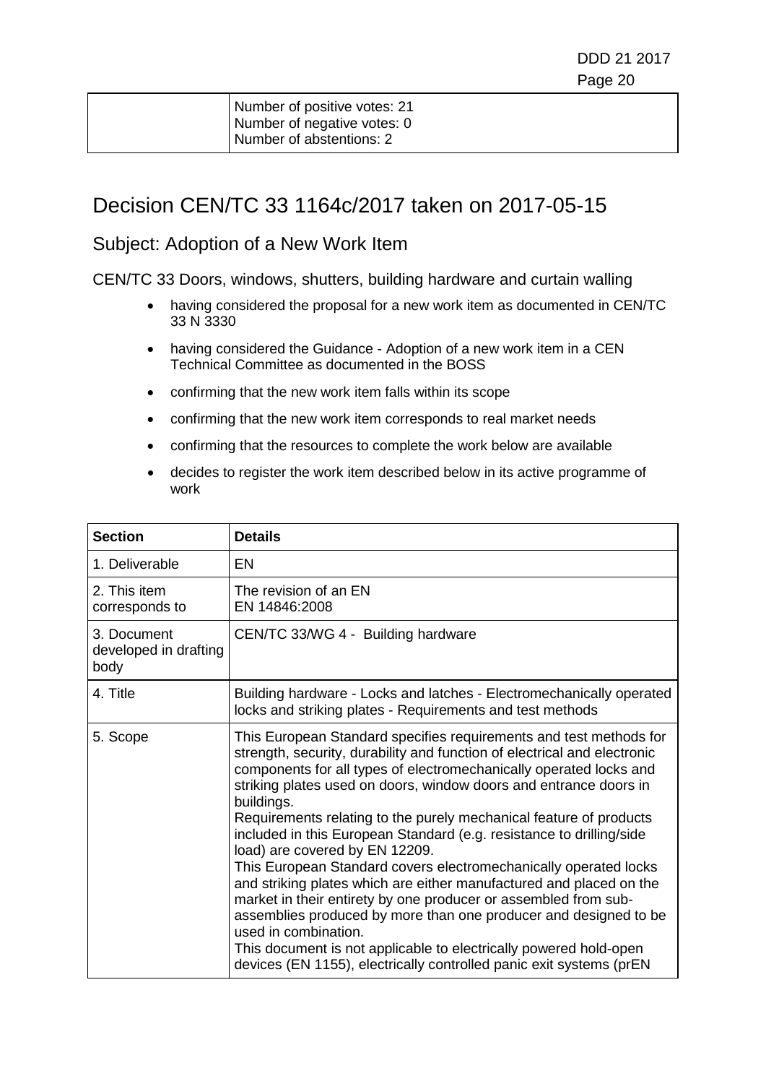| Number of positive votes: 21 |
|------------------------------|
| Number of negative votes: 0  |
| Number of abstentions: 2     |

### Decision CEN/TC 33 1164c/2017 taken on 2017-05-15

#### Subject: Adoption of a New Work Item

- having considered the proposal for a new work item as documented in CEN/TC 33 N 3330
- having considered the Guidance Adoption of a new work item in a CEN Technical Committee as documented in the BOSS
- confirming that the new work item falls within its scope
- confirming that the new work item corresponds to real market needs
- confirming that the resources to complete the work below are available
- decides to register the work item described below in its active programme of work

| <b>Section</b>                               | <b>Details</b>                                                                                                                                                                                                                                                                                                                                                                                                                                                                                                                                                                                                                                                                                                                                                                                                                                                                                                                                |
|----------------------------------------------|-----------------------------------------------------------------------------------------------------------------------------------------------------------------------------------------------------------------------------------------------------------------------------------------------------------------------------------------------------------------------------------------------------------------------------------------------------------------------------------------------------------------------------------------------------------------------------------------------------------------------------------------------------------------------------------------------------------------------------------------------------------------------------------------------------------------------------------------------------------------------------------------------------------------------------------------------|
| 1. Deliverable                               | EN                                                                                                                                                                                                                                                                                                                                                                                                                                                                                                                                                                                                                                                                                                                                                                                                                                                                                                                                            |
| 2. This item<br>corresponds to               | The revision of an EN<br>EN 14846:2008                                                                                                                                                                                                                                                                                                                                                                                                                                                                                                                                                                                                                                                                                                                                                                                                                                                                                                        |
| 3. Document<br>developed in drafting<br>body | CEN/TC 33/WG 4 - Building hardware                                                                                                                                                                                                                                                                                                                                                                                                                                                                                                                                                                                                                                                                                                                                                                                                                                                                                                            |
| 4. Title                                     | Building hardware - Locks and latches - Electromechanically operated<br>locks and striking plates - Requirements and test methods                                                                                                                                                                                                                                                                                                                                                                                                                                                                                                                                                                                                                                                                                                                                                                                                             |
| 5. Scope                                     | This European Standard specifies requirements and test methods for<br>strength, security, durability and function of electrical and electronic<br>components for all types of electromechanically operated locks and<br>striking plates used on doors, window doors and entrance doors in<br>buildings.<br>Requirements relating to the purely mechanical feature of products<br>included in this European Standard (e.g. resistance to drilling/side<br>load) are covered by EN 12209.<br>This European Standard covers electromechanically operated locks<br>and striking plates which are either manufactured and placed on the<br>market in their entirety by one producer or assembled from sub-<br>assemblies produced by more than one producer and designed to be<br>used in combination.<br>This document is not applicable to electrically powered hold-open<br>devices (EN 1155), electrically controlled panic exit systems (prEN |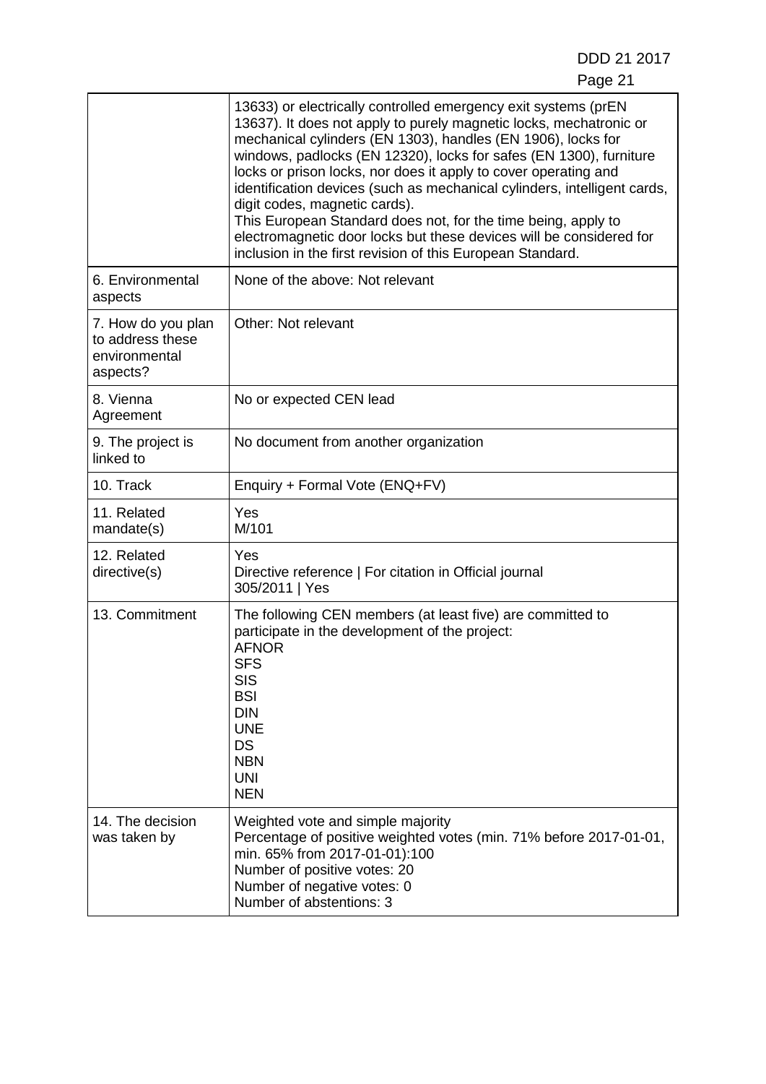DDD 21 2017 Page 21

|                                                                     | 13633) or electrically controlled emergency exit systems (prEN<br>13637). It does not apply to purely magnetic locks, mechatronic or<br>mechanical cylinders (EN 1303), handles (EN 1906), locks for<br>windows, padlocks (EN 12320), locks for safes (EN 1300), furniture<br>locks or prison locks, nor does it apply to cover operating and<br>identification devices (such as mechanical cylinders, intelligent cards,<br>digit codes, magnetic cards).<br>This European Standard does not, for the time being, apply to<br>electromagnetic door locks but these devices will be considered for<br>inclusion in the first revision of this European Standard. |
|---------------------------------------------------------------------|------------------------------------------------------------------------------------------------------------------------------------------------------------------------------------------------------------------------------------------------------------------------------------------------------------------------------------------------------------------------------------------------------------------------------------------------------------------------------------------------------------------------------------------------------------------------------------------------------------------------------------------------------------------|
| 6. Environmental<br>aspects                                         | None of the above: Not relevant                                                                                                                                                                                                                                                                                                                                                                                                                                                                                                                                                                                                                                  |
| 7. How do you plan<br>to address these<br>environmental<br>aspects? | Other: Not relevant                                                                                                                                                                                                                                                                                                                                                                                                                                                                                                                                                                                                                                              |
| 8. Vienna<br>Agreement                                              | No or expected CEN lead                                                                                                                                                                                                                                                                                                                                                                                                                                                                                                                                                                                                                                          |
| 9. The project is<br>linked to                                      | No document from another organization                                                                                                                                                                                                                                                                                                                                                                                                                                                                                                                                                                                                                            |
| 10. Track                                                           | Enquiry + Formal Vote (ENQ+FV)                                                                                                                                                                                                                                                                                                                                                                                                                                                                                                                                                                                                                                   |
| 11. Related<br>mandate(s)                                           | <b>Yes</b><br>M/101                                                                                                                                                                                                                                                                                                                                                                                                                                                                                                                                                                                                                                              |
| 12. Related<br>directive(s)                                         | Yes<br>Directive reference   For citation in Official journal<br>305/2011   Yes                                                                                                                                                                                                                                                                                                                                                                                                                                                                                                                                                                                  |
| 13. Commitment                                                      | The following CEN members (at least five) are committed to<br>participate in the development of the project:<br><b>AFNOR</b><br><b>SFS</b><br><b>SIS</b><br><b>BSI</b><br><b>DIN</b><br><b>UNE</b><br><b>DS</b><br><b>NBN</b><br><b>UNI</b><br><b>NEN</b>                                                                                                                                                                                                                                                                                                                                                                                                        |
| 14. The decision<br>was taken by                                    | Weighted vote and simple majority<br>Percentage of positive weighted votes (min. 71% before 2017-01-01,<br>min. 65% from 2017-01-01):100<br>Number of positive votes: 20<br>Number of negative votes: 0<br>Number of abstentions: 3                                                                                                                                                                                                                                                                                                                                                                                                                              |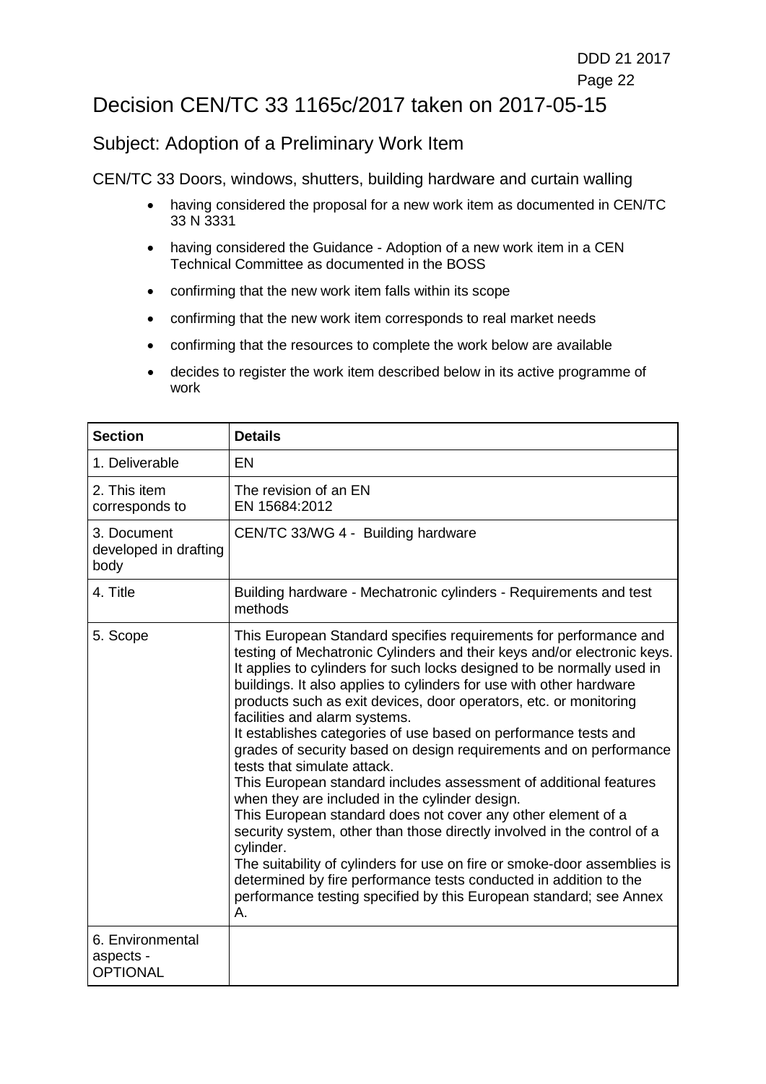## Decision CEN/TC 33 1165c/2017 taken on 2017-05-15

#### Subject: Adoption of a Preliminary Work Item

- having considered the proposal for a new work item as documented in CEN/TC 33 N 3331
- having considered the Guidance Adoption of a new work item in a CEN Technical Committee as documented in the BOSS
- confirming that the new work item falls within its scope
- confirming that the new work item corresponds to real market needs
- confirming that the resources to complete the work below are available
- decides to register the work item described below in its active programme of work

| <b>Section</b>                                   | <b>Details</b>                                                                                                                                                                                                                                                                                                                                                                                                                                                                                                                                                                                                                                                                                                                                                                                                                                                                                                                                                                                                                                                                          |
|--------------------------------------------------|-----------------------------------------------------------------------------------------------------------------------------------------------------------------------------------------------------------------------------------------------------------------------------------------------------------------------------------------------------------------------------------------------------------------------------------------------------------------------------------------------------------------------------------------------------------------------------------------------------------------------------------------------------------------------------------------------------------------------------------------------------------------------------------------------------------------------------------------------------------------------------------------------------------------------------------------------------------------------------------------------------------------------------------------------------------------------------------------|
| 1. Deliverable                                   | <b>EN</b>                                                                                                                                                                                                                                                                                                                                                                                                                                                                                                                                                                                                                                                                                                                                                                                                                                                                                                                                                                                                                                                                               |
| 2. This item<br>corresponds to                   | The revision of an EN<br>EN 15684:2012                                                                                                                                                                                                                                                                                                                                                                                                                                                                                                                                                                                                                                                                                                                                                                                                                                                                                                                                                                                                                                                  |
| 3. Document<br>developed in drafting<br>body     | CEN/TC 33/WG 4 - Building hardware                                                                                                                                                                                                                                                                                                                                                                                                                                                                                                                                                                                                                                                                                                                                                                                                                                                                                                                                                                                                                                                      |
| 4. Title                                         | Building hardware - Mechatronic cylinders - Requirements and test<br>methods                                                                                                                                                                                                                                                                                                                                                                                                                                                                                                                                                                                                                                                                                                                                                                                                                                                                                                                                                                                                            |
| 5. Scope                                         | This European Standard specifies requirements for performance and<br>testing of Mechatronic Cylinders and their keys and/or electronic keys.<br>It applies to cylinders for such locks designed to be normally used in<br>buildings. It also applies to cylinders for use with other hardware<br>products such as exit devices, door operators, etc. or monitoring<br>facilities and alarm systems.<br>It establishes categories of use based on performance tests and<br>grades of security based on design requirements and on performance<br>tests that simulate attack.<br>This European standard includes assessment of additional features<br>when they are included in the cylinder design.<br>This European standard does not cover any other element of a<br>security system, other than those directly involved in the control of a<br>cylinder.<br>The suitability of cylinders for use on fire or smoke-door assemblies is<br>determined by fire performance tests conducted in addition to the<br>performance testing specified by this European standard; see Annex<br>А. |
| 6. Environmental<br>aspects -<br><b>OPTIONAL</b> |                                                                                                                                                                                                                                                                                                                                                                                                                                                                                                                                                                                                                                                                                                                                                                                                                                                                                                                                                                                                                                                                                         |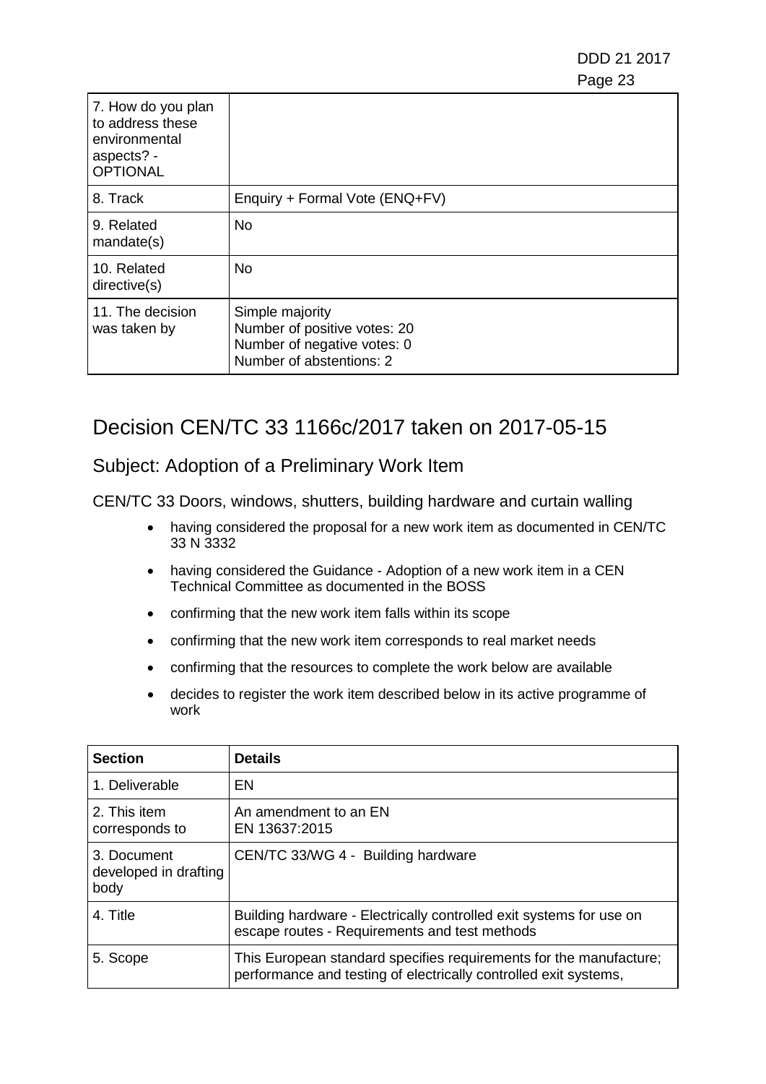DDD 21 2017 e de la construcción de la construcción de la construcción de la construcción de la construcción de la constru

| 7. How do you plan<br>to address these<br>environmental<br>aspects? -<br><b>OPTIONAL</b> |                                                                                                            |
|------------------------------------------------------------------------------------------|------------------------------------------------------------------------------------------------------------|
| 8. Track                                                                                 | Enquiry + Formal Vote (ENQ+FV)                                                                             |
| 9. Related<br>mandate(s)                                                                 | <b>No</b>                                                                                                  |
| 10. Related<br>directive(s)                                                              | <b>No</b>                                                                                                  |
| 11. The decision<br>was taken by                                                         | Simple majority<br>Number of positive votes: 20<br>Number of negative votes: 0<br>Number of abstentions: 2 |

## Decision CEN/TC 33 1166c/2017 taken on 2017-05-15

#### Subject: Adoption of a Preliminary Work Item

- having considered the proposal for a new work item as documented in CEN/TC 33 N 3332
- having considered the Guidance Adoption of a new work item in a CEN Technical Committee as documented in the BOSS
- confirming that the new work item falls within its scope
- confirming that the new work item corresponds to real market needs
- confirming that the resources to complete the work below are available
- decides to register the work item described below in its active programme of work

| <b>Section</b>                               | <b>Details</b>                                                                                                                         |
|----------------------------------------------|----------------------------------------------------------------------------------------------------------------------------------------|
| 1. Deliverable                               | EN                                                                                                                                     |
| 2. This item<br>corresponds to               | An amendment to an EN<br>EN 13637:2015                                                                                                 |
| 3. Document<br>developed in drafting<br>body | CEN/TC 33/WG 4 - Building hardware                                                                                                     |
| 4. Title                                     | Building hardware - Electrically controlled exit systems for use on<br>escape routes - Requirements and test methods                   |
| 5. Scope                                     | This European standard specifies requirements for the manufacture;<br>performance and testing of electrically controlled exit systems, |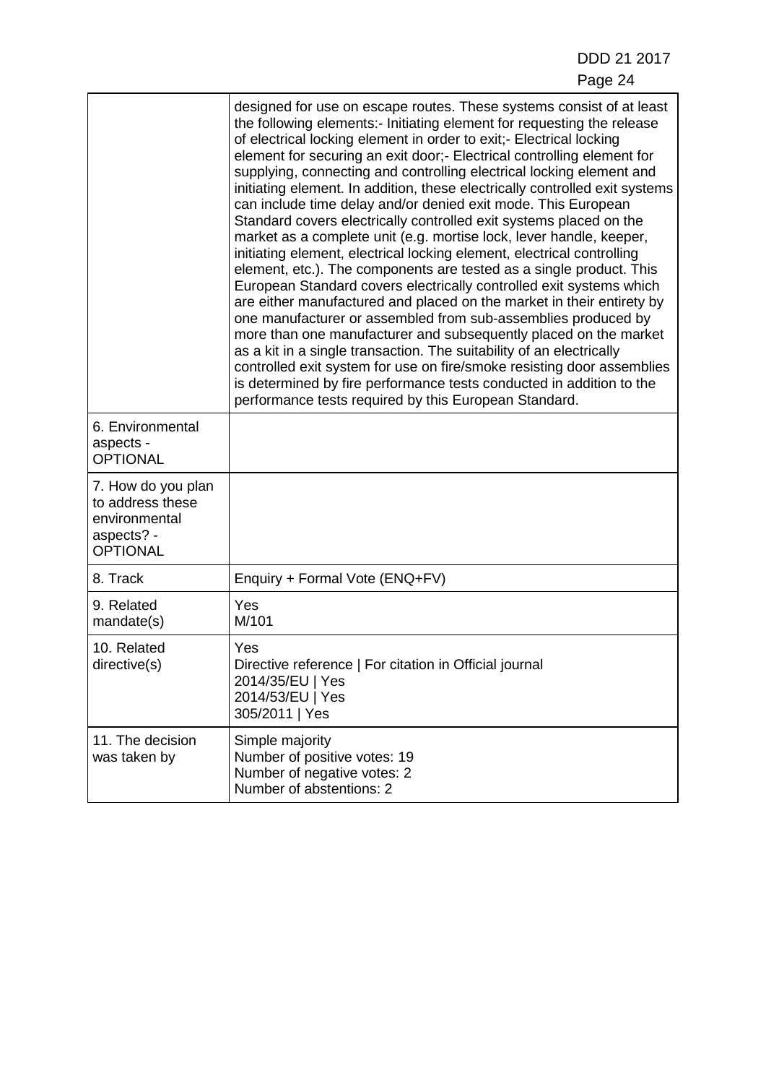|                                                                                          | designed for use on escape routes. These systems consist of at least<br>the following elements:- Initiating element for requesting the release<br>of electrical locking element in order to exit;- Electrical locking<br>element for securing an exit door;- Electrical controlling element for<br>supplying, connecting and controlling electrical locking element and<br>initiating element. In addition, these electrically controlled exit systems<br>can include time delay and/or denied exit mode. This European<br>Standard covers electrically controlled exit systems placed on the<br>market as a complete unit (e.g. mortise lock, lever handle, keeper,<br>initiating element, electrical locking element, electrical controlling<br>element, etc.). The components are tested as a single product. This<br>European Standard covers electrically controlled exit systems which<br>are either manufactured and placed on the market in their entirety by<br>one manufacturer or assembled from sub-assemblies produced by<br>more than one manufacturer and subsequently placed on the market<br>as a kit in a single transaction. The suitability of an electrically<br>controlled exit system for use on fire/smoke resisting door assemblies<br>is determined by fire performance tests conducted in addition to the<br>performance tests required by this European Standard. |
|------------------------------------------------------------------------------------------|-----------------------------------------------------------------------------------------------------------------------------------------------------------------------------------------------------------------------------------------------------------------------------------------------------------------------------------------------------------------------------------------------------------------------------------------------------------------------------------------------------------------------------------------------------------------------------------------------------------------------------------------------------------------------------------------------------------------------------------------------------------------------------------------------------------------------------------------------------------------------------------------------------------------------------------------------------------------------------------------------------------------------------------------------------------------------------------------------------------------------------------------------------------------------------------------------------------------------------------------------------------------------------------------------------------------------------------------------------------------------------------------------|
| 6. Environmental<br>aspects -<br><b>OPTIONAL</b>                                         |                                                                                                                                                                                                                                                                                                                                                                                                                                                                                                                                                                                                                                                                                                                                                                                                                                                                                                                                                                                                                                                                                                                                                                                                                                                                                                                                                                                               |
| 7. How do you plan<br>to address these<br>environmental<br>aspects? -<br><b>OPTIONAL</b> |                                                                                                                                                                                                                                                                                                                                                                                                                                                                                                                                                                                                                                                                                                                                                                                                                                                                                                                                                                                                                                                                                                                                                                                                                                                                                                                                                                                               |
| 8. Track                                                                                 | Enquiry + Formal Vote (ENQ+FV)                                                                                                                                                                                                                                                                                                                                                                                                                                                                                                                                                                                                                                                                                                                                                                                                                                                                                                                                                                                                                                                                                                                                                                                                                                                                                                                                                                |
| 9. Related<br>mandate(s)                                                                 | Yes<br>M/101                                                                                                                                                                                                                                                                                                                                                                                                                                                                                                                                                                                                                                                                                                                                                                                                                                                                                                                                                                                                                                                                                                                                                                                                                                                                                                                                                                                  |
| 10. Related<br>directive(s)                                                              | Yes<br>Directive reference   For citation in Official journal<br>2014/35/EU   Yes<br>2014/53/EU   Yes<br>305/2011   Yes                                                                                                                                                                                                                                                                                                                                                                                                                                                                                                                                                                                                                                                                                                                                                                                                                                                                                                                                                                                                                                                                                                                                                                                                                                                                       |
| 11. The decision<br>was taken by                                                         | Simple majority<br>Number of positive votes: 19<br>Number of negative votes: 2<br>Number of abstentions: 2                                                                                                                                                                                                                                                                                                                                                                                                                                                                                                                                                                                                                                                                                                                                                                                                                                                                                                                                                                                                                                                                                                                                                                                                                                                                                    |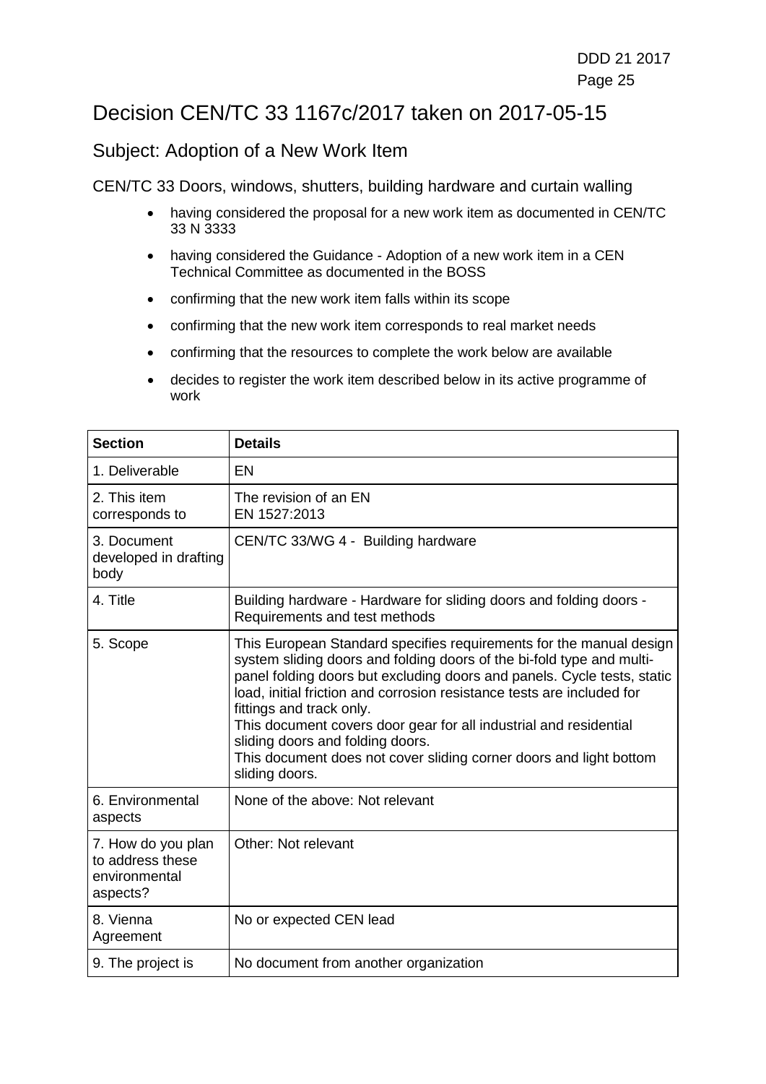## Decision CEN/TC 33 1167c/2017 taken on 2017-05-15

#### Subject: Adoption of a New Work Item

- having considered the proposal for a new work item as documented in CEN/TC 33 N 3333
- having considered the Guidance Adoption of a new work item in a CEN Technical Committee as documented in the BOSS
- confirming that the new work item falls within its scope
- confirming that the new work item corresponds to real market needs
- confirming that the resources to complete the work below are available
- decides to register the work item described below in its active programme of work

| <b>Section</b>                                                      | <b>Details</b>                                                                                                                                                                                                                                                                                                                                                                                                                                                                                                                 |
|---------------------------------------------------------------------|--------------------------------------------------------------------------------------------------------------------------------------------------------------------------------------------------------------------------------------------------------------------------------------------------------------------------------------------------------------------------------------------------------------------------------------------------------------------------------------------------------------------------------|
| 1. Deliverable                                                      | EN                                                                                                                                                                                                                                                                                                                                                                                                                                                                                                                             |
| 2. This item<br>corresponds to                                      | The revision of an EN<br>EN 1527:2013                                                                                                                                                                                                                                                                                                                                                                                                                                                                                          |
| 3. Document<br>developed in drafting<br>body                        | CEN/TC 33/WG 4 - Building hardware                                                                                                                                                                                                                                                                                                                                                                                                                                                                                             |
| 4. Title                                                            | Building hardware - Hardware for sliding doors and folding doors -<br>Requirements and test methods                                                                                                                                                                                                                                                                                                                                                                                                                            |
| 5. Scope                                                            | This European Standard specifies requirements for the manual design<br>system sliding doors and folding doors of the bi-fold type and multi-<br>panel folding doors but excluding doors and panels. Cycle tests, static<br>load, initial friction and corrosion resistance tests are included for<br>fittings and track only.<br>This document covers door gear for all industrial and residential<br>sliding doors and folding doors.<br>This document does not cover sliding corner doors and light bottom<br>sliding doors. |
| 6. Environmental<br>aspects                                         | None of the above: Not relevant                                                                                                                                                                                                                                                                                                                                                                                                                                                                                                |
| 7. How do you plan<br>to address these<br>environmental<br>aspects? | Other: Not relevant                                                                                                                                                                                                                                                                                                                                                                                                                                                                                                            |
| 8. Vienna<br>Agreement                                              | No or expected CEN lead                                                                                                                                                                                                                                                                                                                                                                                                                                                                                                        |
| 9. The project is                                                   | No document from another organization                                                                                                                                                                                                                                                                                                                                                                                                                                                                                          |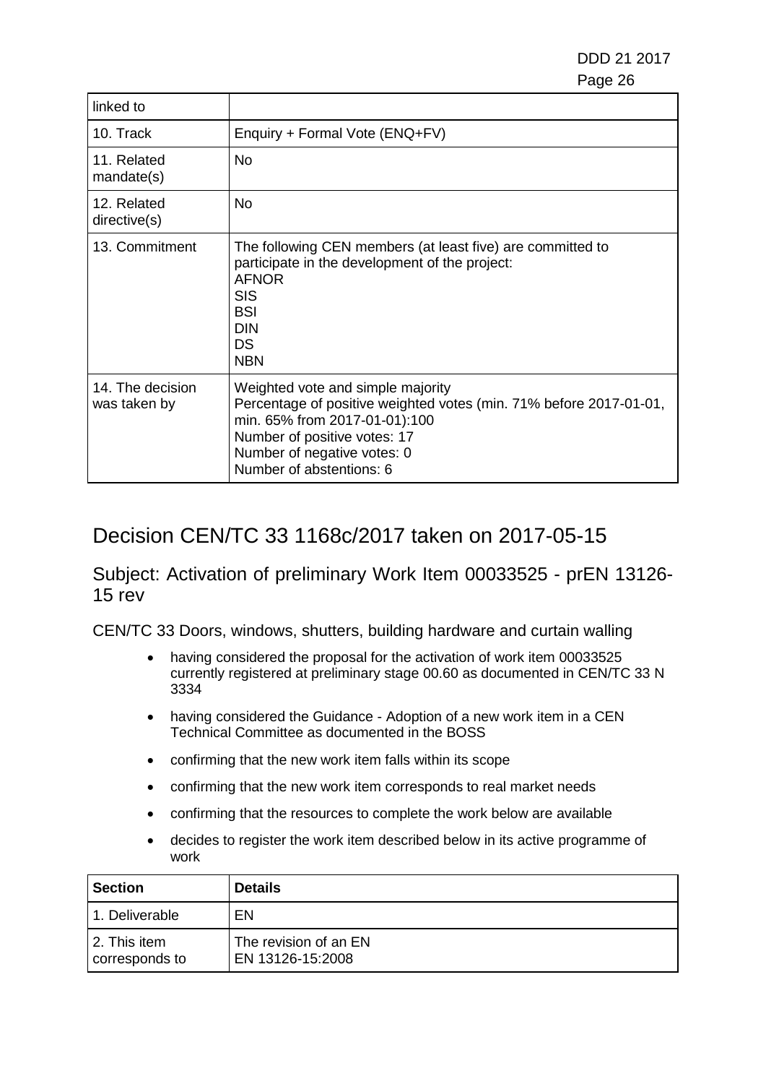DDD 21 2017 e de la construcción de la construcción de la construcción de la construcción de la construcción de la constru

| linked to                        |                                                                                                                                                                                                                                     |
|----------------------------------|-------------------------------------------------------------------------------------------------------------------------------------------------------------------------------------------------------------------------------------|
| 10. Track                        | Enquiry + Formal Vote (ENQ+FV)                                                                                                                                                                                                      |
| 11. Related<br>mandate(s)        | No                                                                                                                                                                                                                                  |
| 12. Related<br>directive(s)      | <b>No</b>                                                                                                                                                                                                                           |
| 13. Commitment                   | The following CEN members (at least five) are committed to<br>participate in the development of the project:<br><b>AFNOR</b><br><b>SIS</b><br><b>BSI</b><br><b>DIN</b><br><b>DS</b><br><b>NBN</b>                                   |
| 14. The decision<br>was taken by | Weighted vote and simple majority<br>Percentage of positive weighted votes (min. 71% before 2017-01-01,<br>min. 65% from 2017-01-01):100<br>Number of positive votes: 17<br>Number of negative votes: 0<br>Number of abstentions: 6 |

## Decision CEN/TC 33 1168c/2017 taken on 2017-05-15

Subject: Activation of preliminary Work Item 00033525 - prEN 13126- 15 rev

- having considered the proposal for the activation of work item 00033525 currently registered at preliminary stage 00.60 as documented in CEN/TC 33 N 3334
- having considered the Guidance Adoption of a new work item in a CEN Technical Committee as documented in the BOSS
- confirming that the new work item falls within its scope
- confirming that the new work item corresponds to real market needs
- confirming that the resources to complete the work below are available
- decides to register the work item described below in its active programme of work

| <b>Section</b>                 | <b>Details</b>                            |
|--------------------------------|-------------------------------------------|
| 1. Deliverable                 | EN                                        |
| 2. This item<br>corresponds to | The revision of an EN<br>EN 13126-15:2008 |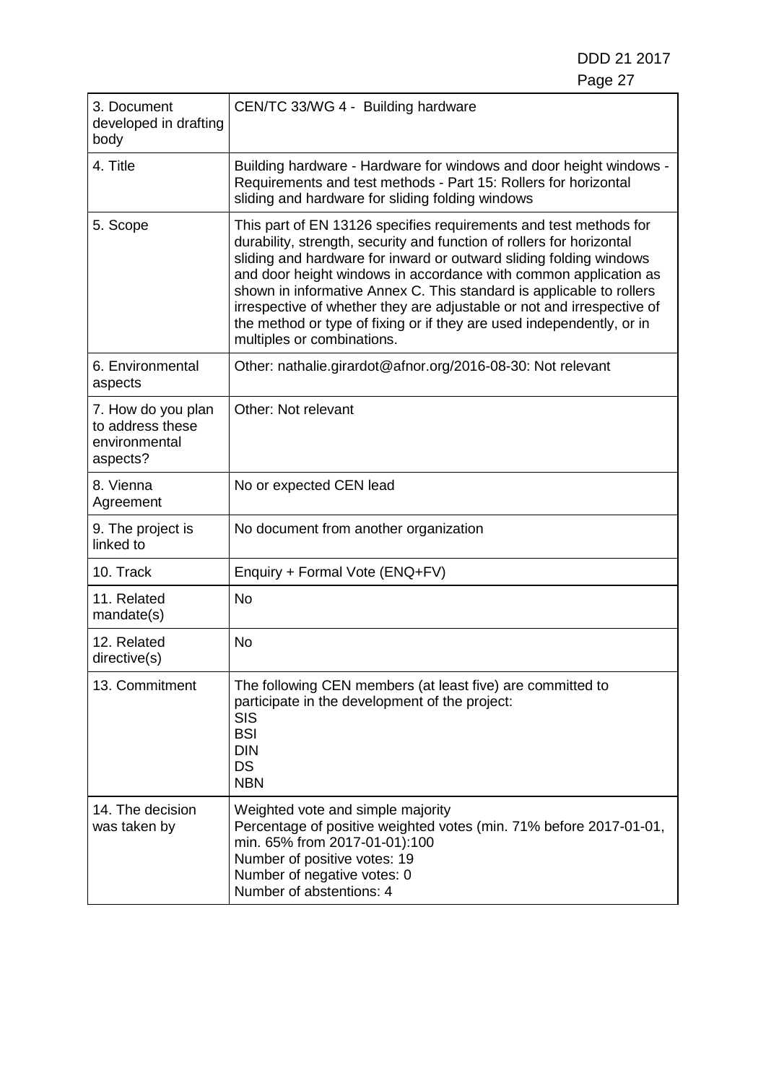DDD 21 2017 Page 27

| 3. Document<br>developed in drafting<br>body                        | CEN/TC 33/WG 4 - Building hardware                                                                                                                                                                                                                                                                                                                                                                                                                                                                                                            |
|---------------------------------------------------------------------|-----------------------------------------------------------------------------------------------------------------------------------------------------------------------------------------------------------------------------------------------------------------------------------------------------------------------------------------------------------------------------------------------------------------------------------------------------------------------------------------------------------------------------------------------|
| 4. Title                                                            | Building hardware - Hardware for windows and door height windows -<br>Requirements and test methods - Part 15: Rollers for horizontal<br>sliding and hardware for sliding folding windows                                                                                                                                                                                                                                                                                                                                                     |
| 5. Scope                                                            | This part of EN 13126 specifies requirements and test methods for<br>durability, strength, security and function of rollers for horizontal<br>sliding and hardware for inward or outward sliding folding windows<br>and door height windows in accordance with common application as<br>shown in informative Annex C. This standard is applicable to rollers<br>irrespective of whether they are adjustable or not and irrespective of<br>the method or type of fixing or if they are used independently, or in<br>multiples or combinations. |
| 6. Environmental<br>aspects                                         | Other: nathalie.girardot@afnor.org/2016-08-30: Not relevant                                                                                                                                                                                                                                                                                                                                                                                                                                                                                   |
| 7. How do you plan<br>to address these<br>environmental<br>aspects? | Other: Not relevant                                                                                                                                                                                                                                                                                                                                                                                                                                                                                                                           |
| 8. Vienna<br>Agreement                                              | No or expected CEN lead                                                                                                                                                                                                                                                                                                                                                                                                                                                                                                                       |
| 9. The project is<br>linked to                                      | No document from another organization                                                                                                                                                                                                                                                                                                                                                                                                                                                                                                         |
| 10. Track                                                           | Enquiry + Formal Vote (ENQ+FV)                                                                                                                                                                                                                                                                                                                                                                                                                                                                                                                |
| 11. Related<br>mandate(s)                                           | <b>No</b>                                                                                                                                                                                                                                                                                                                                                                                                                                                                                                                                     |
| 12. Related<br>directive(s)                                         | <b>No</b>                                                                                                                                                                                                                                                                                                                                                                                                                                                                                                                                     |
| 13. Commitment                                                      | The following CEN members (at least five) are committed to<br>participate in the development of the project:<br><b>SIS</b><br><b>BSI</b><br><b>DIN</b><br><b>DS</b><br><b>NBN</b>                                                                                                                                                                                                                                                                                                                                                             |
| 14. The decision<br>was taken by                                    | Weighted vote and simple majority<br>Percentage of positive weighted votes (min. 71% before 2017-01-01,<br>min. 65% from 2017-01-01):100<br>Number of positive votes: 19<br>Number of negative votes: 0<br>Number of abstentions: 4                                                                                                                                                                                                                                                                                                           |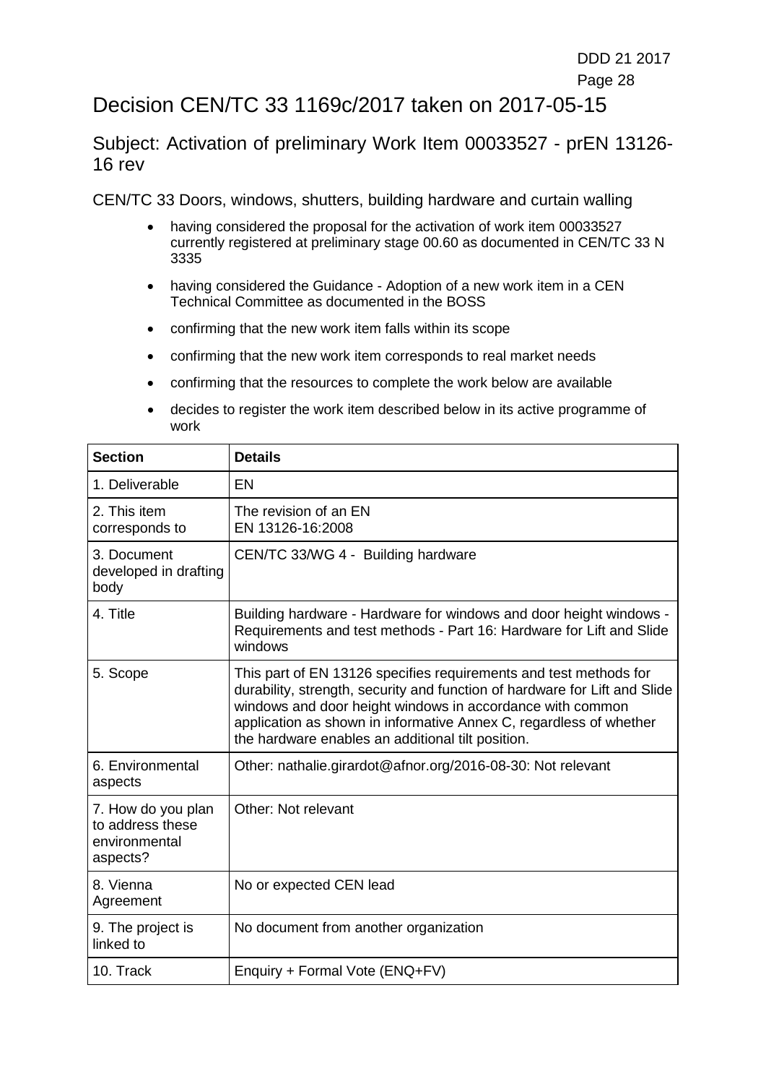### Decision CEN/TC 33 1169c/2017 taken on 2017-05-15

Subject: Activation of preliminary Work Item 00033527 - prEN 13126- 16 rev

- having considered the proposal for the activation of work item 00033527 currently registered at preliminary stage 00.60 as documented in CEN/TC 33 N 3335
- having considered the Guidance Adoption of a new work item in a CEN Technical Committee as documented in the BOSS
- confirming that the new work item falls within its scope
- confirming that the new work item corresponds to real market needs
- confirming that the resources to complete the work below are available
- decides to register the work item described below in its active programme of work

| <b>Section</b>                                                      | <b>Details</b>                                                                                                                                                                                                                                                                                                                          |
|---------------------------------------------------------------------|-----------------------------------------------------------------------------------------------------------------------------------------------------------------------------------------------------------------------------------------------------------------------------------------------------------------------------------------|
| 1. Deliverable                                                      | EN                                                                                                                                                                                                                                                                                                                                      |
| 2. This item<br>corresponds to                                      | The revision of an EN<br>EN 13126-16:2008                                                                                                                                                                                                                                                                                               |
| 3. Document<br>developed in drafting<br>body                        | CEN/TC 33/WG 4 - Building hardware                                                                                                                                                                                                                                                                                                      |
| 4. Title                                                            | Building hardware - Hardware for windows and door height windows -<br>Requirements and test methods - Part 16: Hardware for Lift and Slide<br>windows                                                                                                                                                                                   |
| 5. Scope                                                            | This part of EN 13126 specifies requirements and test methods for<br>durability, strength, security and function of hardware for Lift and Slide<br>windows and door height windows in accordance with common<br>application as shown in informative Annex C, regardless of whether<br>the hardware enables an additional tilt position. |
| 6. Environmental<br>aspects                                         | Other: nathalie.girardot@afnor.org/2016-08-30: Not relevant                                                                                                                                                                                                                                                                             |
| 7. How do you plan<br>to address these<br>environmental<br>aspects? | Other: Not relevant                                                                                                                                                                                                                                                                                                                     |
| 8. Vienna<br>Agreement                                              | No or expected CEN lead                                                                                                                                                                                                                                                                                                                 |
| 9. The project is<br>linked to                                      | No document from another organization                                                                                                                                                                                                                                                                                                   |
| 10. Track                                                           | Enquiry + Formal Vote (ENQ+FV)                                                                                                                                                                                                                                                                                                          |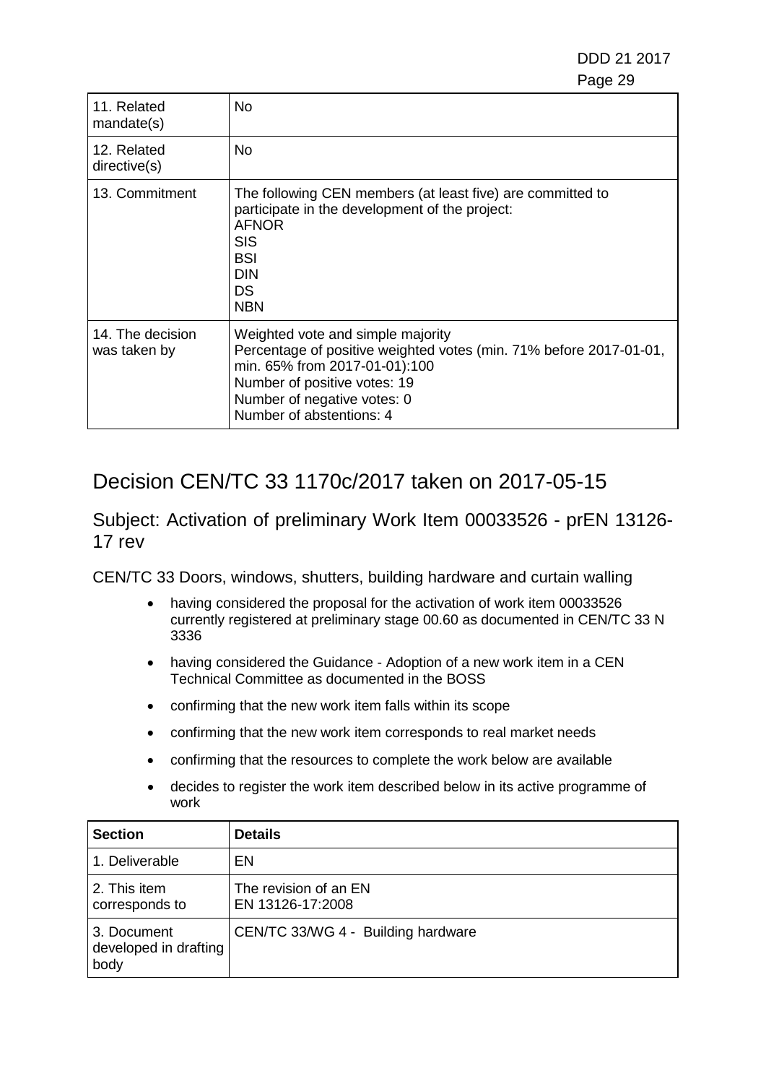DDD 21 2017 e de la construcción de la construcción de la construcción de la construcción de la construcción de la constru

| 11. Related<br>mandate(s)        | No.                                                                                                                                                                                                                                 |
|----------------------------------|-------------------------------------------------------------------------------------------------------------------------------------------------------------------------------------------------------------------------------------|
| 12. Related<br>directive(s)      | No.                                                                                                                                                                                                                                 |
| 13. Commitment                   | The following CEN members (at least five) are committed to<br>participate in the development of the project:<br><b>AFNOR</b><br><b>SIS</b><br><b>BSI</b><br><b>DIN</b><br>DS.<br><b>NBN</b>                                         |
| 14. The decision<br>was taken by | Weighted vote and simple majority<br>Percentage of positive weighted votes (min. 71% before 2017-01-01,<br>min. 65% from 2017-01-01):100<br>Number of positive votes: 19<br>Number of negative votes: 0<br>Number of abstentions: 4 |

## Decision CEN/TC 33 1170c/2017 taken on 2017-05-15

Subject: Activation of preliminary Work Item 00033526 - prEN 13126- 17 rev

- having considered the proposal for the activation of work item 00033526 currently registered at preliminary stage 00.60 as documented in CEN/TC 33 N 3336
- having considered the Guidance Adoption of a new work item in a CEN Technical Committee as documented in the BOSS
- confirming that the new work item falls within its scope
- confirming that the new work item corresponds to real market needs
- confirming that the resources to complete the work below are available
- decides to register the work item described below in its active programme of work

| <b>Section</b>                               | <b>Details</b>                            |
|----------------------------------------------|-------------------------------------------|
| 1. Deliverable                               | EN                                        |
| 2. This item<br>corresponds to               | The revision of an EN<br>EN 13126-17:2008 |
| 3. Document<br>developed in drafting<br>body | CEN/TC 33/WG 4 - Building hardware        |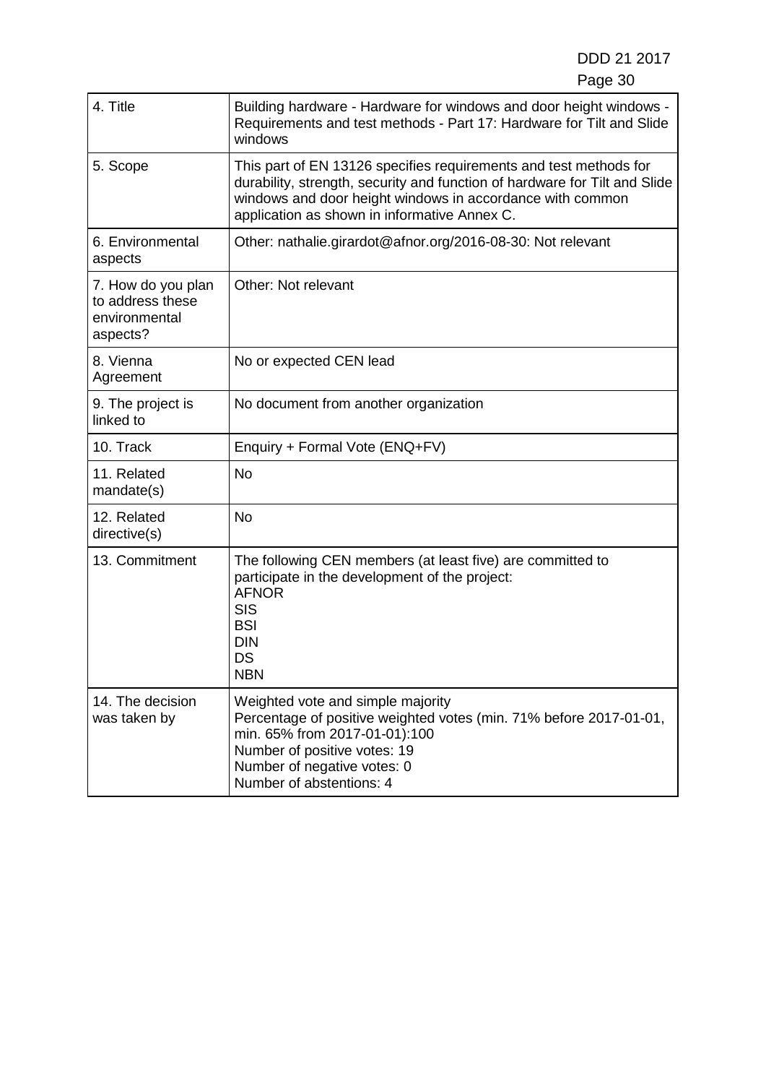DDD 21 2017 Page 30

| 4. Title                                                            | Building hardware - Hardware for windows and door height windows -<br>Requirements and test methods - Part 17: Hardware for Tilt and Slide<br>windows                                                                                                        |
|---------------------------------------------------------------------|--------------------------------------------------------------------------------------------------------------------------------------------------------------------------------------------------------------------------------------------------------------|
| 5. Scope                                                            | This part of EN 13126 specifies requirements and test methods for<br>durability, strength, security and function of hardware for Tilt and Slide<br>windows and door height windows in accordance with common<br>application as shown in informative Annex C. |
| 6. Environmental<br>aspects                                         | Other: nathalie.girardot@afnor.org/2016-08-30: Not relevant                                                                                                                                                                                                  |
| 7. How do you plan<br>to address these<br>environmental<br>aspects? | Other: Not relevant                                                                                                                                                                                                                                          |
| 8. Vienna<br>Agreement                                              | No or expected CEN lead                                                                                                                                                                                                                                      |
| 9. The project is<br>linked to                                      | No document from another organization                                                                                                                                                                                                                        |
| 10. Track                                                           | Enquiry + Formal Vote (ENQ+FV)                                                                                                                                                                                                                               |
| 11. Related<br>mandate(s)                                           | <b>No</b>                                                                                                                                                                                                                                                    |
| 12. Related<br>directive(s)                                         | <b>No</b>                                                                                                                                                                                                                                                    |
| 13. Commitment                                                      | The following CEN members (at least five) are committed to<br>participate in the development of the project:<br><b>AFNOR</b><br><b>SIS</b><br><b>BSI</b><br><b>DIN</b><br>DS<br><b>NBN</b>                                                                   |
| 14. The decision<br>was taken by                                    | Weighted vote and simple majority<br>Percentage of positive weighted votes (min. 71% before 2017-01-01,<br>min. 65% from 2017-01-01):100<br>Number of positive votes: 19<br>Number of negative votes: 0<br>Number of abstentions: 4                          |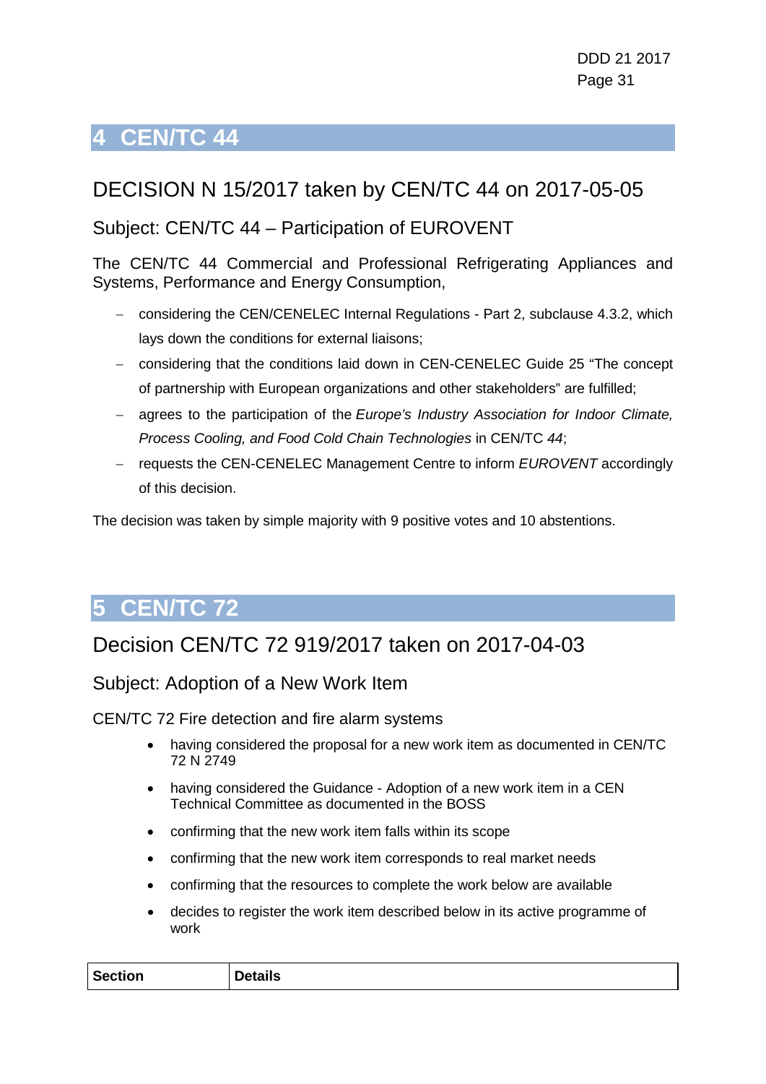# <span id="page-30-0"></span>**4 CEN/TC 44**

## DECISION N 15/2017 taken by CEN/TC 44 on 2017-05-05

### Subject: CEN/TC 44 – Participation of EUROVENT

The CEN/TC 44 Commercial and Professional Refrigerating Appliances and Systems, Performance and Energy Consumption,

- − considering the CEN/CENELEC Internal Regulations Part 2, subclause 4.3.2, which lays down the conditions for external liaisons;
- − considering that the conditions laid down in CEN-CENELEC Guide 25 "The concept of partnership with European organizations and other stakeholders" are fulfilled;
- − agrees to the participation of the *Europe's Industry Association for Indoor Climate, Process Cooling, and Food Cold Chain Technologies* in CEN/TC *44*;
- − requests the CEN-CENELEC Management Centre to inform *EUROVENT* accordingly of this decision.

The decision was taken by simple majority with 9 positive votes and 10 abstentions.

# <span id="page-30-1"></span>**5 CEN/TC 72**

## Decision CEN/TC 72 919/2017 taken on 2017-04-03

### Subject: Adoption of a New Work Item

CEN/TC 72 Fire detection and fire alarm systems

- having considered the proposal for a new work item as documented in CEN/TC 72 N 2749
- having considered the Guidance Adoption of a new work item in a CEN Technical Committee as documented in the BOSS
- confirming that the new work item falls within its scope
- confirming that the new work item corresponds to real market needs
- confirming that the resources to complete the work below are available
- decides to register the work item described below in its active programme of work

| <b>Section</b> | <b>Details</b> |
|----------------|----------------|
|----------------|----------------|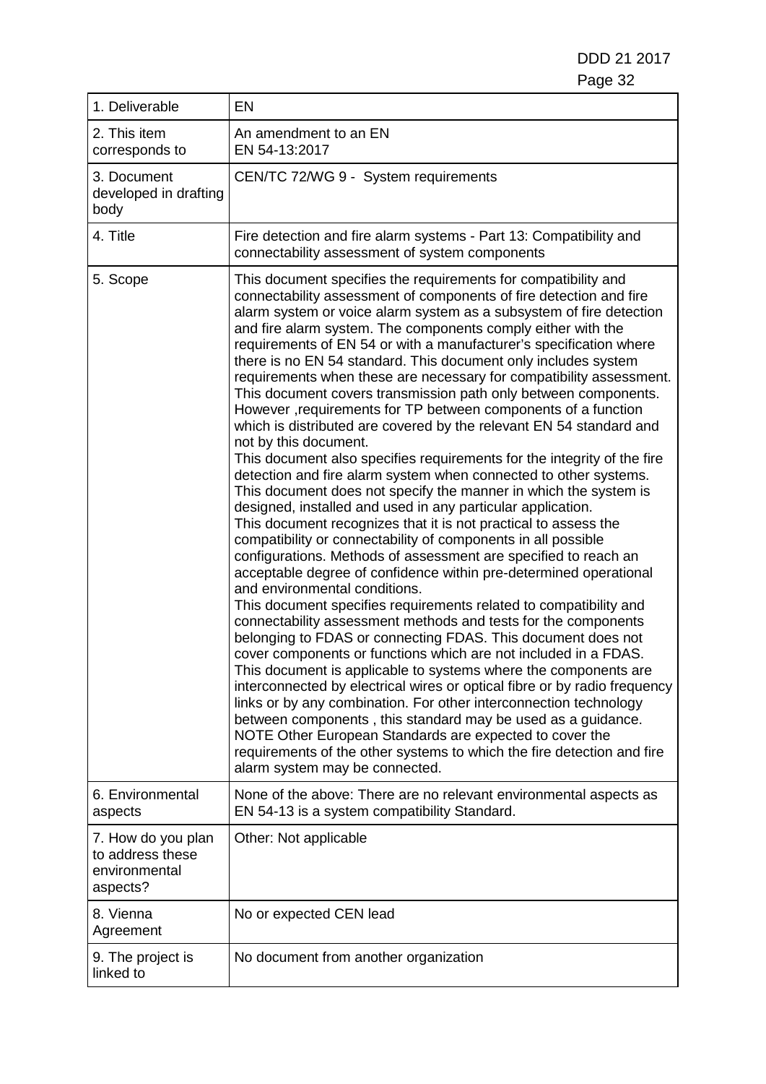DDD 21 2017 Page 32

| 1. Deliverable                                                      | <b>EN</b>                                                                                                                                                                                                                                                                                                                                                                                                                                                                                                                                                                                                                                                                                                                                                                                                                                                                                                                                                                                                                                                                                                                                                                                                                                                                                                                                                                                                                                                                                                                                                                                                                                                                                                                                                                                                                                                                                                                                                                                                                                                           |
|---------------------------------------------------------------------|---------------------------------------------------------------------------------------------------------------------------------------------------------------------------------------------------------------------------------------------------------------------------------------------------------------------------------------------------------------------------------------------------------------------------------------------------------------------------------------------------------------------------------------------------------------------------------------------------------------------------------------------------------------------------------------------------------------------------------------------------------------------------------------------------------------------------------------------------------------------------------------------------------------------------------------------------------------------------------------------------------------------------------------------------------------------------------------------------------------------------------------------------------------------------------------------------------------------------------------------------------------------------------------------------------------------------------------------------------------------------------------------------------------------------------------------------------------------------------------------------------------------------------------------------------------------------------------------------------------------------------------------------------------------------------------------------------------------------------------------------------------------------------------------------------------------------------------------------------------------------------------------------------------------------------------------------------------------------------------------------------------------------------------------------------------------|
| 2. This item<br>corresponds to                                      | An amendment to an EN<br>EN 54-13:2017                                                                                                                                                                                                                                                                                                                                                                                                                                                                                                                                                                                                                                                                                                                                                                                                                                                                                                                                                                                                                                                                                                                                                                                                                                                                                                                                                                                                                                                                                                                                                                                                                                                                                                                                                                                                                                                                                                                                                                                                                              |
| 3. Document<br>developed in drafting<br>body                        | CEN/TC 72/WG 9 - System requirements                                                                                                                                                                                                                                                                                                                                                                                                                                                                                                                                                                                                                                                                                                                                                                                                                                                                                                                                                                                                                                                                                                                                                                                                                                                                                                                                                                                                                                                                                                                                                                                                                                                                                                                                                                                                                                                                                                                                                                                                                                |
| 4. Title                                                            | Fire detection and fire alarm systems - Part 13: Compatibility and<br>connectability assessment of system components                                                                                                                                                                                                                                                                                                                                                                                                                                                                                                                                                                                                                                                                                                                                                                                                                                                                                                                                                                                                                                                                                                                                                                                                                                                                                                                                                                                                                                                                                                                                                                                                                                                                                                                                                                                                                                                                                                                                                |
| 5. Scope                                                            | This document specifies the requirements for compatibility and<br>connectability assessment of components of fire detection and fire<br>alarm system or voice alarm system as a subsystem of fire detection<br>and fire alarm system. The components comply either with the<br>requirements of EN 54 or with a manufacturer's specification where<br>there is no EN 54 standard. This document only includes system<br>requirements when these are necessary for compatibility assessment.<br>This document covers transmission path only between components.<br>However, requirements for TP between components of a function<br>which is distributed are covered by the relevant EN 54 standard and<br>not by this document.<br>This document also specifies requirements for the integrity of the fire<br>detection and fire alarm system when connected to other systems.<br>This document does not specify the manner in which the system is<br>designed, installed and used in any particular application.<br>This document recognizes that it is not practical to assess the<br>compatibility or connectability of components in all possible<br>configurations. Methods of assessment are specified to reach an<br>acceptable degree of confidence within pre-determined operational<br>and environmental conditions.<br>This document specifies requirements related to compatibility and<br>connectability assessment methods and tests for the components<br>belonging to FDAS or connecting FDAS. This document does not<br>cover components or functions which are not included in a FDAS.<br>This document is applicable to systems where the components are<br>interconnected by electrical wires or optical fibre or by radio frequency<br>links or by any combination. For other interconnection technology<br>between components, this standard may be used as a guidance.<br>NOTE Other European Standards are expected to cover the<br>requirements of the other systems to which the fire detection and fire<br>alarm system may be connected. |
| 6. Environmental<br>aspects                                         | None of the above: There are no relevant environmental aspects as<br>EN 54-13 is a system compatibility Standard.                                                                                                                                                                                                                                                                                                                                                                                                                                                                                                                                                                                                                                                                                                                                                                                                                                                                                                                                                                                                                                                                                                                                                                                                                                                                                                                                                                                                                                                                                                                                                                                                                                                                                                                                                                                                                                                                                                                                                   |
| 7. How do you plan<br>to address these<br>environmental<br>aspects? | Other: Not applicable                                                                                                                                                                                                                                                                                                                                                                                                                                                                                                                                                                                                                                                                                                                                                                                                                                                                                                                                                                                                                                                                                                                                                                                                                                                                                                                                                                                                                                                                                                                                                                                                                                                                                                                                                                                                                                                                                                                                                                                                                                               |
| 8. Vienna<br>Agreement                                              | No or expected CEN lead                                                                                                                                                                                                                                                                                                                                                                                                                                                                                                                                                                                                                                                                                                                                                                                                                                                                                                                                                                                                                                                                                                                                                                                                                                                                                                                                                                                                                                                                                                                                                                                                                                                                                                                                                                                                                                                                                                                                                                                                                                             |
| 9. The project is<br>linked to                                      | No document from another organization                                                                                                                                                                                                                                                                                                                                                                                                                                                                                                                                                                                                                                                                                                                                                                                                                                                                                                                                                                                                                                                                                                                                                                                                                                                                                                                                                                                                                                                                                                                                                                                                                                                                                                                                                                                                                                                                                                                                                                                                                               |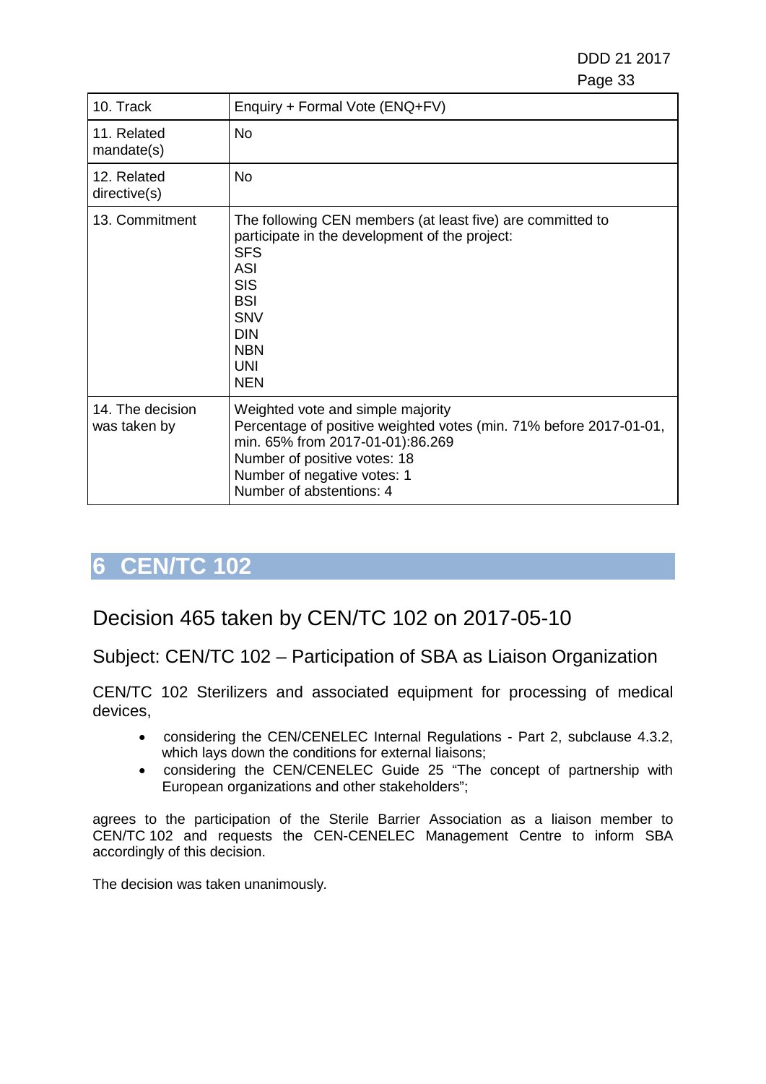DDD 21 2017 e de la construcción de la construcción de la construcción de la construcción de la construcción de la constru

| 10. Track                        | Enquiry + Formal Vote (ENQ+FV)                                                                                                                                                                                                             |
|----------------------------------|--------------------------------------------------------------------------------------------------------------------------------------------------------------------------------------------------------------------------------------------|
| 11. Related<br>mandate(s)        | No                                                                                                                                                                                                                                         |
| 12. Related<br>directive(s)      | No                                                                                                                                                                                                                                         |
| 13. Commitment                   | The following CEN members (at least five) are committed to<br>participate in the development of the project:<br><b>SFS</b><br><b>ASI</b><br><b>SIS</b><br><b>BSI</b><br><b>SNV</b><br><b>DIN</b><br><b>NBN</b><br><b>UNI</b><br><b>NEN</b> |
| 14. The decision<br>was taken by | Weighted vote and simple majority<br>Percentage of positive weighted votes (min. 71% before 2017-01-01,<br>min. 65% from 2017-01-01):86.269<br>Number of positive votes: 18<br>Number of negative votes: 1<br>Number of abstentions: 4     |

# <span id="page-32-0"></span>**6 CEN/TC 102**

## Decision 465 taken by CEN/TC 102 on 2017-05-10

Subject: CEN/TC 102 – Participation of SBA as Liaison Organization

CEN/TC 102 Sterilizers and associated equipment for processing of medical devices,

- considering the CEN/CENELEC Internal Regulations Part 2, subclause 4.3.2, which lays down the conditions for external liaisons;
- considering the CEN/CENELEC Guide 25 "The concept of partnership with European organizations and other stakeholders";

agrees to the participation of the Sterile Barrier Association as a liaison member to CEN/TC 102 and requests the CEN-CENELEC Management Centre to inform SBA accordingly of this decision.

The decision was taken unanimously*.*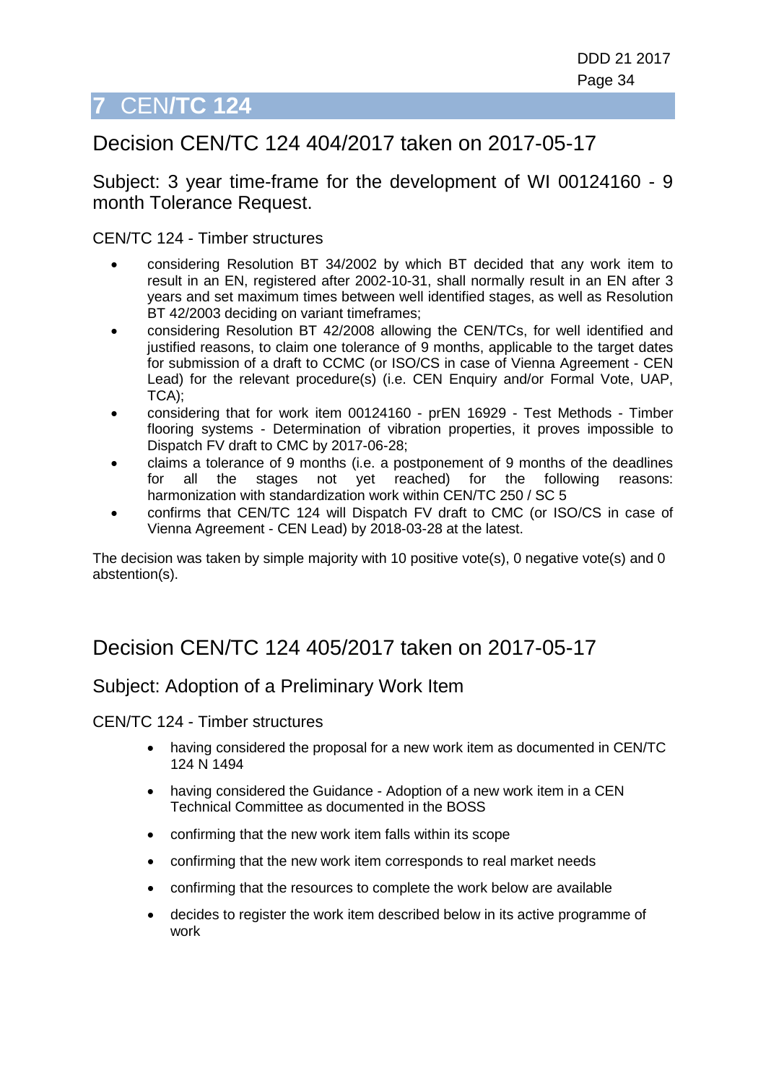# <span id="page-33-0"></span>**7** CEN**/TC 124**

## Decision CEN/TC 124 404/2017 taken on 2017-05-17

Subject: 3 year time-frame for the development of WI 00124160 - 9 month Tolerance Request.

CEN/TC 124 - Timber structures

- considering Resolution BT 34/2002 by which BT decided that any work item to result in an EN, registered after 2002-10-31, shall normally result in an EN after 3 years and set maximum times between well identified stages, as well as Resolution BT 42/2003 deciding on variant timeframes;
- considering Resolution BT 42/2008 allowing the CEN/TCs, for well identified and justified reasons, to claim one tolerance of 9 months, applicable to the target dates for submission of a draft to CCMC (or ISO/CS in case of Vienna Agreement - CEN Lead) for the relevant procedure(s) (i.e. CEN Enquiry and/or Formal Vote, UAP, TCA);
- considering that for work item 00124160 prEN 16929 Test Methods Timber flooring systems - Determination of vibration properties, it proves impossible to Dispatch FV draft to CMC by 2017-06-28;
- claims a tolerance of 9 months (i.e. a postponement of 9 months of the deadlines for all the stages not yet reached) for the following reasons: for all the stages not yet reached) for the following reasons: harmonization with standardization work within CEN/TC 250 / SC 5
- confirms that CEN/TC 124 will Dispatch FV draft to CMC (or ISO/CS in case of Vienna Agreement - CEN Lead) by 2018-03-28 at the latest.

The decision was taken by simple majority with 10 positive vote(s), 0 negative vote(s) and 0 abstention(s).

## Decision CEN/TC 124 405/2017 taken on 2017-05-17

#### Subject: Adoption of a Preliminary Work Item

CEN/TC 124 - Timber structures

- having considered the proposal for a new work item as documented in CEN/TC 124 N 1494
- having considered the Guidance Adoption of a new work item in a CEN Technical Committee as documented in the BOSS
- confirming that the new work item falls within its scope
- confirming that the new work item corresponds to real market needs
- confirming that the resources to complete the work below are available
- decides to register the work item described below in its active programme of work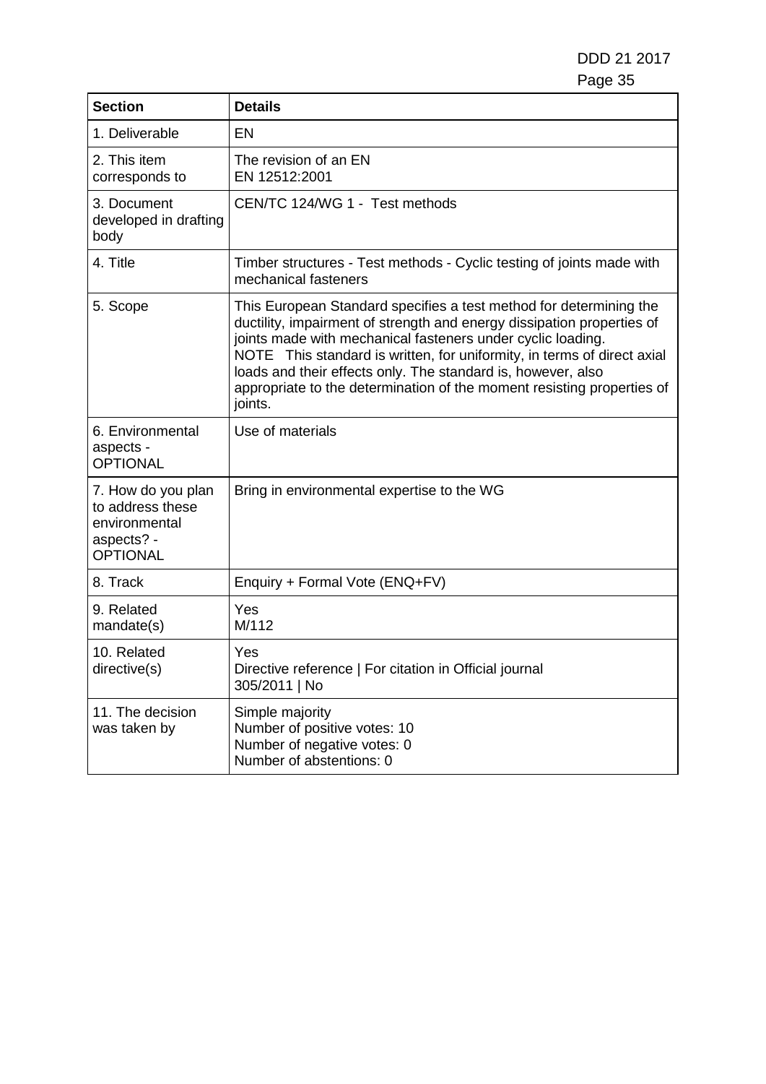DDD 21 2017 Page 35

| <b>Section</b>                                                                           | <b>Details</b>                                                                                                                                                                                                                                                                                                                                                                                                                              |
|------------------------------------------------------------------------------------------|---------------------------------------------------------------------------------------------------------------------------------------------------------------------------------------------------------------------------------------------------------------------------------------------------------------------------------------------------------------------------------------------------------------------------------------------|
| 1. Deliverable                                                                           | EN                                                                                                                                                                                                                                                                                                                                                                                                                                          |
| 2. This item<br>corresponds to                                                           | The revision of an EN<br>EN 12512:2001                                                                                                                                                                                                                                                                                                                                                                                                      |
| 3. Document<br>developed in drafting<br>body                                             | CEN/TC 124/WG 1 - Test methods                                                                                                                                                                                                                                                                                                                                                                                                              |
| 4. Title                                                                                 | Timber structures - Test methods - Cyclic testing of joints made with<br>mechanical fasteners                                                                                                                                                                                                                                                                                                                                               |
| 5. Scope                                                                                 | This European Standard specifies a test method for determining the<br>ductility, impairment of strength and energy dissipation properties of<br>joints made with mechanical fasteners under cyclic loading.<br>NOTE This standard is written, for uniformity, in terms of direct axial<br>loads and their effects only. The standard is, however, also<br>appropriate to the determination of the moment resisting properties of<br>joints. |
| 6. Environmental<br>aspects -<br><b>OPTIONAL</b>                                         | Use of materials                                                                                                                                                                                                                                                                                                                                                                                                                            |
| 7. How do you plan<br>to address these<br>environmental<br>aspects? -<br><b>OPTIONAL</b> | Bring in environmental expertise to the WG                                                                                                                                                                                                                                                                                                                                                                                                  |
| 8. Track                                                                                 | Enquiry + Formal Vote (ENQ+FV)                                                                                                                                                                                                                                                                                                                                                                                                              |
| 9. Related<br>mandate(s)                                                                 | Yes<br>M/112                                                                                                                                                                                                                                                                                                                                                                                                                                |
| 10. Related<br>directive(s)                                                              | Yes<br>Directive reference   For citation in Official journal<br>305/2011   No                                                                                                                                                                                                                                                                                                                                                              |
| 11. The decision<br>was taken by                                                         | Simple majority<br>Number of positive votes: 10<br>Number of negative votes: 0<br>Number of abstentions: 0                                                                                                                                                                                                                                                                                                                                  |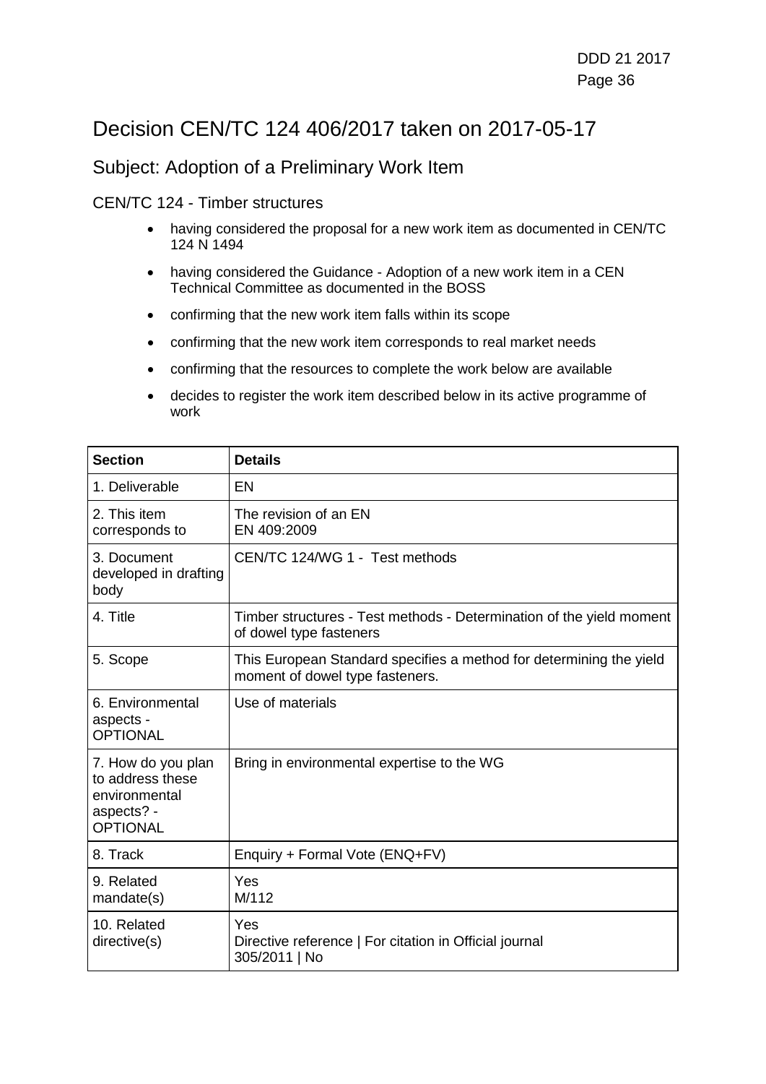## Decision CEN/TC 124 406/2017 taken on 2017-05-17

#### Subject: Adoption of a Preliminary Work Item

#### CEN/TC 124 - Timber structures

- having considered the proposal for a new work item as documented in CEN/TC 124 N 1494
- having considered the Guidance Adoption of a new work item in a CEN Technical Committee as documented in the BOSS
- confirming that the new work item falls within its scope
- confirming that the new work item corresponds to real market needs
- confirming that the resources to complete the work below are available
- decides to register the work item described below in its active programme of work

| <b>Section</b>                                                                           | <b>Details</b>                                                                                         |
|------------------------------------------------------------------------------------------|--------------------------------------------------------------------------------------------------------|
| 1. Deliverable                                                                           | EN                                                                                                     |
| 2. This item<br>corresponds to                                                           | The revision of an EN<br>EN 409:2009                                                                   |
| 3. Document<br>developed in drafting<br>body                                             | CEN/TC 124/WG 1 - Test methods                                                                         |
| 4. Title                                                                                 | Timber structures - Test methods - Determination of the yield moment<br>of dowel type fasteners        |
| 5. Scope                                                                                 | This European Standard specifies a method for determining the yield<br>moment of dowel type fasteners. |
| 6. Environmental<br>aspects -<br><b>OPTIONAL</b>                                         | Use of materials                                                                                       |
| 7. How do you plan<br>to address these<br>environmental<br>aspects? -<br><b>OPTIONAL</b> | Bring in environmental expertise to the WG                                                             |
| 8. Track                                                                                 | Enquiry + Formal Vote (ENQ+FV)                                                                         |
| 9. Related<br>mandate(s)                                                                 | Yes<br>M/112                                                                                           |
| 10. Related<br>directive(s)                                                              | Yes<br>Directive reference   For citation in Official journal<br>305/2011   No                         |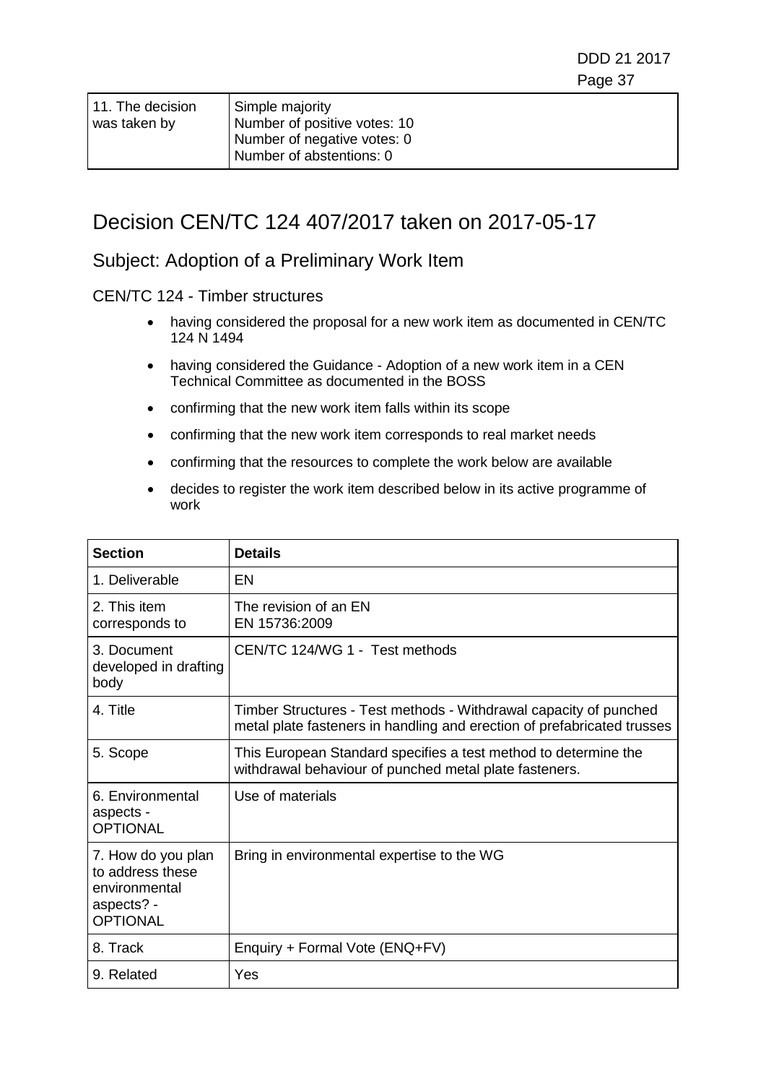| 11. The decision | Simple majority                                             |
|------------------|-------------------------------------------------------------|
| was taken by     | Number of positive votes: 10<br>Number of negative votes: 0 |
|                  |                                                             |
|                  | Number of abstentions: 0                                    |

## Decision CEN/TC 124 407/2017 taken on 2017-05-17

#### Subject: Adoption of a Preliminary Work Item

- having considered the proposal for a new work item as documented in CEN/TC 124 N 1494
- having considered the Guidance Adoption of a new work item in a CEN Technical Committee as documented in the BOSS
- confirming that the new work item falls within its scope
- confirming that the new work item corresponds to real market needs
- confirming that the resources to complete the work below are available
- decides to register the work item described below in its active programme of work

| <b>Section</b>                                                                           | <b>Details</b>                                                                                                                               |
|------------------------------------------------------------------------------------------|----------------------------------------------------------------------------------------------------------------------------------------------|
| 1. Deliverable                                                                           | EN                                                                                                                                           |
| 2. This item<br>corresponds to                                                           | The revision of an EN<br>EN 15736:2009                                                                                                       |
| 3. Document<br>developed in drafting<br>body                                             | CEN/TC 124/WG 1 - Test methods                                                                                                               |
| 4. Title                                                                                 | Timber Structures - Test methods - Withdrawal capacity of punched<br>metal plate fasteners in handling and erection of prefabricated trusses |
| 5. Scope                                                                                 | This European Standard specifies a test method to determine the<br>withdrawal behaviour of punched metal plate fasteners.                    |
| 6. Environmental<br>aspects -<br><b>OPTIONAL</b>                                         | Use of materials                                                                                                                             |
| 7. How do you plan<br>to address these<br>environmental<br>aspects? -<br><b>OPTIONAL</b> | Bring in environmental expertise to the WG                                                                                                   |
| 8. Track                                                                                 | Enquiry + Formal Vote (ENQ+FV)                                                                                                               |
| 9. Related                                                                               | Yes                                                                                                                                          |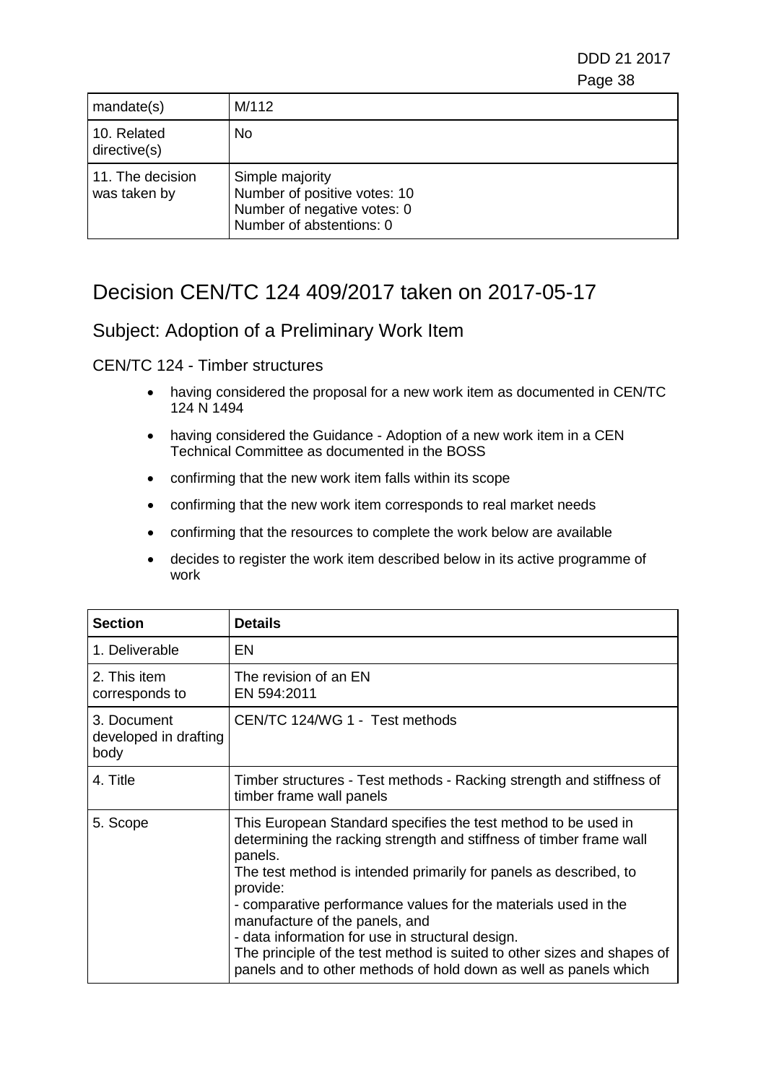DDD 21 2017 e e contra a construída de alta de 1990, estadounidense de 1990, estadounidense de 1990, estadounidense de 19

| mandate(s)                       | M/112                                                                                                      |
|----------------------------------|------------------------------------------------------------------------------------------------------------|
| 10. Related<br>directive(s)      | No.                                                                                                        |
| 11. The decision<br>was taken by | Simple majority<br>Number of positive votes: 10<br>Number of negative votes: 0<br>Number of abstentions: 0 |

# Decision CEN/TC 124 409/2017 taken on 2017-05-17

### Subject: Adoption of a Preliminary Work Item

- having considered the proposal for a new work item as documented in CEN/TC 124 N 1494
- having considered the Guidance Adoption of a new work item in a CEN Technical Committee as documented in the BOSS
- confirming that the new work item falls within its scope
- confirming that the new work item corresponds to real market needs
- confirming that the resources to complete the work below are available
- decides to register the work item described below in its active programme of work

| <b>Section</b>                               | <b>Details</b>                                                                                                                                                                                                                                                                                                                                                                                                                                                                                                                           |
|----------------------------------------------|------------------------------------------------------------------------------------------------------------------------------------------------------------------------------------------------------------------------------------------------------------------------------------------------------------------------------------------------------------------------------------------------------------------------------------------------------------------------------------------------------------------------------------------|
| 1. Deliverable                               | EN                                                                                                                                                                                                                                                                                                                                                                                                                                                                                                                                       |
| 2. This item<br>corresponds to               | The revision of an EN<br>EN 594:2011                                                                                                                                                                                                                                                                                                                                                                                                                                                                                                     |
| 3. Document<br>developed in drafting<br>body | CEN/TC 124/WG 1 - Test methods                                                                                                                                                                                                                                                                                                                                                                                                                                                                                                           |
| 4. Title                                     | Timber structures - Test methods - Racking strength and stiffness of<br>timber frame wall panels                                                                                                                                                                                                                                                                                                                                                                                                                                         |
| 5. Scope                                     | This European Standard specifies the test method to be used in<br>determining the racking strength and stiffness of timber frame wall<br>panels.<br>The test method is intended primarily for panels as described, to<br>provide:<br>- comparative performance values for the materials used in the<br>manufacture of the panels, and<br>- data information for use in structural design.<br>The principle of the test method is suited to other sizes and shapes of<br>panels and to other methods of hold down as well as panels which |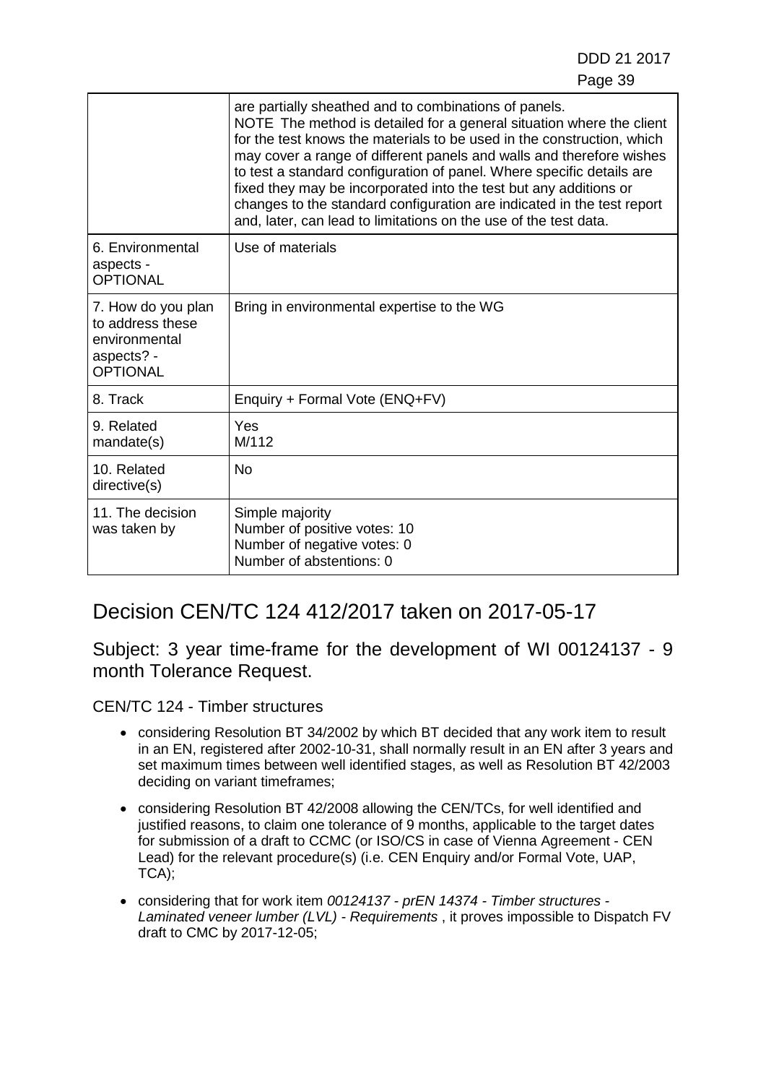|                                                                                          | are partially sheathed and to combinations of panels.<br>NOTE The method is detailed for a general situation where the client<br>for the test knows the materials to be used in the construction, which<br>may cover a range of different panels and walls and therefore wishes<br>to test a standard configuration of panel. Where specific details are<br>fixed they may be incorporated into the test but any additions or<br>changes to the standard configuration are indicated in the test report<br>and, later, can lead to limitations on the use of the test data. |
|------------------------------------------------------------------------------------------|-----------------------------------------------------------------------------------------------------------------------------------------------------------------------------------------------------------------------------------------------------------------------------------------------------------------------------------------------------------------------------------------------------------------------------------------------------------------------------------------------------------------------------------------------------------------------------|
| 6. Environmental<br>aspects -<br><b>OPTIONAL</b>                                         | Use of materials                                                                                                                                                                                                                                                                                                                                                                                                                                                                                                                                                            |
| 7. How do you plan<br>to address these<br>environmental<br>aspects? -<br><b>OPTIONAL</b> | Bring in environmental expertise to the WG                                                                                                                                                                                                                                                                                                                                                                                                                                                                                                                                  |
| 8. Track                                                                                 | Enquiry + Formal Vote (ENQ+FV)                                                                                                                                                                                                                                                                                                                                                                                                                                                                                                                                              |
| 9. Related<br>mandate(s)                                                                 | Yes<br>M/112                                                                                                                                                                                                                                                                                                                                                                                                                                                                                                                                                                |
| 10. Related<br>directive(s)                                                              | <b>No</b>                                                                                                                                                                                                                                                                                                                                                                                                                                                                                                                                                                   |
| 11. The decision<br>was taken by                                                         | Simple majority<br>Number of positive votes: 10<br>Number of negative votes: 0<br>Number of abstentions: 0                                                                                                                                                                                                                                                                                                                                                                                                                                                                  |

# Decision CEN/TC 124 412/2017 taken on 2017-05-17

Subject: 3 year time-frame for the development of WI 00124137 - 9 month Tolerance Request.

- considering Resolution BT 34/2002 by which BT decided that any work item to result in an EN, registered after 2002-10-31, shall normally result in an EN after 3 years and set maximum times between well identified stages, as well as Resolution BT 42/2003 deciding on variant timeframes;
- considering Resolution BT 42/2008 allowing the CEN/TCs, for well identified and justified reasons, to claim one tolerance of 9 months, applicable to the target dates for submission of a draft to CCMC (or ISO/CS in case of Vienna Agreement - CEN Lead) for the relevant procedure(s) (i.e. CEN Enquiry and/or Formal Vote, UAP, TCA);
- considering that for work item *00124137 - prEN 14374 - Timber structures - Laminated veneer lumber (LVL) - Requirements* , it proves impossible to Dispatch FV draft to CMC by 2017-12-05;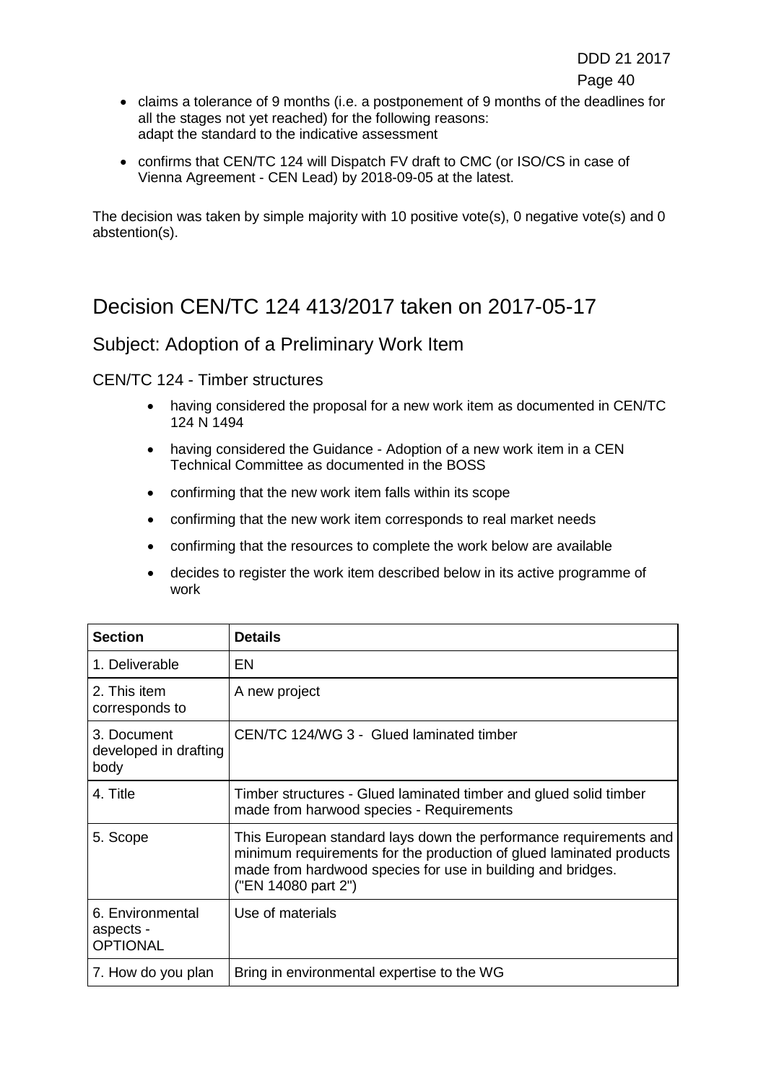- claims a tolerance of 9 months (i.e. a postponement of 9 months of the deadlines for all the stages not yet reached) for the following reasons: adapt the standard to the indicative assessment
- confirms that CEN/TC 124 will Dispatch FV draft to CMC (or ISO/CS in case of Vienna Agreement - CEN Lead) by 2018-09-05 at the latest.

The decision was taken by simple majority with 10 positive vote(s), 0 negative vote(s) and 0 abstention(s).

## Decision CEN/TC 124 413/2017 taken on 2017-05-17

### Subject: Adoption of a Preliminary Work Item

- having considered the proposal for a new work item as documented in CEN/TC 124 N 1494
- having considered the Guidance Adoption of a new work item in a CEN Technical Committee as documented in the BOSS
- confirming that the new work item falls within its scope
- confirming that the new work item corresponds to real market needs
- confirming that the resources to complete the work below are available
- decides to register the work item described below in its active programme of work

| <b>Section</b>                                   | <b>Details</b>                                                                                                                                                                                                                 |
|--------------------------------------------------|--------------------------------------------------------------------------------------------------------------------------------------------------------------------------------------------------------------------------------|
| 1. Deliverable                                   | EN                                                                                                                                                                                                                             |
| 2. This item<br>corresponds to                   | A new project                                                                                                                                                                                                                  |
| 3. Document<br>developed in drafting<br>body     | CEN/TC 124/WG 3 - Glued laminated timber                                                                                                                                                                                       |
| 4. Title                                         | Timber structures - Glued laminated timber and glued solid timber<br>made from harwood species - Requirements                                                                                                                  |
| 5. Scope                                         | This European standard lays down the performance requirements and<br>minimum requirements for the production of glued laminated products<br>made from hardwood species for use in building and bridges.<br>("EN 14080 part 2") |
| 6. Environmental<br>aspects -<br><b>OPTIONAL</b> | Use of materials                                                                                                                                                                                                               |
| 7. How do you plan                               | Bring in environmental expertise to the WG                                                                                                                                                                                     |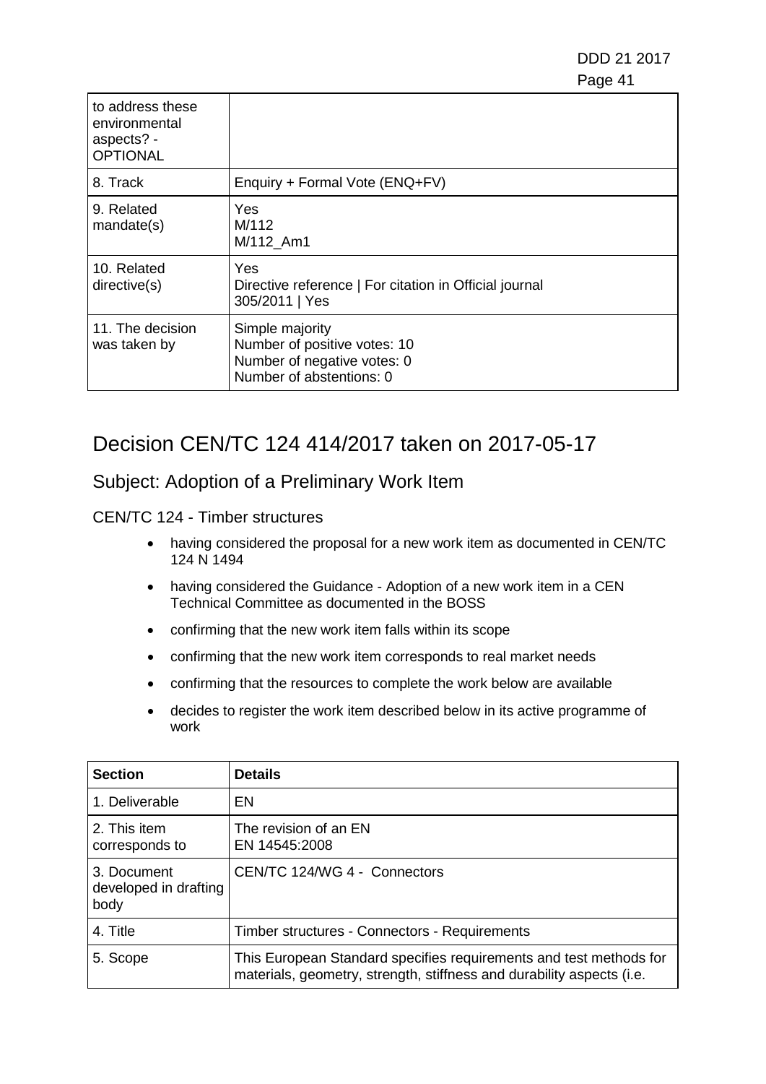| to address these<br>environmental<br>aspects? -<br><b>OPTIONAL</b> |                                                                                                            |
|--------------------------------------------------------------------|------------------------------------------------------------------------------------------------------------|
| 8. Track                                                           | Enquiry + Formal Vote (ENQ+FV)                                                                             |
| 9. Related<br>mandate(s)                                           | Yes<br>M/112<br>M/112_Am1                                                                                  |
| 10. Related<br>directive(s)                                        | Yes<br>Directive reference   For citation in Official journal<br>305/2011   Yes                            |
| 11. The decision<br>was taken by                                   | Simple majority<br>Number of positive votes: 10<br>Number of negative votes: 0<br>Number of abstentions: 0 |

## Decision CEN/TC 124 414/2017 taken on 2017-05-17

### Subject: Adoption of a Preliminary Work Item

- having considered the proposal for a new work item as documented in CEN/TC 124 N 1494
- having considered the Guidance Adoption of a new work item in a CEN Technical Committee as documented in the BOSS
- confirming that the new work item falls within its scope
- confirming that the new work item corresponds to real market needs
- confirming that the resources to complete the work below are available
- decides to register the work item described below in its active programme of work

| <b>Section</b>                               | <b>Details</b>                                                                                                                              |
|----------------------------------------------|---------------------------------------------------------------------------------------------------------------------------------------------|
| 1. Deliverable                               | EN                                                                                                                                          |
| 2. This item<br>corresponds to               | The revision of an EN<br>EN 14545:2008                                                                                                      |
| 3. Document<br>developed in drafting<br>body | CEN/TC 124/WG 4 - Connectors                                                                                                                |
| 4. Title                                     | Timber structures - Connectors - Requirements                                                                                               |
| 5. Scope                                     | This European Standard specifies requirements and test methods for<br>materials, geometry, strength, stiffness and durability aspects (i.e. |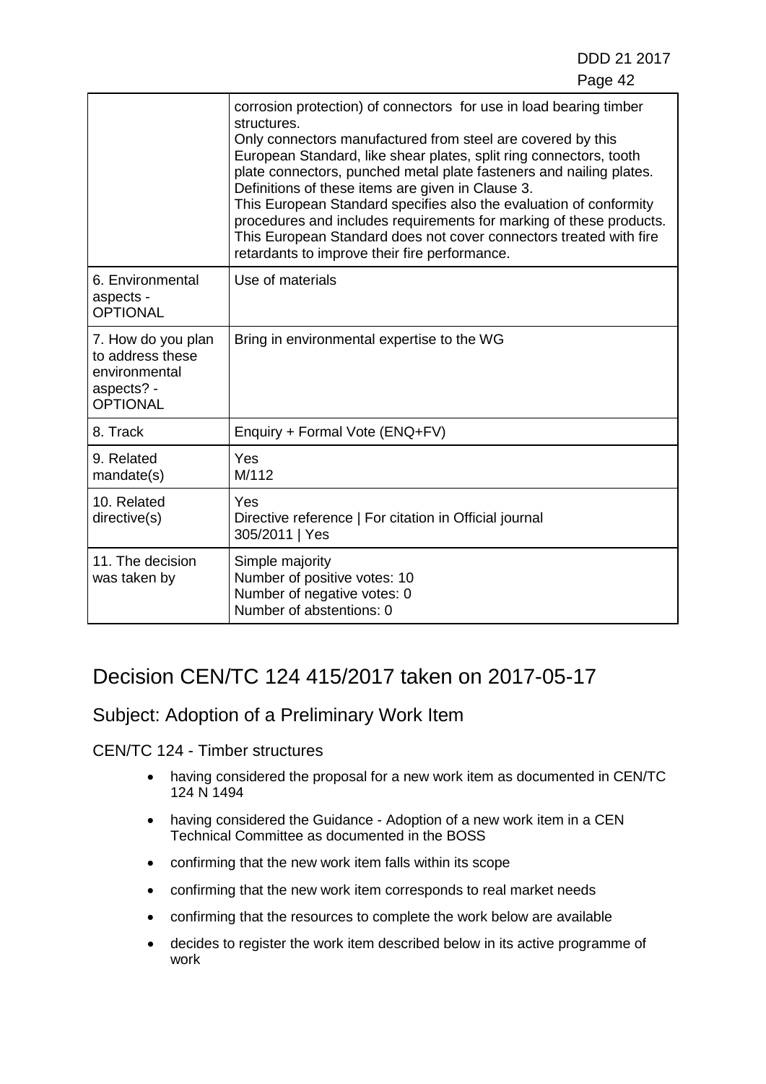|                                                                                          | corrosion protection) of connectors for use in load bearing timber<br>structures.<br>Only connectors manufactured from steel are covered by this<br>European Standard, like shear plates, split ring connectors, tooth<br>plate connectors, punched metal plate fasteners and nailing plates.<br>Definitions of these items are given in Clause 3.<br>This European Standard specifies also the evaluation of conformity<br>procedures and includes requirements for marking of these products.<br>This European Standard does not cover connectors treated with fire<br>retardants to improve their fire performance. |
|------------------------------------------------------------------------------------------|------------------------------------------------------------------------------------------------------------------------------------------------------------------------------------------------------------------------------------------------------------------------------------------------------------------------------------------------------------------------------------------------------------------------------------------------------------------------------------------------------------------------------------------------------------------------------------------------------------------------|
| 6. Environmental<br>aspects -<br><b>OPTIONAL</b>                                         | Use of materials                                                                                                                                                                                                                                                                                                                                                                                                                                                                                                                                                                                                       |
| 7. How do you plan<br>to address these<br>environmental<br>aspects? -<br><b>OPTIONAL</b> | Bring in environmental expertise to the WG                                                                                                                                                                                                                                                                                                                                                                                                                                                                                                                                                                             |
| 8. Track                                                                                 | Enquiry + Formal Vote (ENQ+FV)                                                                                                                                                                                                                                                                                                                                                                                                                                                                                                                                                                                         |
| 9. Related<br>mandate(s)                                                                 | Yes<br>M/112                                                                                                                                                                                                                                                                                                                                                                                                                                                                                                                                                                                                           |
| 10. Related<br>directive(s)                                                              | Yes<br>Directive reference   For citation in Official journal<br>305/2011   Yes                                                                                                                                                                                                                                                                                                                                                                                                                                                                                                                                        |
| 11. The decision<br>was taken by                                                         | Simple majority<br>Number of positive votes: 10<br>Number of negative votes: 0<br>Number of abstentions: 0                                                                                                                                                                                                                                                                                                                                                                                                                                                                                                             |

# Decision CEN/TC 124 415/2017 taken on 2017-05-17

### Subject: Adoption of a Preliminary Work Item

- having considered the proposal for a new work item as documented in CEN/TC 124 N 1494
- having considered the Guidance Adoption of a new work item in a CEN Technical Committee as documented in the BOSS
- confirming that the new work item falls within its scope
- confirming that the new work item corresponds to real market needs
- confirming that the resources to complete the work below are available
- decides to register the work item described below in its active programme of work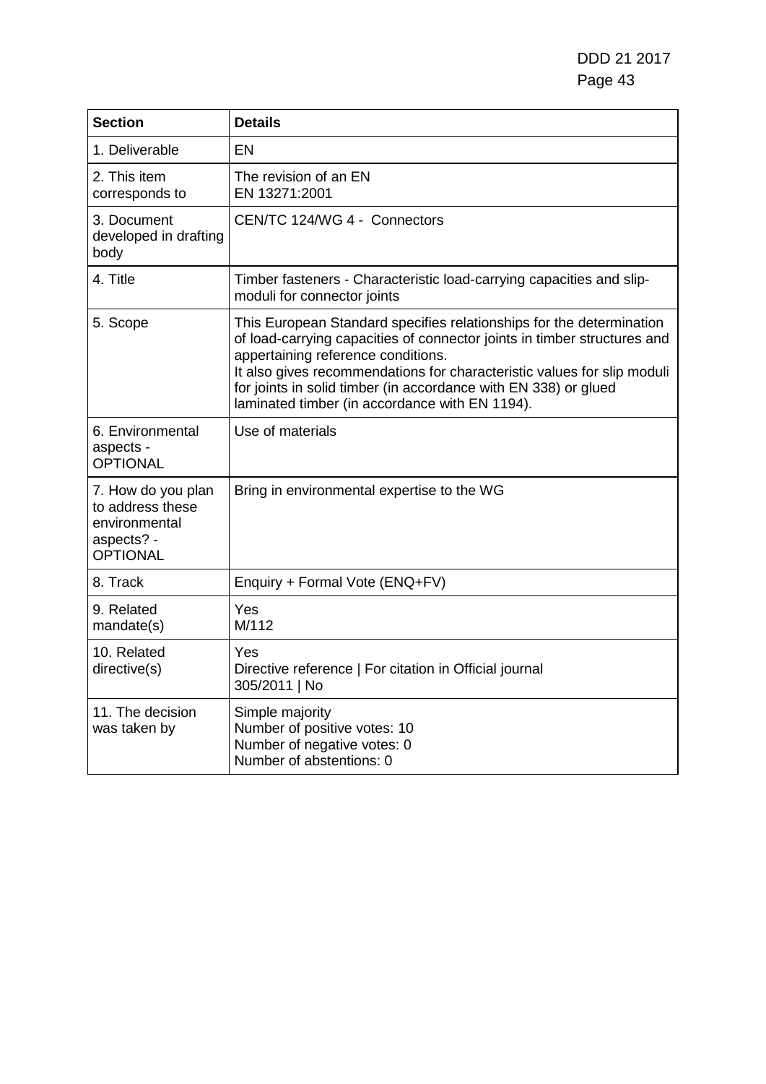| <b>Section</b>                                                                           | <b>Details</b>                                                                                                                                                                                                                                                                                                                                                                         |
|------------------------------------------------------------------------------------------|----------------------------------------------------------------------------------------------------------------------------------------------------------------------------------------------------------------------------------------------------------------------------------------------------------------------------------------------------------------------------------------|
| 1. Deliverable                                                                           | EN                                                                                                                                                                                                                                                                                                                                                                                     |
| 2. This item<br>corresponds to                                                           | The revision of an EN<br>EN 13271:2001                                                                                                                                                                                                                                                                                                                                                 |
| 3. Document<br>developed in drafting<br>body                                             | CEN/TC 124/WG 4 - Connectors                                                                                                                                                                                                                                                                                                                                                           |
| 4. Title                                                                                 | Timber fasteners - Characteristic load-carrying capacities and slip-<br>moduli for connector joints                                                                                                                                                                                                                                                                                    |
| 5. Scope                                                                                 | This European Standard specifies relationships for the determination<br>of load-carrying capacities of connector joints in timber structures and<br>appertaining reference conditions.<br>It also gives recommendations for characteristic values for slip moduli<br>for joints in solid timber (in accordance with EN 338) or glued<br>laminated timber (in accordance with EN 1194). |
| 6. Environmental<br>aspects -<br><b>OPTIONAL</b>                                         | Use of materials                                                                                                                                                                                                                                                                                                                                                                       |
| 7. How do you plan<br>to address these<br>environmental<br>aspects? -<br><b>OPTIONAL</b> | Bring in environmental expertise to the WG                                                                                                                                                                                                                                                                                                                                             |
| 8. Track                                                                                 | Enquiry + Formal Vote (ENQ+FV)                                                                                                                                                                                                                                                                                                                                                         |
| 9. Related<br>mandate(s)                                                                 | Yes<br>M/112                                                                                                                                                                                                                                                                                                                                                                           |
| 10. Related<br>directive(s)                                                              | Yes<br>Directive reference   For citation in Official journal<br>305/2011   No                                                                                                                                                                                                                                                                                                         |
| 11. The decision<br>was taken by                                                         | Simple majority<br>Number of positive votes: 10<br>Number of negative votes: 0<br>Number of abstentions: 0                                                                                                                                                                                                                                                                             |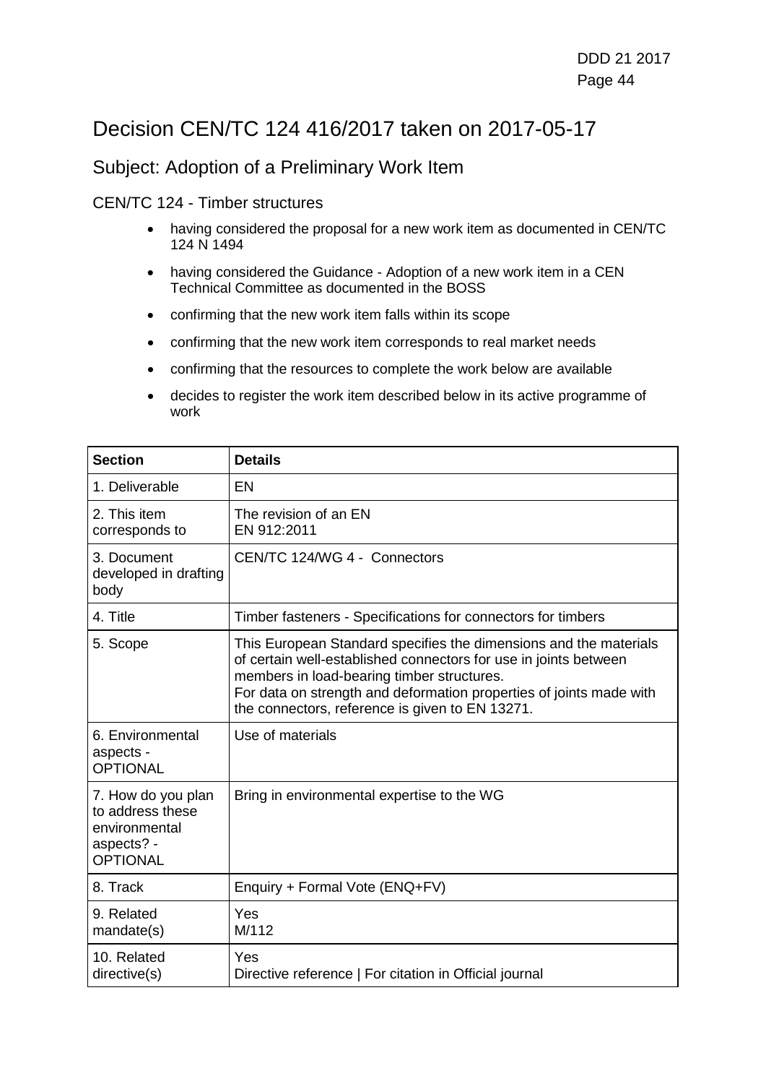## Decision CEN/TC 124 416/2017 taken on 2017-05-17

### Subject: Adoption of a Preliminary Work Item

- having considered the proposal for a new work item as documented in CEN/TC 124 N 1494
- having considered the Guidance Adoption of a new work item in a CEN Technical Committee as documented in the BOSS
- confirming that the new work item falls within its scope
- confirming that the new work item corresponds to real market needs
- confirming that the resources to complete the work below are available
- decides to register the work item described below in its active programme of work

| <b>Section</b>                                                                           | <b>Details</b>                                                                                                                                                                                                                                                                                                |
|------------------------------------------------------------------------------------------|---------------------------------------------------------------------------------------------------------------------------------------------------------------------------------------------------------------------------------------------------------------------------------------------------------------|
| 1. Deliverable                                                                           | EN                                                                                                                                                                                                                                                                                                            |
| 2. This item<br>corresponds to                                                           | The revision of an EN<br>EN 912:2011                                                                                                                                                                                                                                                                          |
| 3. Document<br>developed in drafting<br>body                                             | CEN/TC 124/WG 4 - Connectors                                                                                                                                                                                                                                                                                  |
| 4. Title                                                                                 | Timber fasteners - Specifications for connectors for timbers                                                                                                                                                                                                                                                  |
| 5. Scope                                                                                 | This European Standard specifies the dimensions and the materials<br>of certain well-established connectors for use in joints between<br>members in load-bearing timber structures.<br>For data on strength and deformation properties of joints made with<br>the connectors, reference is given to EN 13271. |
| 6. Environmental<br>aspects -<br><b>OPTIONAL</b>                                         | Use of materials                                                                                                                                                                                                                                                                                              |
| 7. How do you plan<br>to address these<br>environmental<br>aspects? -<br><b>OPTIONAL</b> | Bring in environmental expertise to the WG                                                                                                                                                                                                                                                                    |
| 8. Track                                                                                 | Enquiry + Formal Vote (ENQ+FV)                                                                                                                                                                                                                                                                                |
| 9. Related<br>mandate(s)                                                                 | Yes<br>M/112                                                                                                                                                                                                                                                                                                  |
| 10. Related<br>directive(s)                                                              | Yes<br>Directive reference   For citation in Official journal                                                                                                                                                                                                                                                 |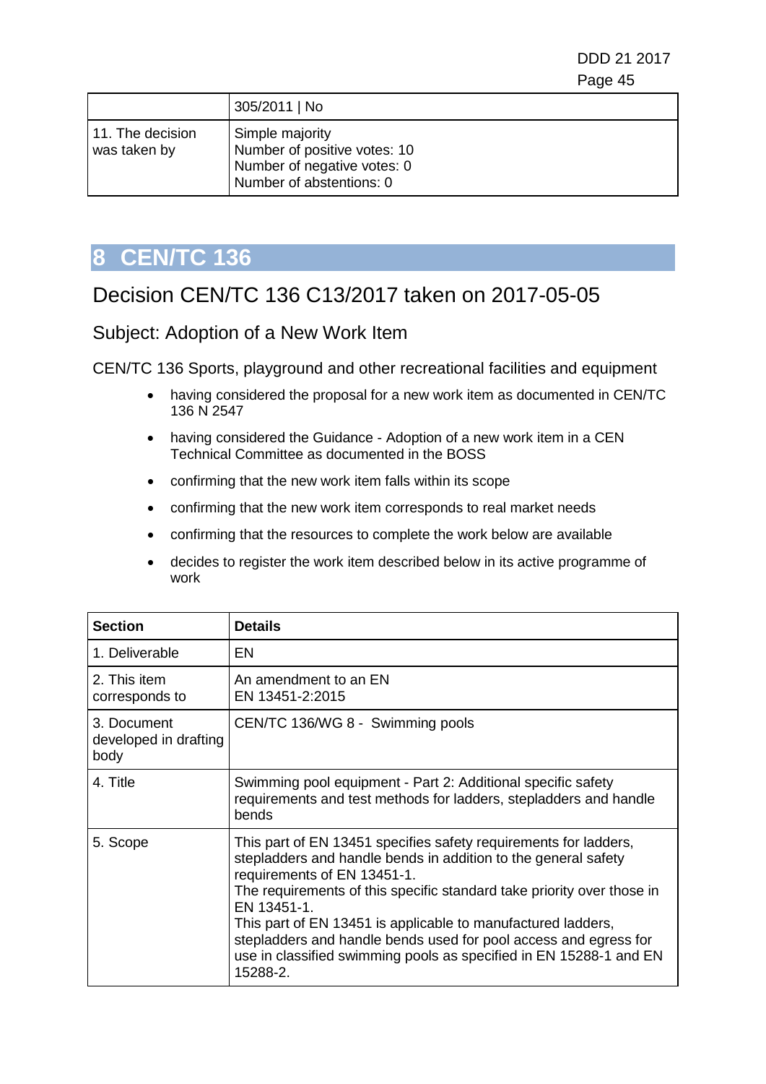DDD 21 2017 e de la construction de la construction de la construction de la construction de la construction de la constru

|                                  | 305/2011   No                                                                                              |
|----------------------------------|------------------------------------------------------------------------------------------------------------|
| 11. The decision<br>was taken by | Simple majority<br>Number of positive votes: 10<br>Number of negative votes: 0<br>Number of abstentions: 0 |

# **8 CEN/TC 136**

# Decision CEN/TC 136 C13/2017 taken on 2017-05-05

Subject: Adoption of a New Work Item

CEN/TC 136 Sports, playground and other recreational facilities and equipment

- having considered the proposal for a new work item as documented in CEN/TC 136 N 2547
- having considered the Guidance Adoption of a new work item in a CEN Technical Committee as documented in the BOSS
- confirming that the new work item falls within its scope
- confirming that the new work item corresponds to real market needs
- confirming that the resources to complete the work below are available
- decides to register the work item described below in its active programme of work

| <b>Section</b>                               | <b>Details</b>                                                                                                                                                                                                                                                                                                                                                                                                                                                                   |
|----------------------------------------------|----------------------------------------------------------------------------------------------------------------------------------------------------------------------------------------------------------------------------------------------------------------------------------------------------------------------------------------------------------------------------------------------------------------------------------------------------------------------------------|
| 1. Deliverable                               | EN                                                                                                                                                                                                                                                                                                                                                                                                                                                                               |
| 2. This item<br>corresponds to               | An amendment to an EN<br>EN 13451-2:2015                                                                                                                                                                                                                                                                                                                                                                                                                                         |
| 3. Document<br>developed in drafting<br>body | CEN/TC 136/WG 8 - Swimming pools                                                                                                                                                                                                                                                                                                                                                                                                                                                 |
| 4. Title                                     | Swimming pool equipment - Part 2: Additional specific safety<br>requirements and test methods for ladders, stepladders and handle<br>bends                                                                                                                                                                                                                                                                                                                                       |
| 5. Scope                                     | This part of EN 13451 specifies safety requirements for ladders,<br>stepladders and handle bends in addition to the general safety<br>requirements of EN 13451-1.<br>The requirements of this specific standard take priority over those in<br>EN 13451-1.<br>This part of EN 13451 is applicable to manufactured ladders,<br>stepladders and handle bends used for pool access and egress for<br>use in classified swimming pools as specified in EN 15288-1 and EN<br>15288-2. |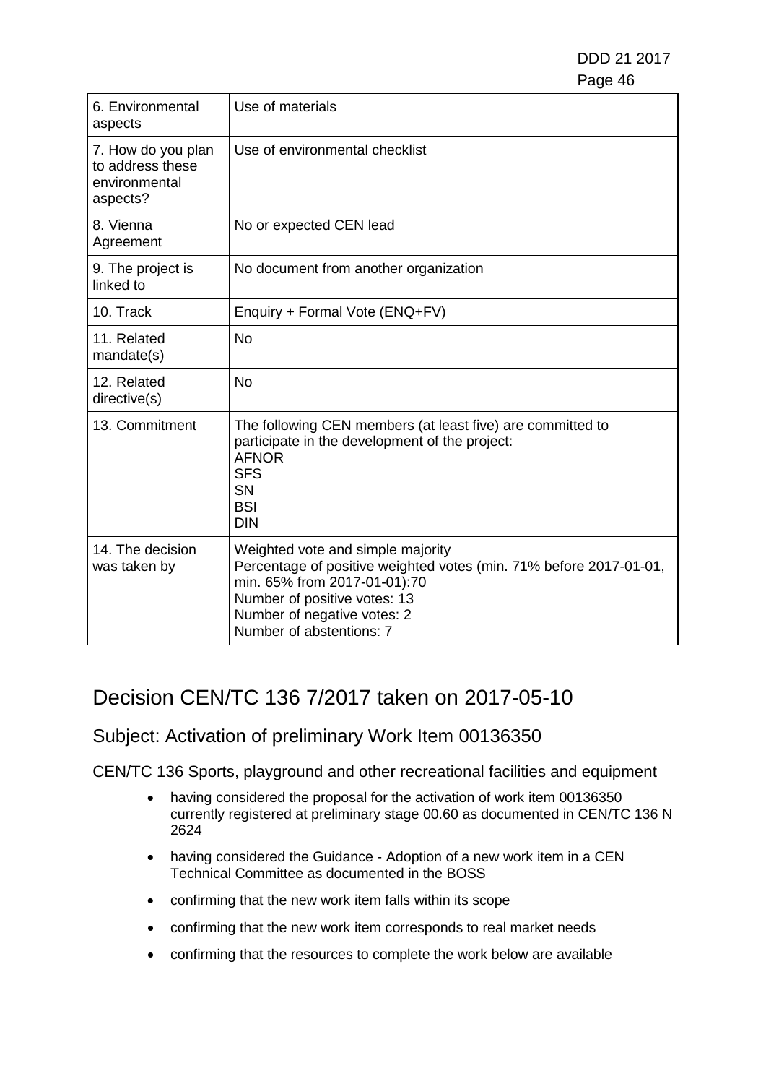| 6. Environmental<br>aspects                                         | Use of materials                                                                                                                                                                                                                   |
|---------------------------------------------------------------------|------------------------------------------------------------------------------------------------------------------------------------------------------------------------------------------------------------------------------------|
| 7. How do you plan<br>to address these<br>environmental<br>aspects? | Use of environmental checklist                                                                                                                                                                                                     |
| 8. Vienna<br>Agreement                                              | No or expected CEN lead                                                                                                                                                                                                            |
| 9. The project is<br>linked to                                      | No document from another organization                                                                                                                                                                                              |
| 10. Track                                                           | Enquiry + Formal Vote (ENQ+FV)                                                                                                                                                                                                     |
| 11. Related<br>mandate(s)                                           | <b>No</b>                                                                                                                                                                                                                          |
| 12. Related<br>directive(s)                                         | <b>No</b>                                                                                                                                                                                                                          |
| 13. Commitment                                                      | The following CEN members (at least five) are committed to<br>participate in the development of the project:<br><b>AFNOR</b><br><b>SFS</b><br><b>SN</b><br><b>BSI</b><br><b>DIN</b>                                                |
| 14. The decision<br>was taken by                                    | Weighted vote and simple majority<br>Percentage of positive weighted votes (min. 71% before 2017-01-01,<br>min. 65% from 2017-01-01):70<br>Number of positive votes: 13<br>Number of negative votes: 2<br>Number of abstentions: 7 |

# Decision CEN/TC 136 7/2017 taken on 2017-05-10

## Subject: Activation of preliminary Work Item 00136350

CEN/TC 136 Sports, playground and other recreational facilities and equipment

- having considered the proposal for the activation of work item 00136350 currently registered at preliminary stage 00.60 as documented in CEN/TC 136 N 2624
- having considered the Guidance Adoption of a new work item in a CEN Technical Committee as documented in the BOSS
- confirming that the new work item falls within its scope
- confirming that the new work item corresponds to real market needs
- confirming that the resources to complete the work below are available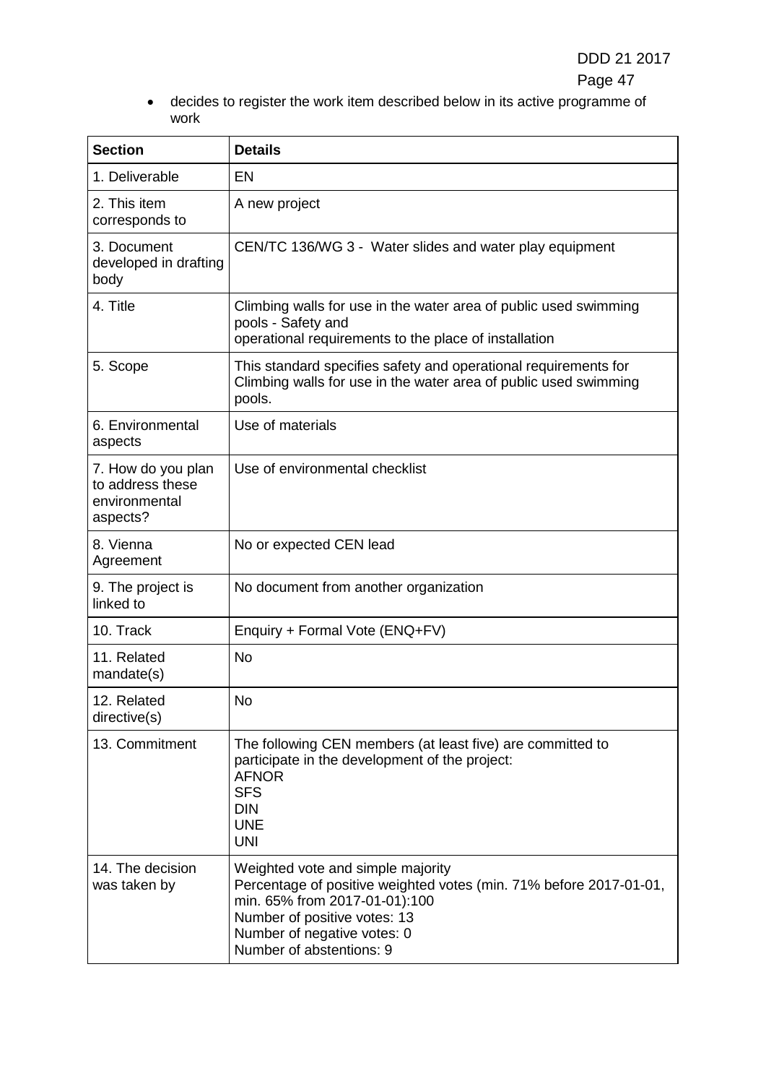• decides to register the work item described below in its active programme of work

| <b>Section</b>                                                      | <b>Details</b>                                                                                                                                                                                                                      |
|---------------------------------------------------------------------|-------------------------------------------------------------------------------------------------------------------------------------------------------------------------------------------------------------------------------------|
| 1. Deliverable                                                      | EN                                                                                                                                                                                                                                  |
| 2. This item<br>corresponds to                                      | A new project                                                                                                                                                                                                                       |
| 3. Document<br>developed in drafting<br>body                        | CEN/TC 136/WG 3 - Water slides and water play equipment                                                                                                                                                                             |
| 4. Title                                                            | Climbing walls for use in the water area of public used swimming<br>pools - Safety and<br>operational requirements to the place of installation                                                                                     |
| 5. Scope                                                            | This standard specifies safety and operational requirements for<br>Climbing walls for use in the water area of public used swimming<br>pools.                                                                                       |
| 6. Environmental<br>aspects                                         | Use of materials                                                                                                                                                                                                                    |
| 7. How do you plan<br>to address these<br>environmental<br>aspects? | Use of environmental checklist                                                                                                                                                                                                      |
| 8. Vienna<br>Agreement                                              | No or expected CEN lead                                                                                                                                                                                                             |
| 9. The project is<br>linked to                                      | No document from another organization                                                                                                                                                                                               |
| 10. Track                                                           | Enquiry + Formal Vote (ENQ+FV)                                                                                                                                                                                                      |
| 11. Related<br>mandate(s)                                           | <b>No</b>                                                                                                                                                                                                                           |
| 12. Related<br>directive(s)                                         | No                                                                                                                                                                                                                                  |
| 13. Commitment                                                      | The following CEN members (at least five) are committed to<br>participate in the development of the project:<br><b>AFNOR</b><br><b>SFS</b><br><b>DIN</b><br><b>UNE</b><br><b>UNI</b>                                                |
| 14. The decision<br>was taken by                                    | Weighted vote and simple majority<br>Percentage of positive weighted votes (min. 71% before 2017-01-01,<br>min. 65% from 2017-01-01):100<br>Number of positive votes: 13<br>Number of negative votes: 0<br>Number of abstentions: 9 |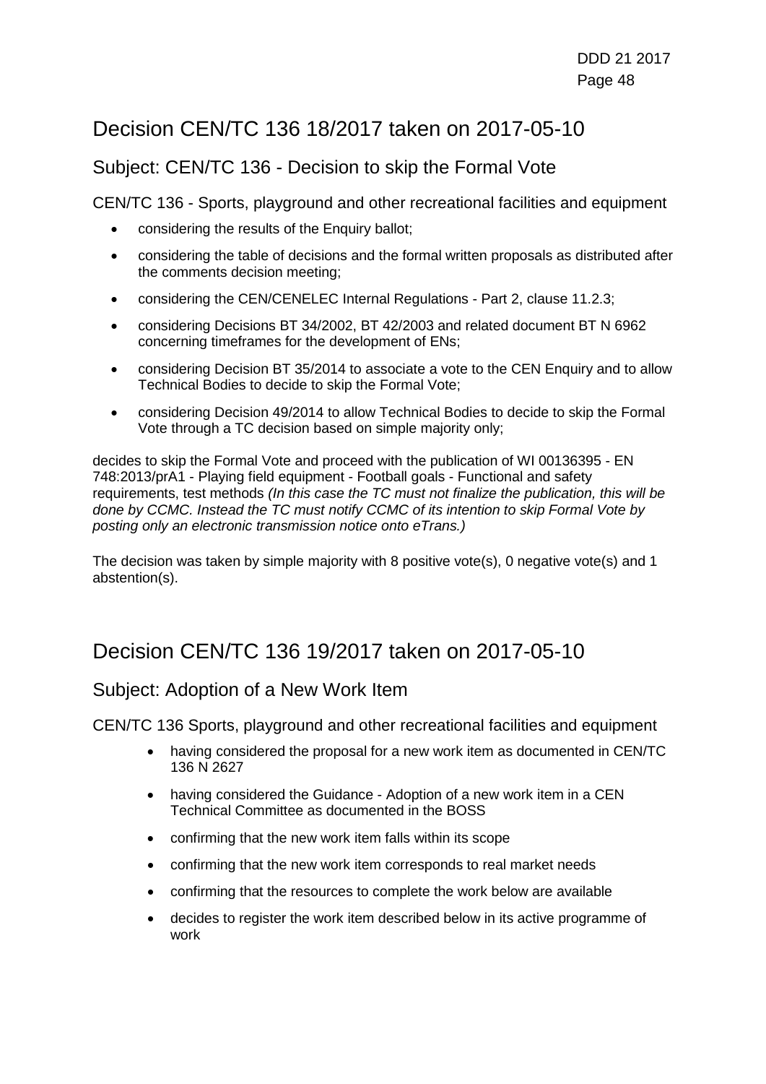# Decision CEN/TC 136 18/2017 taken on 2017-05-10

### Subject: CEN/TC 136 - Decision to skip the Formal Vote

CEN/TC 136 - Sports, playground and other recreational facilities and equipment

- considering the results of the Enquiry ballot;
- considering the table of decisions and the formal written proposals as distributed after the comments decision meeting;
- considering the CEN/CENELEC Internal Regulations Part 2, clause 11.2.3;
- considering Decisions BT 34/2002, BT 42/2003 and related document BT N 6962 concerning timeframes for the development of ENs;
- considering Decision BT 35/2014 to associate a vote to the CEN Enquiry and to allow Technical Bodies to decide to skip the Formal Vote;
- considering Decision 49/2014 to allow Technical Bodies to decide to skip the Formal Vote through a TC decision based on simple majority only;

decides to skip the Formal Vote and proceed with the publication of WI 00136395 - EN 748:2013/prA1 - Playing field equipment - Football goals - Functional and safety requirements, test methods *(In this case the TC must not finalize the publication, this will be done by CCMC. Instead the TC must notify CCMC of its intention to skip Formal Vote by posting only an electronic transmission notice onto eTrans.)*

The decision was taken by simple majority with 8 positive vote(s), 0 negative vote(s) and 1 abstention(s).

# Decision CEN/TC 136 19/2017 taken on 2017-05-10

### Subject: Adoption of a New Work Item

CEN/TC 136 Sports, playground and other recreational facilities and equipment

- having considered the proposal for a new work item as documented in CEN/TC 136 N 2627
- having considered the Guidance Adoption of a new work item in a CEN Technical Committee as documented in the BOSS
- confirming that the new work item falls within its scope
- confirming that the new work item corresponds to real market needs
- confirming that the resources to complete the work below are available
- decides to register the work item described below in its active programme of work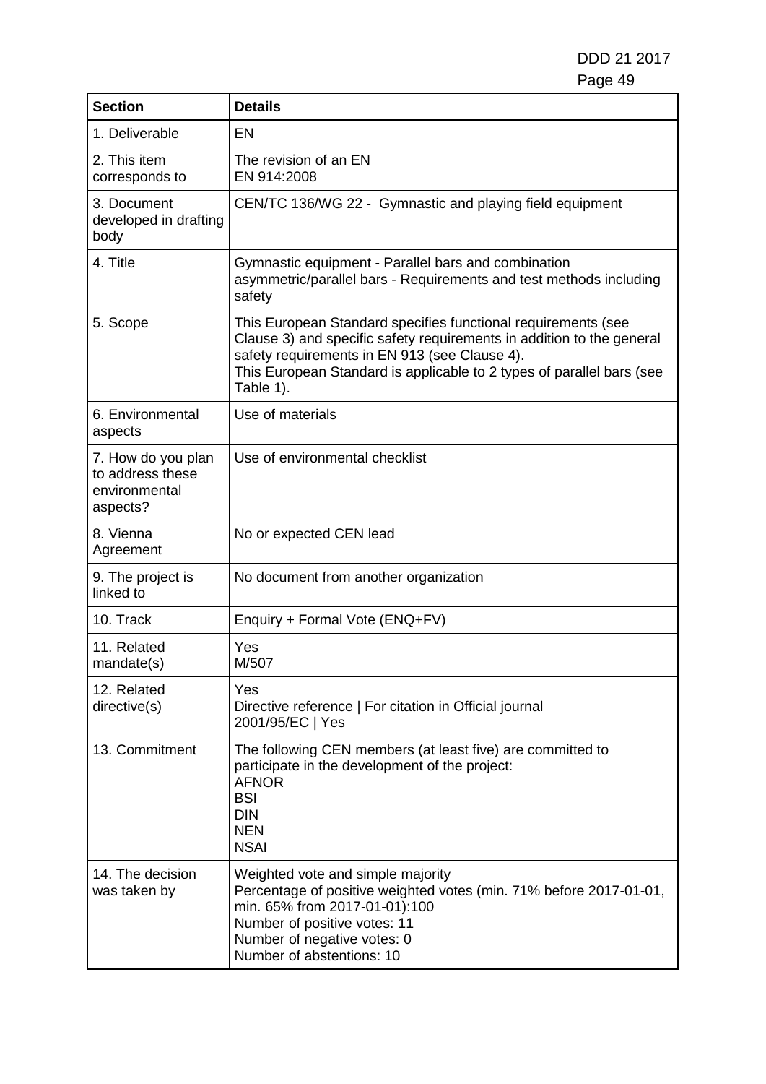| <b>Section</b>                                                      | <b>Details</b>                                                                                                                                                                                                                                                                |
|---------------------------------------------------------------------|-------------------------------------------------------------------------------------------------------------------------------------------------------------------------------------------------------------------------------------------------------------------------------|
| 1. Deliverable                                                      | EN                                                                                                                                                                                                                                                                            |
| 2. This item<br>corresponds to                                      | The revision of an EN<br>EN 914:2008                                                                                                                                                                                                                                          |
| 3. Document<br>developed in drafting<br>body                        | CEN/TC 136/WG 22 - Gymnastic and playing field equipment                                                                                                                                                                                                                      |
| 4. Title                                                            | Gymnastic equipment - Parallel bars and combination<br>asymmetric/parallel bars - Requirements and test methods including<br>safety                                                                                                                                           |
| 5. Scope                                                            | This European Standard specifies functional requirements (see<br>Clause 3) and specific safety requirements in addition to the general<br>safety requirements in EN 913 (see Clause 4).<br>This European Standard is applicable to 2 types of parallel bars (see<br>Table 1). |
| 6. Environmental<br>aspects                                         | Use of materials                                                                                                                                                                                                                                                              |
| 7. How do you plan<br>to address these<br>environmental<br>aspects? | Use of environmental checklist                                                                                                                                                                                                                                                |
| 8. Vienna<br>Agreement                                              | No or expected CEN lead                                                                                                                                                                                                                                                       |
| 9. The project is<br>linked to                                      | No document from another organization                                                                                                                                                                                                                                         |
| 10. Track                                                           | Enquiry + Formal Vote (ENQ+FV)                                                                                                                                                                                                                                                |
| 11. Related<br>mandate(s)                                           | Yes<br>M/507                                                                                                                                                                                                                                                                  |
| 12. Related<br>directive(s)                                         | Yes<br>Directive reference   For citation in Official journal<br>2001/95/EC   Yes                                                                                                                                                                                             |
| 13. Commitment                                                      | The following CEN members (at least five) are committed to<br>participate in the development of the project:<br><b>AFNOR</b><br><b>BSI</b><br><b>DIN</b><br><b>NEN</b><br><b>NSAI</b>                                                                                         |
| 14. The decision<br>was taken by                                    | Weighted vote and simple majority<br>Percentage of positive weighted votes (min. 71% before 2017-01-01,<br>min. 65% from 2017-01-01):100<br>Number of positive votes: 11<br>Number of negative votes: 0<br>Number of abstentions: 10                                          |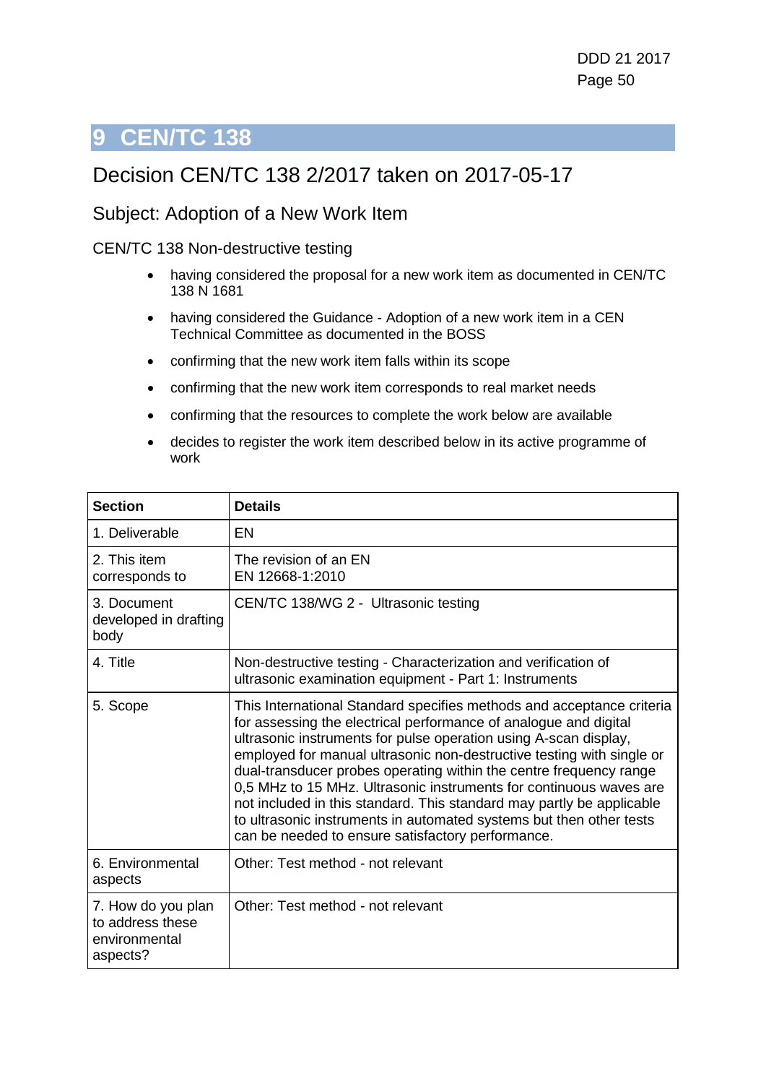# **9 CEN/TC 138**

# Decision CEN/TC 138 2/2017 taken on 2017-05-17

### Subject: Adoption of a New Work Item

#### CEN/TC 138 Non-destructive testing

- having considered the proposal for a new work item as documented in CEN/TC 138 N 1681
- having considered the Guidance Adoption of a new work item in a CEN Technical Committee as documented in the BOSS
- confirming that the new work item falls within its scope
- confirming that the new work item corresponds to real market needs
- confirming that the resources to complete the work below are available
- decides to register the work item described below in its active programme of work

| <b>Section</b>                                                      | <b>Details</b>                                                                                                                                                                                                                                                                                                                                                                                                                                                                                                                                                                                                                          |
|---------------------------------------------------------------------|-----------------------------------------------------------------------------------------------------------------------------------------------------------------------------------------------------------------------------------------------------------------------------------------------------------------------------------------------------------------------------------------------------------------------------------------------------------------------------------------------------------------------------------------------------------------------------------------------------------------------------------------|
| 1. Deliverable                                                      | EN                                                                                                                                                                                                                                                                                                                                                                                                                                                                                                                                                                                                                                      |
| 2. This item<br>corresponds to                                      | The revision of an EN<br>EN 12668-1:2010                                                                                                                                                                                                                                                                                                                                                                                                                                                                                                                                                                                                |
| 3. Document<br>developed in drafting<br>body                        | CEN/TC 138/WG 2 - Ultrasonic testing                                                                                                                                                                                                                                                                                                                                                                                                                                                                                                                                                                                                    |
| 4. Title                                                            | Non-destructive testing - Characterization and verification of<br>ultrasonic examination equipment - Part 1: Instruments                                                                                                                                                                                                                                                                                                                                                                                                                                                                                                                |
| 5. Scope                                                            | This International Standard specifies methods and acceptance criteria<br>for assessing the electrical performance of analogue and digital<br>ultrasonic instruments for pulse operation using A-scan display,<br>employed for manual ultrasonic non-destructive testing with single or<br>dual-transducer probes operating within the centre frequency range<br>0,5 MHz to 15 MHz. Ultrasonic instruments for continuous waves are<br>not included in this standard. This standard may partly be applicable<br>to ultrasonic instruments in automated systems but then other tests<br>can be needed to ensure satisfactory performance. |
| 6. Environmental<br>aspects                                         | Other: Test method - not relevant                                                                                                                                                                                                                                                                                                                                                                                                                                                                                                                                                                                                       |
| 7. How do you plan<br>to address these<br>environmental<br>aspects? | Other: Test method - not relevant                                                                                                                                                                                                                                                                                                                                                                                                                                                                                                                                                                                                       |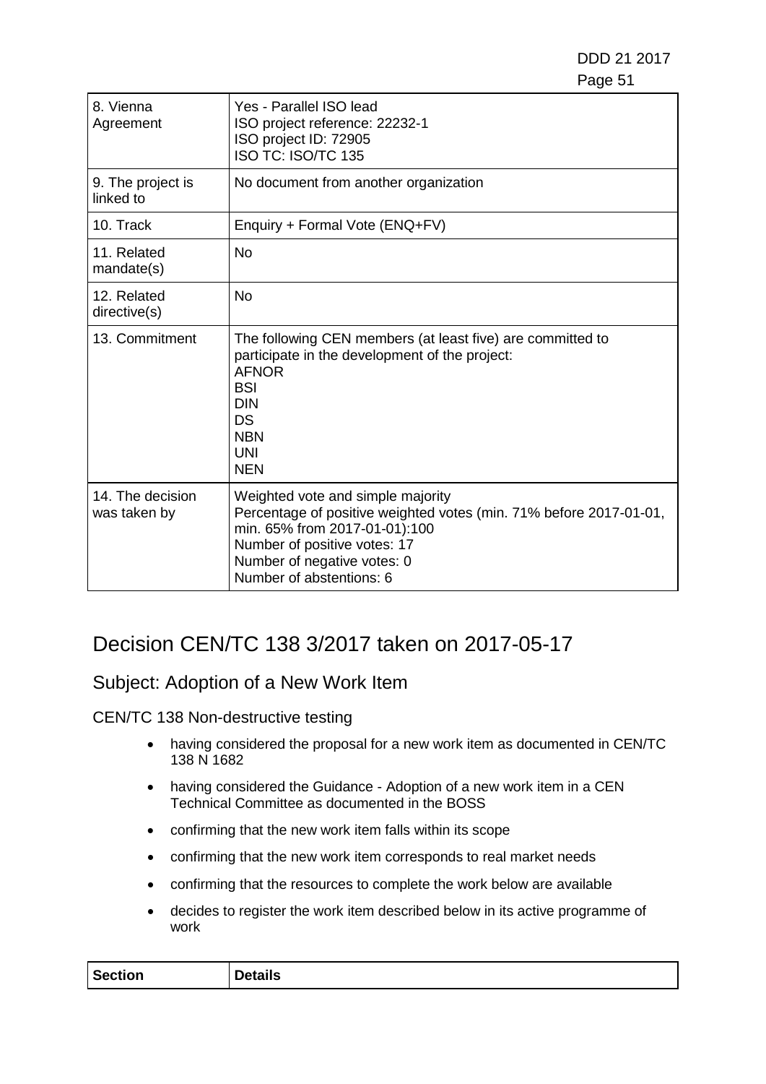| 8. Vienna<br>Agreement           | Yes - Parallel ISO lead<br>ISO project reference: 22232-1<br>ISO project ID: 72905<br><b>ISO TC: ISO/TC 135</b>                                                                                                                     |
|----------------------------------|-------------------------------------------------------------------------------------------------------------------------------------------------------------------------------------------------------------------------------------|
| 9. The project is<br>linked to   | No document from another organization                                                                                                                                                                                               |
| 10. Track                        | Enquiry + Formal Vote (ENQ+FV)                                                                                                                                                                                                      |
| 11. Related<br>mandate(s)        | <b>No</b>                                                                                                                                                                                                                           |
| 12. Related<br>directive(s)      | No                                                                                                                                                                                                                                  |
| 13. Commitment                   | The following CEN members (at least five) are committed to<br>participate in the development of the project:<br><b>AFNOR</b><br><b>BSI</b><br><b>DIN</b><br><b>DS</b><br><b>NBN</b><br><b>UNI</b><br><b>NEN</b>                     |
| 14. The decision<br>was taken by | Weighted vote and simple majority<br>Percentage of positive weighted votes (min. 71% before 2017-01-01,<br>min. 65% from 2017-01-01):100<br>Number of positive votes: 17<br>Number of negative votes: 0<br>Number of abstentions: 6 |

# Decision CEN/TC 138 3/2017 taken on 2017-05-17

### Subject: Adoption of a New Work Item

CEN/TC 138 Non-destructive testing

- having considered the proposal for a new work item as documented in CEN/TC 138 N 1682
- having considered the Guidance Adoption of a new work item in a CEN Technical Committee as documented in the BOSS
- confirming that the new work item falls within its scope
- confirming that the new work item corresponds to real market needs
- confirming that the resources to complete the work below are available
- decides to register the work item described below in its active programme of work

| <b>Section</b> | etails<br>-<br>. IF |
|----------------|---------------------|
|----------------|---------------------|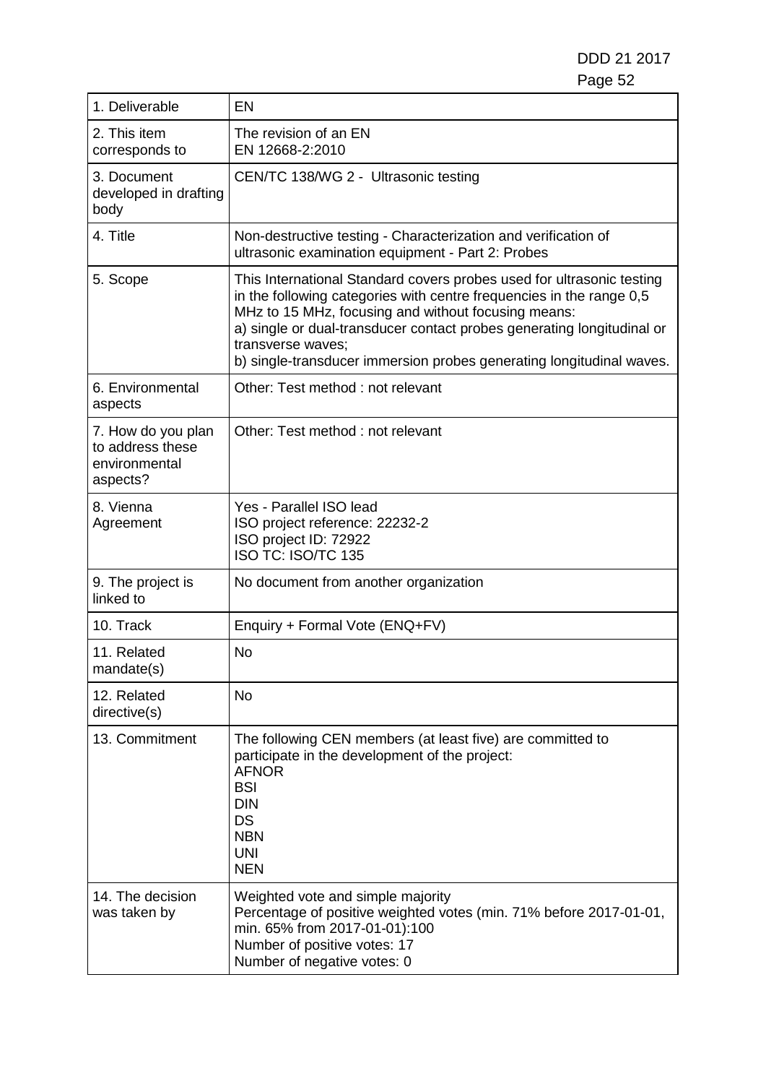| 1. Deliverable                                                      | EN                                                                                                                                                                                                                                                                                                                                                                          |
|---------------------------------------------------------------------|-----------------------------------------------------------------------------------------------------------------------------------------------------------------------------------------------------------------------------------------------------------------------------------------------------------------------------------------------------------------------------|
| 2. This item<br>corresponds to                                      | The revision of an EN<br>EN 12668-2:2010                                                                                                                                                                                                                                                                                                                                    |
| 3. Document<br>developed in drafting<br>body                        | CEN/TC 138/WG 2 - Ultrasonic testing                                                                                                                                                                                                                                                                                                                                        |
| 4. Title                                                            | Non-destructive testing - Characterization and verification of<br>ultrasonic examination equipment - Part 2: Probes                                                                                                                                                                                                                                                         |
| 5. Scope                                                            | This International Standard covers probes used for ultrasonic testing<br>in the following categories with centre frequencies in the range 0,5<br>MHz to 15 MHz, focusing and without focusing means:<br>a) single or dual-transducer contact probes generating longitudinal or<br>transverse waves;<br>b) single-transducer immersion probes generating longitudinal waves. |
| 6. Environmental<br>aspects                                         | Other: Test method : not relevant                                                                                                                                                                                                                                                                                                                                           |
| 7. How do you plan<br>to address these<br>environmental<br>aspects? | Other: Test method : not relevant                                                                                                                                                                                                                                                                                                                                           |
| 8. Vienna<br>Agreement                                              | Yes - Parallel ISO lead<br>ISO project reference: 22232-2<br>ISO project ID: 72922<br>ISO TC: ISO/TC 135                                                                                                                                                                                                                                                                    |
| 9. The project is<br>linked to                                      | No document from another organization                                                                                                                                                                                                                                                                                                                                       |
| 10. Track                                                           | Enquiry + Formal Vote (ENQ+FV)                                                                                                                                                                                                                                                                                                                                              |
| 11. Related<br>mandate(s)                                           | No                                                                                                                                                                                                                                                                                                                                                                          |
| 12. Related<br>directive(s)                                         | <b>No</b>                                                                                                                                                                                                                                                                                                                                                                   |
| 13. Commitment                                                      | The following CEN members (at least five) are committed to<br>participate in the development of the project:<br><b>AFNOR</b><br><b>BSI</b><br><b>DIN</b><br>DS<br><b>NBN</b><br><b>UNI</b><br><b>NEN</b>                                                                                                                                                                    |
| 14. The decision<br>was taken by                                    | Weighted vote and simple majority<br>Percentage of positive weighted votes (min. 71% before 2017-01-01,<br>min. 65% from 2017-01-01):100<br>Number of positive votes: 17<br>Number of negative votes: 0                                                                                                                                                                     |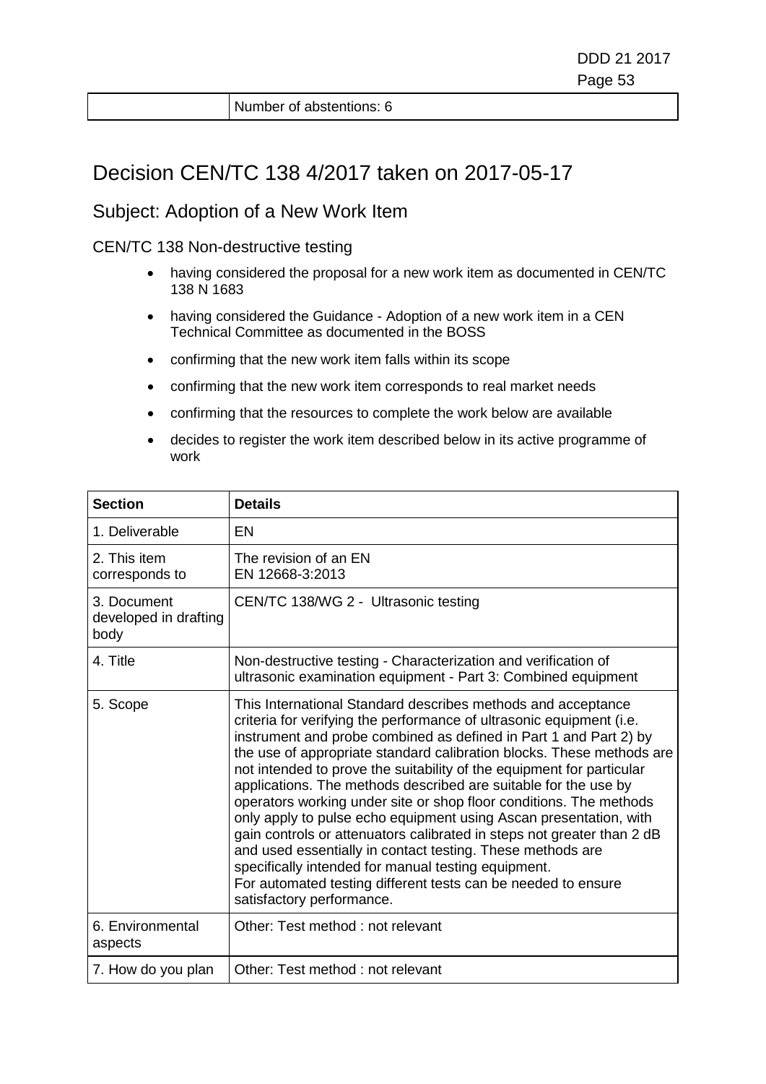Number of abstentions: 6

## Decision CEN/TC 138 4/2017 taken on 2017-05-17

#### Subject: Adoption of a New Work Item

CEN/TC 138 Non-destructive testing

- having considered the proposal for a new work item as documented in CEN/TC 138 N 1683
- having considered the Guidance Adoption of a new work item in a CEN Technical Committee as documented in the BOSS
- confirming that the new work item falls within its scope
- confirming that the new work item corresponds to real market needs
- confirming that the resources to complete the work below are available
- decides to register the work item described below in its active programme of work

| <b>Section</b>                               | <b>Details</b>                                                                                                                                                                                                                                                                                                                                                                                                                                                                                                                                                                                                                                                                                                                                                                                                                                                         |
|----------------------------------------------|------------------------------------------------------------------------------------------------------------------------------------------------------------------------------------------------------------------------------------------------------------------------------------------------------------------------------------------------------------------------------------------------------------------------------------------------------------------------------------------------------------------------------------------------------------------------------------------------------------------------------------------------------------------------------------------------------------------------------------------------------------------------------------------------------------------------------------------------------------------------|
| 1. Deliverable                               | EN                                                                                                                                                                                                                                                                                                                                                                                                                                                                                                                                                                                                                                                                                                                                                                                                                                                                     |
| 2. This item<br>corresponds to               | The revision of an EN<br>EN 12668-3:2013                                                                                                                                                                                                                                                                                                                                                                                                                                                                                                                                                                                                                                                                                                                                                                                                                               |
| 3. Document<br>developed in drafting<br>body | CEN/TC 138/WG 2 - Ultrasonic testing                                                                                                                                                                                                                                                                                                                                                                                                                                                                                                                                                                                                                                                                                                                                                                                                                                   |
| 4. Title                                     | Non-destructive testing - Characterization and verification of<br>ultrasonic examination equipment - Part 3: Combined equipment                                                                                                                                                                                                                                                                                                                                                                                                                                                                                                                                                                                                                                                                                                                                        |
| 5. Scope                                     | This International Standard describes methods and acceptance<br>criteria for verifying the performance of ultrasonic equipment (i.e.<br>instrument and probe combined as defined in Part 1 and Part 2) by<br>the use of appropriate standard calibration blocks. These methods are<br>not intended to prove the suitability of the equipment for particular<br>applications. The methods described are suitable for the use by<br>operators working under site or shop floor conditions. The methods<br>only apply to pulse echo equipment using Ascan presentation, with<br>gain controls or attenuators calibrated in steps not greater than 2 dB<br>and used essentially in contact testing. These methods are<br>specifically intended for manual testing equipment.<br>For automated testing different tests can be needed to ensure<br>satisfactory performance. |
| 6. Environmental<br>aspects                  | Other: Test method : not relevant                                                                                                                                                                                                                                                                                                                                                                                                                                                                                                                                                                                                                                                                                                                                                                                                                                      |
| 7. How do you plan                           | Other: Test method : not relevant                                                                                                                                                                                                                                                                                                                                                                                                                                                                                                                                                                                                                                                                                                                                                                                                                                      |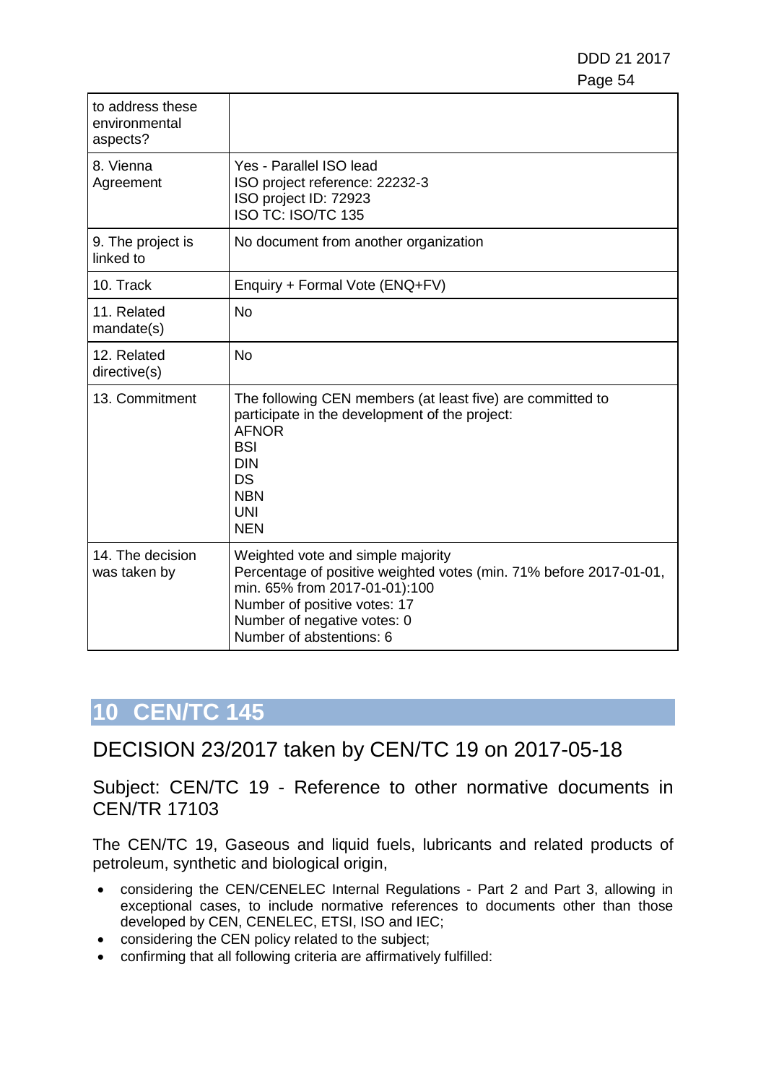DDD 21 2017 e de la construction de la construction de la construction de la construction de la construction de la constru

| to address these<br>environmental<br>aspects? |                                                                                                                                                                                                                                     |
|-----------------------------------------------|-------------------------------------------------------------------------------------------------------------------------------------------------------------------------------------------------------------------------------------|
| 8. Vienna<br>Agreement                        | Yes - Parallel ISO lead<br>ISO project reference: 22232-3<br>ISO project ID: 72923<br><b>ISO TC: ISO/TC 135</b>                                                                                                                     |
| 9. The project is<br>linked to                | No document from another organization                                                                                                                                                                                               |
| 10. Track                                     | Enquiry + Formal Vote (ENQ+FV)                                                                                                                                                                                                      |
| 11. Related<br>mandate(s)                     | <b>No</b>                                                                                                                                                                                                                           |
| 12. Related<br>directive(s)                   | <b>No</b>                                                                                                                                                                                                                           |
| 13. Commitment                                | The following CEN members (at least five) are committed to<br>participate in the development of the project:<br><b>AFNOR</b><br><b>BSI</b><br><b>DIN</b><br>DS<br><b>NBN</b><br><b>UNI</b><br><b>NEN</b>                            |
| 14. The decision<br>was taken by              | Weighted vote and simple majority<br>Percentage of positive weighted votes (min. 71% before 2017-01-01,<br>min. 65% from 2017-01-01):100<br>Number of positive votes: 17<br>Number of negative votes: 0<br>Number of abstentions: 6 |

# **10 CEN/TC 145**

DECISION 23/2017 taken by CEN/TC 19 on 2017-05-18

Subject: CEN/TC 19 - Reference to other normative documents in CEN/TR 17103

The CEN/TC 19, Gaseous and liquid fuels, lubricants and related products of petroleum, synthetic and biological origin,

- considering the CEN/CENELEC Internal Regulations Part 2 and Part 3, allowing in exceptional cases, to include normative references to documents other than those developed by CEN, CENELEC, ETSI, ISO and IEC;
- considering the CEN policy related to the subject;
- confirming that all following criteria are affirmatively fulfilled: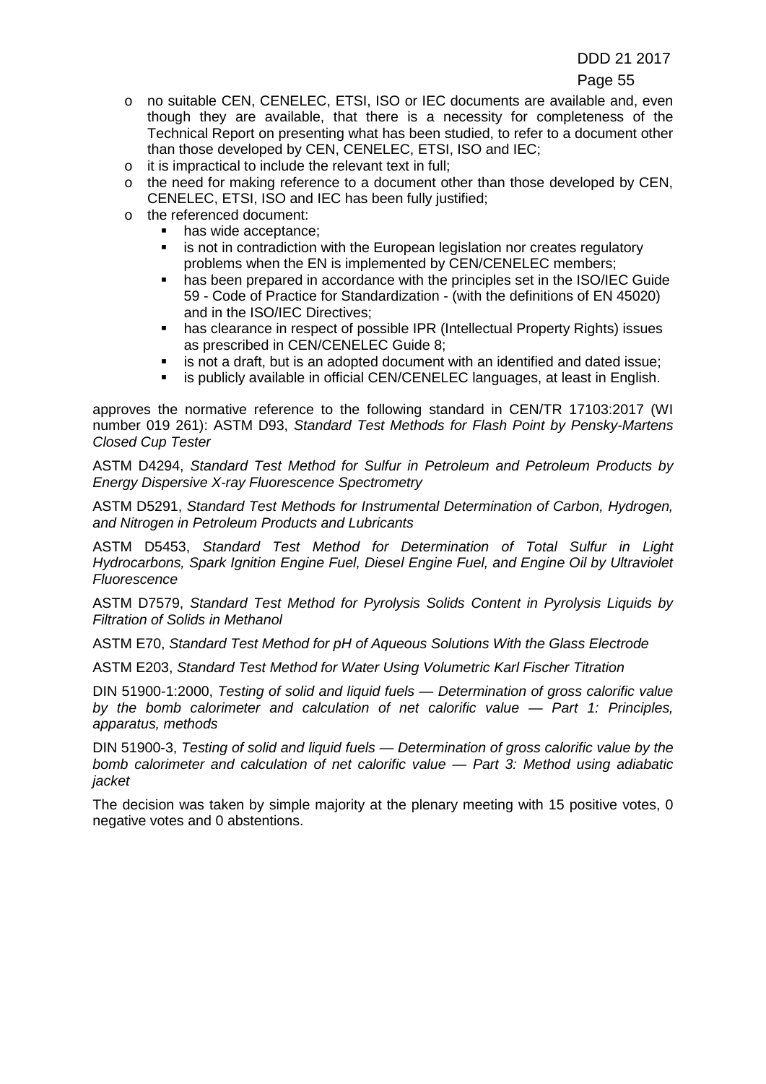- o no suitable CEN, CENELEC, ETSI, ISO or IEC documents are available and, even though they are available, that there is a necessity for completeness of the Technical Report on presenting what has been studied, to refer to a document other than those developed by CEN, CENELEC, ETSI, ISO and IEC;
- o it is impractical to include the relevant text in full;
- o the need for making reference to a document other than those developed by CEN, CENELEC, ETSI, ISO and IEC has been fully justified;
- o the referenced document:
	- has wide acceptance;
	- **EXT** is not in contradiction with the European legislation nor creates regulatory problems when the EN is implemented by CEN/CENELEC members;
	- has been prepared in accordance with the principles set in the ISO/IEC Guide 59 - Code of Practice for Standardization - (with the definitions of EN 45020) and in the ISO/IEC Directives;
	- has clearance in respect of possible IPR (Intellectual Property Rights) issues as prescribed in CEN/CENELEC Guide 8;
	- is not a draft, but is an adopted document with an identified and dated issue;<br>■ is publicly available in official CEN/CENELEC languages, at least in English
	- is publicly available in official CEN/CENELEC languages, at least in English.

approves the normative reference to the following standard in CEN/TR 17103:2017 (WI number 019 261): ASTM D93, *Standard Test Methods for Flash Point by Pensky-Martens Closed Cup Tester*

ASTM D4294, *Standard Test Method for Sulfur in Petroleum and Petroleum Products by Energy Dispersive X-ray Fluorescence Spectrometry*

ASTM D5291, *Standard Test Methods for Instrumental Determination of Carbon, Hydrogen, and Nitrogen in Petroleum Products and Lubricants*

ASTM D5453, *Standard Test Method for Determination of Total Sulfur in Light Hydrocarbons, Spark Ignition Engine Fuel, Diesel Engine Fuel, and Engine Oil by Ultraviolet Fluorescence*

ASTM D7579, *Standard Test Method for Pyrolysis Solids Content in Pyrolysis Liquids by Filtration of Solids in Methanol*

ASTM E70, *Standard Test Method for pH of Aqueous Solutions With the Glass Electrode*

ASTM E203, *Standard Test Method for Water Using Volumetric Karl Fischer Titration*

DIN 51900-1:2000, *Testing of solid and liquid fuels — Determination of gross calorific value by the bomb calorimeter and calculation of net calorific value — Part 1: Principles, apparatus, methods*

DIN 51900-3, *Testing of solid and liquid fuels — Determination of gross calorific value by the bomb calorimeter and calculation of net calorific value — Part 3: Method using adiabatic jacket*

The decision was taken by simple majority at the plenary meeting with 15 positive votes, 0 negative votes and 0 abstentions.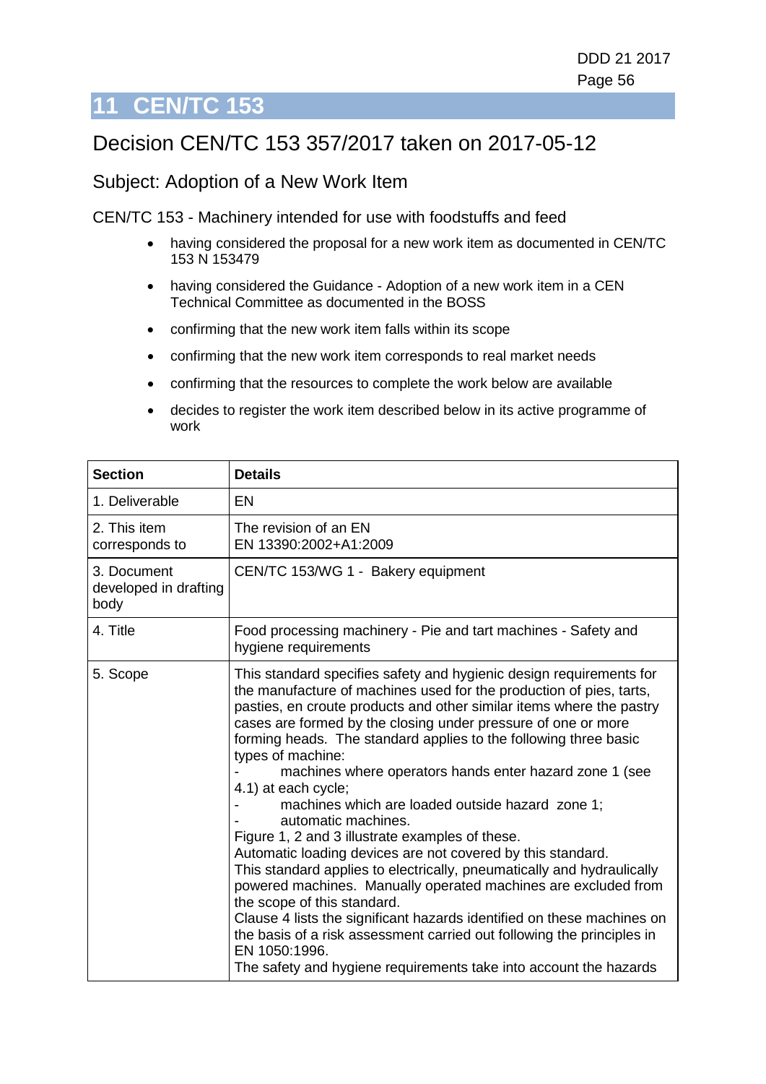# **11 CEN/TC 153**

# Decision CEN/TC 153 357/2017 taken on 2017-05-12

#### Subject: Adoption of a New Work Item

CEN/TC 153 - Machinery intended for use with foodstuffs and feed

- having considered the proposal for a new work item as documented in CEN/TC 153 N 153479
- having considered the Guidance Adoption of a new work item in a CEN Technical Committee as documented in the BOSS
- confirming that the new work item falls within its scope
- confirming that the new work item corresponds to real market needs
- confirming that the resources to complete the work below are available
- decides to register the work item described below in its active programme of work

| <b>Section</b>                               | <b>Details</b>                                                                                                                                                                                                                                                                                                                                                                                                                                                                                                                                                                                                                                                                                                                                                                                                                                                                                                                                                                                                                                                                   |
|----------------------------------------------|----------------------------------------------------------------------------------------------------------------------------------------------------------------------------------------------------------------------------------------------------------------------------------------------------------------------------------------------------------------------------------------------------------------------------------------------------------------------------------------------------------------------------------------------------------------------------------------------------------------------------------------------------------------------------------------------------------------------------------------------------------------------------------------------------------------------------------------------------------------------------------------------------------------------------------------------------------------------------------------------------------------------------------------------------------------------------------|
| 1. Deliverable                               | EN                                                                                                                                                                                                                                                                                                                                                                                                                                                                                                                                                                                                                                                                                                                                                                                                                                                                                                                                                                                                                                                                               |
| 2. This item<br>corresponds to               | The revision of an EN<br>EN 13390:2002+A1:2009                                                                                                                                                                                                                                                                                                                                                                                                                                                                                                                                                                                                                                                                                                                                                                                                                                                                                                                                                                                                                                   |
| 3. Document<br>developed in drafting<br>body | CEN/TC 153/WG 1 - Bakery equipment                                                                                                                                                                                                                                                                                                                                                                                                                                                                                                                                                                                                                                                                                                                                                                                                                                                                                                                                                                                                                                               |
| 4. Title                                     | Food processing machinery - Pie and tart machines - Safety and<br>hygiene requirements                                                                                                                                                                                                                                                                                                                                                                                                                                                                                                                                                                                                                                                                                                                                                                                                                                                                                                                                                                                           |
| 5. Scope                                     | This standard specifies safety and hygienic design requirements for<br>the manufacture of machines used for the production of pies, tarts,<br>pasties, en croute products and other similar items where the pastry<br>cases are formed by the closing under pressure of one or more<br>forming heads. The standard applies to the following three basic<br>types of machine:<br>machines where operators hands enter hazard zone 1 (see<br>4.1) at each cycle;<br>machines which are loaded outside hazard zone 1;<br>automatic machines.<br>Figure 1, 2 and 3 illustrate examples of these.<br>Automatic loading devices are not covered by this standard.<br>This standard applies to electrically, pneumatically and hydraulically<br>powered machines. Manually operated machines are excluded from<br>the scope of this standard.<br>Clause 4 lists the significant hazards identified on these machines on<br>the basis of a risk assessment carried out following the principles in<br>EN 1050:1996.<br>The safety and hygiene requirements take into account the hazards |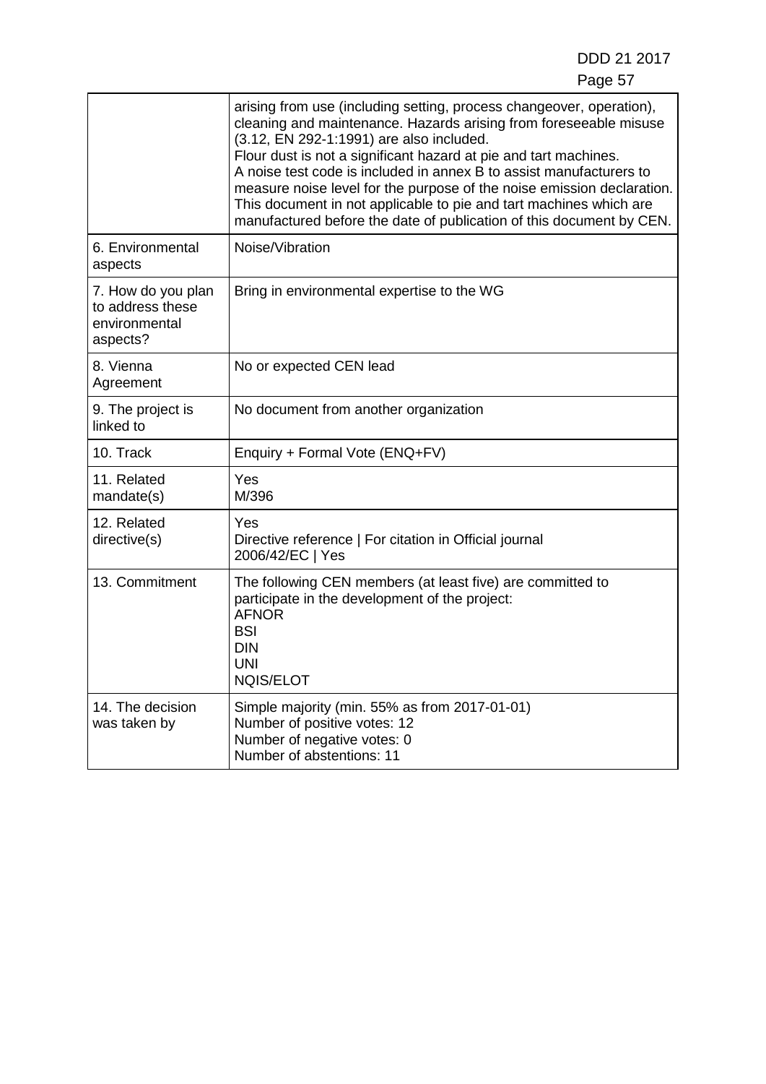|                                                                     | arising from use (including setting, process changeover, operation),<br>cleaning and maintenance. Hazards arising from foreseeable misuse<br>(3.12, EN 292-1:1991) are also included.<br>Flour dust is not a significant hazard at pie and tart machines.<br>A noise test code is included in annex B to assist manufacturers to<br>measure noise level for the purpose of the noise emission declaration.<br>This document in not applicable to pie and tart machines which are<br>manufactured before the date of publication of this document by CEN. |
|---------------------------------------------------------------------|----------------------------------------------------------------------------------------------------------------------------------------------------------------------------------------------------------------------------------------------------------------------------------------------------------------------------------------------------------------------------------------------------------------------------------------------------------------------------------------------------------------------------------------------------------|
| 6. Environmental<br>aspects                                         | Noise/Vibration                                                                                                                                                                                                                                                                                                                                                                                                                                                                                                                                          |
| 7. How do you plan<br>to address these<br>environmental<br>aspects? | Bring in environmental expertise to the WG                                                                                                                                                                                                                                                                                                                                                                                                                                                                                                               |
| 8. Vienna<br>Agreement                                              | No or expected CEN lead                                                                                                                                                                                                                                                                                                                                                                                                                                                                                                                                  |
| 9. The project is<br>linked to                                      | No document from another organization                                                                                                                                                                                                                                                                                                                                                                                                                                                                                                                    |
| 10. Track                                                           | Enquiry + Formal Vote (ENQ+FV)                                                                                                                                                                                                                                                                                                                                                                                                                                                                                                                           |
| 11. Related<br>mandate(s)                                           | Yes<br>M/396                                                                                                                                                                                                                                                                                                                                                                                                                                                                                                                                             |
| 12. Related<br>directive(s)                                         | Yes<br>Directive reference   For citation in Official journal<br>2006/42/EC   Yes                                                                                                                                                                                                                                                                                                                                                                                                                                                                        |
| 13. Commitment                                                      | The following CEN members (at least five) are committed to<br>participate in the development of the project:<br><b>AFNOR</b><br><b>BSI</b><br><b>DIN</b><br><b>UNI</b><br><b>NQIS/ELOT</b>                                                                                                                                                                                                                                                                                                                                                               |
| 14. The decision<br>was taken by                                    | Simple majority (min. 55% as from 2017-01-01)<br>Number of positive votes: 12<br>Number of negative votes: 0<br>Number of abstentions: 11                                                                                                                                                                                                                                                                                                                                                                                                                |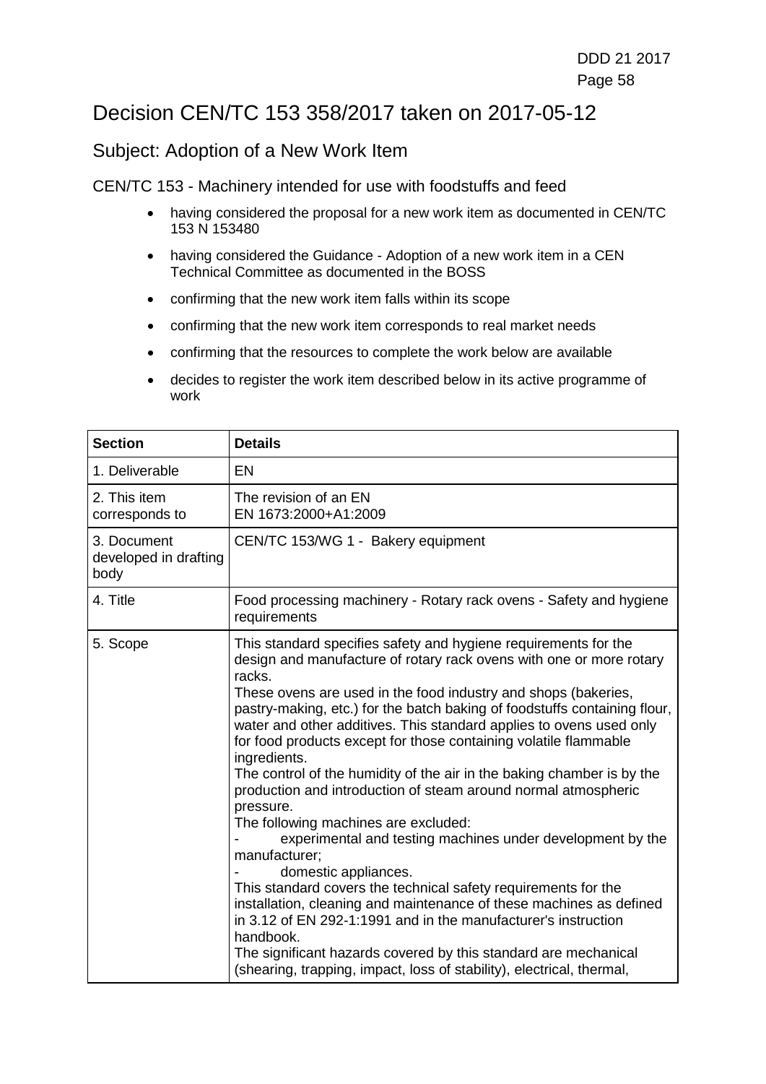## Decision CEN/TC 153 358/2017 taken on 2017-05-12

### Subject: Adoption of a New Work Item

CEN/TC 153 - Machinery intended for use with foodstuffs and feed

- having considered the proposal for a new work item as documented in CEN/TC 153 N 153480
- having considered the Guidance Adoption of a new work item in a CEN Technical Committee as documented in the BOSS
- confirming that the new work item falls within its scope
- confirming that the new work item corresponds to real market needs
- confirming that the resources to complete the work below are available
- decides to register the work item described below in its active programme of work

| <b>Section</b>                               | <b>Details</b>                                                                                                                                                                                                                                                                                                                                                                                                                                                                                                                                                                                                                                                                                                                                                                                                                                                                                                                                                                                                                                                                                                                         |
|----------------------------------------------|----------------------------------------------------------------------------------------------------------------------------------------------------------------------------------------------------------------------------------------------------------------------------------------------------------------------------------------------------------------------------------------------------------------------------------------------------------------------------------------------------------------------------------------------------------------------------------------------------------------------------------------------------------------------------------------------------------------------------------------------------------------------------------------------------------------------------------------------------------------------------------------------------------------------------------------------------------------------------------------------------------------------------------------------------------------------------------------------------------------------------------------|
| 1. Deliverable                               | <b>EN</b>                                                                                                                                                                                                                                                                                                                                                                                                                                                                                                                                                                                                                                                                                                                                                                                                                                                                                                                                                                                                                                                                                                                              |
| 2. This item<br>corresponds to               | The revision of an EN<br>EN 1673:2000+A1:2009                                                                                                                                                                                                                                                                                                                                                                                                                                                                                                                                                                                                                                                                                                                                                                                                                                                                                                                                                                                                                                                                                          |
| 3. Document<br>developed in drafting<br>body | CEN/TC 153/WG 1 - Bakery equipment                                                                                                                                                                                                                                                                                                                                                                                                                                                                                                                                                                                                                                                                                                                                                                                                                                                                                                                                                                                                                                                                                                     |
| 4. Title                                     | Food processing machinery - Rotary rack ovens - Safety and hygiene<br>requirements                                                                                                                                                                                                                                                                                                                                                                                                                                                                                                                                                                                                                                                                                                                                                                                                                                                                                                                                                                                                                                                     |
| 5. Scope                                     | This standard specifies safety and hygiene requirements for the<br>design and manufacture of rotary rack ovens with one or more rotary<br>racks.<br>These ovens are used in the food industry and shops (bakeries,<br>pastry-making, etc.) for the batch baking of foodstuffs containing flour,<br>water and other additives. This standard applies to ovens used only<br>for food products except for those containing volatile flammable<br>ingredients.<br>The control of the humidity of the air in the baking chamber is by the<br>production and introduction of steam around normal atmospheric<br>pressure.<br>The following machines are excluded:<br>experimental and testing machines under development by the<br>manufacturer;<br>domestic appliances.<br>This standard covers the technical safety requirements for the<br>installation, cleaning and maintenance of these machines as defined<br>in 3.12 of EN 292-1:1991 and in the manufacturer's instruction<br>handbook.<br>The significant hazards covered by this standard are mechanical<br>(shearing, trapping, impact, loss of stability), electrical, thermal, |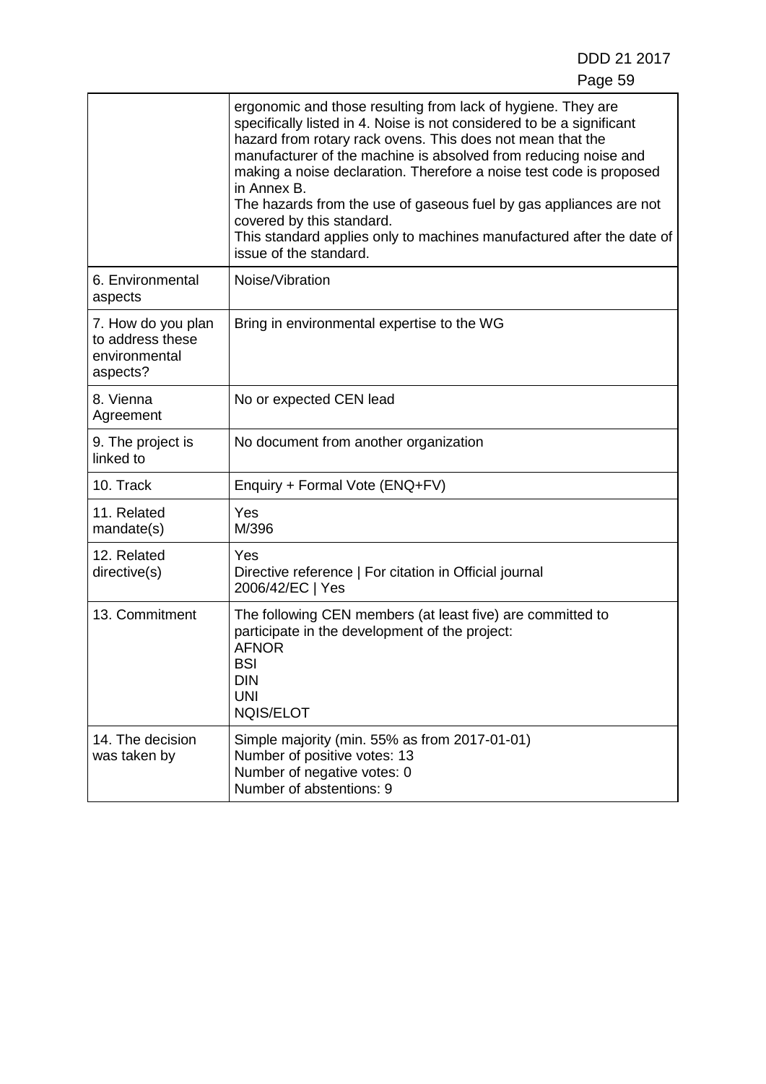|                                                                     | ergonomic and those resulting from lack of hygiene. They are<br>specifically listed in 4. Noise is not considered to be a significant<br>hazard from rotary rack ovens. This does not mean that the<br>manufacturer of the machine is absolved from reducing noise and<br>making a noise declaration. Therefore a noise test code is proposed<br>in Annex B.<br>The hazards from the use of gaseous fuel by gas appliances are not<br>covered by this standard.<br>This standard applies only to machines manufactured after the date of<br>issue of the standard. |
|---------------------------------------------------------------------|--------------------------------------------------------------------------------------------------------------------------------------------------------------------------------------------------------------------------------------------------------------------------------------------------------------------------------------------------------------------------------------------------------------------------------------------------------------------------------------------------------------------------------------------------------------------|
| 6. Environmental<br>aspects                                         | Noise/Vibration                                                                                                                                                                                                                                                                                                                                                                                                                                                                                                                                                    |
| 7. How do you plan<br>to address these<br>environmental<br>aspects? | Bring in environmental expertise to the WG                                                                                                                                                                                                                                                                                                                                                                                                                                                                                                                         |
| 8. Vienna<br>Agreement                                              | No or expected CEN lead                                                                                                                                                                                                                                                                                                                                                                                                                                                                                                                                            |
| 9. The project is<br>linked to                                      | No document from another organization                                                                                                                                                                                                                                                                                                                                                                                                                                                                                                                              |
| 10. Track                                                           | Enquiry + Formal Vote (ENQ+FV)                                                                                                                                                                                                                                                                                                                                                                                                                                                                                                                                     |
| 11. Related<br>mandate(s)                                           | Yes<br>M/396                                                                                                                                                                                                                                                                                                                                                                                                                                                                                                                                                       |
| 12. Related<br>directive(s)                                         | Yes<br>Directive reference   For citation in Official journal<br>2006/42/EC   Yes                                                                                                                                                                                                                                                                                                                                                                                                                                                                                  |
| 13. Commitment                                                      | The following CEN members (at least five) are committed to<br>participate in the development of the project:<br><b>AFNOR</b><br><b>BSI</b><br><b>DIN</b><br><b>UNI</b><br><b>NQIS/ELOT</b>                                                                                                                                                                                                                                                                                                                                                                         |
| 14. The decision<br>was taken by                                    | Simple majority (min. 55% as from 2017-01-01)<br>Number of positive votes: 13<br>Number of negative votes: 0<br>Number of abstentions: 9                                                                                                                                                                                                                                                                                                                                                                                                                           |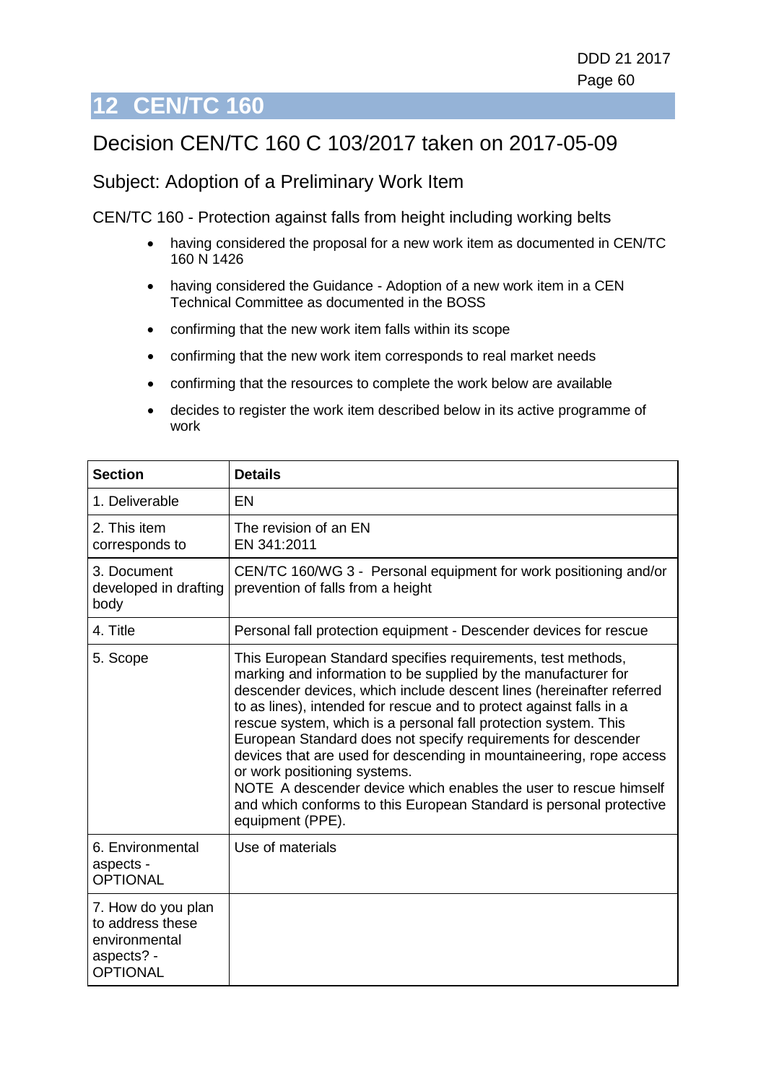# **12 CEN/TC 160**

# Decision CEN/TC 160 C 103/2017 taken on 2017-05-09

### Subject: Adoption of a Preliminary Work Item

CEN/TC 160 - Protection against falls from height including working belts

- having considered the proposal for a new work item as documented in CEN/TC 160 N 1426
- having considered the Guidance Adoption of a new work item in a CEN Technical Committee as documented in the BOSS
- confirming that the new work item falls within its scope
- confirming that the new work item corresponds to real market needs
- confirming that the resources to complete the work below are available
- decides to register the work item described below in its active programme of work

| <b>Section</b>                                                                           | <b>Details</b>                                                                                                                                                                                                                                                                                                                                                                                                                                                                                                                                                                                                                                                                          |
|------------------------------------------------------------------------------------------|-----------------------------------------------------------------------------------------------------------------------------------------------------------------------------------------------------------------------------------------------------------------------------------------------------------------------------------------------------------------------------------------------------------------------------------------------------------------------------------------------------------------------------------------------------------------------------------------------------------------------------------------------------------------------------------------|
| 1. Deliverable                                                                           | EN                                                                                                                                                                                                                                                                                                                                                                                                                                                                                                                                                                                                                                                                                      |
| 2. This item<br>corresponds to                                                           | The revision of an EN<br>EN 341:2011                                                                                                                                                                                                                                                                                                                                                                                                                                                                                                                                                                                                                                                    |
| 3. Document<br>developed in drafting<br>body                                             | CEN/TC 160/WG 3 - Personal equipment for work positioning and/or<br>prevention of falls from a height                                                                                                                                                                                                                                                                                                                                                                                                                                                                                                                                                                                   |
| 4. Title                                                                                 | Personal fall protection equipment - Descender devices for rescue                                                                                                                                                                                                                                                                                                                                                                                                                                                                                                                                                                                                                       |
| 5. Scope                                                                                 | This European Standard specifies requirements, test methods,<br>marking and information to be supplied by the manufacturer for<br>descender devices, which include descent lines (hereinafter referred<br>to as lines), intended for rescue and to protect against falls in a<br>rescue system, which is a personal fall protection system. This<br>European Standard does not specify requirements for descender<br>devices that are used for descending in mountaineering, rope access<br>or work positioning systems.<br>NOTE A descender device which enables the user to rescue himself<br>and which conforms to this European Standard is personal protective<br>equipment (PPE). |
| 6. Environmental<br>aspects -<br><b>OPTIONAL</b>                                         | Use of materials                                                                                                                                                                                                                                                                                                                                                                                                                                                                                                                                                                                                                                                                        |
| 7. How do you plan<br>to address these<br>environmental<br>aspects? -<br><b>OPTIONAL</b> |                                                                                                                                                                                                                                                                                                                                                                                                                                                                                                                                                                                                                                                                                         |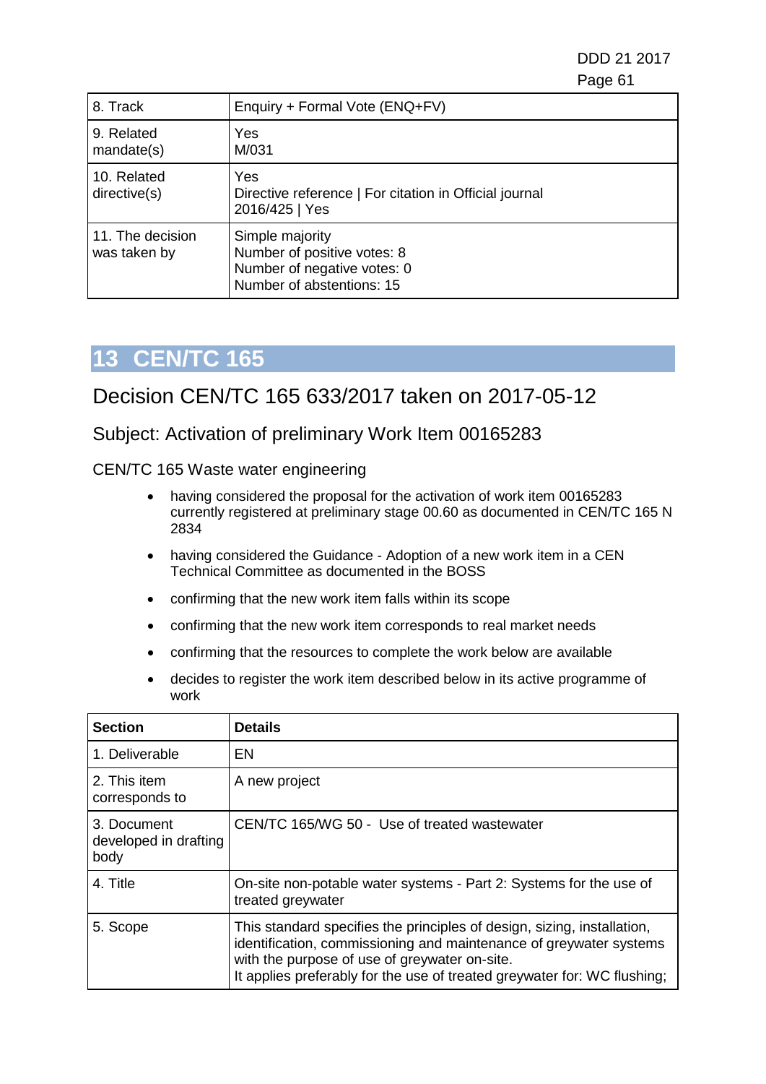DDD 21 2017 e de la construction de la construction de la construction de la construction de la construction de la constru

| 8. Track                         | Enquiry + Formal Vote (ENQ+FV)                                                                             |
|----------------------------------|------------------------------------------------------------------------------------------------------------|
| 9. Related<br>mandate(s)         | Yes<br>M/031                                                                                               |
| 10. Related<br>directive(s)      | Yes<br>Directive reference   For citation in Official journal<br>2016/425   Yes                            |
| 11. The decision<br>was taken by | Simple majority<br>Number of positive votes: 8<br>Number of negative votes: 0<br>Number of abstentions: 15 |

# **13 CEN/TC 165**

## Decision CEN/TC 165 633/2017 taken on 2017-05-12

### Subject: Activation of preliminary Work Item 00165283

CEN/TC 165 Waste water engineering

- having considered the proposal for the activation of work item 00165283 currently registered at preliminary stage 00.60 as documented in CEN/TC 165 N 2834
- having considered the Guidance Adoption of a new work item in a CEN Technical Committee as documented in the BOSS
- confirming that the new work item falls within its scope
- confirming that the new work item corresponds to real market needs
- confirming that the resources to complete the work below are available
- decides to register the work item described below in its active programme of work

| <b>Section</b>                               | <b>Details</b>                                                                                                                                                                                                                                                             |
|----------------------------------------------|----------------------------------------------------------------------------------------------------------------------------------------------------------------------------------------------------------------------------------------------------------------------------|
| 1. Deliverable                               | EN                                                                                                                                                                                                                                                                         |
| 2. This item<br>corresponds to               | A new project                                                                                                                                                                                                                                                              |
| 3. Document<br>developed in drafting<br>body | CEN/TC 165/WG 50 - Use of treated wastewater                                                                                                                                                                                                                               |
| 4. Title                                     | On-site non-potable water systems - Part 2: Systems for the use of<br>treated greywater                                                                                                                                                                                    |
| 5. Scope                                     | This standard specifies the principles of design, sizing, installation,<br>identification, commissioning and maintenance of greywater systems<br>with the purpose of use of greywater on-site.<br>It applies preferably for the use of treated greywater for: WC flushing; |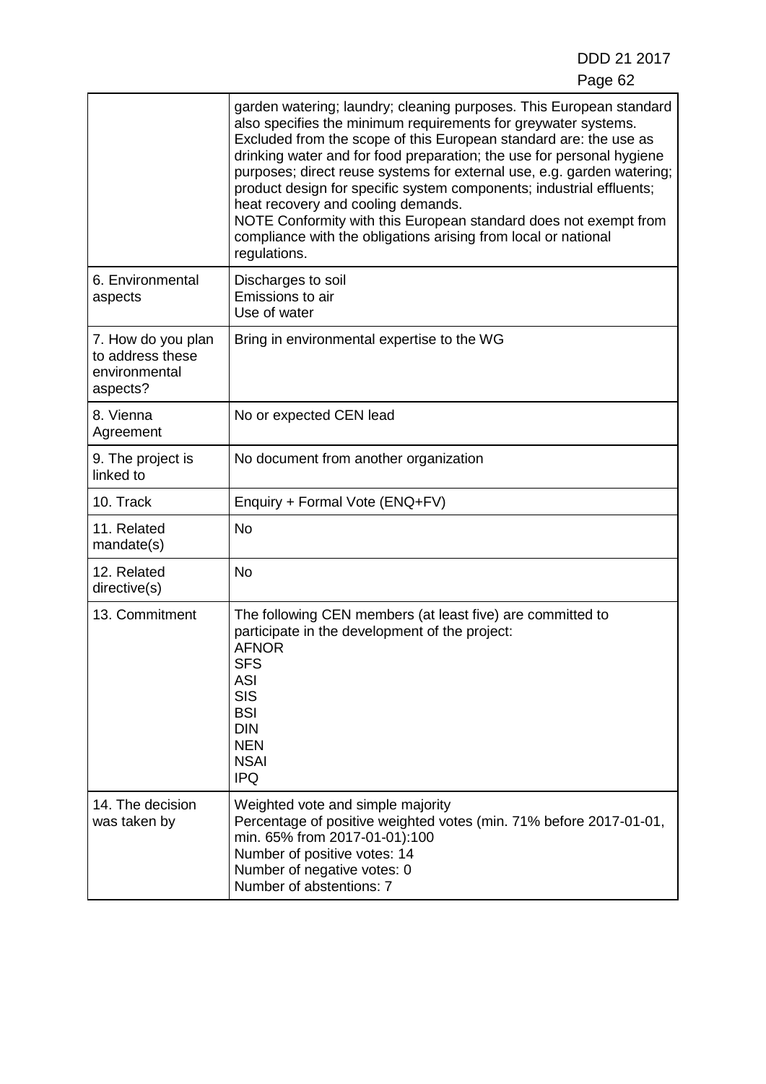|                                                                     | garden watering; laundry; cleaning purposes. This European standard<br>also specifies the minimum requirements for greywater systems.<br>Excluded from the scope of this European standard are: the use as<br>drinking water and for food preparation; the use for personal hygiene<br>purposes; direct reuse systems for external use, e.g. garden watering;<br>product design for specific system components; industrial effluents;<br>heat recovery and cooling demands.<br>NOTE Conformity with this European standard does not exempt from<br>compliance with the obligations arising from local or national<br>regulations. |
|---------------------------------------------------------------------|-----------------------------------------------------------------------------------------------------------------------------------------------------------------------------------------------------------------------------------------------------------------------------------------------------------------------------------------------------------------------------------------------------------------------------------------------------------------------------------------------------------------------------------------------------------------------------------------------------------------------------------|
| 6. Environmental<br>aspects                                         | Discharges to soil<br>Emissions to air<br>Use of water                                                                                                                                                                                                                                                                                                                                                                                                                                                                                                                                                                            |
| 7. How do you plan<br>to address these<br>environmental<br>aspects? | Bring in environmental expertise to the WG                                                                                                                                                                                                                                                                                                                                                                                                                                                                                                                                                                                        |
| 8. Vienna<br>Agreement                                              | No or expected CEN lead                                                                                                                                                                                                                                                                                                                                                                                                                                                                                                                                                                                                           |
| 9. The project is<br>linked to                                      | No document from another organization                                                                                                                                                                                                                                                                                                                                                                                                                                                                                                                                                                                             |
| 10. Track                                                           | Enquiry + Formal Vote (ENQ+FV)                                                                                                                                                                                                                                                                                                                                                                                                                                                                                                                                                                                                    |
| 11. Related<br>mandate(s)                                           | <b>No</b>                                                                                                                                                                                                                                                                                                                                                                                                                                                                                                                                                                                                                         |
| 12. Related<br>directive(s)                                         | <b>No</b>                                                                                                                                                                                                                                                                                                                                                                                                                                                                                                                                                                                                                         |
| 13. Commitment                                                      | The following CEN members (at least five) are committed to<br>participate in the development of the project:<br><b>AFNOR</b><br><b>SFS</b><br><b>ASI</b><br><b>SIS</b><br><b>BSI</b><br><b>DIN</b><br><b>NEN</b><br><b>NSAI</b><br><b>IPQ</b>                                                                                                                                                                                                                                                                                                                                                                                     |
| 14. The decision<br>was taken by                                    | Weighted vote and simple majority<br>Percentage of positive weighted votes (min. 71% before 2017-01-01,<br>min. 65% from 2017-01-01):100<br>Number of positive votes: 14<br>Number of negative votes: 0<br>Number of abstentions: 7                                                                                                                                                                                                                                                                                                                                                                                               |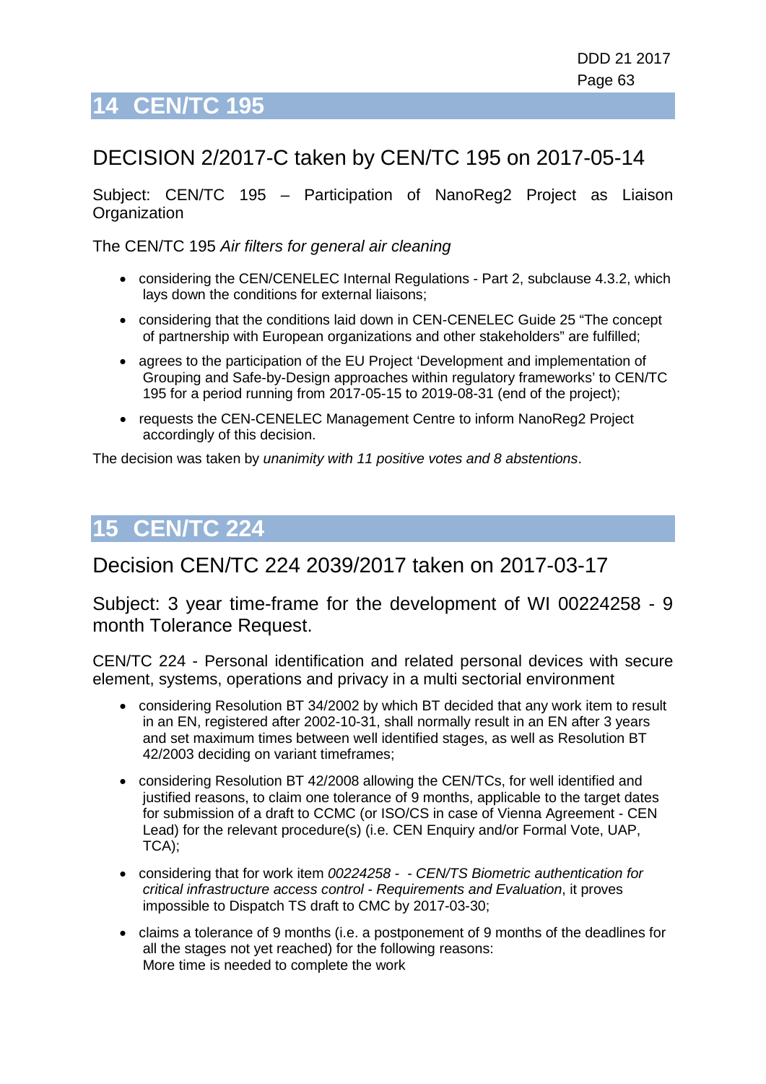# **14 CEN/TC 195**

## DECISION 2/2017-C taken by CEN/TC 195 on 2017-05-14

Subject: CEN/TC 195 – Participation of NanoReg2 Project as Liaison **Organization** 

The CEN/TC 195 *Air filters for general air cleaning*

- considering the CEN/CENELEC Internal Regulations Part 2, subclause 4.3.2, which lays down the conditions for external liaisons;
- considering that the conditions laid down in CEN-CENELEC Guide 25 "The concept of partnership with European organizations and other stakeholders" are fulfilled;
- agrees to the participation of the EU Project 'Development and implementation of Grouping and Safe-by-Design approaches within regulatory frameworks' to CEN/TC 195 for a period running from 2017-05-15 to 2019-08-31 (end of the project);
- requests the CEN-CENELEC Management Centre to inform NanoReg2 Project accordingly of this decision.

The decision was taken by *unanimity with 11 positive votes and 8 abstentions*.

## **15 CEN/TC 224**

## Decision CEN/TC 224 2039/2017 taken on 2017-03-17

Subject: 3 year time-frame for the development of WI 00224258 - 9 month Tolerance Request.

CEN/TC 224 - Personal identification and related personal devices with secure element, systems, operations and privacy in a multi sectorial environment

- considering Resolution BT 34/2002 by which BT decided that any work item to result in an EN, registered after 2002-10-31, shall normally result in an EN after 3 years and set maximum times between well identified stages, as well as Resolution BT 42/2003 deciding on variant timeframes;
- considering Resolution BT 42/2008 allowing the CEN/TCs, for well identified and justified reasons, to claim one tolerance of 9 months, applicable to the target dates for submission of a draft to CCMC (or ISO/CS in case of Vienna Agreement - CEN Lead) for the relevant procedure(s) (i.e. CEN Enquiry and/or Formal Vote, UAP, TCA);
- considering that for work item *00224258 - CEN/TS Biometric authentication for critical infrastructure access control - Requirements and Evaluation*, it proves impossible to Dispatch TS draft to CMC by 2017-03-30;
- claims a tolerance of 9 months (i.e. a postponement of 9 months of the deadlines for all the stages not yet reached) for the following reasons: More time is needed to complete the work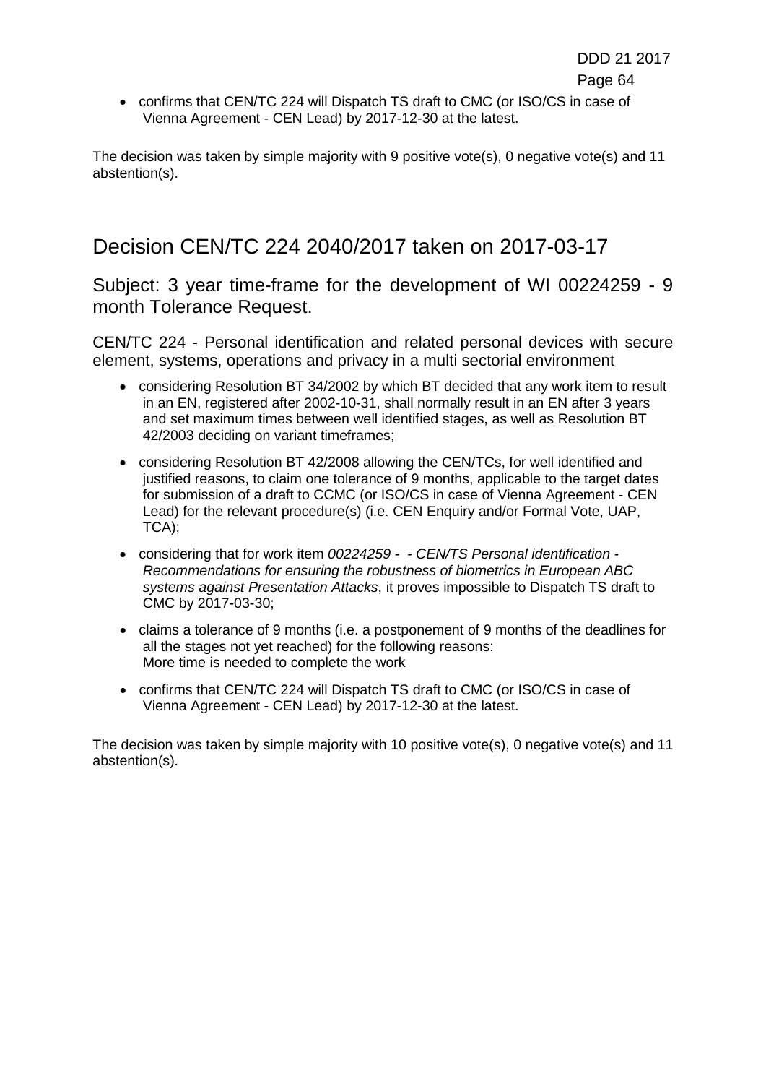e de la contradición de la contradición de la contradición de la contradición de la contradición de la contradición de la contradición de la contradición de la contradición de la contradición de la contradición de la contr

• confirms that CEN/TC 224 will Dispatch TS draft to CMC (or ISO/CS in case of Vienna Agreement - CEN Lead) by 2017-12-30 at the latest.

The decision was taken by simple majority with 9 positive vote(s), 0 negative vote(s) and 11 abstention(s).

## Decision CEN/TC 224 2040/2017 taken on 2017-03-17

Subject: 3 year time-frame for the development of WI 00224259 - 9 month Tolerance Request.

CEN/TC 224 - Personal identification and related personal devices with secure element, systems, operations and privacy in a multi sectorial environment

- considering Resolution BT 34/2002 by which BT decided that any work item to result in an EN, registered after 2002-10-31, shall normally result in an EN after 3 years and set maximum times between well identified stages, as well as Resolution BT 42/2003 deciding on variant timeframes;
- considering Resolution BT 42/2008 allowing the CEN/TCs, for well identified and justified reasons, to claim one tolerance of 9 months, applicable to the target dates for submission of a draft to CCMC (or ISO/CS in case of Vienna Agreement - CEN Lead) for the relevant procedure(s) (i.e. CEN Enquiry and/or Formal Vote, UAP, TCA);
- considering that for work item *00224259 - CEN/TS Personal identification - Recommendations for ensuring the robustness of biometrics in European ABC systems against Presentation Attacks*, it proves impossible to Dispatch TS draft to CMC by 2017-03-30;
- claims a tolerance of 9 months (i.e. a postponement of 9 months of the deadlines for all the stages not yet reached) for the following reasons: More time is needed to complete the work
- confirms that CEN/TC 224 will Dispatch TS draft to CMC (or ISO/CS in case of Vienna Agreement - CEN Lead) by 2017-12-30 at the latest.

The decision was taken by simple majority with 10 positive vote(s), 0 negative vote(s) and 11 abstention(s).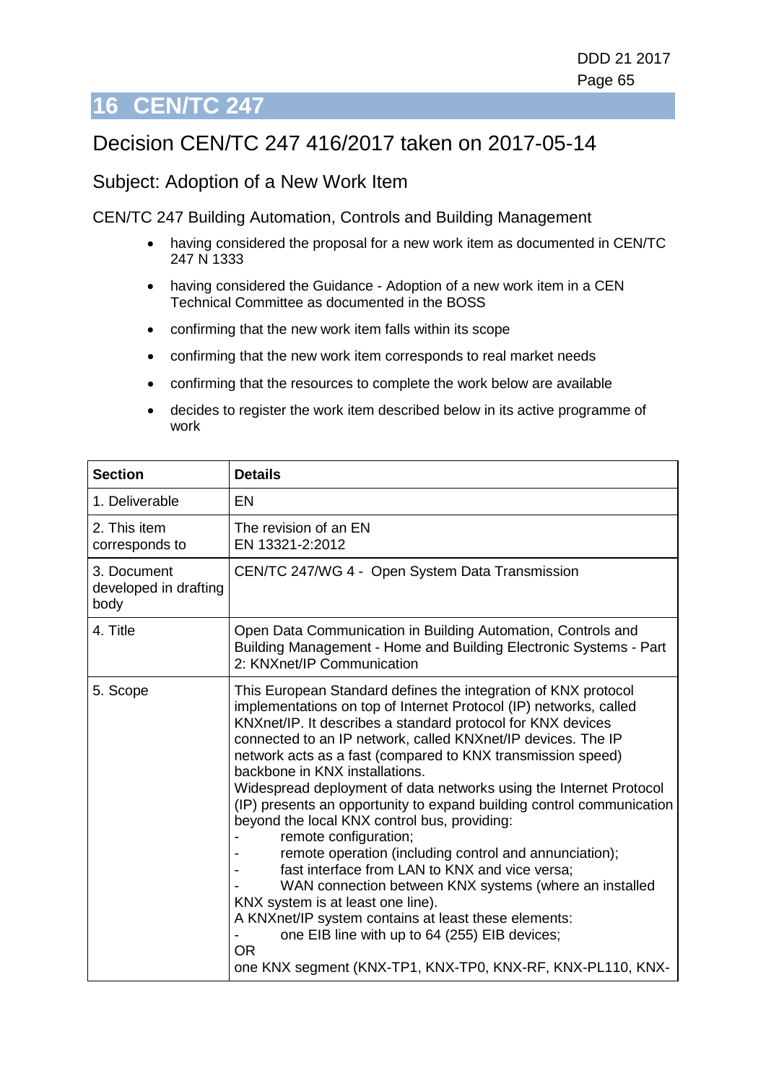# **16 CEN/TC 247**

# Decision CEN/TC 247 416/2017 taken on 2017-05-14

### Subject: Adoption of a New Work Item

CEN/TC 247 Building Automation, Controls and Building Management

- having considered the proposal for a new work item as documented in CEN/TC 247 N 1333
- having considered the Guidance Adoption of a new work item in a CEN Technical Committee as documented in the BOSS
- confirming that the new work item falls within its scope
- confirming that the new work item corresponds to real market needs
- confirming that the resources to complete the work below are available
- decides to register the work item described below in its active programme of work

| <b>Section</b>                               | <b>Details</b>                                                                                                                                                                                                                                                                                                                                                                                                                                                                                                                                                                                                                                                                                                                                                                                                                                                                                                                                                                             |
|----------------------------------------------|--------------------------------------------------------------------------------------------------------------------------------------------------------------------------------------------------------------------------------------------------------------------------------------------------------------------------------------------------------------------------------------------------------------------------------------------------------------------------------------------------------------------------------------------------------------------------------------------------------------------------------------------------------------------------------------------------------------------------------------------------------------------------------------------------------------------------------------------------------------------------------------------------------------------------------------------------------------------------------------------|
| 1. Deliverable                               | <b>EN</b>                                                                                                                                                                                                                                                                                                                                                                                                                                                                                                                                                                                                                                                                                                                                                                                                                                                                                                                                                                                  |
| 2. This item<br>corresponds to               | The revision of an EN<br>EN 13321-2:2012                                                                                                                                                                                                                                                                                                                                                                                                                                                                                                                                                                                                                                                                                                                                                                                                                                                                                                                                                   |
| 3. Document<br>developed in drafting<br>body | CEN/TC 247/WG 4 - Open System Data Transmission                                                                                                                                                                                                                                                                                                                                                                                                                                                                                                                                                                                                                                                                                                                                                                                                                                                                                                                                            |
| 4. Title                                     | Open Data Communication in Building Automation, Controls and<br>Building Management - Home and Building Electronic Systems - Part<br>2: KNXnet/IP Communication                                                                                                                                                                                                                                                                                                                                                                                                                                                                                                                                                                                                                                                                                                                                                                                                                            |
| 5. Scope                                     | This European Standard defines the integration of KNX protocol<br>implementations on top of Internet Protocol (IP) networks, called<br>KNXnet/IP. It describes a standard protocol for KNX devices<br>connected to an IP network, called KNXnet/IP devices. The IP<br>network acts as a fast (compared to KNX transmission speed)<br>backbone in KNX installations.<br>Widespread deployment of data networks using the Internet Protocol<br>(IP) presents an opportunity to expand building control communication<br>beyond the local KNX control bus, providing:<br>remote configuration;<br>remote operation (including control and annunciation);<br>fast interface from LAN to KNX and vice versa;<br>WAN connection between KNX systems (where an installed<br>KNX system is at least one line).<br>A KNXnet/IP system contains at least these elements:<br>one EIB line with up to 64 (255) EIB devices;<br><b>OR</b><br>one KNX segment (KNX-TP1, KNX-TP0, KNX-RF, KNX-PL110, KNX- |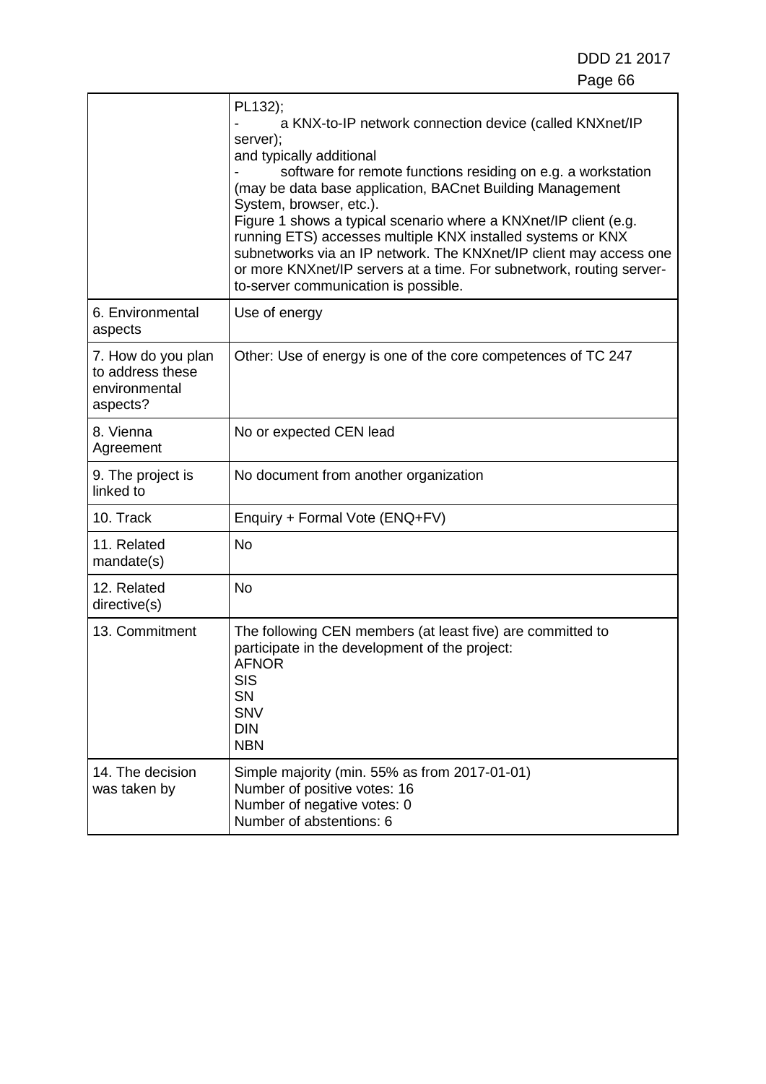|                                                                     | PL132);<br>a KNX-to-IP network connection device (called KNXnet/IP<br>server);<br>and typically additional<br>software for remote functions residing on e.g. a workstation<br>(may be data base application, BACnet Building Management<br>System, browser, etc.).<br>Figure 1 shows a typical scenario where a KNXnet/IP client (e.g.<br>running ETS) accesses multiple KNX installed systems or KNX<br>subnetworks via an IP network. The KNXnet/IP client may access one<br>or more KNXnet/IP servers at a time. For subnetwork, routing server-<br>to-server communication is possible. |
|---------------------------------------------------------------------|---------------------------------------------------------------------------------------------------------------------------------------------------------------------------------------------------------------------------------------------------------------------------------------------------------------------------------------------------------------------------------------------------------------------------------------------------------------------------------------------------------------------------------------------------------------------------------------------|
| 6. Environmental<br>aspects                                         | Use of energy                                                                                                                                                                                                                                                                                                                                                                                                                                                                                                                                                                               |
| 7. How do you plan<br>to address these<br>environmental<br>aspects? | Other: Use of energy is one of the core competences of TC 247                                                                                                                                                                                                                                                                                                                                                                                                                                                                                                                               |
| 8. Vienna<br>Agreement                                              | No or expected CEN lead                                                                                                                                                                                                                                                                                                                                                                                                                                                                                                                                                                     |
| 9. The project is<br>linked to                                      | No document from another organization                                                                                                                                                                                                                                                                                                                                                                                                                                                                                                                                                       |
| 10. Track                                                           | Enquiry + Formal Vote (ENQ+FV)                                                                                                                                                                                                                                                                                                                                                                                                                                                                                                                                                              |
| 11. Related<br>mandate(s)                                           | <b>No</b>                                                                                                                                                                                                                                                                                                                                                                                                                                                                                                                                                                                   |
| 12. Related<br>directive(s)                                         | <b>No</b>                                                                                                                                                                                                                                                                                                                                                                                                                                                                                                                                                                                   |
| 13. Commitment                                                      | The following CEN members (at least five) are committed to<br>participate in the development of the project:<br><b>AFNOR</b><br>SIS<br><b>SN</b><br><b>SNV</b><br><b>DIN</b><br><b>NBN</b>                                                                                                                                                                                                                                                                                                                                                                                                  |
| 14. The decision<br>was taken by                                    | Simple majority (min. 55% as from 2017-01-01)<br>Number of positive votes: 16<br>Number of negative votes: 0<br>Number of abstentions: 6                                                                                                                                                                                                                                                                                                                                                                                                                                                    |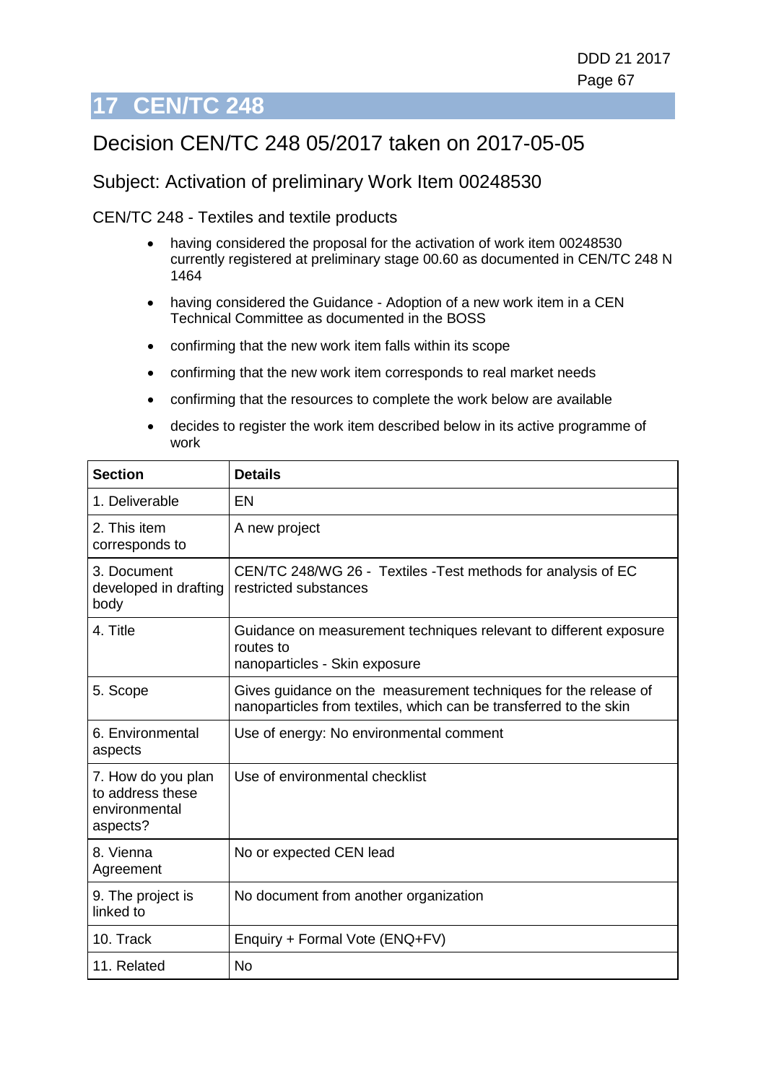# **17 CEN/TC 248**

# Decision CEN/TC 248 05/2017 taken on 2017-05-05

### Subject: Activation of preliminary Work Item 00248530

CEN/TC 248 - Textiles and textile products

- having considered the proposal for the activation of work item 00248530 currently registered at preliminary stage 00.60 as documented in CEN/TC 248 N 1464
- having considered the Guidance Adoption of a new work item in a CEN Technical Committee as documented in the BOSS
- confirming that the new work item falls within its scope
- confirming that the new work item corresponds to real market needs
- confirming that the resources to complete the work below are available
- decides to register the work item described below in its active programme of work

| <b>Section</b>                                                      | <b>Details</b>                                                                                                                       |
|---------------------------------------------------------------------|--------------------------------------------------------------------------------------------------------------------------------------|
| 1. Deliverable                                                      | EN                                                                                                                                   |
| 2. This item<br>corresponds to                                      | A new project                                                                                                                        |
| 3. Document<br>developed in drafting<br>body                        | CEN/TC 248/WG 26 - Textiles - Test methods for analysis of EC<br>restricted substances                                               |
| 4. Title                                                            | Guidance on measurement techniques relevant to different exposure<br>routes to<br>nanoparticles - Skin exposure                      |
| 5. Scope                                                            | Gives guidance on the measurement techniques for the release of<br>nanoparticles from textiles, which can be transferred to the skin |
| 6. Environmental<br>aspects                                         | Use of energy: No environmental comment                                                                                              |
| 7. How do you plan<br>to address these<br>environmental<br>aspects? | Use of environmental checklist                                                                                                       |
| 8. Vienna<br>Agreement                                              | No or expected CEN lead                                                                                                              |
| 9. The project is<br>linked to                                      | No document from another organization                                                                                                |
| 10. Track                                                           | Enquiry + Formal Vote (ENQ+FV)                                                                                                       |
| 11. Related                                                         | <b>No</b>                                                                                                                            |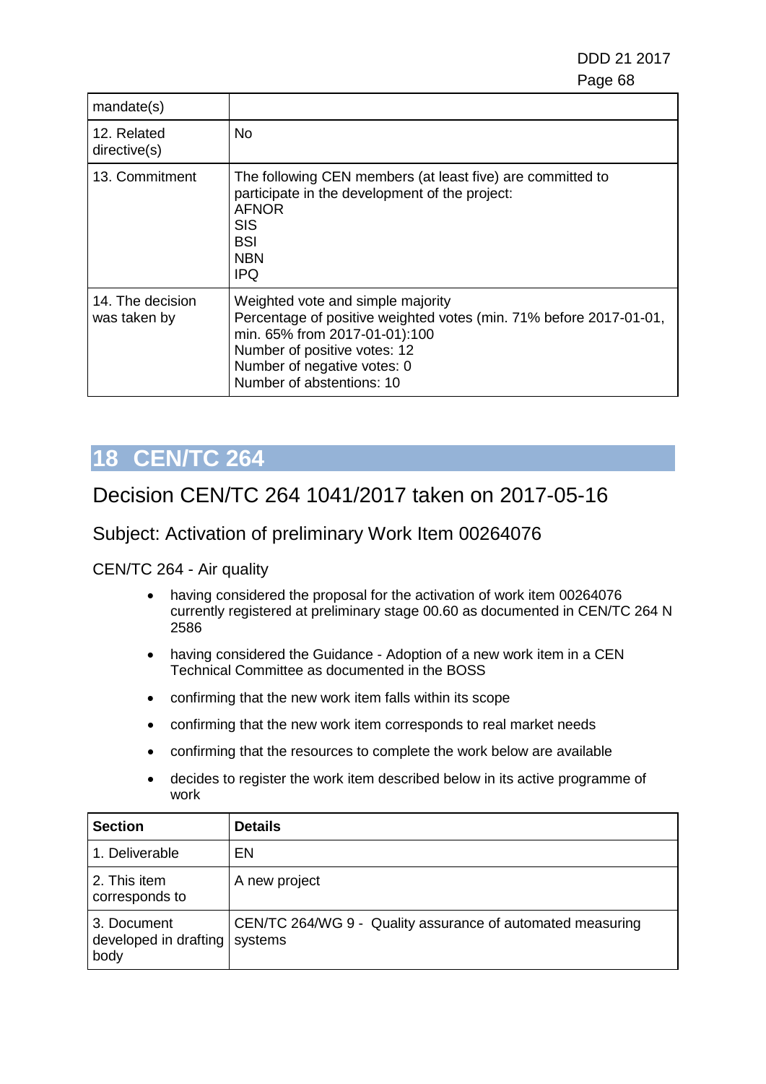DDD 21 2017 e e contra a construída de alta de 1990, estadounidense de 1990, estadounidense de 1990, estadounidense de 19

| mandate(s)                       |                                                                                                                                                                                                                                      |
|----------------------------------|--------------------------------------------------------------------------------------------------------------------------------------------------------------------------------------------------------------------------------------|
| 12. Related<br>directive(s)      | No                                                                                                                                                                                                                                   |
| 13. Commitment                   | The following CEN members (at least five) are committed to<br>participate in the development of the project:<br><b>AFNOR</b><br>SIS<br>BSI<br><b>NBN</b><br><b>IPQ</b>                                                               |
| 14. The decision<br>was taken by | Weighted vote and simple majority<br>Percentage of positive weighted votes (min. 71% before 2017-01-01,<br>min. 65% from 2017-01-01):100<br>Number of positive votes: 12<br>Number of negative votes: 0<br>Number of abstentions: 10 |

# **18 CEN/TC 264**

## Decision CEN/TC 264 1041/2017 taken on 2017-05-16

### Subject: Activation of preliminary Work Item 00264076

#### CEN/TC 264 - Air quality

- having considered the proposal for the activation of work item 00264076 currently registered at preliminary stage 00.60 as documented in CEN/TC 264 N 2586
- having considered the Guidance Adoption of a new work item in a CEN Technical Committee as documented in the BOSS
- confirming that the new work item falls within its scope
- confirming that the new work item corresponds to real market needs
- confirming that the resources to complete the work below are available
- decides to register the work item described below in its active programme of work

| <b>Section</b>                                       | <b>Details</b>                                             |
|------------------------------------------------------|------------------------------------------------------------|
| 1. Deliverable                                       | EN                                                         |
| 2. This item<br>corresponds to                       | A new project                                              |
| 3. Document<br>developed in drafting systems<br>body | CEN/TC 264/WG 9 - Quality assurance of automated measuring |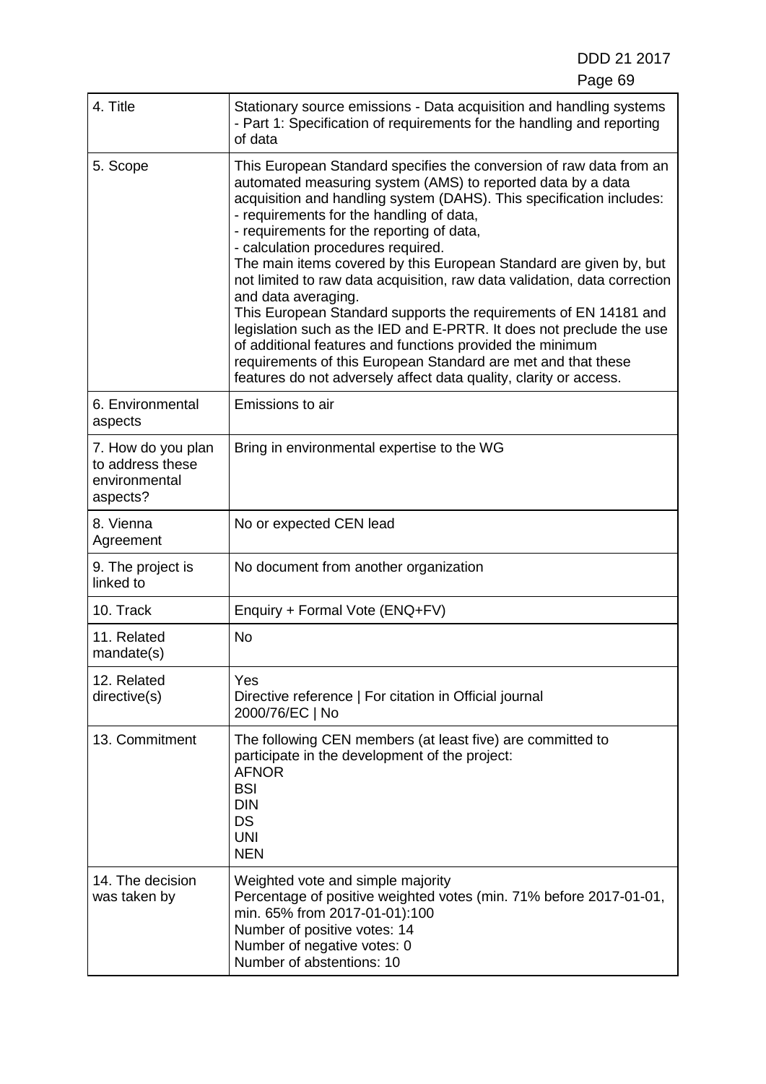| 4. Title                                                            | Stationary source emissions - Data acquisition and handling systems<br>- Part 1: Specification of requirements for the handling and reporting<br>of data                                                                                                                                                                                                                                                                                                                                                                                                                                                                                                                                                                                                                                                                                                           |
|---------------------------------------------------------------------|--------------------------------------------------------------------------------------------------------------------------------------------------------------------------------------------------------------------------------------------------------------------------------------------------------------------------------------------------------------------------------------------------------------------------------------------------------------------------------------------------------------------------------------------------------------------------------------------------------------------------------------------------------------------------------------------------------------------------------------------------------------------------------------------------------------------------------------------------------------------|
| 5. Scope                                                            | This European Standard specifies the conversion of raw data from an<br>automated measuring system (AMS) to reported data by a data<br>acquisition and handling system (DAHS). This specification includes:<br>- requirements for the handling of data,<br>- requirements for the reporting of data,<br>- calculation procedures required.<br>The main items covered by this European Standard are given by, but<br>not limited to raw data acquisition, raw data validation, data correction<br>and data averaging.<br>This European Standard supports the requirements of EN 14181 and<br>legislation such as the IED and E-PRTR. It does not preclude the use<br>of additional features and functions provided the minimum<br>requirements of this European Standard are met and that these<br>features do not adversely affect data quality, clarity or access. |
| 6. Environmental<br>aspects                                         | Emissions to air                                                                                                                                                                                                                                                                                                                                                                                                                                                                                                                                                                                                                                                                                                                                                                                                                                                   |
| 7. How do you plan<br>to address these<br>environmental<br>aspects? | Bring in environmental expertise to the WG                                                                                                                                                                                                                                                                                                                                                                                                                                                                                                                                                                                                                                                                                                                                                                                                                         |
| 8. Vienna<br>Agreement                                              | No or expected CEN lead                                                                                                                                                                                                                                                                                                                                                                                                                                                                                                                                                                                                                                                                                                                                                                                                                                            |
| 9. The project is<br>linked to                                      | No document from another organization                                                                                                                                                                                                                                                                                                                                                                                                                                                                                                                                                                                                                                                                                                                                                                                                                              |
| 10. Track                                                           | Enquiry + Formal Vote (ENQ+FV)                                                                                                                                                                                                                                                                                                                                                                                                                                                                                                                                                                                                                                                                                                                                                                                                                                     |
| 11. Related<br>mandate(s)                                           | <b>No</b>                                                                                                                                                                                                                                                                                                                                                                                                                                                                                                                                                                                                                                                                                                                                                                                                                                                          |
| 12. Related<br>directive(s)                                         | Yes<br>Directive reference   For citation in Official journal<br>2000/76/EC   No                                                                                                                                                                                                                                                                                                                                                                                                                                                                                                                                                                                                                                                                                                                                                                                   |
| 13. Commitment                                                      | The following CEN members (at least five) are committed to<br>participate in the development of the project:<br><b>AFNOR</b><br><b>BSI</b><br><b>DIN</b><br>DS<br><b>UNI</b><br><b>NEN</b>                                                                                                                                                                                                                                                                                                                                                                                                                                                                                                                                                                                                                                                                         |
| 14. The decision<br>was taken by                                    | Weighted vote and simple majority<br>Percentage of positive weighted votes (min. 71% before 2017-01-01,<br>min. 65% from 2017-01-01):100<br>Number of positive votes: 14<br>Number of negative votes: 0<br>Number of abstentions: 10                                                                                                                                                                                                                                                                                                                                                                                                                                                                                                                                                                                                                               |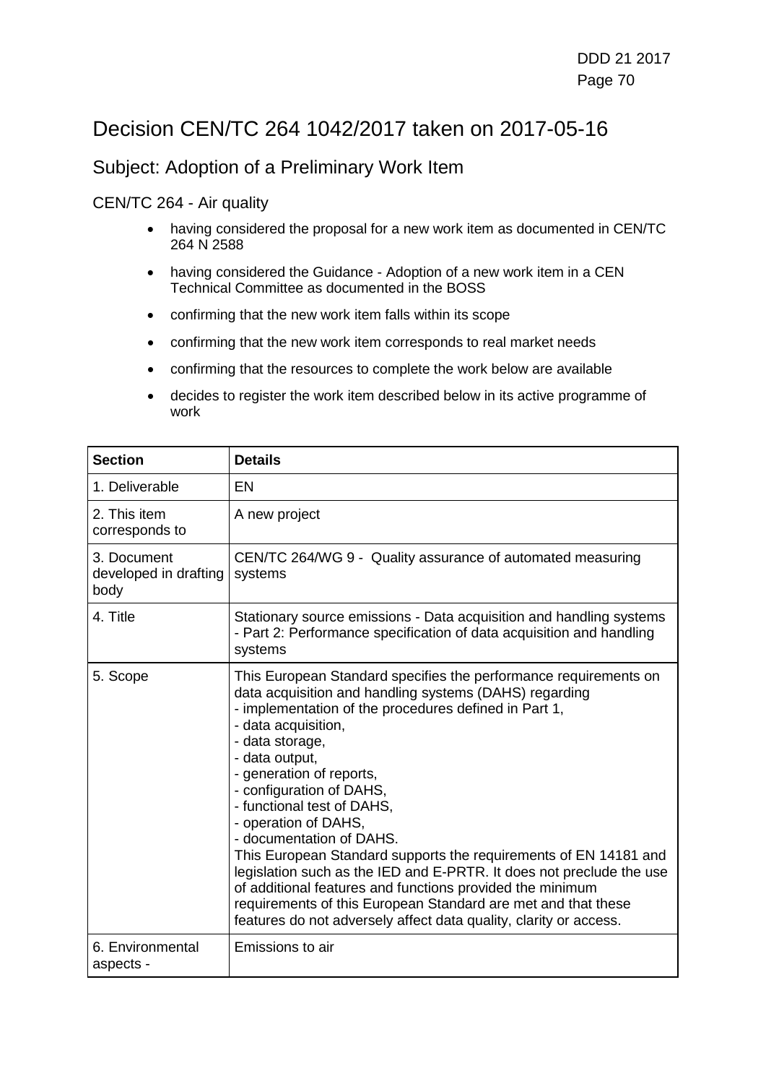## Decision CEN/TC 264 1042/2017 taken on 2017-05-16

### Subject: Adoption of a Preliminary Work Item

#### CEN/TC 264 - Air quality

- having considered the proposal for a new work item as documented in CEN/TC 264 N 2588
- having considered the Guidance Adoption of a new work item in a CEN Technical Committee as documented in the BOSS
- confirming that the new work item falls within its scope
- confirming that the new work item corresponds to real market needs
- confirming that the resources to complete the work below are available
- decides to register the work item described below in its active programme of work

| <b>Section</b>                               | <b>Details</b>                                                                                                                                                                                                                                                                                                                                                                                                                                                                                                                                                                                                                                                                                                                           |
|----------------------------------------------|------------------------------------------------------------------------------------------------------------------------------------------------------------------------------------------------------------------------------------------------------------------------------------------------------------------------------------------------------------------------------------------------------------------------------------------------------------------------------------------------------------------------------------------------------------------------------------------------------------------------------------------------------------------------------------------------------------------------------------------|
| 1. Deliverable                               | <b>EN</b>                                                                                                                                                                                                                                                                                                                                                                                                                                                                                                                                                                                                                                                                                                                                |
| 2. This item<br>corresponds to               | A new project                                                                                                                                                                                                                                                                                                                                                                                                                                                                                                                                                                                                                                                                                                                            |
| 3. Document<br>developed in drafting<br>body | CEN/TC 264/WG 9 - Quality assurance of automated measuring<br>systems                                                                                                                                                                                                                                                                                                                                                                                                                                                                                                                                                                                                                                                                    |
| 4. Title                                     | Stationary source emissions - Data acquisition and handling systems<br>- Part 2: Performance specification of data acquisition and handling<br>systems                                                                                                                                                                                                                                                                                                                                                                                                                                                                                                                                                                                   |
| 5. Scope                                     | This European Standard specifies the performance requirements on<br>data acquisition and handling systems (DAHS) regarding<br>- implementation of the procedures defined in Part 1,<br>- data acquisition,<br>- data storage,<br>- data output,<br>- generation of reports,<br>- configuration of DAHS,<br>- functional test of DAHS,<br>- operation of DAHS,<br>- documentation of DAHS.<br>This European Standard supports the requirements of EN 14181 and<br>legislation such as the IED and E-PRTR. It does not preclude the use<br>of additional features and functions provided the minimum<br>requirements of this European Standard are met and that these<br>features do not adversely affect data quality, clarity or access. |
| 6. Environmental<br>aspects -                | Emissions to air                                                                                                                                                                                                                                                                                                                                                                                                                                                                                                                                                                                                                                                                                                                         |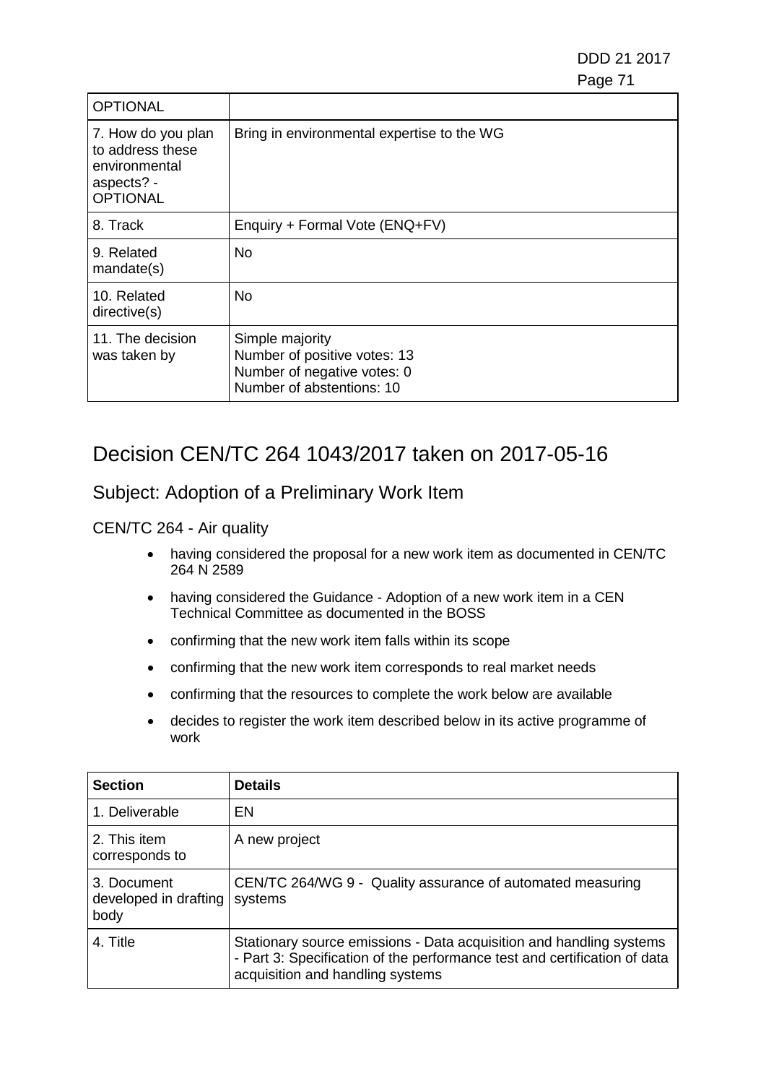| <b>OPTIONAL</b>                                                                          |                                                                                                             |
|------------------------------------------------------------------------------------------|-------------------------------------------------------------------------------------------------------------|
| 7. How do you plan<br>to address these<br>environmental<br>aspects? -<br><b>OPTIONAL</b> | Bring in environmental expertise to the WG                                                                  |
| 8. Track                                                                                 | Enquiry + Formal Vote (ENQ+FV)                                                                              |
| 9. Related<br>mandate(s)                                                                 | No                                                                                                          |
| 10. Related<br>directive(s)                                                              | No.                                                                                                         |
| 11. The decision<br>was taken by                                                         | Simple majority<br>Number of positive votes: 13<br>Number of negative votes: 0<br>Number of abstentions: 10 |

## Decision CEN/TC 264 1043/2017 taken on 2017-05-16

### Subject: Adoption of a Preliminary Work Item

#### CEN/TC 264 - Air quality

- having considered the proposal for a new work item as documented in CEN/TC 264 N 2589
- having considered the Guidance Adoption of a new work item in a CEN Technical Committee as documented in the BOSS
- confirming that the new work item falls within its scope
- confirming that the new work item corresponds to real market needs
- confirming that the resources to complete the work below are available
- decides to register the work item described below in its active programme of work

| <b>Section</b>                               | <b>Details</b>                                                                                                                                                                       |
|----------------------------------------------|--------------------------------------------------------------------------------------------------------------------------------------------------------------------------------------|
| 1. Deliverable                               | EN                                                                                                                                                                                   |
| 2. This item<br>corresponds to               | A new project                                                                                                                                                                        |
| 3. Document<br>developed in drafting<br>body | CEN/TC 264/WG 9 - Quality assurance of automated measuring<br>systems                                                                                                                |
| 4. Title                                     | Stationary source emissions - Data acquisition and handling systems<br>- Part 3: Specification of the performance test and certification of data<br>acquisition and handling systems |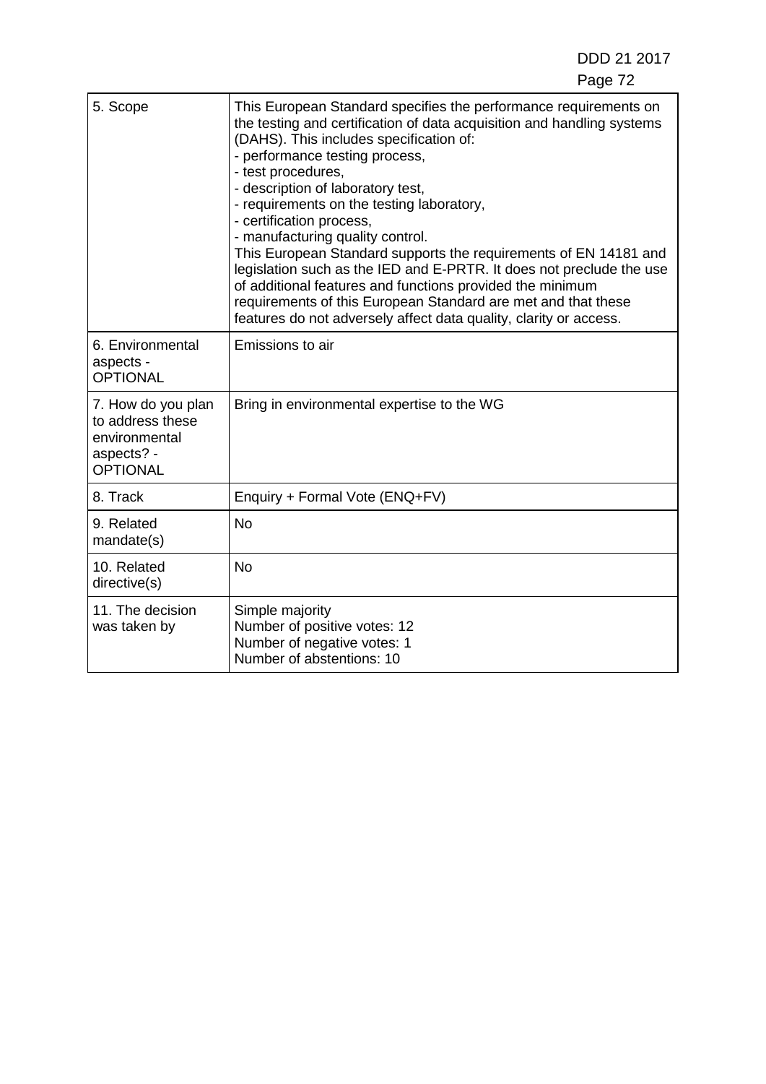| 5. Scope                                                                                 | This European Standard specifies the performance requirements on<br>the testing and certification of data acquisition and handling systems<br>(DAHS). This includes specification of:<br>- performance testing process,<br>- test procedures,<br>- description of laboratory test,<br>- requirements on the testing laboratory,<br>- certification process,<br>- manufacturing quality control.<br>This European Standard supports the requirements of EN 14181 and<br>legislation such as the IED and E-PRTR. It does not preclude the use<br>of additional features and functions provided the minimum<br>requirements of this European Standard are met and that these<br>features do not adversely affect data quality, clarity or access. |
|------------------------------------------------------------------------------------------|------------------------------------------------------------------------------------------------------------------------------------------------------------------------------------------------------------------------------------------------------------------------------------------------------------------------------------------------------------------------------------------------------------------------------------------------------------------------------------------------------------------------------------------------------------------------------------------------------------------------------------------------------------------------------------------------------------------------------------------------|
| 6. Environmental<br>aspects -<br><b>OPTIONAL</b>                                         | Emissions to air                                                                                                                                                                                                                                                                                                                                                                                                                                                                                                                                                                                                                                                                                                                               |
| 7. How do you plan<br>to address these<br>environmental<br>aspects? -<br><b>OPTIONAL</b> | Bring in environmental expertise to the WG                                                                                                                                                                                                                                                                                                                                                                                                                                                                                                                                                                                                                                                                                                     |
| 8. Track                                                                                 | Enquiry + Formal Vote (ENQ+FV)                                                                                                                                                                                                                                                                                                                                                                                                                                                                                                                                                                                                                                                                                                                 |
| 9. Related<br>mandate(s)                                                                 | <b>No</b>                                                                                                                                                                                                                                                                                                                                                                                                                                                                                                                                                                                                                                                                                                                                      |
| 10. Related<br>directive(s)                                                              | <b>No</b>                                                                                                                                                                                                                                                                                                                                                                                                                                                                                                                                                                                                                                                                                                                                      |
| 11. The decision<br>was taken by                                                         | Simple majority<br>Number of positive votes: 12<br>Number of negative votes: 1<br>Number of abstentions: 10                                                                                                                                                                                                                                                                                                                                                                                                                                                                                                                                                                                                                                    |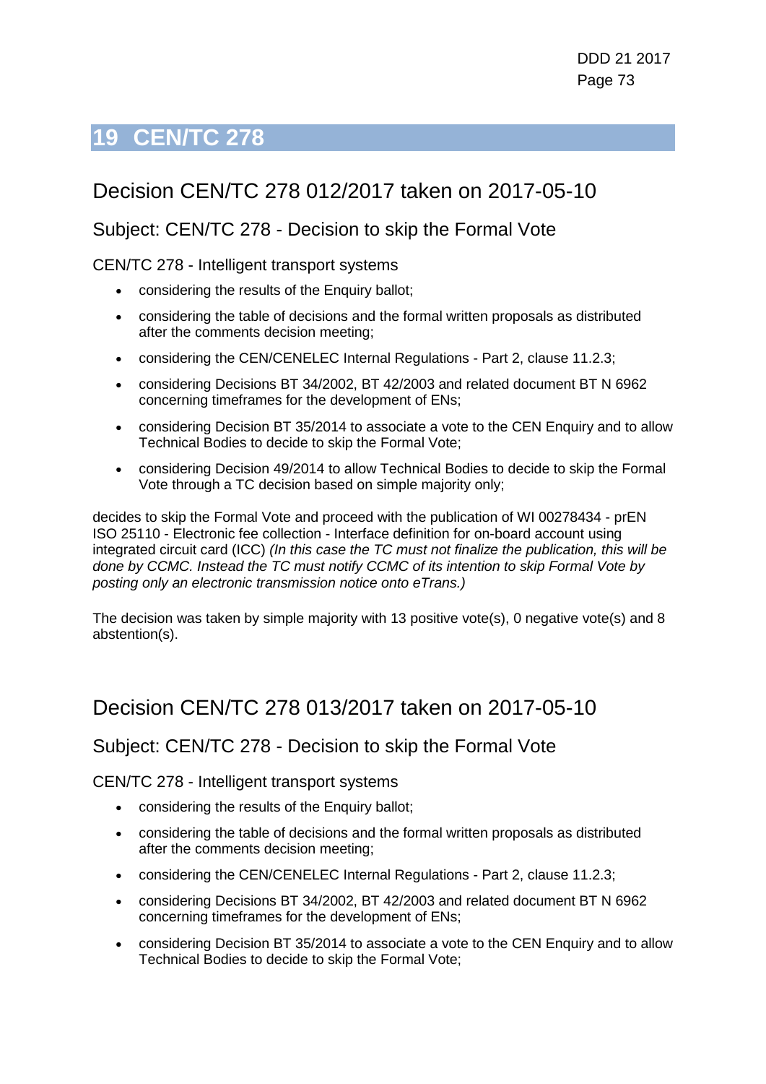# **19 CEN/TC 278**

## Decision CEN/TC 278 012/2017 taken on 2017-05-10

#### Subject: CEN/TC 278 - Decision to skip the Formal Vote

CEN/TC 278 - Intelligent transport systems

- considering the results of the Enquiry ballot;
- considering the table of decisions and the formal written proposals as distributed after the comments decision meeting;
- considering the CEN/CENELEC Internal Regulations Part 2, clause 11.2.3;
- considering Decisions BT 34/2002, BT 42/2003 and related document BT N 6962 concerning timeframes for the development of ENs;
- considering Decision BT 35/2014 to associate a vote to the CEN Enquiry and to allow Technical Bodies to decide to skip the Formal Vote;
- considering Decision 49/2014 to allow Technical Bodies to decide to skip the Formal Vote through a TC decision based on simple majority only;

decides to skip the Formal Vote and proceed with the publication of WI 00278434 - prEN ISO 25110 - Electronic fee collection - Interface definition for on-board account using integrated circuit card (ICC) *(In this case the TC must not finalize the publication, this will be done by CCMC. Instead the TC must notify CCMC of its intention to skip Formal Vote by posting only an electronic transmission notice onto eTrans.)*

The decision was taken by simple majority with 13 positive vote(s), 0 negative vote(s) and 8 abstention(s).

### Decision CEN/TC 278 013/2017 taken on 2017-05-10

#### Subject: CEN/TC 278 - Decision to skip the Formal Vote

CEN/TC 278 - Intelligent transport systems

- considering the results of the Enquiry ballot;
- considering the table of decisions and the formal written proposals as distributed after the comments decision meeting;
- considering the CEN/CENELEC Internal Regulations Part 2, clause 11.2.3;
- considering Decisions BT 34/2002, BT 42/2003 and related document BT N 6962 concerning timeframes for the development of ENs;
- considering Decision BT 35/2014 to associate a vote to the CEN Enguiry and to allow Technical Bodies to decide to skip the Formal Vote;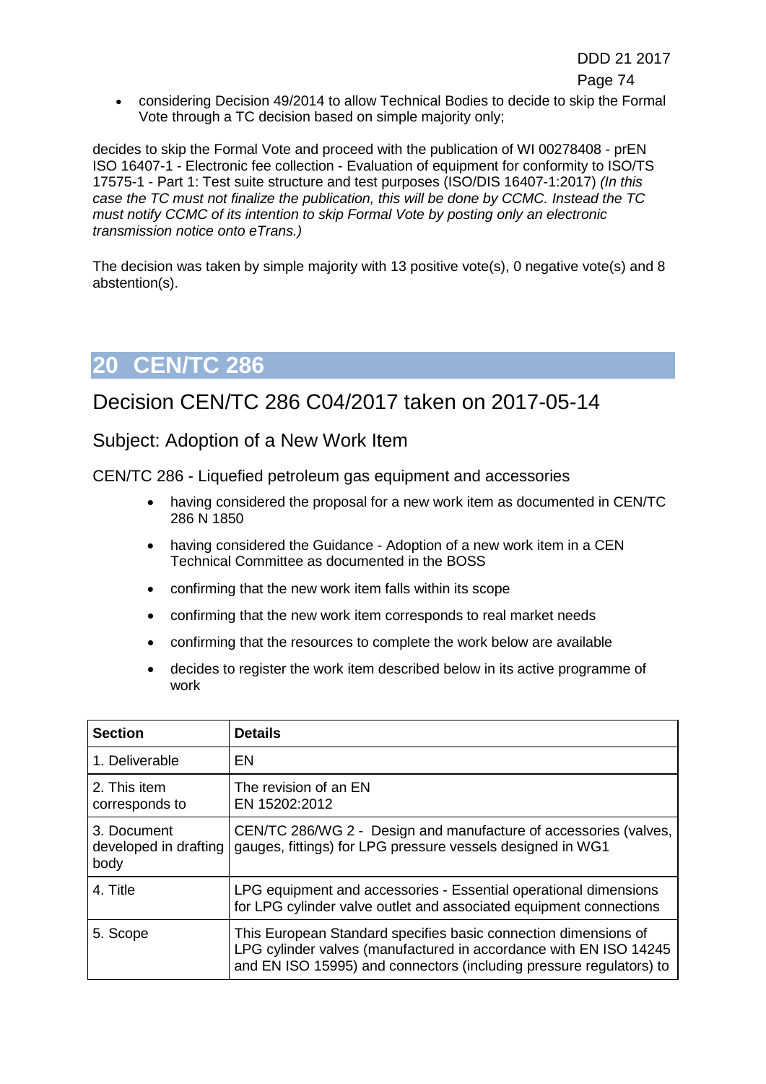• considering Decision 49/2014 to allow Technical Bodies to decide to skip the Formal Vote through a TC decision based on simple majority only;

decides to skip the Formal Vote and proceed with the publication of WI 00278408 - prEN ISO 16407-1 - Electronic fee collection - Evaluation of equipment for conformity to ISO/TS 17575-1 - Part 1: Test suite structure and test purposes (ISO/DIS 16407-1:2017) *(In this case the TC must not finalize the publication, this will be done by CCMC. Instead the TC must notify CCMC of its intention to skip Formal Vote by posting only an electronic transmission notice onto eTrans.)*

The decision was taken by simple majority with 13 positive vote(s), 0 negative vote(s) and 8 abstention(s).

# **20 CEN/TC 286**

#### Decision CEN/TC 286 C04/2017 taken on 2017-05-14

#### Subject: Adoption of a New Work Item

CEN/TC 286 - Liquefied petroleum gas equipment and accessories

- having considered the proposal for a new work item as documented in CEN/TC 286 N 1850
- having considered the Guidance Adoption of a new work item in a CEN Technical Committee as documented in the BOSS
- confirming that the new work item falls within its scope
- confirming that the new work item corresponds to real market needs
- confirming that the resources to complete the work below are available
- decides to register the work item described below in its active programme of work

| <b>Section</b>                               | <b>Details</b>                                                                                                                                                                                              |
|----------------------------------------------|-------------------------------------------------------------------------------------------------------------------------------------------------------------------------------------------------------------|
| 1. Deliverable                               | EN                                                                                                                                                                                                          |
| 2. This item<br>corresponds to               | The revision of an EN<br>EN 15202:2012                                                                                                                                                                      |
| 3. Document<br>developed in drafting<br>body | CEN/TC 286/WG 2 - Design and manufacture of accessories (valves,<br>gauges, fittings) for LPG pressure vessels designed in WG1                                                                              |
| 4. Title                                     | LPG equipment and accessories - Essential operational dimensions<br>for LPG cylinder valve outlet and associated equipment connections                                                                      |
| 5. Scope                                     | This European Standard specifies basic connection dimensions of<br>LPG cylinder valves (manufactured in accordance with EN ISO 14245<br>and EN ISO 15995) and connectors (including pressure regulators) to |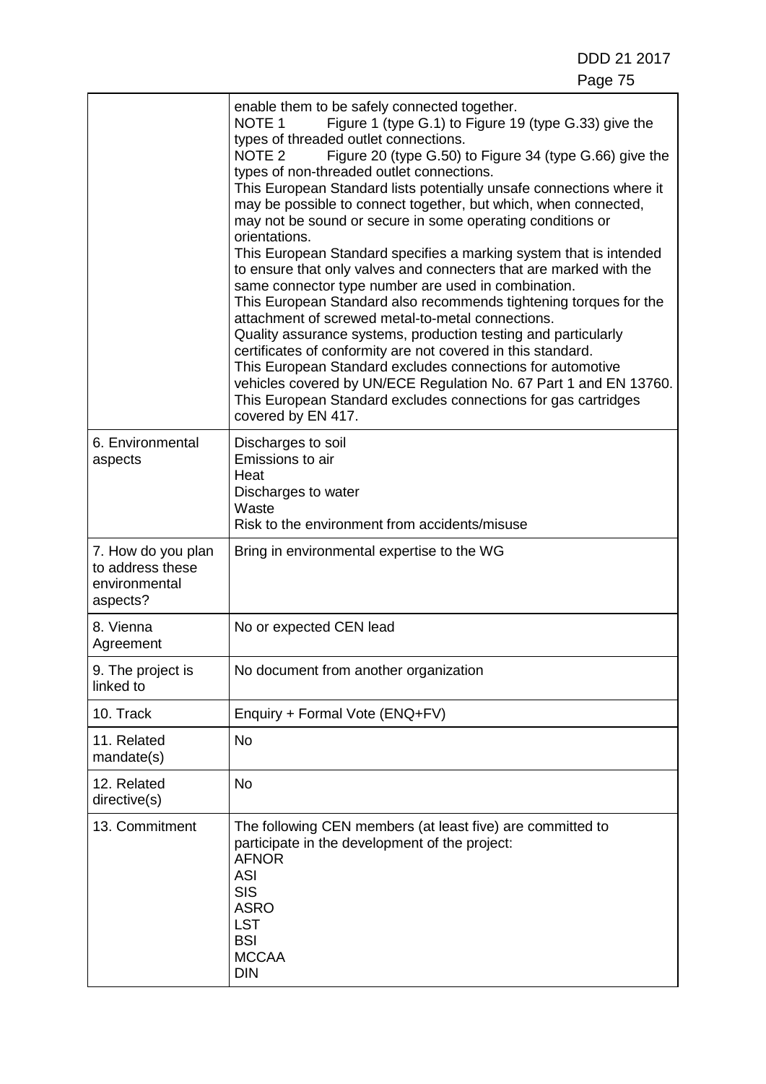DDD 21 2017 Page 75

|                                                                     | enable them to be safely connected together.<br>NOTE <sub>1</sub><br>Figure 1 (type G.1) to Figure 19 (type G.33) give the<br>types of threaded outlet connections.<br>Figure 20 (type G.50) to Figure 34 (type G.66) give the<br>NOTE <sub>2</sub><br>types of non-threaded outlet connections.<br>This European Standard lists potentially unsafe connections where it<br>may be possible to connect together, but which, when connected,<br>may not be sound or secure in some operating conditions or<br>orientations.<br>This European Standard specifies a marking system that is intended<br>to ensure that only valves and connecters that are marked with the<br>same connector type number are used in combination.<br>This European Standard also recommends tightening torques for the<br>attachment of screwed metal-to-metal connections.<br>Quality assurance systems, production testing and particularly<br>certificates of conformity are not covered in this standard.<br>This European Standard excludes connections for automotive<br>vehicles covered by UN/ECE Regulation No. 67 Part 1 and EN 13760.<br>This European Standard excludes connections for gas cartridges<br>covered by EN 417. |
|---------------------------------------------------------------------|----------------------------------------------------------------------------------------------------------------------------------------------------------------------------------------------------------------------------------------------------------------------------------------------------------------------------------------------------------------------------------------------------------------------------------------------------------------------------------------------------------------------------------------------------------------------------------------------------------------------------------------------------------------------------------------------------------------------------------------------------------------------------------------------------------------------------------------------------------------------------------------------------------------------------------------------------------------------------------------------------------------------------------------------------------------------------------------------------------------------------------------------------------------------------------------------------------------------|
| 6. Environmental<br>aspects                                         | Discharges to soil<br>Emissions to air<br>Heat<br>Discharges to water<br>Waste<br>Risk to the environment from accidents/misuse                                                                                                                                                                                                                                                                                                                                                                                                                                                                                                                                                                                                                                                                                                                                                                                                                                                                                                                                                                                                                                                                                      |
| 7. How do you plan<br>to address these<br>environmental<br>aspects? | Bring in environmental expertise to the WG                                                                                                                                                                                                                                                                                                                                                                                                                                                                                                                                                                                                                                                                                                                                                                                                                                                                                                                                                                                                                                                                                                                                                                           |
| 8. Vienna<br>Agreement                                              | No or expected CEN lead                                                                                                                                                                                                                                                                                                                                                                                                                                                                                                                                                                                                                                                                                                                                                                                                                                                                                                                                                                                                                                                                                                                                                                                              |
| 9. The project is<br>linked to                                      | No document from another organization                                                                                                                                                                                                                                                                                                                                                                                                                                                                                                                                                                                                                                                                                                                                                                                                                                                                                                                                                                                                                                                                                                                                                                                |
| 10. Track                                                           | Enquiry + Formal Vote (ENQ+FV)                                                                                                                                                                                                                                                                                                                                                                                                                                                                                                                                                                                                                                                                                                                                                                                                                                                                                                                                                                                                                                                                                                                                                                                       |
| 11. Related<br>mandate(s)                                           | <b>No</b>                                                                                                                                                                                                                                                                                                                                                                                                                                                                                                                                                                                                                                                                                                                                                                                                                                                                                                                                                                                                                                                                                                                                                                                                            |
| 12. Related<br>directive(s)                                         | <b>No</b>                                                                                                                                                                                                                                                                                                                                                                                                                                                                                                                                                                                                                                                                                                                                                                                                                                                                                                                                                                                                                                                                                                                                                                                                            |
| 13. Commitment                                                      | The following CEN members (at least five) are committed to<br>participate in the development of the project:<br><b>AFNOR</b><br><b>ASI</b><br><b>SIS</b><br><b>ASRO</b><br><b>LST</b><br><b>BSI</b><br><b>MCCAA</b><br><b>DIN</b>                                                                                                                                                                                                                                                                                                                                                                                                                                                                                                                                                                                                                                                                                                                                                                                                                                                                                                                                                                                    |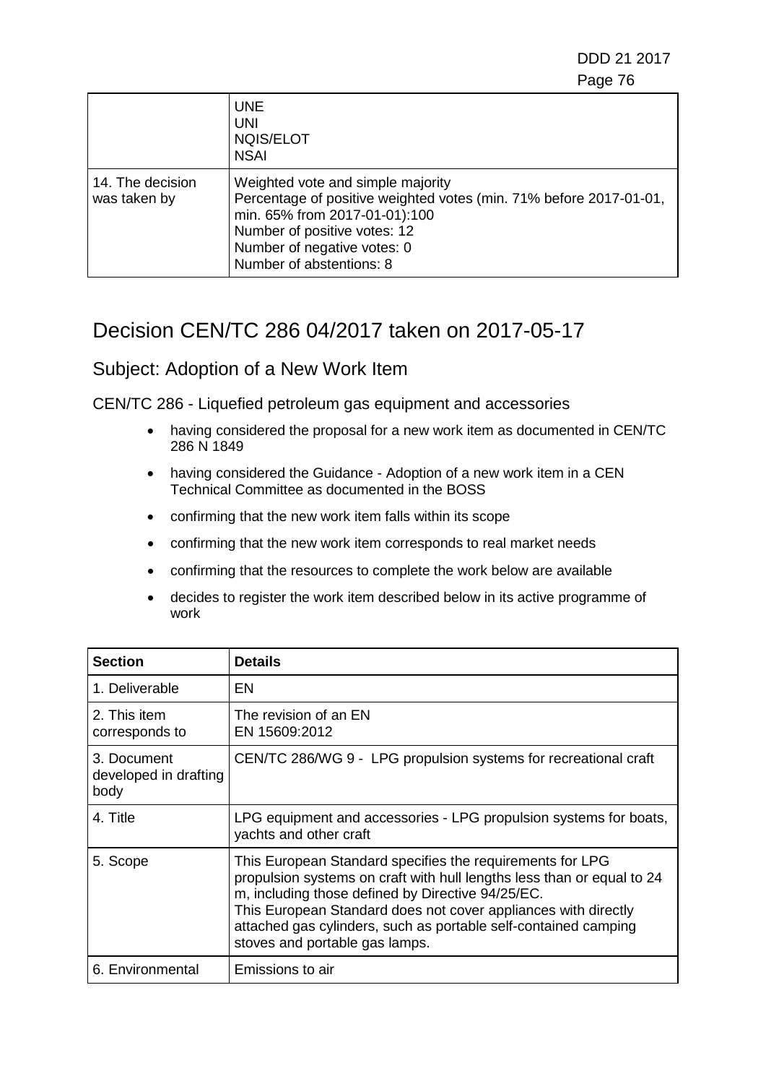DDD 21 2017 e de la construction de la construction de la construction de la construction de la construction de la constru

|                                  | <b>UNE</b><br><b>UNI</b><br>NQIS/ELOT<br><b>NSAI</b>                                                                                                                                                                                |
|----------------------------------|-------------------------------------------------------------------------------------------------------------------------------------------------------------------------------------------------------------------------------------|
| 14. The decision<br>was taken by | Weighted vote and simple majority<br>Percentage of positive weighted votes (min. 71% before 2017-01-01,<br>min. 65% from 2017-01-01):100<br>Number of positive votes: 12<br>Number of negative votes: 0<br>Number of abstentions: 8 |

### Decision CEN/TC 286 04/2017 taken on 2017-05-17

#### Subject: Adoption of a New Work Item

CEN/TC 286 - Liquefied petroleum gas equipment and accessories

- having considered the proposal for a new work item as documented in CEN/TC 286 N 1849
- having considered the Guidance Adoption of a new work item in a CEN Technical Committee as documented in the BOSS
- confirming that the new work item falls within its scope
- confirming that the new work item corresponds to real market needs
- confirming that the resources to complete the work below are available
- decides to register the work item described below in its active programme of work

| <b>Section</b>                               | <b>Details</b>                                                                                                                                                                                                                                                                                                                                                  |
|----------------------------------------------|-----------------------------------------------------------------------------------------------------------------------------------------------------------------------------------------------------------------------------------------------------------------------------------------------------------------------------------------------------------------|
| 1. Deliverable                               | EN                                                                                                                                                                                                                                                                                                                                                              |
| 2. This item<br>corresponds to               | The revision of an EN<br>EN 15609:2012                                                                                                                                                                                                                                                                                                                          |
| 3. Document<br>developed in drafting<br>body | CEN/TC 286/WG 9 - LPG propulsion systems for recreational craft                                                                                                                                                                                                                                                                                                 |
| 4. Title                                     | LPG equipment and accessories - LPG propulsion systems for boats,<br>yachts and other craft                                                                                                                                                                                                                                                                     |
| 5. Scope                                     | This European Standard specifies the requirements for LPG<br>propulsion systems on craft with hull lengths less than or equal to 24<br>m, including those defined by Directive 94/25/EC.<br>This European Standard does not cover appliances with directly<br>attached gas cylinders, such as portable self-contained camping<br>stoves and portable gas lamps. |
| 6. Environmental                             | Emissions to air                                                                                                                                                                                                                                                                                                                                                |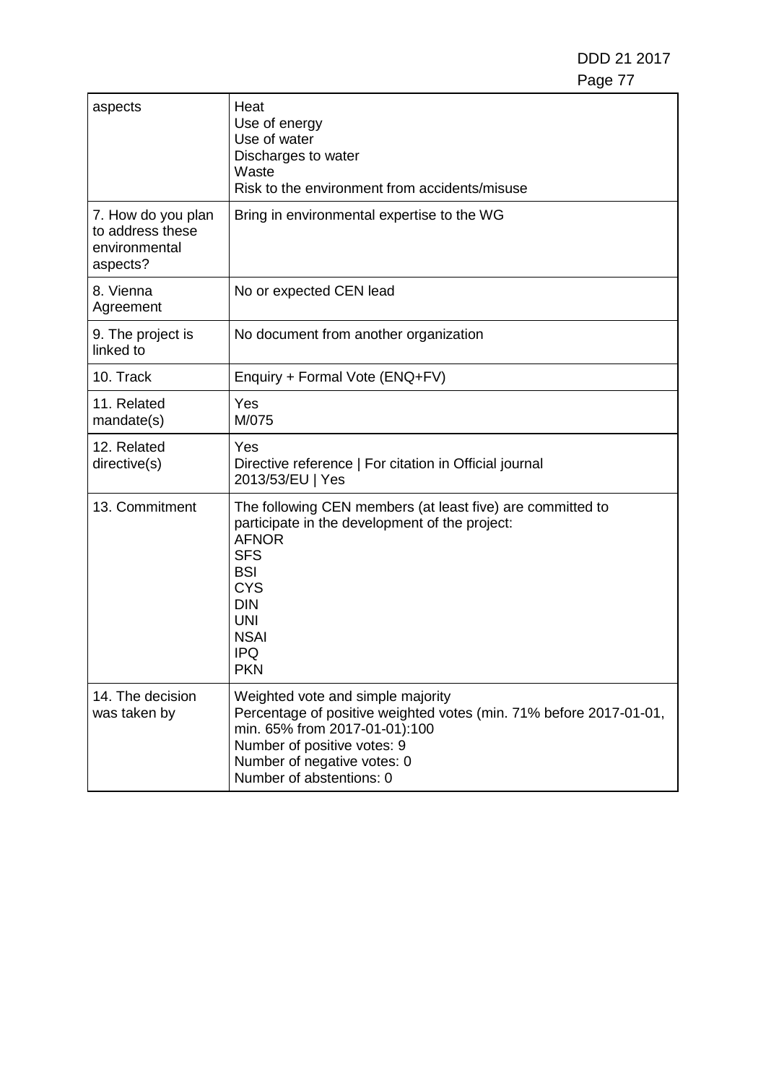DDD 21 2017 Page 77

| aspects                                                             | Heat<br>Use of energy<br>Use of water<br>Discharges to water<br>Waste<br>Risk to the environment from accidents/misuse                                                                                                                 |
|---------------------------------------------------------------------|----------------------------------------------------------------------------------------------------------------------------------------------------------------------------------------------------------------------------------------|
| 7. How do you plan<br>to address these<br>environmental<br>aspects? | Bring in environmental expertise to the WG                                                                                                                                                                                             |
| 8. Vienna<br>Agreement                                              | No or expected CEN lead                                                                                                                                                                                                                |
| 9. The project is<br>linked to                                      | No document from another organization                                                                                                                                                                                                  |
| 10. Track                                                           | Enquiry + Formal Vote (ENQ+FV)                                                                                                                                                                                                         |
| 11. Related<br>mandate(s)                                           | Yes<br>M/075                                                                                                                                                                                                                           |
| 12. Related<br>directive(s)                                         | Yes<br>Directive reference   For citation in Official journal<br>2013/53/EU   Yes                                                                                                                                                      |
| 13. Commitment                                                      | The following CEN members (at least five) are committed to<br>participate in the development of the project:<br><b>AFNOR</b><br><b>SFS</b><br><b>BSI</b><br><b>CYS</b><br><b>DIN</b><br><b>UNI</b><br><b>NSAI</b><br>IPQ<br><b>PKN</b> |
| 14. The decision<br>was taken by                                    | Weighted vote and simple majority<br>Percentage of positive weighted votes (min. 71% before 2017-01-01,<br>min. 65% from 2017-01-01):100<br>Number of positive votes: 9<br>Number of negative votes: 0<br>Number of abstentions: 0     |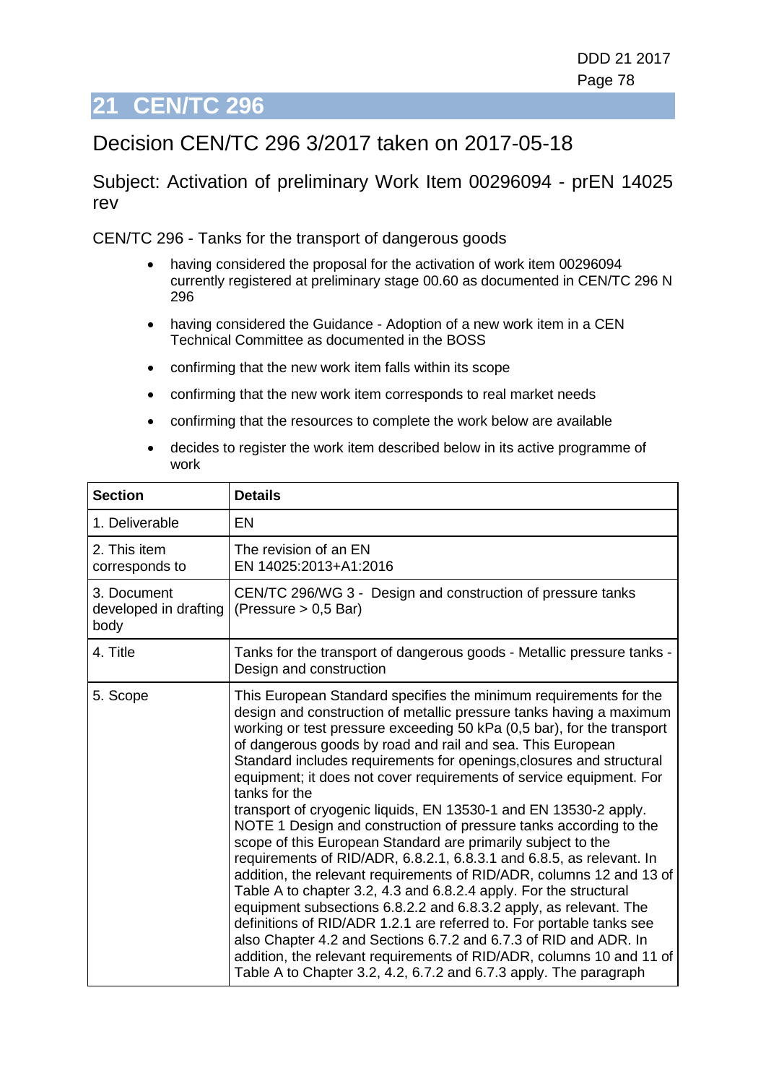## **21 CEN/TC 296**

### Decision CEN/TC 296 3/2017 taken on 2017-05-18

Subject: Activation of preliminary Work Item 00296094 - prEN 14025 rev

CEN/TC 296 - Tanks for the transport of dangerous goods

- having considered the proposal for the activation of work item 00296094 currently registered at preliminary stage 00.60 as documented in CEN/TC 296 N 296
- having considered the Guidance Adoption of a new work item in a CEN Technical Committee as documented in the BOSS
- confirming that the new work item falls within its scope
- confirming that the new work item corresponds to real market needs
- confirming that the resources to complete the work below are available
- decides to register the work item described below in its active programme of work

| <b>Section</b>                               | <b>Details</b>                                                                                                                                                                                                                                                                                                                                                                                                                                                                                                                                                                                                                                                                                                                                                                                                                                                                                                                                                                                                                                                                                                                                                                                                                               |
|----------------------------------------------|----------------------------------------------------------------------------------------------------------------------------------------------------------------------------------------------------------------------------------------------------------------------------------------------------------------------------------------------------------------------------------------------------------------------------------------------------------------------------------------------------------------------------------------------------------------------------------------------------------------------------------------------------------------------------------------------------------------------------------------------------------------------------------------------------------------------------------------------------------------------------------------------------------------------------------------------------------------------------------------------------------------------------------------------------------------------------------------------------------------------------------------------------------------------------------------------------------------------------------------------|
| 1. Deliverable                               | <b>EN</b>                                                                                                                                                                                                                                                                                                                                                                                                                                                                                                                                                                                                                                                                                                                                                                                                                                                                                                                                                                                                                                                                                                                                                                                                                                    |
| 2. This item<br>corresponds to               | The revision of an EN<br>EN 14025:2013+A1:2016                                                                                                                                                                                                                                                                                                                                                                                                                                                                                                                                                                                                                                                                                                                                                                                                                                                                                                                                                                                                                                                                                                                                                                                               |
| 3. Document<br>developed in drafting<br>body | CEN/TC 296/WG 3 - Design and construction of pressure tanks<br>(Pressure $> 0.5$ Bar)                                                                                                                                                                                                                                                                                                                                                                                                                                                                                                                                                                                                                                                                                                                                                                                                                                                                                                                                                                                                                                                                                                                                                        |
| 4. Title                                     | Tanks for the transport of dangerous goods - Metallic pressure tanks -<br>Design and construction                                                                                                                                                                                                                                                                                                                                                                                                                                                                                                                                                                                                                                                                                                                                                                                                                                                                                                                                                                                                                                                                                                                                            |
| 5. Scope                                     | This European Standard specifies the minimum requirements for the<br>design and construction of metallic pressure tanks having a maximum<br>working or test pressure exceeding 50 kPa (0,5 bar), for the transport<br>of dangerous goods by road and rail and sea. This European<br>Standard includes requirements for openings, closures and structural<br>equipment; it does not cover requirements of service equipment. For<br>tanks for the<br>transport of cryogenic liquids, EN 13530-1 and EN 13530-2 apply.<br>NOTE 1 Design and construction of pressure tanks according to the<br>scope of this European Standard are primarily subject to the<br>requirements of RID/ADR, 6.8.2.1, 6.8.3.1 and 6.8.5, as relevant. In<br>addition, the relevant requirements of RID/ADR, columns 12 and 13 of<br>Table A to chapter 3.2, 4.3 and 6.8.2.4 apply. For the structural<br>equipment subsections 6.8.2.2 and 6.8.3.2 apply, as relevant. The<br>definitions of RID/ADR 1.2.1 are referred to. For portable tanks see<br>also Chapter 4.2 and Sections 6.7.2 and 6.7.3 of RID and ADR. In<br>addition, the relevant requirements of RID/ADR, columns 10 and 11 of<br>Table A to Chapter 3.2, 4.2, 6.7.2 and 6.7.3 apply. The paragraph |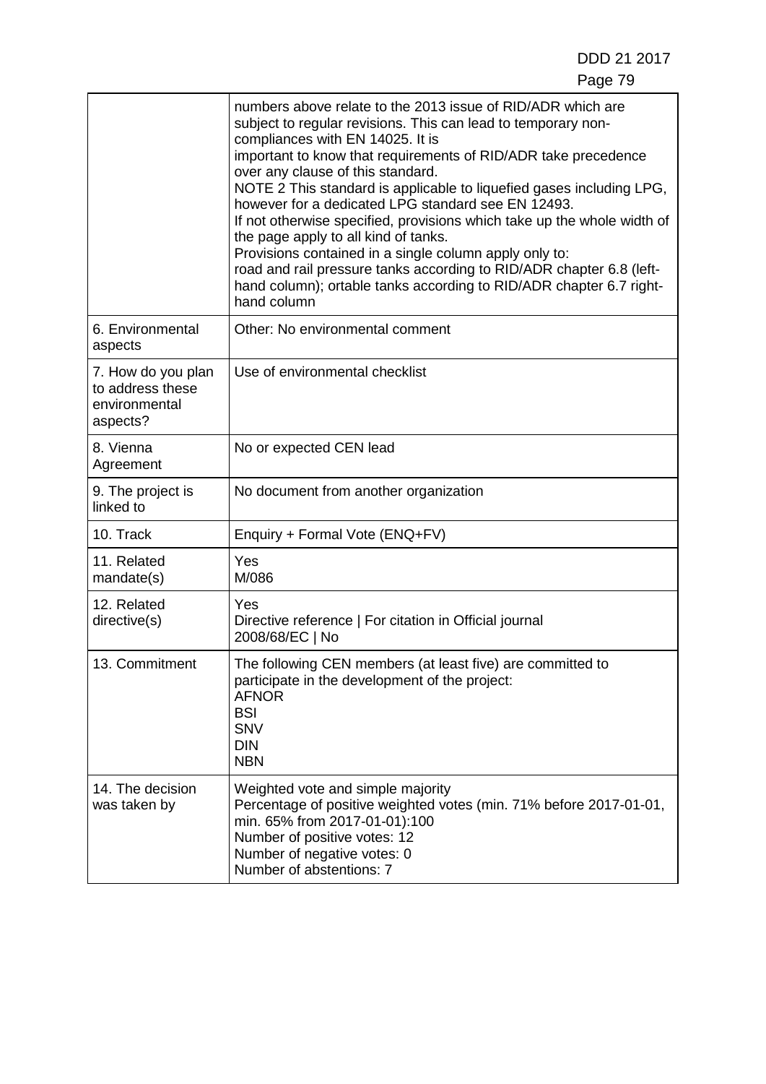DDD 21 2017

|                                                                     | numbers above relate to the 2013 issue of RID/ADR which are<br>subject to regular revisions. This can lead to temporary non-<br>compliances with EN 14025. It is<br>important to know that requirements of RID/ADR take precedence<br>over any clause of this standard.<br>NOTE 2 This standard is applicable to liquefied gases including LPG,<br>however for a dedicated LPG standard see EN 12493.<br>If not otherwise specified, provisions which take up the whole width of<br>the page apply to all kind of tanks.<br>Provisions contained in a single column apply only to:<br>road and rail pressure tanks according to RID/ADR chapter 6.8 (left-<br>hand column); ortable tanks according to RID/ADR chapter 6.7 right-<br>hand column |
|---------------------------------------------------------------------|--------------------------------------------------------------------------------------------------------------------------------------------------------------------------------------------------------------------------------------------------------------------------------------------------------------------------------------------------------------------------------------------------------------------------------------------------------------------------------------------------------------------------------------------------------------------------------------------------------------------------------------------------------------------------------------------------------------------------------------------------|
| 6. Environmental<br>aspects                                         | Other: No environmental comment                                                                                                                                                                                                                                                                                                                                                                                                                                                                                                                                                                                                                                                                                                                  |
| 7. How do you plan<br>to address these<br>environmental<br>aspects? | Use of environmental checklist                                                                                                                                                                                                                                                                                                                                                                                                                                                                                                                                                                                                                                                                                                                   |
| 8. Vienna<br>Agreement                                              | No or expected CEN lead                                                                                                                                                                                                                                                                                                                                                                                                                                                                                                                                                                                                                                                                                                                          |
| 9. The project is<br>linked to                                      | No document from another organization                                                                                                                                                                                                                                                                                                                                                                                                                                                                                                                                                                                                                                                                                                            |
| 10. Track                                                           | Enquiry + Formal Vote (ENQ+FV)                                                                                                                                                                                                                                                                                                                                                                                                                                                                                                                                                                                                                                                                                                                   |
| 11. Related<br>mandate(s)                                           | Yes<br>M/086                                                                                                                                                                                                                                                                                                                                                                                                                                                                                                                                                                                                                                                                                                                                     |
| 12. Related<br>directive(s)                                         | Yes<br>Directive reference   For citation in Official journal<br>2008/68/EC   No                                                                                                                                                                                                                                                                                                                                                                                                                                                                                                                                                                                                                                                                 |
| 13. Commitment                                                      | The following CEN members (at least five) are committed to<br>participate in the development of the project:<br><b>AFNOR</b><br><b>BSI</b><br><b>SNV</b><br><b>DIN</b><br><b>NBN</b>                                                                                                                                                                                                                                                                                                                                                                                                                                                                                                                                                             |
| 14. The decision<br>was taken by                                    | Weighted vote and simple majority<br>Percentage of positive weighted votes (min. 71% before 2017-01-01,<br>min. 65% from 2017-01-01):100<br>Number of positive votes: 12<br>Number of negative votes: 0<br>Number of abstentions: 7                                                                                                                                                                                                                                                                                                                                                                                                                                                                                                              |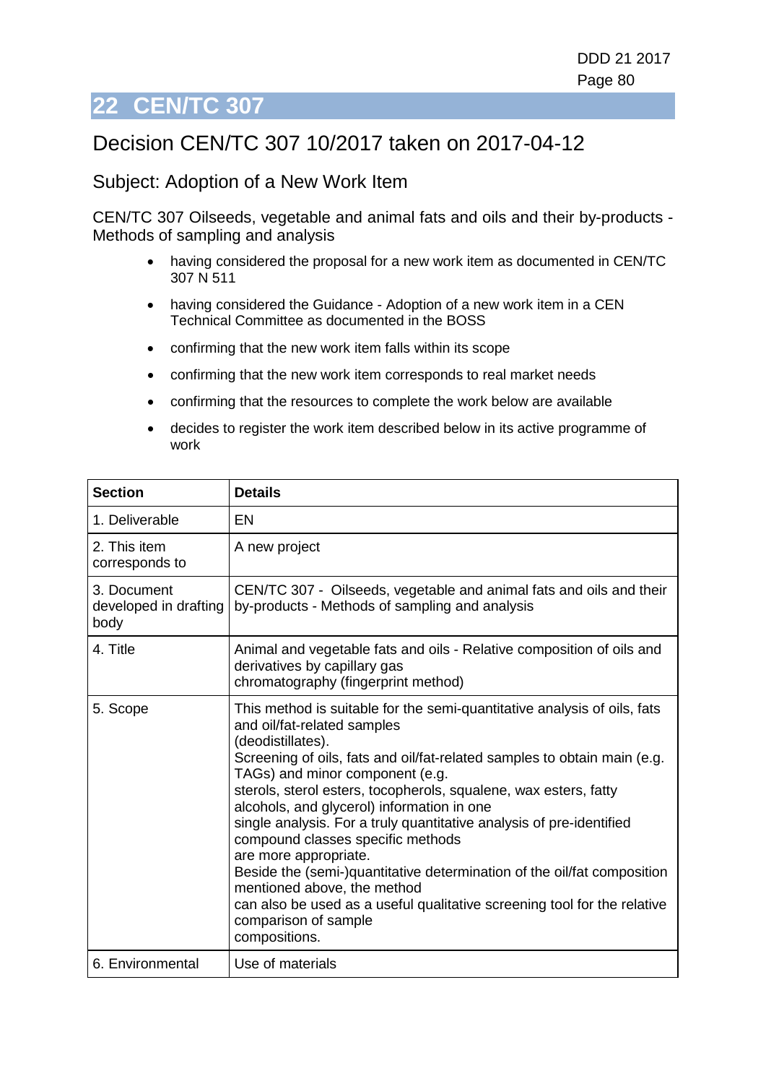# **22 CEN/TC 307**

### Decision CEN/TC 307 10/2017 taken on 2017-04-12

#### Subject: Adoption of a New Work Item

CEN/TC 307 Oilseeds, vegetable and animal fats and oils and their by-products - Methods of sampling and analysis

- having considered the proposal for a new work item as documented in CEN/TC 307 N 511
- having considered the Guidance Adoption of a new work item in a CEN Technical Committee as documented in the BOSS
- confirming that the new work item falls within its scope
- confirming that the new work item corresponds to real market needs
- confirming that the resources to complete the work below are available
- decides to register the work item described below in its active programme of work

| <b>Section</b>                               | <b>Details</b>                                                                                                                                                                                                                                                                                                                                                                                                                                                                                                                                                                                                                                                                                                                     |
|----------------------------------------------|------------------------------------------------------------------------------------------------------------------------------------------------------------------------------------------------------------------------------------------------------------------------------------------------------------------------------------------------------------------------------------------------------------------------------------------------------------------------------------------------------------------------------------------------------------------------------------------------------------------------------------------------------------------------------------------------------------------------------------|
| 1. Deliverable                               | EN                                                                                                                                                                                                                                                                                                                                                                                                                                                                                                                                                                                                                                                                                                                                 |
| 2. This item<br>corresponds to               | A new project                                                                                                                                                                                                                                                                                                                                                                                                                                                                                                                                                                                                                                                                                                                      |
| 3. Document<br>developed in drafting<br>body | CEN/TC 307 - Oilseeds, vegetable and animal fats and oils and their<br>by-products - Methods of sampling and analysis                                                                                                                                                                                                                                                                                                                                                                                                                                                                                                                                                                                                              |
| 4. Title                                     | Animal and vegetable fats and oils - Relative composition of oils and<br>derivatives by capillary gas<br>chromatography (fingerprint method)                                                                                                                                                                                                                                                                                                                                                                                                                                                                                                                                                                                       |
| 5. Scope                                     | This method is suitable for the semi-quantitative analysis of oils, fats<br>and oil/fat-related samples<br>(deodistillates).<br>Screening of oils, fats and oil/fat-related samples to obtain main (e.g.<br>TAGs) and minor component (e.g.<br>sterols, sterol esters, tocopherols, squalene, wax esters, fatty<br>alcohols, and glycerol) information in one<br>single analysis. For a truly quantitative analysis of pre-identified<br>compound classes specific methods<br>are more appropriate.<br>Beside the (semi-)quantitative determination of the oil/fat composition<br>mentioned above, the method<br>can also be used as a useful qualitative screening tool for the relative<br>comparison of sample<br>compositions. |
| 6. Environmental                             | Use of materials                                                                                                                                                                                                                                                                                                                                                                                                                                                                                                                                                                                                                                                                                                                   |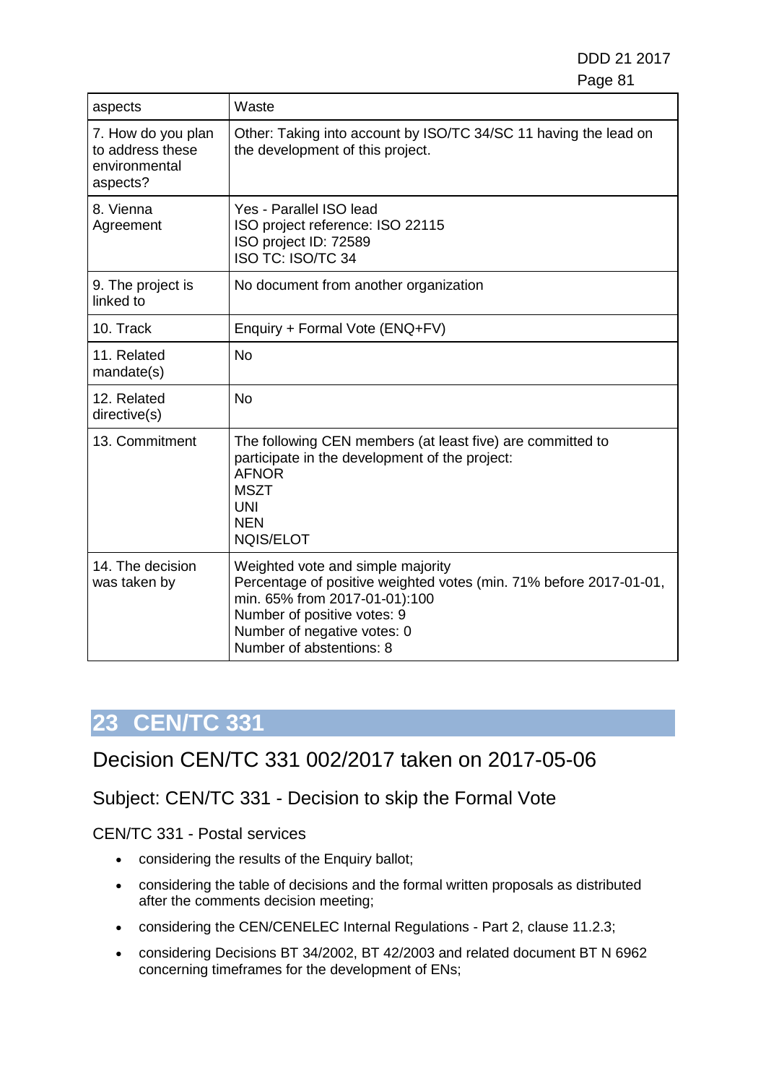DDD 21 2017 e de la construction de la construction de la construction de la construction de la construction de la constru

| aspects                                                             | Waste                                                                                                                                                                                                                              |
|---------------------------------------------------------------------|------------------------------------------------------------------------------------------------------------------------------------------------------------------------------------------------------------------------------------|
| 7. How do you plan<br>to address these<br>environmental<br>aspects? | Other: Taking into account by ISO/TC 34/SC 11 having the lead on<br>the development of this project.                                                                                                                               |
| 8. Vienna<br>Agreement                                              | Yes - Parallel ISO lead<br>ISO project reference: ISO 22115<br>ISO project ID: 72589<br><b>ISO TC: ISO/TC 34</b>                                                                                                                   |
| 9. The project is<br>linked to                                      | No document from another organization                                                                                                                                                                                              |
| 10. Track                                                           | Enquiry + Formal Vote (ENQ+FV)                                                                                                                                                                                                     |
| 11. Related<br>mandate(s)                                           | <b>No</b>                                                                                                                                                                                                                          |
| 12. Related<br>directive(s)                                         | <b>No</b>                                                                                                                                                                                                                          |
| 13. Commitment                                                      | The following CEN members (at least five) are committed to<br>participate in the development of the project:<br><b>AFNOR</b><br><b>MSZT</b><br>UNI<br><b>NEN</b><br><b>NOIS/ELOT</b>                                               |
| 14. The decision<br>was taken by                                    | Weighted vote and simple majority<br>Percentage of positive weighted votes (min. 71% before 2017-01-01,<br>min. 65% from 2017-01-01):100<br>Number of positive votes: 9<br>Number of negative votes: 0<br>Number of abstentions: 8 |

# **23 CEN/TC 331**

### Decision CEN/TC 331 002/2017 taken on 2017-05-06

#### Subject: CEN/TC 331 - Decision to skip the Formal Vote

CEN/TC 331 - Postal services

- considering the results of the Enquiry ballot;
- considering the table of decisions and the formal written proposals as distributed after the comments decision meeting;
- considering the CEN/CENELEC Internal Regulations Part 2, clause 11.2.3;
- considering Decisions BT 34/2002, BT 42/2003 and related document BT N 6962 concerning timeframes for the development of ENs;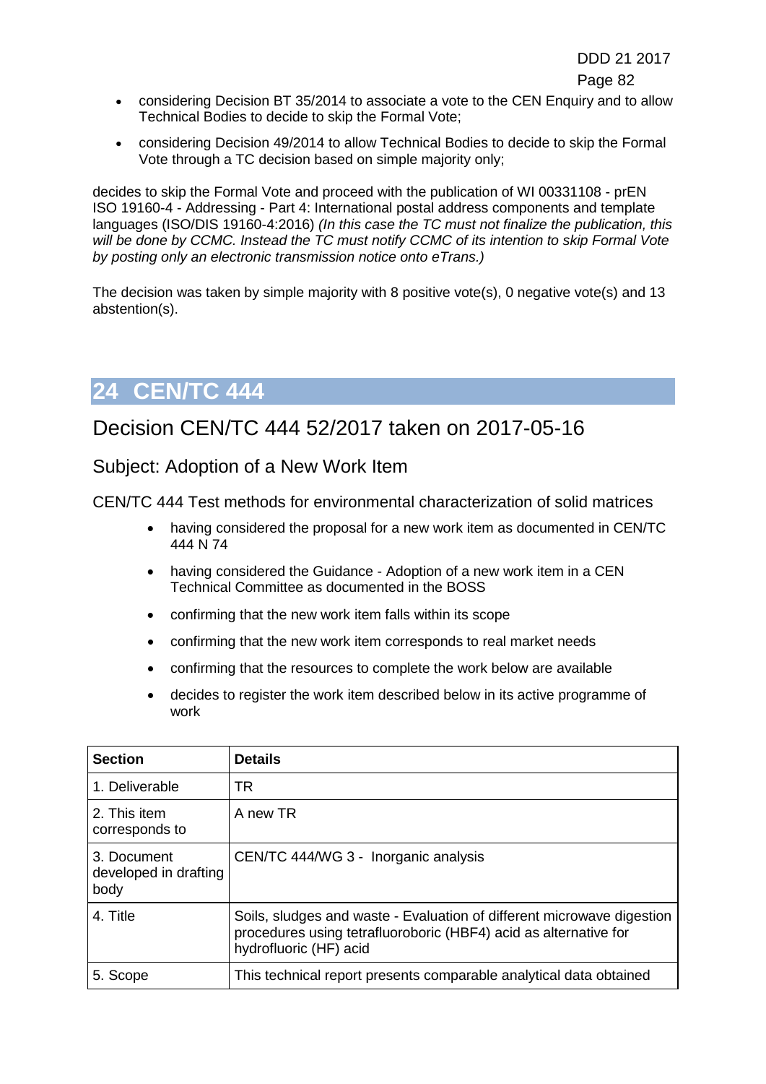- considering Decision BT 35/2014 to associate a vote to the CEN Enquiry and to allow Technical Bodies to decide to skip the Formal Vote;
- considering Decision 49/2014 to allow Technical Bodies to decide to skip the Formal Vote through a TC decision based on simple majority only;

decides to skip the Formal Vote and proceed with the publication of WI 00331108 - prEN ISO 19160-4 - Addressing - Part 4: International postal address components and template languages (ISO/DIS 19160-4:2016) *(In this case the TC must not finalize the publication, this will be done by CCMC. Instead the TC must notify CCMC of its intention to skip Formal Vote by posting only an electronic transmission notice onto eTrans.)*

The decision was taken by simple majority with 8 positive vote(s), 0 negative vote(s) and 13 abstention(s).

### **24 CEN/TC 444**

### Decision CEN/TC 444 52/2017 taken on 2017-05-16

Subject: Adoption of a New Work Item

CEN/TC 444 Test methods for environmental characterization of solid matrices

- having considered the proposal for a new work item as documented in CEN/TC 444 N 74
- having considered the Guidance Adoption of a new work item in a CEN Technical Committee as documented in the BOSS
- confirming that the new work item falls within its scope
- confirming that the new work item corresponds to real market needs
- confirming that the resources to complete the work below are available
- decides to register the work item described below in its active programme of work

| <b>Section</b>                               | <b>Details</b>                                                                                                                                                       |
|----------------------------------------------|----------------------------------------------------------------------------------------------------------------------------------------------------------------------|
| 1. Deliverable                               | <b>TR</b>                                                                                                                                                            |
| 2. This item<br>corresponds to               | A new TR                                                                                                                                                             |
| 3. Document<br>developed in drafting<br>body | CEN/TC 444/WG 3 - Inorganic analysis                                                                                                                                 |
| 4. Title                                     | Soils, sludges and waste - Evaluation of different microwave digestion<br>procedures using tetrafluoroboric (HBF4) acid as alternative for<br>hydrofluoric (HF) acid |
| 5. Scope                                     | This technical report presents comparable analytical data obtained                                                                                                   |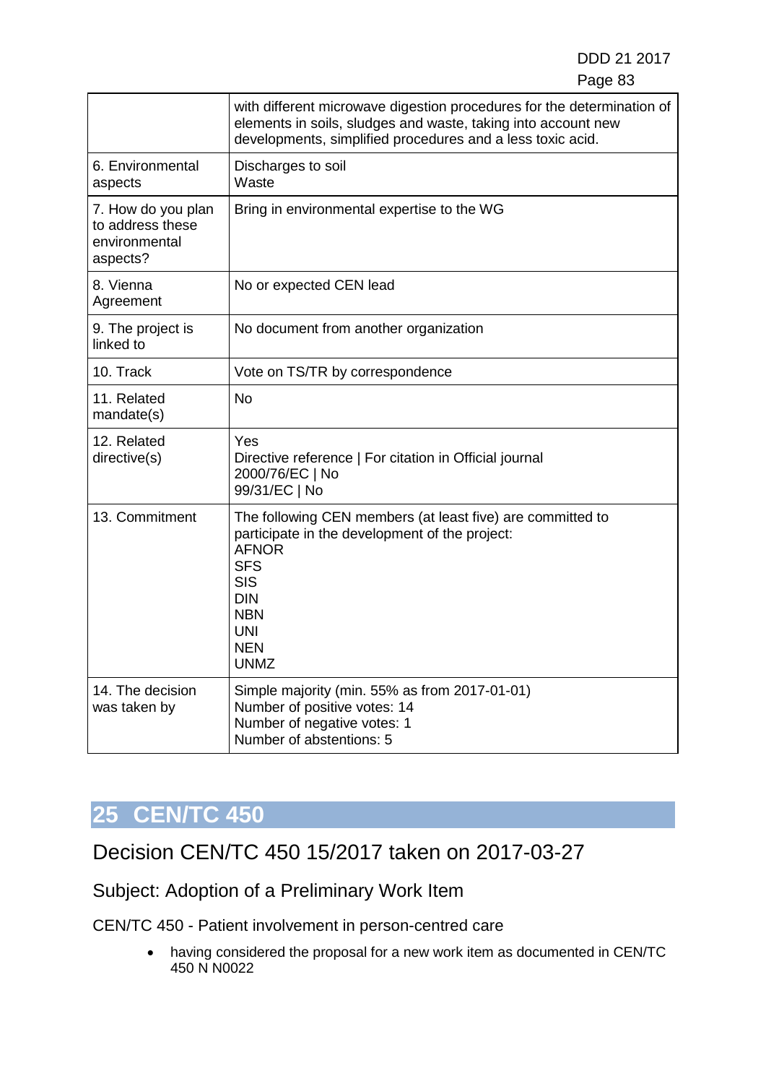DDD 21 2017 e e composito de la contrada de la contrada de la contrada de la contrada de la contrada de la contrada de la

|                                                                     | with different microwave digestion procedures for the determination of<br>elements in soils, sludges and waste, taking into account new<br>developments, simplified procedures and a less toxic acid.                           |
|---------------------------------------------------------------------|---------------------------------------------------------------------------------------------------------------------------------------------------------------------------------------------------------------------------------|
| 6. Environmental<br>aspects                                         | Discharges to soil<br>Waste                                                                                                                                                                                                     |
| 7. How do you plan<br>to address these<br>environmental<br>aspects? | Bring in environmental expertise to the WG                                                                                                                                                                                      |
| 8. Vienna<br>Agreement                                              | No or expected CEN lead                                                                                                                                                                                                         |
| 9. The project is<br>linked to                                      | No document from another organization                                                                                                                                                                                           |
| 10. Track                                                           | Vote on TS/TR by correspondence                                                                                                                                                                                                 |
| 11. Related<br>mandate(s)                                           | <b>No</b>                                                                                                                                                                                                                       |
| 12. Related<br>directive(s)                                         | Yes<br>Directive reference   For citation in Official journal<br>2000/76/EC   No<br>99/31/EC   No                                                                                                                               |
| 13. Commitment                                                      | The following CEN members (at least five) are committed to<br>participate in the development of the project:<br><b>AFNOR</b><br><b>SFS</b><br><b>SIS</b><br><b>DIN</b><br><b>NBN</b><br><b>UNI</b><br><b>NEN</b><br><b>UNMZ</b> |
| 14. The decision<br>was taken by                                    | Simple majority (min. 55% as from 2017-01-01)<br>Number of positive votes: 14<br>Number of negative votes: 1<br>Number of abstentions: 5                                                                                        |

# **25 CEN/TC 450**

Decision CEN/TC 450 15/2017 taken on 2017-03-27

Subject: Adoption of a Preliminary Work Item

CEN/TC 450 - Patient involvement in person-centred care

• having considered the proposal for a new work item as documented in CEN/TC 450 N N0022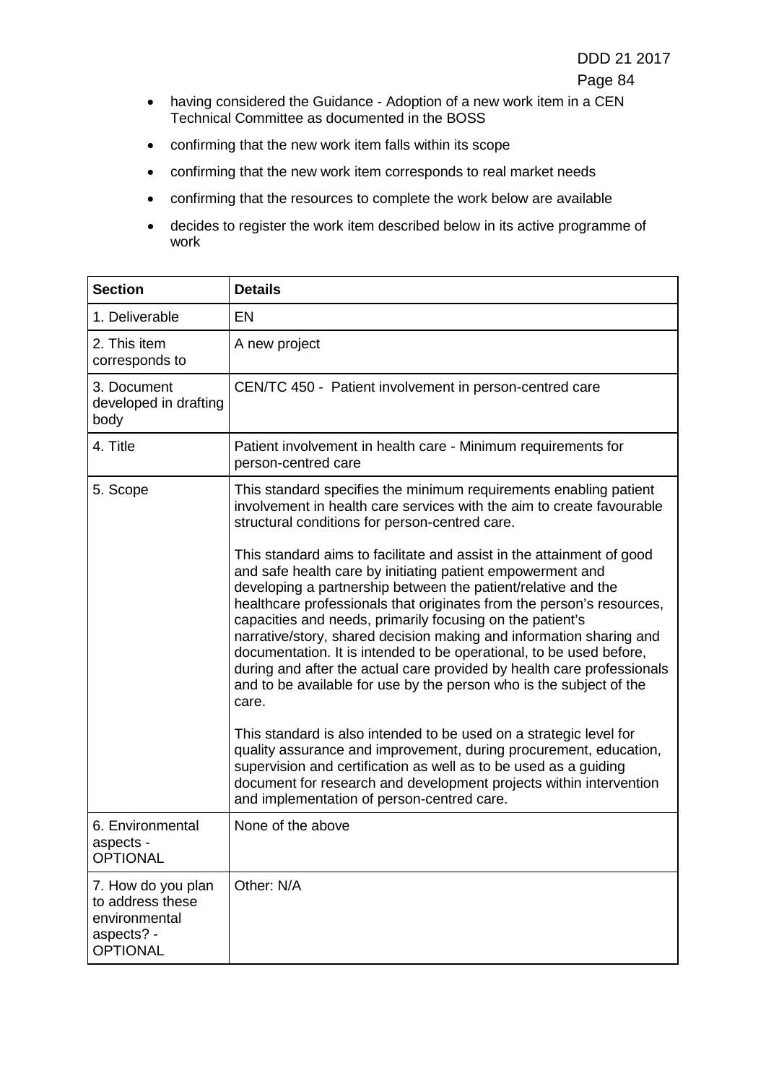- having considered the Guidance Adoption of a new work item in a CEN Technical Committee as documented in the BOSS
- confirming that the new work item falls within its scope
- confirming that the new work item corresponds to real market needs
- confirming that the resources to complete the work below are available
- decides to register the work item described below in its active programme of work

| <b>Section</b>                                                                           | <b>Details</b>                                                                                                                                                                                                                                                                                                                                                                                                                                                                                                                                                                                                                                     |
|------------------------------------------------------------------------------------------|----------------------------------------------------------------------------------------------------------------------------------------------------------------------------------------------------------------------------------------------------------------------------------------------------------------------------------------------------------------------------------------------------------------------------------------------------------------------------------------------------------------------------------------------------------------------------------------------------------------------------------------------------|
| 1. Deliverable                                                                           | <b>EN</b>                                                                                                                                                                                                                                                                                                                                                                                                                                                                                                                                                                                                                                          |
| 2. This item<br>corresponds to                                                           | A new project                                                                                                                                                                                                                                                                                                                                                                                                                                                                                                                                                                                                                                      |
| 3. Document<br>developed in drafting<br>body                                             | CEN/TC 450 - Patient involvement in person-centred care                                                                                                                                                                                                                                                                                                                                                                                                                                                                                                                                                                                            |
| 4. Title                                                                                 | Patient involvement in health care - Minimum requirements for<br>person-centred care                                                                                                                                                                                                                                                                                                                                                                                                                                                                                                                                                               |
| 5. Scope                                                                                 | This standard specifies the minimum requirements enabling patient<br>involvement in health care services with the aim to create favourable<br>structural conditions for person-centred care.                                                                                                                                                                                                                                                                                                                                                                                                                                                       |
|                                                                                          | This standard aims to facilitate and assist in the attainment of good<br>and safe health care by initiating patient empowerment and<br>developing a partnership between the patient/relative and the<br>healthcare professionals that originates from the person's resources,<br>capacities and needs, primarily focusing on the patient's<br>narrative/story, shared decision making and information sharing and<br>documentation. It is intended to be operational, to be used before,<br>during and after the actual care provided by health care professionals<br>and to be available for use by the person who is the subject of the<br>care. |
|                                                                                          | This standard is also intended to be used on a strategic level for<br>quality assurance and improvement, during procurement, education,<br>supervision and certification as well as to be used as a guiding<br>document for research and development projects within intervention<br>and implementation of person-centred care.                                                                                                                                                                                                                                                                                                                    |
| 6. Environmental<br>aspects -<br><b>OPTIONAL</b>                                         | None of the above                                                                                                                                                                                                                                                                                                                                                                                                                                                                                                                                                                                                                                  |
| 7. How do you plan<br>to address these<br>environmental<br>aspects? -<br><b>OPTIONAL</b> | Other: N/A                                                                                                                                                                                                                                                                                                                                                                                                                                                                                                                                                                                                                                         |